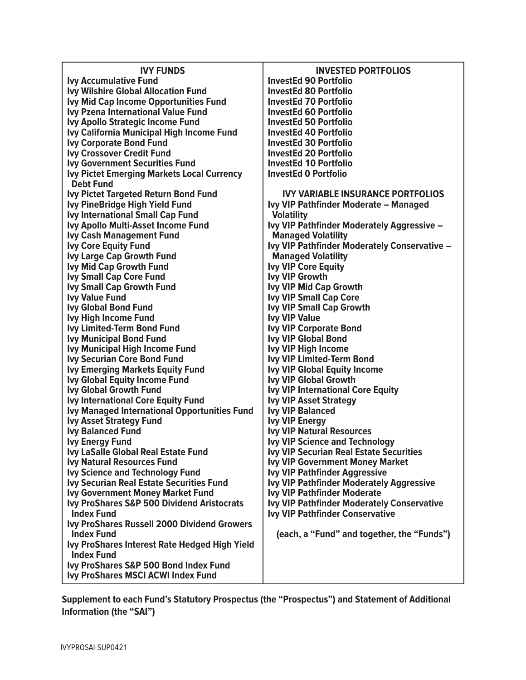| <b>IVY FUNDS</b>                                                           | <b>INVESTED PORTFOLIOS</b>                                                                  |
|----------------------------------------------------------------------------|---------------------------------------------------------------------------------------------|
| <b>Ivy Accumulative Fund</b>                                               | <b>InvestEd 90 Portfolio</b>                                                                |
| <b>Ivy Wilshire Global Allocation Fund</b>                                 | <b>InvestEd 80 Portfolio</b>                                                                |
| <b>Ivy Mid Cap Income Opportunities Fund</b>                               | <b>InvestEd 70 Portfolio</b>                                                                |
| <b>Ivy Pzena International Value Fund</b>                                  | <b>InvestEd 60 Portfolio</b>                                                                |
| <b>Ivy Apollo Strategic Income Fund</b>                                    | <b>InvestEd 50 Portfolio</b>                                                                |
| Ivy California Municipal High Income Fund                                  | <b>InvestEd 40 Portfolio</b>                                                                |
| <b>Ivy Corporate Bond Fund</b>                                             | <b>InvestEd 30 Portfolio</b>                                                                |
| <b>Ivy Crossover Credit Fund</b>                                           | <b>InvestEd 20 Portfolio</b>                                                                |
| <b>Ivy Government Securities Fund</b>                                      | <b>InvestEd 10 Portfolio</b>                                                                |
| <b>Ivy Pictet Emerging Markets Local Currency</b>                          | <b>InvestEd 0 Portfolio</b>                                                                 |
| <b>Debt Fund</b>                                                           |                                                                                             |
| <b>Ivy Pictet Targeted Return Bond Fund</b>                                | <b>IVY VARIABLE INSURANCE PORTFOLIOS</b>                                                    |
| <b>Ivy PineBridge High Yield Fund</b>                                      | <b>Ivy VIP Pathfinder Moderate - Managed</b>                                                |
| <b>Ivy International Small Cap Fund</b>                                    | <b>Volatility</b>                                                                           |
| Ivy Apollo Multi-Asset Income Fund                                         | <b>Ivy VIP Pathfinder Moderately Aggressive -</b>                                           |
| <b>Ivy Cash Management Fund</b>                                            | <b>Managed Volatility</b>                                                                   |
| <b>Ivy Core Equity Fund</b>                                                | <b>Ivy VIP Pathfinder Moderately Conservative -</b>                                         |
| <b>Ivy Large Cap Growth Fund</b>                                           | <b>Managed Volatility</b>                                                                   |
| <b>Ivy Mid Cap Growth Fund</b>                                             | <b>Ivy VIP Core Equity</b>                                                                  |
| <b>Ivy Small Cap Core Fund</b>                                             | <b>Ivy VIP Growth</b>                                                                       |
| <b>Ivy Small Cap Growth Fund</b>                                           | <b>Ivy VIP Mid Cap Growth</b>                                                               |
| <b>Ivy Value Fund</b>                                                      | <b>Ivy VIP Small Cap Core</b>                                                               |
| <b>Ivy Global Bond Fund</b>                                                | <b>Ivy VIP Small Cap Growth</b>                                                             |
| <b>Ivy High Income Fund</b>                                                | <b>Ivy VIP Value</b>                                                                        |
| <b>Ivy Limited-Term Bond Fund</b>                                          | <b>Ivy VIP Corporate Bond</b>                                                               |
| <b>Ivy Municipal Bond Fund</b>                                             | <b>Ivy VIP Global Bond</b>                                                                  |
| <b>Ivy Municipal High Income Fund</b>                                      | <b>Ivy VIP High Income</b>                                                                  |
| <b>Ivy Securian Core Bond Fund</b>                                         | <b>Ivy VIP Limited-Term Bond</b>                                                            |
| <b>Ivy Emerging Markets Equity Fund</b>                                    | <b>Ivy VIP Global Equity Income</b>                                                         |
| <b>Ivy Global Equity Income Fund</b>                                       | <b>Ivy VIP Global Growth</b>                                                                |
| <b>Ivy Global Growth Fund</b>                                              | <b>Ivy VIP International Core Equity</b>                                                    |
| <b>Ivy International Core Equity Fund</b>                                  | <b>Ivy VIP Asset Strategy</b>                                                               |
| <b>Ivy Managed International Opportunities Fund</b>                        | <b>Ivy VIP Balanced</b>                                                                     |
| <b>Ivy Asset Strategy Fund</b>                                             | <b>Ivy VIP Energy</b>                                                                       |
| <b>Ivy Balanced Fund</b>                                                   | <b>Ivy VIP Natural Resources</b>                                                            |
| <b>Ivy Energy Fund</b>                                                     | <b>Ivy VIP Science and Technology</b>                                                       |
| Ivy LaSalle Global Real Estate Fund                                        | <b>Ivy VIP Securian Real Estate Securities</b>                                              |
| <b>Ivy Natural Resources Fund</b>                                          | <b>Ivy VIP Government Money Market</b>                                                      |
| <b>Ivy Science and Technology Fund</b>                                     | <b>Ivy VIP Pathfinder Aggressive</b>                                                        |
| <b>Ivy Securian Real Estate Securities Fund</b>                            | <b>Ivy VIP Pathfinder Moderately Aggressive</b>                                             |
| <b>Ivy Government Money Market Fund</b>                                    | <b>Ivy VIP Pathfinder Moderate</b>                                                          |
| <b>Ivy ProShares S&amp;P 500 Dividend Aristocrats</b><br><b>Index Fund</b> | <b>Ivy VIP Pathfinder Moderately Conservative</b><br><b>Ivy VIP Pathfinder Conservative</b> |
| <b>Ivy ProShares Russell 2000 Dividend Growers</b>                         |                                                                                             |
| <b>Index Fund</b>                                                          | (each, a "Fund" and together, the "Funds")                                                  |
| <b>Ivy ProShares Interest Rate Hedged High Yield</b>                       |                                                                                             |
| <b>Index Fund</b>                                                          |                                                                                             |
| <b>Ivy ProShares S&amp;P 500 Bond Index Fund</b>                           |                                                                                             |
| <b>Ivy ProShares MSCI ACWI Index Fund</b>                                  |                                                                                             |

**Supplement to each Fund's Statutory Prospectus (the "Prospectus") and Statement of Additional Information (the "SAI")**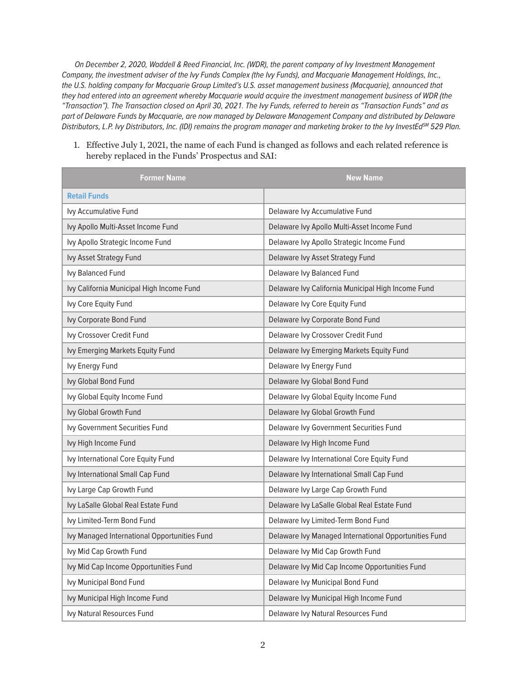On December 2, 2020, Waddell & Reed Financial, Inc. (WDR), the parent company of Ivy Investment Management Company, the investment adviser of the Ivy Funds Complex (the Ivy Funds), and Macquarie Management Holdings, Inc., the U.S. holding company for Macquarie Group Limited's U.S. asset management business (Macquarie), announced that they had entered into an agreement whereby Macquarie would acquire the investment management business of WDR (the "Transaction"). The Transaction closed on April 30, 2021. The Ivy Funds, referred to herein as "Transaction Funds" and as part of Delaware Funds by Macquarie, are now managed by Delaware Management Company and distributed by Delaware Distributors, L.P. Ivy Distributors, Inc. (IDI) remains the program manager and marketing broker to the Ivy InvestEd<sup>SM</sup> 529 Plan.

- **Former Name New Name Retail Funds** Ivy Accumulative Fund Delaware Ivy Accumulative Fund Ivy Apollo Multi-Asset Income Fund Delaware Ivy Apollo Multi-Asset Income Fund Ivy Apollo Strategic Income Fund Delaware Ivy Apollo Strategic Income Fund Ivy Asset Strategy Fund Delaware Ivy Asset Strategy Fund Ivy Balanced Fund **IVI Contract Fund Contract Parameters** Delaware Ivy Balanced Fund Ivy California Municipal High Income Fund Delaware Ivy California Municipal High Income Fund Ivy Core Equity Fund **Ivalue 2018** Delaware Ivy Core Equity Fund Ivy Corporate Bond Fund Delaware Ivy Corporate Bond Fund Ivy Crossover Credit Fund Delaware Ivy Crossover Credit Fund Ivy Emerging Markets Equity Fund Delaware Ivy Emerging Markets Equity Fund Ivy Energy Fund **Delaware Ivy Energy Fund** Ivy Global Bond Fund Delaware Ivy Global Bond Fund Ivy Global Equity Income Fund Delaware Ivy Global Equity Income Fund Ivy Global Growth Fund Delaware Ivy Global Growth Fund Ivy Government Securities Fund Delaware Ivy Government Securities Fund Ivy High Income Fund Delaware Ivy High Income Fund Ivy International Core Equity Fund Delaware Ivy International Core Equity Fund Ivy International Small Cap Fund Delaware Ivy International Small Cap Fund Ivy Large Cap Growth Fund **Delaware Ivy Large Cap Growth Fund** Ivy LaSalle Global Real Estate Fund Delaware Ivy LaSalle Global Real Estate Fund Ivy Limited-Term Bond Fund Delaware Ivy Limited-Term Bond Fund Ivy Managed International Opportunities Fund **Delaware Ivy Managed International Opportunities Fund** Ivy Mid Cap Growth Fund **Ivalue 2018** Delaware Ivy Mid Cap Growth Fund Ivy Mid Cap Income Opportunities Fund Delaware Ivy Mid Cap Income Opportunities Fund Ivy Municipal Bond Fund Delaware Ivy Municipal Bond Fund Ivy Municipal High Income Fund Delaware Ivy Municipal High Income Fund
- 1. Effective July 1, 2021, the name of each Fund is changed as follows and each related reference is hereby replaced in the Funds' Prospectus and SAI:

Ivy Natural Resources Fund **IVI Conserversity Conserversity Natural Resources Fund**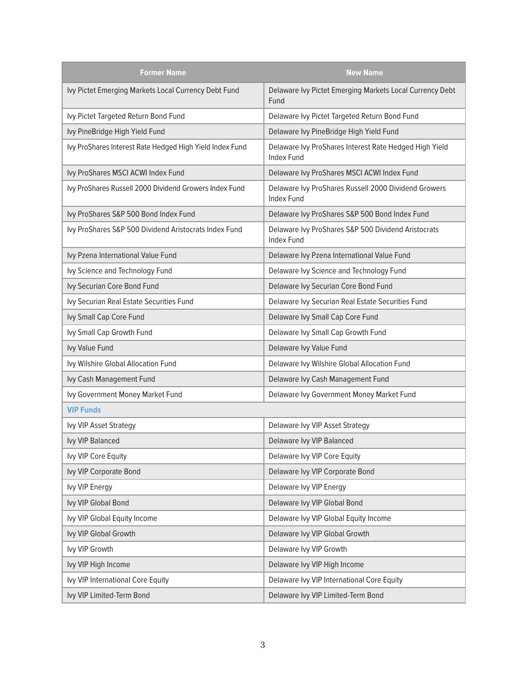| <b>Former Name</b>                                       | <b>New Name</b>                                                             |
|----------------------------------------------------------|-----------------------------------------------------------------------------|
| Ivy Pictet Emerging Markets Local Currency Debt Fund     | Delaware Ivy Pictet Emerging Markets Local Currency Debt<br>Fund            |
| Ivy Pictet Targeted Return Bond Fund                     | Delaware Ivy Pictet Targeted Return Bond Fund                               |
| Ivy PineBridge High Yield Fund                           | Delaware Ivy PineBridge High Yield Fund                                     |
| Ivy ProShares Interest Rate Hedged High Yield Index Fund | Delaware Ivy ProShares Interest Rate Hedged High Yield<br><b>Index Fund</b> |
| Ivy ProShares MSCI ACWI Index Fund                       | Delaware Ivy ProShares MSCI ACWI Index Fund                                 |
| Ivy ProShares Russell 2000 Dividend Growers Index Fund   | Delaware Ivy ProShares Russell 2000 Dividend Growers<br><b>Index Fund</b>   |
| Ivy ProShares S&P 500 Bond Index Fund                    | Delaware Ivy ProShares S&P 500 Bond Index Fund                              |
| Ivy ProShares S&P 500 Dividend Aristocrats Index Fund    | Delaware Ivy ProShares S&P 500 Dividend Aristocrats<br><b>Index Fund</b>    |
| Ivy Pzena International Value Fund                       | Delaware Ivy Pzena International Value Fund                                 |
| Ivy Science and Technology Fund                          | Delaware Ivy Science and Technology Fund                                    |
| Ivy Securian Core Bond Fund                              | Delaware Ivy Securian Core Bond Fund                                        |
| Ivy Securian Real Estate Securities Fund                 | Delaware Ivy Securian Real Estate Securities Fund                           |
| Ivy Small Cap Core Fund                                  | Delaware Ivy Small Cap Core Fund                                            |
| Ivy Small Cap Growth Fund                                | Delaware Ivy Small Cap Growth Fund                                          |
| Ivy Value Fund                                           | Delaware Ivy Value Fund                                                     |
| Ivy Wilshire Global Allocation Fund                      | Delaware Ivy Wilshire Global Allocation Fund                                |
| Ivy Cash Management Fund                                 | Delaware Ivy Cash Management Fund                                           |
| Ivy Government Money Market Fund                         | Delaware Ivy Government Money Market Fund                                   |
| <b>VIP Funds</b>                                         |                                                                             |
| Ivy VIP Asset Strategy                                   | Delaware Ivy VIP Asset Strategy                                             |
| <b>Ivy VIP Balanced</b>                                  | Delaware Ivy VIP Balanced                                                   |
| Ivy VIP Core Equity                                      | Delaware Ivy VIP Core Equity                                                |
| Ivy VIP Corporate Bond                                   | Delaware Ivy VIP Corporate Bond                                             |
| Ivy VIP Energy                                           | Delaware Ivy VIP Energy                                                     |
| Ivy VIP Global Bond                                      | Delaware Ivy VIP Global Bond                                                |
| Ivy VIP Global Equity Income                             | Delaware Ivy VIP Global Equity Income                                       |
| Ivy VIP Global Growth                                    | Delaware Ivy VIP Global Growth                                              |
| Ivy VIP Growth                                           | Delaware Ivy VIP Growth                                                     |
| Ivy VIP High Income                                      | Delaware Ivy VIP High Income                                                |
| Ivy VIP International Core Equity                        | Delaware Ivy VIP International Core Equity                                  |
| Ivy VIP Limited-Term Bond                                | Delaware Ivy VIP Limited-Term Bond                                          |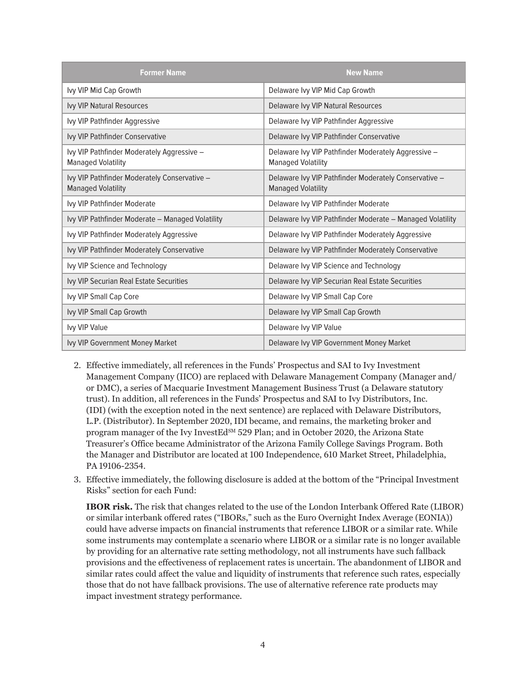| <b>Former Name</b>                                                        | <b>New Name</b>                                                                    |
|---------------------------------------------------------------------------|------------------------------------------------------------------------------------|
| Ivy VIP Mid Cap Growth                                                    | Delaware Ivy VIP Mid Cap Growth                                                    |
| Ivy VIP Natural Resources                                                 | Delaware Ivy VIP Natural Resources                                                 |
| Ivy VIP Pathfinder Aggressive                                             | Delaware Ivy VIP Pathfinder Aggressive                                             |
| Ivy VIP Pathfinder Conservative                                           | Delaware Ivy VIP Pathfinder Conservative                                           |
| Ivy VIP Pathfinder Moderately Aggressive -<br><b>Managed Volatility</b>   | Delaware Ivy VIP Pathfinder Moderately Aggressive -<br><b>Managed Volatility</b>   |
| Ivy VIP Pathfinder Moderately Conservative -<br><b>Managed Volatility</b> | Delaware Ivy VIP Pathfinder Moderately Conservative -<br><b>Managed Volatility</b> |
| Ivy VIP Pathfinder Moderate                                               | Delaware Ivy VIP Pathfinder Moderate                                               |
| Ivy VIP Pathfinder Moderate - Managed Volatility                          | Delaware Ivy VIP Pathfinder Moderate - Managed Volatility                          |
| Ivy VIP Pathfinder Moderately Aggressive                                  | Delaware Ivy VIP Pathfinder Moderately Aggressive                                  |
| Ivy VIP Pathfinder Moderately Conservative                                | Delaware Ivy VIP Pathfinder Moderately Conservative                                |
| Ivy VIP Science and Technology                                            | Delaware Ivy VIP Science and Technology                                            |
| Ivy VIP Securian Real Estate Securities                                   | Delaware Ivy VIP Securian Real Estate Securities                                   |
| Ivy VIP Small Cap Core                                                    | Delaware Ivy VIP Small Cap Core                                                    |
| Ivy VIP Small Cap Growth                                                  | Delaware Ivy VIP Small Cap Growth                                                  |
| Ivy VIP Value                                                             | Delaware Ivy VIP Value                                                             |
| Ivy VIP Government Money Market                                           | Delaware Ivy VIP Government Money Market                                           |

- 2. Effective immediately, all references in the Funds' Prospectus and SAI to Ivy Investment Management Company (IICO) are replaced with Delaware Management Company (Manager and/ or DMC), a series of Macquarie Investment Management Business Trust (a Delaware statutory trust). In addition, all references in the Funds' Prospectus and SAI to Ivy Distributors, Inc. (IDI) (with the exception noted in the next sentence) are replaced with Delaware Distributors, L.P. (Distributor). In September 2020, IDI became, and remains, the marketing broker and program manager of the Ivy InvestEd<sup>SM</sup> 529 Plan; and in October 2020, the Arizona State Treasurer's Office became Administrator of the Arizona Family College Savings Program. Both the Manager and Distributor are located at 100 Independence, 610 Market Street, Philadelphia, PA 19106-2354.
- 3. Effective immediately, the following disclosure is added at the bottom of the "Principal Investment Risks" section for each Fund:

**IBOR risk.** The risk that changes related to the use of the London Interbank Offered Rate (LIBOR) or similar interbank offered rates ("IBORs," such as the Euro Overnight Index Average (EONIA)) could have adverse impacts on financial instruments that reference LIBOR or a similar rate. While some instruments may contemplate a scenario where LIBOR or a similar rate is no longer available by providing for an alternative rate setting methodology, not all instruments have such fallback provisions and the effectiveness of replacement rates is uncertain. The abandonment of LIBOR and similar rates could affect the value and liquidity of instruments that reference such rates, especially those that do not have fallback provisions. The use of alternative reference rate products may impact investment strategy performance.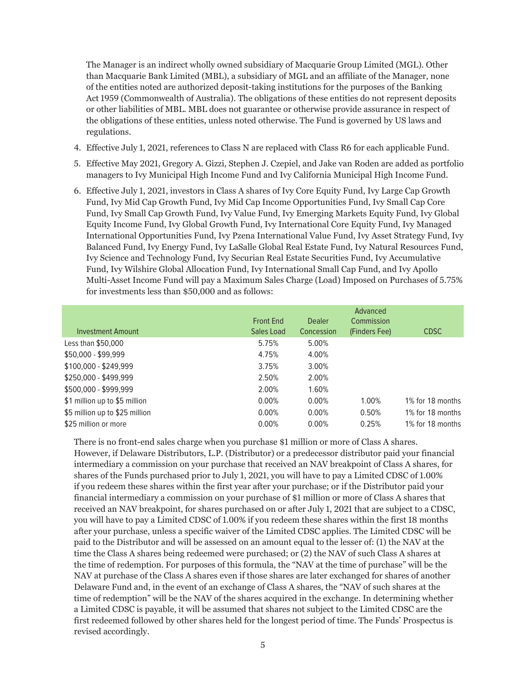The Manager is an indirect wholly owned subsidiary of Macquarie Group Limited (MGL). Other than Macquarie Bank Limited (MBL), a subsidiary of MGL and an affiliate of the Manager, none of the entities noted are authorized deposit-taking institutions for the purposes of the Banking Act 1959 (Commonwealth of Australia). The obligations of these entities do not represent deposits or other liabilities of MBL. MBL does not guarantee or otherwise provide assurance in respect of the obligations of these entities, unless noted otherwise. The Fund is governed by US laws and regulations.

- 4. Effective July 1, 2021, references to Class N are replaced with Class R6 for each applicable Fund.
- 5. Effective May 2021, Gregory A. Gizzi, Stephen J. Czepiel, and Jake van Roden are added as portfolio managers to Ivy Municipal High Income Fund and Ivy California Municipal High Income Fund.
- 6. Effective July 1, 2021, investors in Class A shares of Ivy Core Equity Fund, Ivy Large Cap Growth Fund, Ivy Mid Cap Growth Fund, Ivy Mid Cap Income Opportunities Fund, Ivy Small Cap Core Fund, Ivy Small Cap Growth Fund, Ivy Value Fund, Ivy Emerging Markets Equity Fund, Ivy Global Equity Income Fund, Ivy Global Growth Fund, Ivy International Core Equity Fund, Ivy Managed International Opportunities Fund, Ivy Pzena International Value Fund, Ivy Asset Strategy Fund, Ivy Balanced Fund, Ivy Energy Fund, Ivy LaSalle Global Real Estate Fund, Ivy Natural Resources Fund, Ivy Science and Technology Fund, Ivy Securian Real Estate Securities Fund, Ivy Accumulative Fund, Ivy Wilshire Global Allocation Fund, Ivy International Small Cap Fund, and Ivy Apollo Multi-Asset Income Fund will pay a Maximum Sales Charge (Load) Imposed on Purchases of 5.75% for investments less than \$50,000 and as follows:

|                                |                  |            | Advanced      |                  |
|--------------------------------|------------------|------------|---------------|------------------|
|                                | <b>Front End</b> | Dealer     | Commission    |                  |
| <b>Investment Amount</b>       | Sales Load       | Concession | (Finders Fee) | <b>CDSC</b>      |
| Less than $$50,000$            | 5.75%            | 5.00%      |               |                  |
| $$50,000 - $99,999$            | 4.75%            | 4.00%      |               |                  |
| \$100,000 - \$249,999          | 3.75%            | 3.00%      |               |                  |
| \$250,000 - \$499,999          | 2.50%            | 2.00%      |               |                  |
| \$500,000 - \$999,999          | 2.00%            | 1.60%      |               |                  |
| \$1 million up to \$5 million  | $0.00\%$         | 0.00%      | 1.00%         | 1% for 18 months |
| \$5 million up to \$25 million | 0.00%            | 0.00%      | 0.50%         | 1% for 18 months |
| \$25 million or more           | 0.00%            | $0.00\%$   | 0.25%         | 1% for 18 months |

 There is no front-end sales charge when you purchase \$1 million or more of Class A shares. However, if Delaware Distributors, L.P. (Distributor) or a predecessor distributor paid your financial intermediary a commission on your purchase that received an NAV breakpoint of Class A shares, for shares of the Funds purchased prior to July 1, 2021, you will have to pay a Limited CDSC of 1.00% if you redeem these shares within the first year after your purchase; or if the Distributor paid your financial intermediary a commission on your purchase of \$1 million or more of Class A shares that received an NAV breakpoint, for shares purchased on or after July 1, 2021 that are subject to a CDSC, you will have to pay a Limited CDSC of 1.00% if you redeem these shares within the first 18 months after your purchase, unless a specific waiver of the Limited CDSC applies. The Limited CDSC will be paid to the Distributor and will be assessed on an amount equal to the lesser of: (1) the NAV at the time the Class A shares being redeemed were purchased; or (2) the NAV of such Class A shares at the time of redemption. For purposes of this formula, the "NAV at the time of purchase" will be the NAV at purchase of the Class A shares even if those shares are later exchanged for shares of another Delaware Fund and, in the event of an exchange of Class A shares, the "NAV of such shares at the time of redemption" will be the NAV of the shares acquired in the exchange. In determining whether a Limited CDSC is payable, it will be assumed that shares not subject to the Limited CDSC are the first redeemed followed by other shares held for the longest period of time. The Funds' Prospectus is revised accordingly.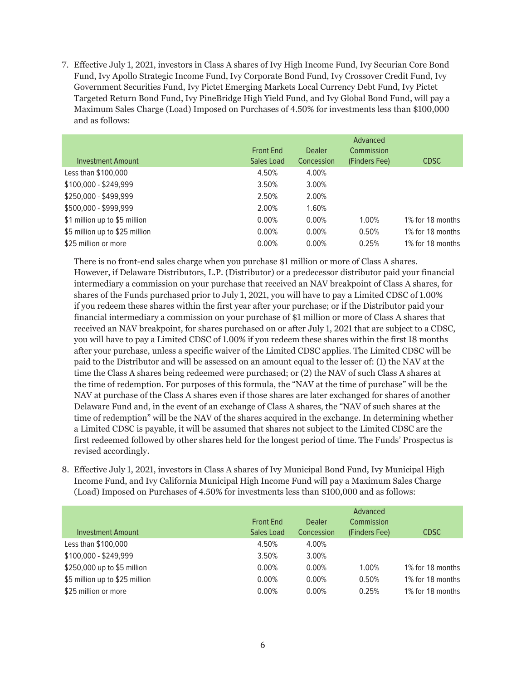7. Effective July 1, 2021, investors in Class A shares of Ivy High Income Fund, Ivy Securian Core Bond Fund, Ivy Apollo Strategic Income Fund, Ivy Corporate Bond Fund, Ivy Crossover Credit Fund, Ivy Government Securities Fund, Ivy Pictet Emerging Markets Local Currency Debt Fund, Ivy Pictet Targeted Return Bond Fund, Ivy PineBridge High Yield Fund, and Ivy Global Bond Fund, will pay a Maximum Sales Charge (Load) Imposed on Purchases of 4.50% for investments less than \$100,000 and as follows:

| <b>Front End</b> | <b>Dealer</b> | Advanced<br>Commission |                  |
|------------------|---------------|------------------------|------------------|
|                  |               |                        | <b>CDSC</b>      |
| 4.50%            | 4.00%         |                        |                  |
| 3.50%            | 3.00%         |                        |                  |
| 2.50%            | 2.00%         |                        |                  |
| 2.00%            | 1.60%         |                        |                  |
| $0.00\%$         | $0.00\%$      | 1.00%                  | 1% for 18 months |
| 0.00%            | $0.00\%$      | 0.50%                  | 1% for 18 months |
| 0.00%            | $0.00\%$      | 0.25%                  | 1% for 18 months |
|                  | Sales Load    | Concession             | (Finders Fee)    |

There is no front-end sales charge when you purchase \$1 million or more of Class A shares. However, if Delaware Distributors, L.P. (Distributor) or a predecessor distributor paid your financial intermediary a commission on your purchase that received an NAV breakpoint of Class A shares, for shares of the Funds purchased prior to July 1, 2021, you will have to pay a Limited CDSC of 1.00% if you redeem these shares within the first year after your purchase; or if the Distributor paid your financial intermediary a commission on your purchase of \$1 million or more of Class A shares that received an NAV breakpoint, for shares purchased on or after July 1, 2021 that are subject to a CDSC, you will have to pay a Limited CDSC of 1.00% if you redeem these shares within the first 18 months after your purchase, unless a specific waiver of the Limited CDSC applies. The Limited CDSC will be paid to the Distributor and will be assessed on an amount equal to the lesser of: (1) the NAV at the time the Class A shares being redeemed were purchased; or (2) the NAV of such Class A shares at the time of redemption. For purposes of this formula, the "NAV at the time of purchase" will be the NAV at purchase of the Class A shares even if those shares are later exchanged for shares of another Delaware Fund and, in the event of an exchange of Class A shares, the "NAV of such shares at the time of redemption" will be the NAV of the shares acquired in the exchange. In determining whether a Limited CDSC is payable, it will be assumed that shares not subject to the Limited CDSC are the first redeemed followed by other shares held for the longest period of time. The Funds' Prospectus is revised accordingly.

8. Effective July 1, 2021, investors in Class A shares of Ivy Municipal Bond Fund, Ivy Municipal High Income Fund, and Ivy California Municipal High Income Fund will pay a Maximum Sales Charge (Load) Imposed on Purchases of 4.50% for investments less than \$100,000 and as follows:

| <b>Investment Amount</b>       | <b>Front End</b><br>Sales Load | Dealer<br>Concession | Advanced<br>Commission<br>(Finders Fee) | <b>CDSC</b>      |
|--------------------------------|--------------------------------|----------------------|-----------------------------------------|------------------|
| Less than \$100,000            | 4.50%                          | 4.00%                |                                         |                  |
| \$100,000 - \$249,999          | 3.50%                          | 3.00%                |                                         |                  |
| \$250,000 up to \$5 million    | 0.00%                          | $0.00\%$             | 1.00%                                   | 1% for 18 months |
| \$5 million up to \$25 million | $0.00\%$                       | $0.00\%$             | 0.50%                                   | 1% for 18 months |
| \$25 million or more           | 0.00%                          | $0.00\%$             | 0.25%                                   | 1% for 18 months |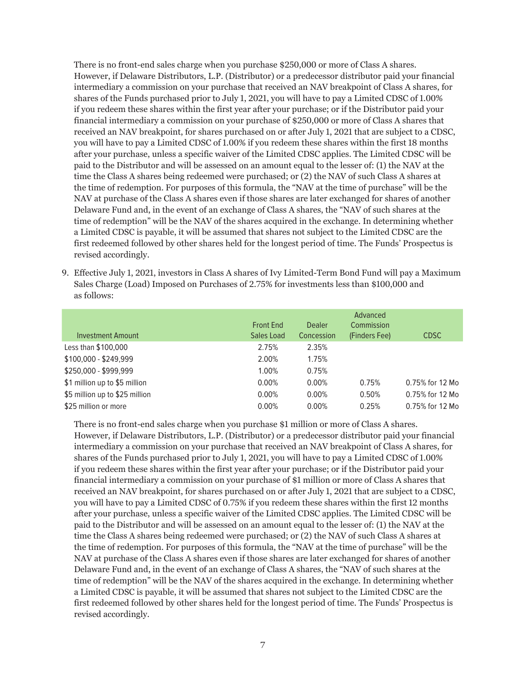There is no front-end sales charge when you purchase \$250,000 or more of Class A shares. However, if Delaware Distributors, L.P. (Distributor) or a predecessor distributor paid your financial intermediary a commission on your purchase that received an NAV breakpoint of Class A shares, for shares of the Funds purchased prior to July 1, 2021, you will have to pay a Limited CDSC of 1.00% if you redeem these shares within the first year after your purchase; or if the Distributor paid your financial intermediary a commission on your purchase of \$250,000 or more of Class A shares that received an NAV breakpoint, for shares purchased on or after July 1, 2021 that are subject to a CDSC, you will have to pay a Limited CDSC of 1.00% if you redeem these shares within the first 18 months after your purchase, unless a specific waiver of the Limited CDSC applies. The Limited CDSC will be paid to the Distributor and will be assessed on an amount equal to the lesser of: (1) the NAV at the time the Class A shares being redeemed were purchased; or (2) the NAV of such Class A shares at the time of redemption. For purposes of this formula, the "NAV at the time of purchase" will be the NAV at purchase of the Class A shares even if those shares are later exchanged for shares of another Delaware Fund and, in the event of an exchange of Class A shares, the "NAV of such shares at the time of redemption" will be the NAV of the shares acquired in the exchange. In determining whether a Limited CDSC is payable, it will be assumed that shares not subject to the Limited CDSC are the first redeemed followed by other shares held for the longest period of time. The Funds' Prospectus is revised accordingly.

9. Effective July 1, 2021, investors in Class A shares of Ivy Limited-Term Bond Fund will pay a Maximum Sales Charge (Load) Imposed on Purchases of 2.75% for investments less than \$100,000 and as follows:

| <b>Investment Amount</b>       | <b>Front End</b><br>Sales Load | <b>Dealer</b><br>Concession | Advanced<br>Commission<br>(Finders Fee) | <b>CDSC</b>     |
|--------------------------------|--------------------------------|-----------------------------|-----------------------------------------|-----------------|
| Less than \$100,000            | 2.75%                          | 2.35%                       |                                         |                 |
| \$100,000 - \$249,999          | 2.00%                          | 1.75%                       |                                         |                 |
| \$250,000 - \$999,999          | 1.00%                          | 0.75%                       |                                         |                 |
| \$1 million up to \$5 million  | 0.00%                          | $0.00\%$                    | 0.75%                                   | 0.75% for 12 Mo |
| \$5 million up to \$25 million | 0.00%                          | $0.00\%$                    | 0.50%                                   | 0.75% for 12 Mo |
| \$25 million or more           | 0.00%                          | 0.00%                       | 0.25%                                   | 0.75% for 12 Mo |

 There is no front-end sales charge when you purchase \$1 million or more of Class A shares. However, if Delaware Distributors, L.P. (Distributor) or a predecessor distributor paid your financial intermediary a commission on your purchase that received an NAV breakpoint of Class A shares, for shares of the Funds purchased prior to July 1, 2021, you will have to pay a Limited CDSC of 1.00% if you redeem these shares within the first year after your purchase; or if the Distributor paid your financial intermediary a commission on your purchase of \$1 million or more of Class A shares that received an NAV breakpoint, for shares purchased on or after July 1, 2021 that are subject to a CDSC, you will have to pay a Limited CDSC of 0.75% if you redeem these shares within the first 12 months after your purchase, unless a specific waiver of the Limited CDSC applies. The Limited CDSC will be paid to the Distributor and will be assessed on an amount equal to the lesser of: (1) the NAV at the time the Class A shares being redeemed were purchased; or (2) the NAV of such Class A shares at the time of redemption. For purposes of this formula, the "NAV at the time of purchase" will be the NAV at purchase of the Class A shares even if those shares are later exchanged for shares of another Delaware Fund and, in the event of an exchange of Class A shares, the "NAV of such shares at the time of redemption" will be the NAV of the shares acquired in the exchange. In determining whether a Limited CDSC is payable, it will be assumed that shares not subject to the Limited CDSC are the first redeemed followed by other shares held for the longest period of time. The Funds' Prospectus is revised accordingly.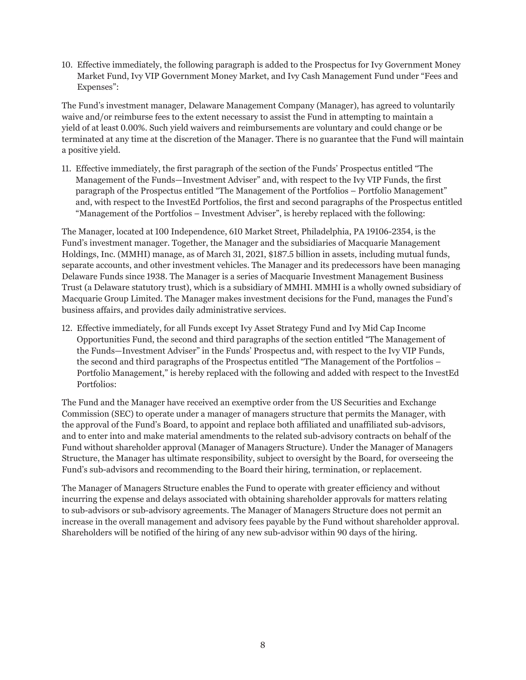10. Effective immediately, the following paragraph is added to the Prospectus for Ivy Government Money Market Fund, Ivy VIP Government Money Market, and Ivy Cash Management Fund under "Fees and Expenses":

The Fund's investment manager, Delaware Management Company (Manager), has agreed to voluntarily waive and/or reimburse fees to the extent necessary to assist the Fund in attempting to maintain a yield of at least 0.00%. Such yield waivers and reimbursements are voluntary and could change or be terminated at any time at the discretion of the Manager. There is no guarantee that the Fund will maintain a positive yield.

11. Effective immediately, the first paragraph of the section of the Funds' Prospectus entitled "The Management of the Funds—Investment Adviser" and, with respect to the Ivy VIP Funds, the first paragraph of the Prospectus entitled "The Management of the Portfolios – Portfolio Management" and, with respect to the InvestEd Portfolios, the first and second paragraphs of the Prospectus entitled "Management of the Portfolios – Investment Adviser", is hereby replaced with the following:

The Manager, located at 100 Independence, 610 Market Street, Philadelphia, PA 19106-2354, is the Fund's investment manager. Together, the Manager and the subsidiaries of Macquarie Management Holdings, Inc. (MMHI) manage, as of March 31, 2021, \$187.5 billion in assets, including mutual funds, separate accounts, and other investment vehicles. The Manager and its predecessors have been managing Delaware Funds since 1938. The Manager is a series of Macquarie Investment Management Business Trust (a Delaware statutory trust), which is a subsidiary of MMHI. MMHI is a wholly owned subsidiary of Macquarie Group Limited. The Manager makes investment decisions for the Fund, manages the Fund's business affairs, and provides daily administrative services.

12. Effective immediately, for all Funds except Ivy Asset Strategy Fund and Ivy Mid Cap Income Opportunities Fund, the second and third paragraphs of the section entitled "The Management of the Funds—Investment Adviser" in the Funds' Prospectus and, with respect to the Ivy VIP Funds, the second and third paragraphs of the Prospectus entitled "The Management of the Portfolios – Portfolio Management," is hereby replaced with the following and added with respect to the InvestEd Portfolios:

The Fund and the Manager have received an exemptive order from the US Securities and Exchange Commission (SEC) to operate under a manager of managers structure that permits the Manager, with the approval of the Fund's Board, to appoint and replace both affiliated and unaffiliated sub-advisors, and to enter into and make material amendments to the related sub-advisory contracts on behalf of the Fund without shareholder approval (Manager of Managers Structure). Under the Manager of Managers Structure, the Manager has ultimate responsibility, subject to oversight by the Board, for overseeing the Fund's sub-advisors and recommending to the Board their hiring, termination, or replacement.

The Manager of Managers Structure enables the Fund to operate with greater efficiency and without incurring the expense and delays associated with obtaining shareholder approvals for matters relating to sub-advisors or sub-advisory agreements. The Manager of Managers Structure does not permit an increase in the overall management and advisory fees payable by the Fund without shareholder approval. Shareholders will be notified of the hiring of any new sub-advisor within 90 days of the hiring.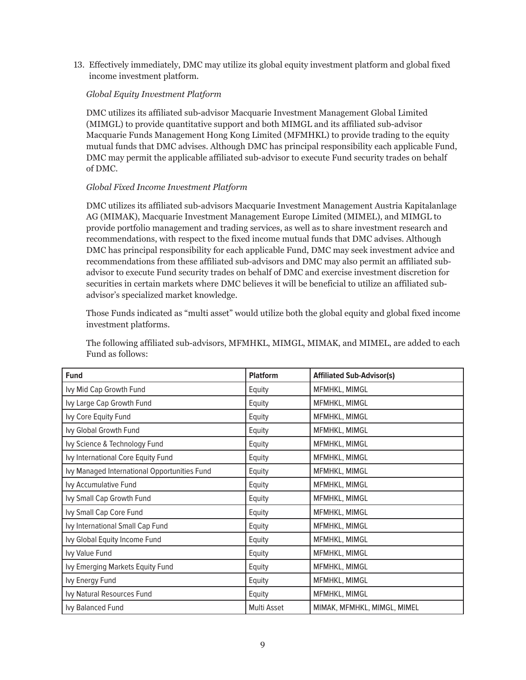13. Effectively immediately, DMC may utilize its global equity investment platform and global fixed income investment platform.

### *Global Equity Investment Platform*

 DMC utilizes its affiliated sub-advisor Macquarie Investment Management Global Limited (MIMGL) to provide quantitative support and both MIMGL and its affiliated sub-advisor Macquarie Funds Management Hong Kong Limited (MFMHKL) to provide trading to the equity mutual funds that DMC advises. Although DMC has principal responsibility each applicable Fund, DMC may permit the applicable affiliated sub-advisor to execute Fund security trades on behalf of DMC.

### *Global Fixed Income Investment Platform*

 DMC utilizes its affiliated sub-advisors Macquarie Investment Management Austria Kapitalanlage AG (MIMAK), Macquarie Investment Management Europe Limited (MIMEL), and MIMGL to provide portfolio management and trading services, as well as to share investment research and recommendations, with respect to the fixed income mutual funds that DMC advises. Although DMC has principal responsibility for each applicable Fund, DMC may seek investment advice and recommendations from these affiliated sub-advisors and DMC may also permit an affiliated subadvisor to execute Fund security trades on behalf of DMC and exercise investment discretion for securities in certain markets where DMC believes it will be beneficial to utilize an affiliated subadvisor's specialized market knowledge.

 Those Funds indicated as "multi asset" would utilize both the global equity and global fixed income investment platforms.

 The following affiliated sub-advisors, MFMHKL, MIMGL, MIMAK, and MIMEL, are added to each Fund as follows:

| <b>Fund</b>                                  | <b>Platform</b> | <b>Affiliated Sub-Advisor(s)</b> |
|----------------------------------------------|-----------------|----------------------------------|
| Ivy Mid Cap Growth Fund                      | Equity          | MFMHKL, MIMGL                    |
| Ivy Large Cap Growth Fund                    | Equity          | MFMHKL, MIMGL                    |
| Ivy Core Equity Fund                         | Equity          | MFMHKL, MIMGL                    |
| Ivy Global Growth Fund                       | Equity          | MFMHKL, MIMGL                    |
| Ivy Science & Technology Fund                | Equity          | MFMHKL, MIMGL                    |
| Ivy International Core Equity Fund           | Equity          | MFMHKL, MIMGL                    |
| Ivy Managed International Opportunities Fund | Equity          | MFMHKL, MIMGL                    |
| Ivy Accumulative Fund                        | Equity          | MFMHKL, MIMGL                    |
| Ivy Small Cap Growth Fund                    | Equity          | MFMHKL, MIMGL                    |
| Ivy Small Cap Core Fund                      | Equity          | MFMHKL, MIMGL                    |
| Ivy International Small Cap Fund             | Equity          | MFMHKL, MIMGL                    |
| Ivy Global Equity Income Fund                | Equity          | MFMHKL, MIMGL                    |
| Ivy Value Fund                               | Equity          | MFMHKL, MIMGL                    |
| Ivy Emerging Markets Equity Fund             | Equity          | MFMHKL, MIMGL                    |
| Ivy Energy Fund                              | Equity          | MFMHKL, MIMGL                    |
| Ivy Natural Resources Fund                   | Equity          | MFMHKL, MIMGL                    |
| Ivy Balanced Fund                            | Multi Asset     | MIMAK, MFMHKL, MIMGL, MIMEL      |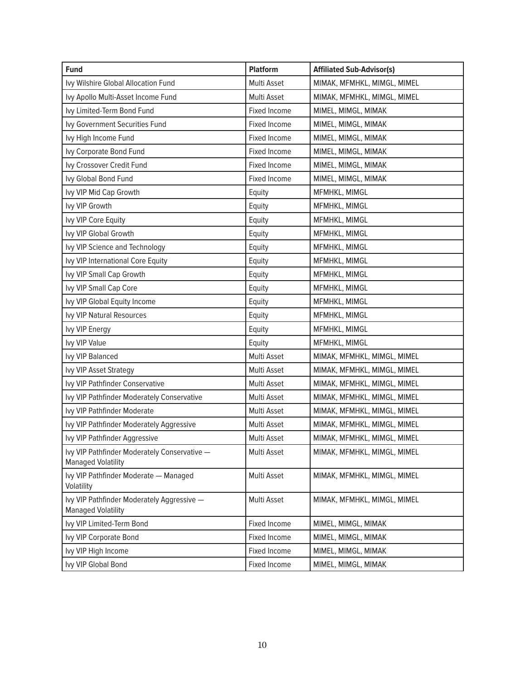| <b>Fund</b>                                                               | <b>Platform</b>     | <b>Affiliated Sub-Advisor(s)</b> |
|---------------------------------------------------------------------------|---------------------|----------------------------------|
| Ivy Wilshire Global Allocation Fund                                       | Multi Asset         | MIMAK, MFMHKL, MIMGL, MIMEL      |
| Ivy Apollo Multi-Asset Income Fund                                        | Multi Asset         | MIMAK, MFMHKL, MIMGL, MIMEL      |
| Ivy Limited-Term Bond Fund                                                | Fixed Income        | MIMEL, MIMGL, MIMAK              |
| Ivy Government Securities Fund                                            | <b>Fixed Income</b> | MIMEL, MIMGL, MIMAK              |
| Ivy High Income Fund                                                      | Fixed Income        | MIMEL, MIMGL, MIMAK              |
| Ivy Corporate Bond Fund                                                   | Fixed Income        | MIMEL, MIMGL, MIMAK              |
| Ivy Crossover Credit Fund                                                 | <b>Fixed Income</b> | MIMEL, MIMGL, MIMAK              |
| Ivy Global Bond Fund                                                      | Fixed Income        | MIMEL, MIMGL, MIMAK              |
| Ivy VIP Mid Cap Growth                                                    | Equity              | MFMHKL, MIMGL                    |
| Ivy VIP Growth                                                            | Equity              | MFMHKL, MIMGL                    |
| Ivy VIP Core Equity                                                       | Equity              | MFMHKL, MIMGL                    |
| Ivy VIP Global Growth                                                     | Equity              | MFMHKL, MIMGL                    |
| Ivy VIP Science and Technology                                            | Equity              | MFMHKL, MIMGL                    |
| Ivy VIP International Core Equity                                         | Equity              | MFMHKL, MIMGL                    |
| Ivy VIP Small Cap Growth                                                  | Equity              | MFMHKL, MIMGL                    |
| Ivy VIP Small Cap Core                                                    | Equity              | MFMHKL, MIMGL                    |
| Ivy VIP Global Equity Income                                              | Equity              | MFMHKL, MIMGL                    |
| Ivy VIP Natural Resources                                                 | Equity              | MFMHKL, MIMGL                    |
| Ivy VIP Energy                                                            | Equity              | MFMHKL, MIMGL                    |
| Ivy VIP Value                                                             | Equity              | MFMHKL, MIMGL                    |
| Ivy VIP Balanced                                                          | Multi Asset         | MIMAK, MFMHKL, MIMGL, MIMEL      |
| Ivy VIP Asset Strategy                                                    | Multi Asset         | MIMAK, MFMHKL, MIMGL, MIMEL      |
| Ivy VIP Pathfinder Conservative                                           | Multi Asset         | MIMAK, MFMHKL, MIMGL, MIMEL      |
| Ivy VIP Pathfinder Moderately Conservative                                | Multi Asset         | MIMAK, MFMHKL, MIMGL, MIMEL      |
| Ivy VIP Pathfinder Moderate                                               | Multi Asset         | MIMAK, MFMHKL, MIMGL, MIMEL      |
| Ivy VIP Pathfinder Moderately Aggressive                                  | Multi Asset         | MIMAK, MFMHKL, MIMGL, MIMEL      |
| Ivy VIP Pathfinder Aggressive                                             | Multi Asset         | MIMAK, MFMHKL, MIMGL, MIMEL      |
| Ivy VIP Pathfinder Moderately Conservative -<br><b>Managed Volatility</b> | Multi Asset         | MIMAK, MFMHKL, MIMGL, MIMEL      |
| Ivy VIP Pathfinder Moderate - Managed<br>Volatility                       | Multi Asset         | MIMAK, MFMHKL, MIMGL, MIMEL      |
| Ivy VIP Pathfinder Moderately Aggressive -<br><b>Managed Volatility</b>   | Multi Asset         | MIMAK, MFMHKL, MIMGL, MIMEL      |
| Ivy VIP Limited-Term Bond                                                 | Fixed Income        | MIMEL, MIMGL, MIMAK              |
| Ivy VIP Corporate Bond                                                    | Fixed Income        | MIMEL, MIMGL, MIMAK              |
| Ivy VIP High Income                                                       | Fixed Income        | MIMEL, MIMGL, MIMAK              |
| Ivy VIP Global Bond                                                       | Fixed Income        | MIMEL, MIMGL, MIMAK              |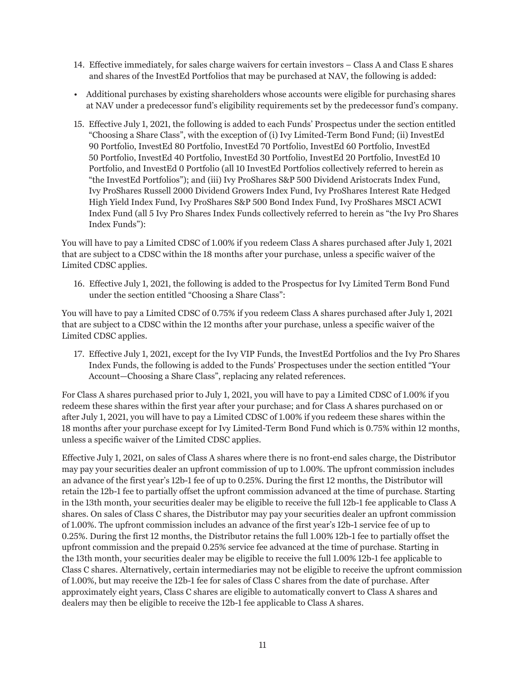- 14. Effective immediately, for sales charge waivers for certain investors Class A and Class E shares and shares of the InvestEd Portfolios that may be purchased at NAV, the following is added:
- • Additional purchases by existing shareholders whose accounts were eligible for purchasing shares at NAV under a predecessor fund's eligibility requirements set by the predecessor fund's company.
- 15. Effective July 1, 2021, the following is added to each Funds' Prospectus under the section entitled "Choosing a Share Class", with the exception of (i) Ivy Limited-Term Bond Fund; (ii) InvestEd 90 Portfolio, InvestEd 80 Portfolio, InvestEd 70 Portfolio, InvestEd 60 Portfolio, InvestEd 50 Portfolio, InvestEd 40 Portfolio, InvestEd 30 Portfolio, InvestEd 20 Portfolio, InvestEd 10 Portfolio, and InvestEd 0 Portfolio (all 10 InvestEd Portfolios collectively referred to herein as "the InvestEd Portfolios"); and (iii) Ivy ProShares S&P 500 Dividend Aristocrats Index Fund, Ivy ProShares Russell 2000 Dividend Growers Index Fund, Ivy ProShares Interest Rate Hedged High Yield Index Fund, Ivy ProShares S&P 500 Bond Index Fund, Ivy ProShares MSCI ACWI Index Fund (all 5 Ivy Pro Shares Index Funds collectively referred to herein as "the Ivy Pro Shares Index Funds"):

You will have to pay a Limited CDSC of 1.00% if you redeem Class A shares purchased after July 1, 2021 that are subject to a CDSC within the 18 months after your purchase, unless a specific waiver of the Limited CDSC applies.

16. Effective July 1, 2021, the following is added to the Prospectus for Ivy Limited Term Bond Fund under the section entitled "Choosing a Share Class":

You will have to pay a Limited CDSC of 0.75% if you redeem Class A shares purchased after July 1, 2021 that are subject to a CDSC within the 12 months after your purchase, unless a specific waiver of the Limited CDSC applies.

17. Effective July 1, 2021, except for the Ivy VIP Funds, the InvestEd Portfolios and the Ivy Pro Shares Index Funds, the following is added to the Funds' Prospectuses under the section entitled "Your Account—Choosing a Share Class", replacing any related references.

For Class A shares purchased prior to July 1, 2021, you will have to pay a Limited CDSC of 1.00% if you redeem these shares within the first year after your purchase; and for Class A shares purchased on or after July 1, 2021, you will have to pay a Limited CDSC of 1.00% if you redeem these shares within the 18 months after your purchase except for Ivy Limited-Term Bond Fund which is 0.75% within 12 months, unless a specific waiver of the Limited CDSC applies.

Effective July 1, 2021, on sales of Class A shares where there is no front-end sales charge, the Distributor may pay your securities dealer an upfront commission of up to 1.00%. The upfront commission includes an advance of the first year's 12b-1 fee of up to 0.25%. During the first 12 months, the Distributor will retain the 12b-1 fee to partially offset the upfront commission advanced at the time of purchase. Starting in the 13th month, your securities dealer may be eligible to receive the full 12b-1 fee applicable to Class A shares. On sales of Class C shares, the Distributor may pay your securities dealer an upfront commission of 1.00%. The upfront commission includes an advance of the first year's 12b-1 service fee of up to 0.25%. During the first 12 months, the Distributor retains the full 1.00% 12b-1 fee to partially offset the upfront commission and the prepaid 0.25% service fee advanced at the time of purchase. Starting in the 13th month, your securities dealer may be eligible to receive the full 1.00% 12b-1 fee applicable to Class C shares. Alternatively, certain intermediaries may not be eligible to receive the upfront commission of 1.00%, but may receive the 12b-1 fee for sales of Class C shares from the date of purchase. After approximately eight years, Class C shares are eligible to automatically convert to Class A shares and dealers may then be eligible to receive the 12b-1 fee applicable to Class A shares.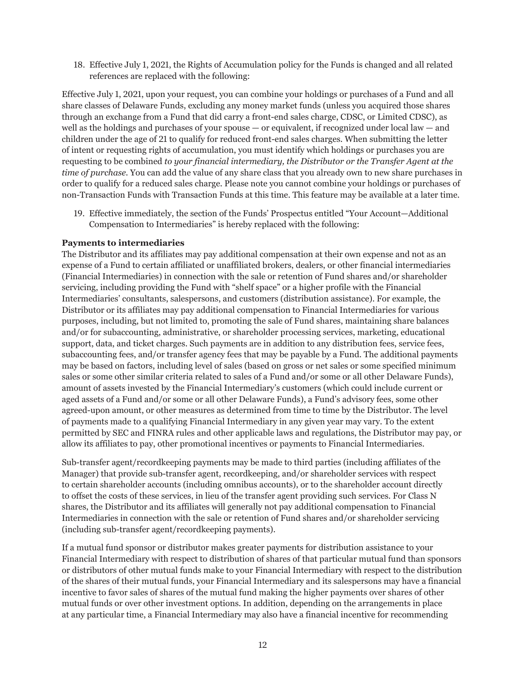18. Effective July 1, 2021, the Rights of Accumulation policy for the Funds is changed and all related references are replaced with the following:

Effective July 1, 2021, upon your request, you can combine your holdings or purchases of a Fund and all share classes of Delaware Funds, excluding any money market funds (unless you acquired those shares through an exchange from a Fund that did carry a front-end sales charge, CDSC, or Limited CDSC), as well as the holdings and purchases of your spouse — or equivalent, if recognized under local law — and children under the age of 21 to qualify for reduced front-end sales charges. When submitting the letter of intent or requesting rights of accumulation, you must identify which holdings or purchases you are requesting to be combined *to your financial intermediary, the Distributor or the Transfer Agent at the time of purchase*. You can add the value of any share class that you already own to new share purchases in order to qualify for a reduced sales charge. Please note you cannot combine your holdings or purchases of non-Transaction Funds with Transaction Funds at this time. This feature may be available at a later time.

19. Effective immediately, the section of the Funds' Prospectus entitled "Your Account—Additional Compensation to Intermediaries" is hereby replaced with the following:

#### **Payments to intermediaries**

The Distributor and its affiliates may pay additional compensation at their own expense and not as an expense of a Fund to certain affiliated or unaffiliated brokers, dealers, or other financial intermediaries (Financial Intermediaries) in connection with the sale or retention of Fund shares and/or shareholder servicing, including providing the Fund with "shelf space" or a higher profile with the Financial Intermediaries' consultants, salespersons, and customers (distribution assistance). For example, the Distributor or its affiliates may pay additional compensation to Financial Intermediaries for various purposes, including, but not limited to, promoting the sale of Fund shares, maintaining share balances and/or for subaccounting, administrative, or shareholder processing services, marketing, educational support, data, and ticket charges. Such payments are in addition to any distribution fees, service fees, subaccounting fees, and/or transfer agency fees that may be payable by a Fund. The additional payments may be based on factors, including level of sales (based on gross or net sales or some specified minimum sales or some other similar criteria related to sales of a Fund and/or some or all other Delaware Funds), amount of assets invested by the Financial Intermediary's customers (which could include current or aged assets of a Fund and/or some or all other Delaware Funds), a Fund's advisory fees, some other agreed-upon amount, or other measures as determined from time to time by the Distributor. The level of payments made to a qualifying Financial Intermediary in any given year may vary. To the extent permitted by SEC and FINRA rules and other applicable laws and regulations, the Distributor may pay, or allow its affiliates to pay, other promotional incentives or payments to Financial Intermediaries.

Sub-transfer agent/recordkeeping payments may be made to third parties (including affiliates of the Manager) that provide sub-transfer agent, recordkeeping, and/or shareholder services with respect to certain shareholder accounts (including omnibus accounts), or to the shareholder account directly to offset the costs of these services, in lieu of the transfer agent providing such services. For Class N shares, the Distributor and its affiliates will generally not pay additional compensation to Financial Intermediaries in connection with the sale or retention of Fund shares and/or shareholder servicing (including sub-transfer agent/recordkeeping payments).

If a mutual fund sponsor or distributor makes greater payments for distribution assistance to your Financial Intermediary with respect to distribution of shares of that particular mutual fund than sponsors or distributors of other mutual funds make to your Financial Intermediary with respect to the distribution of the shares of their mutual funds, your Financial Intermediary and its salespersons may have a financial incentive to favor sales of shares of the mutual fund making the higher payments over shares of other mutual funds or over other investment options. In addition, depending on the arrangements in place at any particular time, a Financial Intermediary may also have a financial incentive for recommending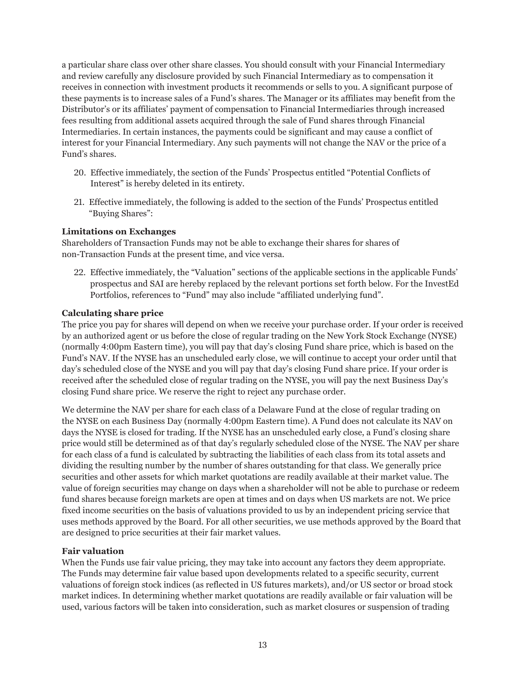a particular share class over other share classes. You should consult with your Financial Intermediary and review carefully any disclosure provided by such Financial Intermediary as to compensation it receives in connection with investment products it recommends or sells to you. A significant purpose of these payments is to increase sales of a Fund's shares. The Manager or its affiliates may benefit from the Distributor's or its affiliates' payment of compensation to Financial Intermediaries through increased fees resulting from additional assets acquired through the sale of Fund shares through Financial Intermediaries. In certain instances, the payments could be significant and may cause a conflict of interest for your Financial Intermediary. Any such payments will not change the NAV or the price of a Fund's shares.

- 20. Effective immediately, the section of the Funds' Prospectus entitled "Potential Conflicts of Interest" is hereby deleted in its entirety.
- 21. Effective immediately, the following is added to the section of the Funds' Prospectus entitled "Buying Shares":

### **Limitations on Exchanges**

Shareholders of Transaction Funds may not be able to exchange their shares for shares of non‑Transaction Funds at the present time, and vice versa.

22. Effective immediately, the "Valuation" sections of the applicable sections in the applicable Funds' prospectus and SAI are hereby replaced by the relevant portions set forth below. For the InvestEd Portfolios, references to "Fund" may also include "affiliated underlying fund".

#### **Calculating share price**

The price you pay for shares will depend on when we receive your purchase order. If your order is received by an authorized agent or us before the close of regular trading on the New York Stock Exchange (NYSE) (normally 4:00pm Eastern time), you will pay that day's closing Fund share price, which is based on the Fund's NAV. If the NYSE has an unscheduled early close, we will continue to accept your order until that day's scheduled close of the NYSE and you will pay that day's closing Fund share price. If your order is received after the scheduled close of regular trading on the NYSE, you will pay the next Business Day's closing Fund share price. We reserve the right to reject any purchase order.

We determine the NAV per share for each class of a Delaware Fund at the close of regular trading on the NYSE on each Business Day (normally 4:00pm Eastern time). A Fund does not calculate its NAV on days the NYSE is closed for trading. If the NYSE has an unscheduled early close, a Fund's closing share price would still be determined as of that day's regularly scheduled close of the NYSE. The NAV per share for each class of a fund is calculated by subtracting the liabilities of each class from its total assets and dividing the resulting number by the number of shares outstanding for that class. We generally price securities and other assets for which market quotations are readily available at their market value. The value of foreign securities may change on days when a shareholder will not be able to purchase or redeem fund shares because foreign markets are open at times and on days when US markets are not. We price fixed income securities on the basis of valuations provided to us by an independent pricing service that uses methods approved by the Board. For all other securities, we use methods approved by the Board that are designed to price securities at their fair market values.

#### **Fair valuation**

When the Funds use fair value pricing, they may take into account any factors they deem appropriate. The Funds may determine fair value based upon developments related to a specific security, current valuations of foreign stock indices (as reflected in US futures markets), and/or US sector or broad stock market indices. In determining whether market quotations are readily available or fair valuation will be used, various factors will be taken into consideration, such as market closures or suspension of trading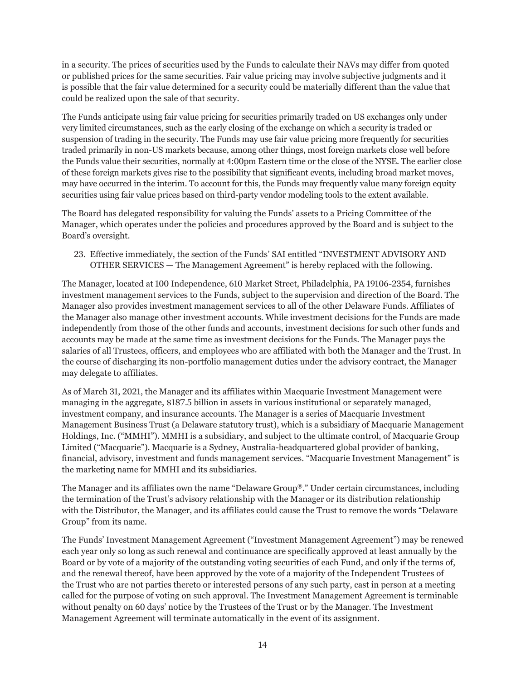in a security. The prices of securities used by the Funds to calculate their NAVs may differ from quoted or published prices for the same securities. Fair value pricing may involve subjective judgments and it is possible that the fair value determined for a security could be materially different than the value that could be realized upon the sale of that security.

The Funds anticipate using fair value pricing for securities primarily traded on US exchanges only under very limited circumstances, such as the early closing of the exchange on which a security is traded or suspension of trading in the security. The Funds may use fair value pricing more frequently for securities traded primarily in non-US markets because, among other things, most foreign markets close well before the Funds value their securities, normally at 4:00pm Eastern time or the close of the NYSE. The earlier close of these foreign markets gives rise to the possibility that significant events, including broad market moves, may have occurred in the interim. To account for this, the Funds may frequently value many foreign equity securities using fair value prices based on third-party vendor modeling tools to the extent available.

The Board has delegated responsibility for valuing the Funds' assets to a Pricing Committee of the Manager, which operates under the policies and procedures approved by the Board and is subject to the Board's oversight.

23. Effective immediately, the section of the Funds' SAI entitled "INVESTMENT ADVISORY AND OTHER SERVICES — The Management Agreement" is hereby replaced with the following.

The Manager, located at 100 Independence, 610 Market Street, Philadelphia, PA 19106-2354, furnishes investment management services to the Funds, subject to the supervision and direction of the Board. The Manager also provides investment management services to all of the other Delaware Funds. Affiliates of the Manager also manage other investment accounts. While investment decisions for the Funds are made independently from those of the other funds and accounts, investment decisions for such other funds and accounts may be made at the same time as investment decisions for the Funds. The Manager pays the salaries of all Trustees, officers, and employees who are affiliated with both the Manager and the Trust. In the course of discharging its non-portfolio management duties under the advisory contract, the Manager may delegate to affiliates.

As of March 31, 2021, the Manager and its affiliates within Macquarie Investment Management were managing in the aggregate, \$187.5 billion in assets in various institutional or separately managed, investment company, and insurance accounts. The Manager is a series of Macquarie Investment Management Business Trust (a Delaware statutory trust), which is a subsidiary of Macquarie Management Holdings, Inc. ("MMHI"). MMHI is a subsidiary, and subject to the ultimate control, of Macquarie Group Limited ("Macquarie"). Macquarie is a Sydney, Australia-headquartered global provider of banking, financial, advisory, investment and funds management services. "Macquarie Investment Management" is the marketing name for MMHI and its subsidiaries.

The Manager and its affiliates own the name "Delaware Group®." Under certain circumstances, including the termination of the Trust's advisory relationship with the Manager or its distribution relationship with the Distributor, the Manager, and its affiliates could cause the Trust to remove the words "Delaware Group" from its name.

The Funds' Investment Management Agreement ("Investment Management Agreement") may be renewed each year only so long as such renewal and continuance are specifically approved at least annually by the Board or by vote of a majority of the outstanding voting securities of each Fund, and only if the terms of, and the renewal thereof, have been approved by the vote of a majority of the Independent Trustees of the Trust who are not parties thereto or interested persons of any such party, cast in person at a meeting called for the purpose of voting on such approval. The Investment Management Agreement is terminable without penalty on 60 days' notice by the Trustees of the Trust or by the Manager. The Investment Management Agreement will terminate automatically in the event of its assignment.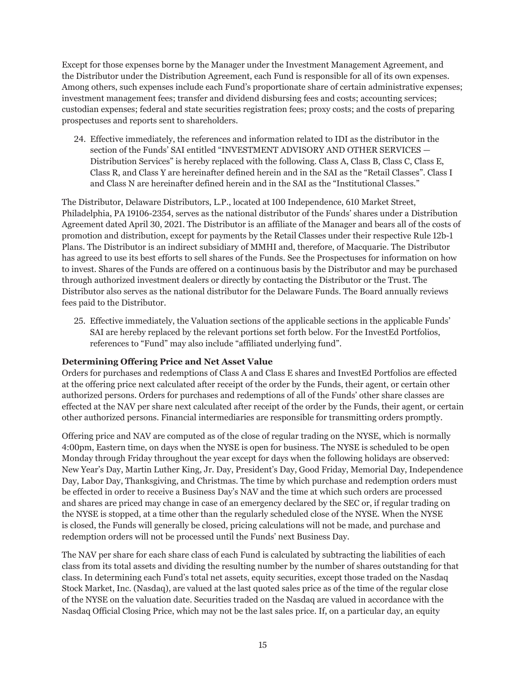Except for those expenses borne by the Manager under the Investment Management Agreement, and the Distributor under the Distribution Agreement, each Fund is responsible for all of its own expenses. Among others, such expenses include each Fund's proportionate share of certain administrative expenses; investment management fees; transfer and dividend disbursing fees and costs; accounting services; custodian expenses; federal and state securities registration fees; proxy costs; and the costs of preparing prospectuses and reports sent to shareholders.

24. Effective immediately, the references and information related to IDI as the distributor in the section of the Funds' SAI entitled "INVESTMENT ADVISORY AND OTHER SERVICES — Distribution Services" is hereby replaced with the following. Class A, Class B, Class C, Class E, Class R, and Class Y are hereinafter defined herein and in the SAI as the "Retail Classes". Class I and Class N are hereinafter defined herein and in the SAI as the "Institutional Classes."

The Distributor, Delaware Distributors, L.P., located at 100 Independence, 610 Market Street, Philadelphia, PA 19106-2354, serves as the national distributor of the Funds' shares under a Distribution Agreement dated April 30, 2021. The Distributor is an affiliate of the Manager and bears all of the costs of promotion and distribution, except for payments by the Retail Classes under their respective Rule 12b-1 Plans. The Distributor is an indirect subsidiary of MMHI and, therefore, of Macquarie. The Distributor has agreed to use its best efforts to sell shares of the Funds. See the Prospectuses for information on how to invest. Shares of the Funds are offered on a continuous basis by the Distributor and may be purchased through authorized investment dealers or directly by contacting the Distributor or the Trust. The Distributor also serves as the national distributor for the Delaware Funds. The Board annually reviews fees paid to the Distributor.

25. Effective immediately, the Valuation sections of the applicable sections in the applicable Funds' SAI are hereby replaced by the relevant portions set forth below. For the InvestEd Portfolios, references to "Fund" may also include "affiliated underlying fund".

### **Determining Offering Price and Net Asset Value**

Orders for purchases and redemptions of Class A and Class E shares and InvestEd Portfolios are effected at the offering price next calculated after receipt of the order by the Funds, their agent, or certain other authorized persons. Orders for purchases and redemptions of all of the Funds' other share classes are effected at the NAV per share next calculated after receipt of the order by the Funds, their agent, or certain other authorized persons. Financial intermediaries are responsible for transmitting orders promptly.

Offering price and NAV are computed as of the close of regular trading on the NYSE, which is normally 4:00pm, Eastern time, on days when the NYSE is open for business. The NYSE is scheduled to be open Monday through Friday throughout the year except for days when the following holidays are observed: New Year's Day, Martin Luther King, Jr. Day, President's Day, Good Friday, Memorial Day, Independence Day, Labor Day, Thanksgiving, and Christmas. The time by which purchase and redemption orders must be effected in order to receive a Business Day's NAV and the time at which such orders are processed and shares are priced may change in case of an emergency declared by the SEC or, if regular trading on the NYSE is stopped, at a time other than the regularly scheduled close of the NYSE. When the NYSE is closed, the Funds will generally be closed, pricing calculations will not be made, and purchase and redemption orders will not be processed until the Funds' next Business Day.

The NAV per share for each share class of each Fund is calculated by subtracting the liabilities of each class from its total assets and dividing the resulting number by the number of shares outstanding for that class. In determining each Fund's total net assets, equity securities, except those traded on the Nasdaq Stock Market, Inc. (Nasdaq), are valued at the last quoted sales price as of the time of the regular close of the NYSE on the valuation date. Securities traded on the Nasdaq are valued in accordance with the Nasdaq Official Closing Price, which may not be the last sales price. If, on a particular day, an equity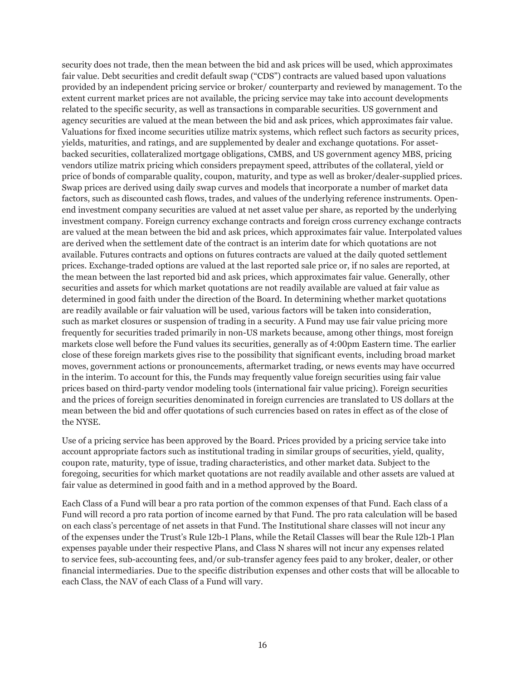security does not trade, then the mean between the bid and ask prices will be used, which approximates fair value. Debt securities and credit default swap ("CDS") contracts are valued based upon valuations provided by an independent pricing service or broker/ counterparty and reviewed by management. To the extent current market prices are not available, the pricing service may take into account developments related to the specific security, as well as transactions in comparable securities. US government and agency securities are valued at the mean between the bid and ask prices, which approximates fair value. Valuations for fixed income securities utilize matrix systems, which reflect such factors as security prices, yields, maturities, and ratings, and are supplemented by dealer and exchange quotations. For assetbacked securities, collateralized mortgage obligations, CMBS, and US government agency MBS, pricing vendors utilize matrix pricing which considers prepayment speed, attributes of the collateral, yield or price of bonds of comparable quality, coupon, maturity, and type as well as broker/dealer-supplied prices. Swap prices are derived using daily swap curves and models that incorporate a number of market data factors, such as discounted cash flows, trades, and values of the underlying reference instruments. Openend investment company securities are valued at net asset value per share, as reported by the underlying investment company. Foreign currency exchange contracts and foreign cross currency exchange contracts are valued at the mean between the bid and ask prices, which approximates fair value. Interpolated values are derived when the settlement date of the contract is an interim date for which quotations are not available. Futures contracts and options on futures contracts are valued at the daily quoted settlement prices. Exchange-traded options are valued at the last reported sale price or, if no sales are reported, at the mean between the last reported bid and ask prices, which approximates fair value. Generally, other securities and assets for which market quotations are not readily available are valued at fair value as determined in good faith under the direction of the Board. In determining whether market quotations are readily available or fair valuation will be used, various factors will be taken into consideration, such as market closures or suspension of trading in a security. A Fund may use fair value pricing more frequently for securities traded primarily in non-US markets because, among other things, most foreign markets close well before the Fund values its securities, generally as of 4:00pm Eastern time. The earlier close of these foreign markets gives rise to the possibility that significant events, including broad market moves, government actions or pronouncements, aftermarket trading, or news events may have occurred in the interim. To account for this, the Funds may frequently value foreign securities using fair value prices based on third-party vendor modeling tools (international fair value pricing). Foreign securities and the prices of foreign securities denominated in foreign currencies are translated to US dollars at the mean between the bid and offer quotations of such currencies based on rates in effect as of the close of the NYSE.

Use of a pricing service has been approved by the Board. Prices provided by a pricing service take into account appropriate factors such as institutional trading in similar groups of securities, yield, quality, coupon rate, maturity, type of issue, trading characteristics, and other market data. Subject to the foregoing, securities for which market quotations are not readily available and other assets are valued at fair value as determined in good faith and in a method approved by the Board.

Each Class of a Fund will bear a pro rata portion of the common expenses of that Fund. Each class of a Fund will record a pro rata portion of income earned by that Fund. The pro rata calculation will be based on each class's percentage of net assets in that Fund. The Institutional share classes will not incur any of the expenses under the Trust's Rule 12b-1 Plans, while the Retail Classes will bear the Rule 12b-1 Plan expenses payable under their respective Plans, and Class N shares will not incur any expenses related to service fees, sub-accounting fees, and/or sub-transfer agency fees paid to any broker, dealer, or other financial intermediaries. Due to the specific distribution expenses and other costs that will be allocable to each Class, the NAV of each Class of a Fund will vary.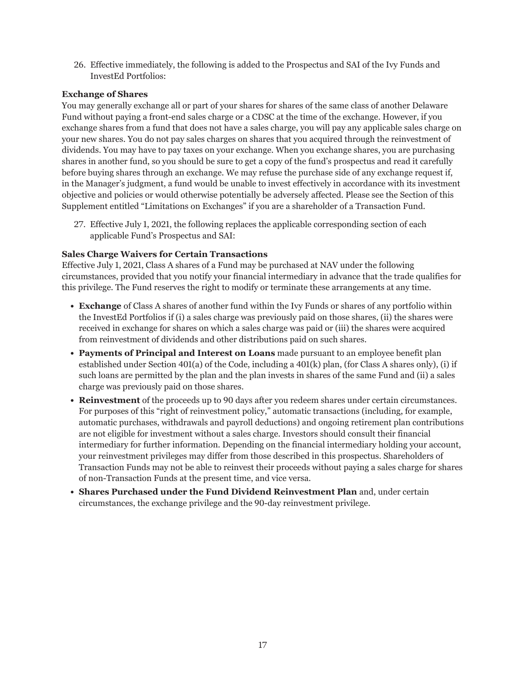26. Effective immediately, the following is added to the Prospectus and SAI of the Ivy Funds and InvestEd Portfolios:

### **Exchange of Shares**

You may generally exchange all or part of your shares for shares of the same class of another Delaware Fund without paying a front-end sales charge or a CDSC at the time of the exchange. However, if you exchange shares from a fund that does not have a sales charge, you will pay any applicable sales charge on your new shares. You do not pay sales charges on shares that you acquired through the reinvestment of dividends. You may have to pay taxes on your exchange. When you exchange shares, you are purchasing shares in another fund, so you should be sure to get a copy of the fund's prospectus and read it carefully before buying shares through an exchange. We may refuse the purchase side of any exchange request if, in the Manager's judgment, a fund would be unable to invest effectively in accordance with its investment objective and policies or would otherwise potentially be adversely affected. Please see the Section of this Supplement entitled "Limitations on Exchanges" if you are a shareholder of a Transaction Fund.

27. Effective July 1, 2021, the following replaces the applicable corresponding section of each applicable Fund's Prospectus and SAI:

### **Sales Charge Waivers for Certain Transactions**

Effective July 1, 2021, Class A shares of a Fund may be purchased at NAV under the following circumstances, provided that you notify your financial intermediary in advance that the trade qualifies for this privilege. The Fund reserves the right to modify or terminate these arrangements at any time.

- **• Exchange** of Class A shares of another fund within the Ivy Funds or shares of any portfolio within the InvestEd Portfolios if (i) a sales charge was previously paid on those shares, (ii) the shares were received in exchange for shares on which a sales charge was paid or (iii) the shares were acquired from reinvestment of dividends and other distributions paid on such shares.
- **• Payments of Principal and Interest on Loans** made pursuant to an employee benefit plan established under Section 401(a) of the Code, including a 401(k) plan, (for Class A shares only), (i) if such loans are permitted by the plan and the plan invests in shares of the same Fund and (ii) a sales charge was previously paid on those shares.
- **• Reinvestment** of the proceeds up to 90 days after you redeem shares under certain circumstances. For purposes of this "right of reinvestment policy," automatic transactions (including, for example, automatic purchases, withdrawals and payroll deductions) and ongoing retirement plan contributions are not eligible for investment without a sales charge. Investors should consult their financial intermediary for further information. Depending on the financial intermediary holding your account, your reinvestment privileges may differ from those described in this prospectus. Shareholders of Transaction Funds may not be able to reinvest their proceeds without paying a sales charge for shares of non-Transaction Funds at the present time, and vice versa.
- **• Shares Purchased under the Fund Dividend Reinvestment Plan** and, under certain circumstances, the exchange privilege and the 90-day reinvestment privilege.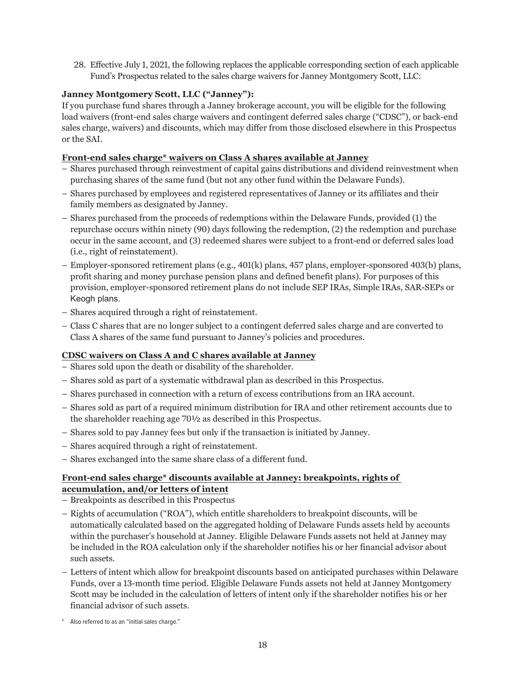28. Effective July 1, 2021, the following replaces the applicable corresponding section of each applicable Fund's Prospectus related to the sales charge waivers for Janney Montgomery Scott, LLC:

# **Janney Montgomery Scott, LLC ("Janney"):**

If you purchase fund shares through a Janney brokerage account, you will be eligible for the following load waivers (front-end sales charge waivers and contingent deferred sales charge ("CDSC"), or back-end sales charge, waivers) and discounts, which may differ from those disclosed elsewhere in this Prospectus or the SAI.

### **Front-end sales charge\* waivers on Class A shares available at Janney**

- Shares purchased through reinvestment of capital gains distributions and dividend reinvestment when purchasing shares of the same fund (but not any other fund within the Delaware Funds).
- Shares purchased by employees and registered representatives of Janney or its affiliates and their family members as designated by Janney.
- Shares purchased from the proceeds of redemptions within the Delaware Funds, provided (1) the repurchase occurs within ninety (90) days following the redemption, (2) the redemption and purchase occur in the same account, and (3) redeemed shares were subject to a front-end or deferred sales load (i.e., right of reinstatement).
- Employer-sponsored retirement plans (e.g., 401(k) plans, 457 plans, employer-sponsored 403(b) plans, profit sharing and money purchase pension plans and defined benefit plans). For purposes of this provision, employer-sponsored retirement plans do not include SEP IRAs, Simple IRAs, SAR-SEPs or Keogh plans.
- Shares acquired through a right of reinstatement.
- Class C shares that are no longer subject to a contingent deferred sales charge and are converted to Class A shares of the same fund pursuant to Janney's policies and procedures.

# **CDSC waivers on Class A and C shares available at Janney**

- Shares sold upon the death or disability of the shareholder.
- Shares sold as part of a systematic withdrawal plan as described in this Prospectus.
- Shares purchased in connection with a return of excess contributions from an IRA account.
- Shares sold as part of a required minimum distribution for IRA and other retirement accounts due to the shareholder reaching age 70½ as described in this Prospectus.
- Shares sold to pay Janney fees but only if the transaction is initiated by Janney.
- Shares acquired through a right of reinstatement.
- Shares exchanged into the same share class of a different fund.

### **Front-end sales charge\* discounts available at Janney: breakpoints, rights of accumulation, and/or letters of intent**

- Breakpoints as described in this Prospectus
- Rights of accumulation ("ROA"), which entitle shareholders to breakpoint discounts, will be automatically calculated based on the aggregated holding of Delaware Funds assets held by accounts within the purchaser's household at Janney. Eligible Delaware Funds assets not held at Janney may be included in the ROA calculation only if the shareholder notifies his or her financial advisor about such assets.
- Letters of intent which allow for breakpoint discounts based on anticipated purchases within Delaware Funds, over a 13-month time period. Eligible Delaware Funds assets not held at Janney Montgomery Scott may be included in the calculation of letters of intent only if the shareholder notifies his or her financial advisor of such assets.
- \* Also referred to as an "initial sales charge."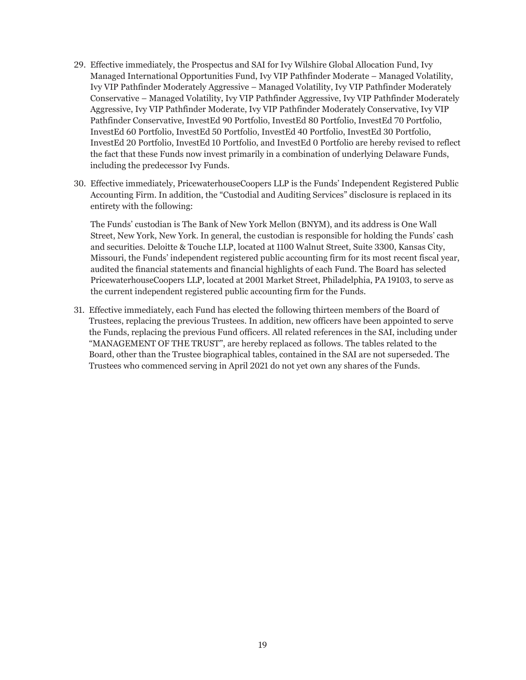- 29. Effective immediately, the Prospectus and SAI for Ivy Wilshire Global Allocation Fund, Ivy Managed International Opportunities Fund, Ivy VIP Pathfinder Moderate – Managed Volatility, Ivy VIP Pathfinder Moderately Aggressive – Managed Volatility, Ivy VIP Pathfinder Moderately Conservative – Managed Volatility, Ivy VIP Pathfinder Aggressive, Ivy VIP Pathfinder Moderately Aggressive, Ivy VIP Pathfinder Moderate, Ivy VIP Pathfinder Moderately Conservative, Ivy VIP Pathfinder Conservative, InvestEd 90 Portfolio, InvestEd 80 Portfolio, InvestEd 70 Portfolio, InvestEd 60 Portfolio, InvestEd 50 Portfolio, InvestEd 40 Portfolio, InvestEd 30 Portfolio, InvestEd 20 Portfolio, InvestEd 10 Portfolio, and InvestEd 0 Portfolio are hereby revised to reflect the fact that these Funds now invest primarily in a combination of underlying Delaware Funds, including the predecessor Ivy Funds.
- 30. Effective immediately, PricewaterhouseCoopers LLP is the Funds' Independent Registered Public Accounting Firm. In addition, the "Custodial and Auditing Services" disclosure is replaced in its entirety with the following:

 The Funds' custodian is The Bank of New York Mellon (BNYM), and its address is One Wall Street, New York, New York. In general, the custodian is responsible for holding the Funds' cash and securities. Deloitte & Touche LLP, located at 1100 Walnut Street, Suite 3300, Kansas City, Missouri, the Funds' independent registered public accounting firm for its most recent fiscal year, audited the financial statements and financial highlights of each Fund. The Board has selected PricewaterhouseCoopers LLP, located at 2001 Market Street, Philadelphia, PA 19103, to serve as the current independent registered public accounting firm for the Funds.

31. Effective immediately, each Fund has elected the following thirteen members of the Board of Trustees, replacing the previous Trustees. In addition, new officers have been appointed to serve the Funds, replacing the previous Fund officers. All related references in the SAI, including under "MANAGEMENT OF THE TRUST", are hereby replaced as follows. The tables related to the Board, other than the Trustee biographical tables, contained in the SAI are not superseded. The Trustees who commenced serving in April 2021 do not yet own any shares of the Funds.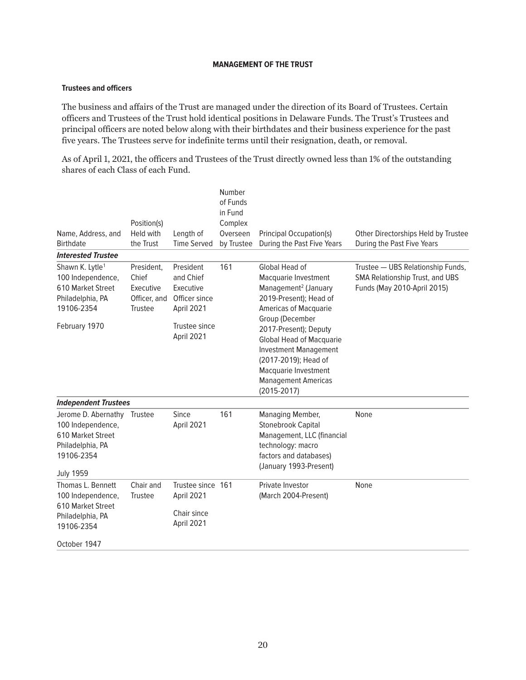#### **MANAGEMENT OF THE TRUST**

#### **Trustees and officers**

The business and affairs of the Trust are managed under the direction of its Board of Trustees. Certain officers and Trustees of the Trust hold identical positions in Delaware Funds. The Trust's Trustees and principal officers are noted below along with their birthdates and their business experience for the past five years. The Trustees serve for indefinite terms until their resignation, death, or removal.

As of April 1, 2021, the officers and Trustees of the Trust directly owned less than 1% of the outstanding shares of each Class of each Fund.

| Name, Address, and<br><b>Birthdate</b>                                                                                   | Position(s)<br>Held with<br>the Trust                              | Length of<br><b>Time Served</b>                                                                   | <b>Number</b><br>of Funds<br>in Fund<br>Complex<br>Overseen<br>by Trustee | <b>Principal Occupation(s)</b><br>During the Past Five Years                                                                                                                                                                                                                                                                                         | Other Directorships Held by Trustee<br>During the Past Five Years                                   |
|--------------------------------------------------------------------------------------------------------------------------|--------------------------------------------------------------------|---------------------------------------------------------------------------------------------------|---------------------------------------------------------------------------|------------------------------------------------------------------------------------------------------------------------------------------------------------------------------------------------------------------------------------------------------------------------------------------------------------------------------------------------------|-----------------------------------------------------------------------------------------------------|
| <b>Interested Trustee</b>                                                                                                |                                                                    |                                                                                                   |                                                                           |                                                                                                                                                                                                                                                                                                                                                      |                                                                                                     |
| Shawn K. Lytle <sup>1</sup><br>100 Independence,<br>610 Market Street<br>Philadelphia, PA<br>19106-2354<br>February 1970 | President.<br>Chief<br>Executive<br>Officer, and<br><b>Trustee</b> | President<br>and Chief<br>Executive<br>Officer since<br>April 2021<br>Trustee since<br>April 2021 | 161                                                                       | Global Head of<br>Macquarie Investment<br>Management <sup>2</sup> (January<br>2019-Present); Head of<br><b>Americas of Macquarie</b><br>Group (December<br>2017-Present); Deputy<br><b>Global Head of Macquarie</b><br><b>Investment Management</b><br>(2017-2019); Head of<br>Macquarie Investment<br><b>Management Americas</b><br>$(2015 - 2017)$ | Trustee - UBS Relationship Funds,<br>SMA Relationship Trust, and UBS<br>Funds (May 2010-April 2015) |
| <b>Independent Trustees</b>                                                                                              |                                                                    |                                                                                                   |                                                                           |                                                                                                                                                                                                                                                                                                                                                      |                                                                                                     |
| Jerome D. Abernathy<br>100 Independence,<br>610 Market Street<br>Philadelphia, PA<br>19106-2354<br><b>July 1959</b>      | Trustee                                                            | Since<br>April 2021                                                                               | 161                                                                       | Managing Member,<br>Stonebrook Capital<br>Management, LLC (financial<br>technology: macro<br>factors and databases)<br>(January 1993-Present)                                                                                                                                                                                                        | None                                                                                                |
| Thomas L. Bennett<br>100 Independence,<br>610 Market Street<br>Philadelphia, PA<br>19106-2354                            | Chair and<br>Trustee                                               | Trustee since 161<br>April 2021<br>Chair since<br>April 2021                                      |                                                                           | Private Investor<br>(March 2004-Present)                                                                                                                                                                                                                                                                                                             | None                                                                                                |
| October 1947                                                                                                             |                                                                    |                                                                                                   |                                                                           |                                                                                                                                                                                                                                                                                                                                                      |                                                                                                     |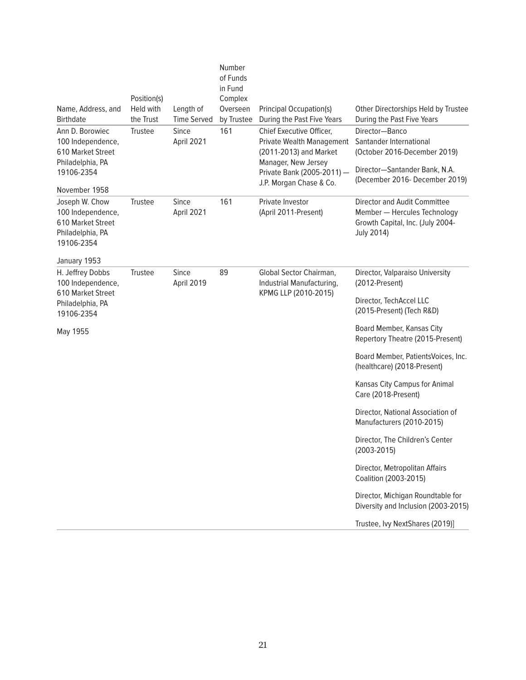| Position(s)<br>Held with | Length of           | Number<br>of Funds<br>in Fund<br>Complex<br>Overseen | Principal Occupation(s)                                                                                                                                         | Other Directorships Held by Trustee<br>During the Past Five Years                                                                                                                                                                                                                                                                                                                                                                                                                                                               |
|--------------------------|---------------------|------------------------------------------------------|-----------------------------------------------------------------------------------------------------------------------------------------------------------------|---------------------------------------------------------------------------------------------------------------------------------------------------------------------------------------------------------------------------------------------------------------------------------------------------------------------------------------------------------------------------------------------------------------------------------------------------------------------------------------------------------------------------------|
| Trustee                  | Since<br>April 2021 | 161                                                  | Chief Executive Officer,<br>Private Wealth Management<br>(2011-2013) and Market<br>Manager, New Jersey<br>Private Bank (2005-2011) -<br>J.P. Morgan Chase & Co. | Director-Banco<br>Santander International<br>(October 2016-December 2019)<br>Director-Santander Bank, N.A.<br>(December 2016- December 2019)                                                                                                                                                                                                                                                                                                                                                                                    |
| Trustee                  | Since<br>April 2021 | 161                                                  | Private Investor<br>(April 2011-Present)                                                                                                                        | <b>Director and Audit Committee</b><br>Member - Hercules Technology<br>Growth Capital, Inc. (July 2004-<br><b>July 2014)</b>                                                                                                                                                                                                                                                                                                                                                                                                    |
| Trustee                  | Since<br>April 2019 | 89                                                   | Global Sector Chairman,<br>Industrial Manufacturing,<br>KPMG LLP (2010-2015)                                                                                    | Director, Valparaiso University<br>(2012-Present)<br>Director, TechAccel LLC<br>(2015-Present) (Tech R&D)<br>Board Member, Kansas City<br>Repertory Theatre (2015-Present)<br>Board Member, PatientsVoices, Inc.<br>(healthcare) (2018-Present)<br>Kansas City Campus for Animal<br>Care (2018-Present)<br>Director, National Association of<br>Manufacturers (2010-2015)<br>Director, The Children's Center<br>$(2003 - 2015)$<br>Director, Metropolitan Affairs<br>Coalition (2003-2015)<br>Director, Michigan Roundtable for |
|                          |                     |                                                      |                                                                                                                                                                 | Diversity and Inclusion (2003-2015)<br>Trustee, Ivy NextShares (2019)]                                                                                                                                                                                                                                                                                                                                                                                                                                                          |
|                          | the Trust           | <b>Time Served</b>                                   | by Trustee                                                                                                                                                      | During the Past Five Years                                                                                                                                                                                                                                                                                                                                                                                                                                                                                                      |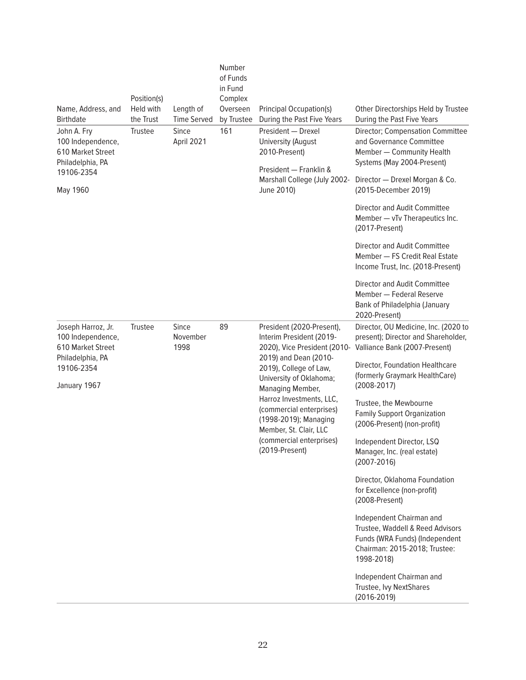| Name, Address, and<br><b>Birthdate</b>                                                  | Position(s)<br>Held with<br>the Trust | Length of<br><b>Time Served</b>                                                                                                                        | Number<br>of Funds<br>in Fund<br>Complex<br>Overseen<br>by Trustee                 | Principal Occupation(s)<br>During the Past Five Years                                                          | Other Directorships Held by Trustee<br>During the Past Five Years                                                                             |  |                                                                                      |
|-----------------------------------------------------------------------------------------|---------------------------------------|--------------------------------------------------------------------------------------------------------------------------------------------------------|------------------------------------------------------------------------------------|----------------------------------------------------------------------------------------------------------------|-----------------------------------------------------------------------------------------------------------------------------------------------|--|--------------------------------------------------------------------------------------|
| John A. Fry<br>100 Independence,<br>610 Market Street<br>Philadelphia, PA<br>19106-2354 | <b>Trustee</b>                        | Since<br>April 2021                                                                                                                                    | 161                                                                                | President - Drexel<br><b>University (August</b><br>2010-Present)<br>President - Franklin &                     | <b>Director; Compensation Committee</b><br>and Governance Committee<br>Member - Community Health<br>Systems (May 2004-Present)                |  |                                                                                      |
| May 1960                                                                                | June 2010)                            | Marshall College (July 2002-                                                                                                                           | Director - Drexel Morgan & Co.<br>(2015-December 2019)                             |                                                                                                                |                                                                                                                                               |  |                                                                                      |
|                                                                                         |                                       |                                                                                                                                                        | Director and Audit Committee<br>Member - vTv Therapeutics Inc.<br>$(2017-Present)$ |                                                                                                                |                                                                                                                                               |  |                                                                                      |
|                                                                                         |                                       |                                                                                                                                                        |                                                                                    |                                                                                                                | Director and Audit Committee<br>Member - FS Credit Real Estate<br>Income Trust, Inc. (2018-Present)                                           |  |                                                                                      |
|                                                                                         |                                       |                                                                                                                                                        |                                                                                    |                                                                                                                | Director and Audit Committee<br>Member - Federal Reserve<br>Bank of Philadelphia (January<br>2020-Present)                                    |  |                                                                                      |
| Joseph Harroz, Jr.<br>100 Independence,<br>610 Market Street<br>Philadelphia, PA        | Trustee                               | Since<br>November<br>1998                                                                                                                              | 89                                                                                 | President (2020-Present),<br>Interim President (2019-<br>2020), Vice President (2010-<br>2019) and Dean (2010- | Director, OU Medicine, Inc. (2020 to<br>present); Director and Shareholder,<br>Valliance Bank (2007-Present)                                  |  |                                                                                      |
| 19106-2354<br>January 1967                                                              |                                       | 2019), College of Law,<br>University of Oklahoma;<br>Managing Member,<br>Harroz Investments, LLC,<br>(commercial enterprises)<br>(1998-2019); Managing |                                                                                    |                                                                                                                |                                                                                                                                               |  | Director, Foundation Healthcare<br>(formerly Graymark HealthCare)<br>$(2008 - 2017)$ |
|                                                                                         |                                       |                                                                                                                                                        | Member, St. Clair, LLC                                                             | Trustee, the Mewbourne<br><b>Family Support Organization</b><br>(2006-Present) (non-profit)                    |                                                                                                                                               |  |                                                                                      |
|                                                                                         |                                       |                                                                                                                                                        | (commercial enterprises)<br>(2019-Present)                                         | Independent Director, LSQ<br>Manager, Inc. (real estate)<br>$(2007 - 2016)$                                    |                                                                                                                                               |  |                                                                                      |
|                                                                                         |                                       |                                                                                                                                                        | Director, Oklahoma Foundation<br>for Excellence (non-profit)<br>(2008-Present)     |                                                                                                                |                                                                                                                                               |  |                                                                                      |
|                                                                                         |                                       |                                                                                                                                                        |                                                                                    |                                                                                                                | Independent Chairman and<br>Trustee, Waddell & Reed Advisors<br>Funds (WRA Funds) (Independent<br>Chairman: 2015-2018; Trustee:<br>1998-2018) |  |                                                                                      |
|                                                                                         |                                       |                                                                                                                                                        |                                                                                    |                                                                                                                | Independent Chairman and<br>Trustee, Ivy NextShares<br>$(2016 - 2019)$                                                                        |  |                                                                                      |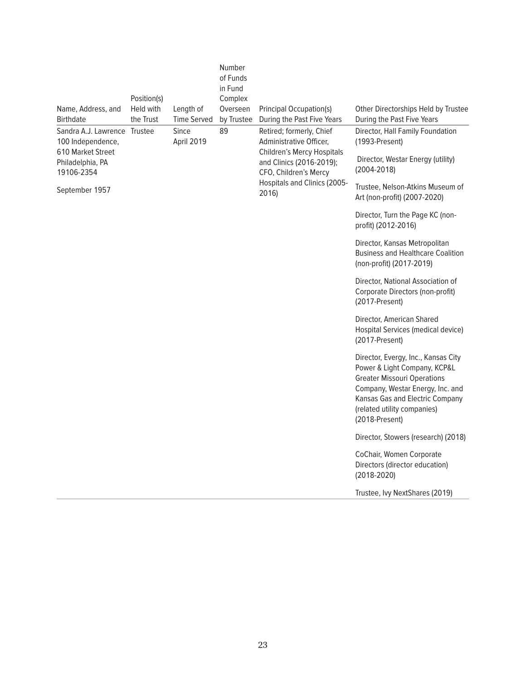| Name, Address, and<br><b>Birthdate</b>                                                                   | Position(s)<br>Held with<br>the Trust                                                                                                          | Length of<br><b>Time Served</b> | Number<br>of Funds<br>in Fund<br>Complex<br>Overseen<br>by Trustee | <b>Principal Occupation(s)</b><br>During the Past Five Years | Other Directorships Held by Trustee<br>During the Past Five Years                                                                                                                                                                 |
|----------------------------------------------------------------------------------------------------------|------------------------------------------------------------------------------------------------------------------------------------------------|---------------------------------|--------------------------------------------------------------------|--------------------------------------------------------------|-----------------------------------------------------------------------------------------------------------------------------------------------------------------------------------------------------------------------------------|
| Sandra A.J. Lawrence Trustee<br>100 Independence,<br>610 Market Street<br>Philadelphia, PA<br>19106-2354 | 89<br>Since<br>Retired; formerly, Chief<br>April 2019<br>Administrative Officer,<br>and Clinics (2016-2019);<br>CFO, Children's Mercy<br>2016) |                                 |                                                                    | Children's Mercy Hospitals                                   | Director, Hall Family Foundation<br>(1993-Present)                                                                                                                                                                                |
|                                                                                                          |                                                                                                                                                |                                 |                                                                    |                                                              | Director, Westar Energy (utility)<br>$(2004 - 2018)$                                                                                                                                                                              |
| September 1957                                                                                           |                                                                                                                                                | Hospitals and Clinics (2005-    | Trustee, Nelson-Atkins Museum of<br>Art (non-profit) (2007-2020)   |                                                              |                                                                                                                                                                                                                                   |
|                                                                                                          |                                                                                                                                                |                                 |                                                                    |                                                              | Director, Turn the Page KC (non-<br>profit) (2012-2016)                                                                                                                                                                           |
|                                                                                                          |                                                                                                                                                |                                 |                                                                    |                                                              | Director, Kansas Metropolitan<br><b>Business and Healthcare Coalition</b><br>(non-profit) (2017-2019)                                                                                                                             |
|                                                                                                          |                                                                                                                                                |                                 |                                                                    |                                                              | Director, National Association of<br>Corporate Directors (non-profit)<br>(2017-Present)                                                                                                                                           |
|                                                                                                          |                                                                                                                                                |                                 |                                                                    |                                                              | Director, American Shared<br>Hospital Services (medical device)<br>(2017-Present)                                                                                                                                                 |
|                                                                                                          |                                                                                                                                                |                                 |                                                                    |                                                              | Director, Evergy, Inc., Kansas City<br>Power & Light Company, KCP&L<br><b>Greater Missouri Operations</b><br>Company, Westar Energy, Inc. and<br>Kansas Gas and Electric Company<br>(related utility companies)<br>(2018-Present) |
|                                                                                                          |                                                                                                                                                |                                 |                                                                    |                                                              | Director, Stowers (research) (2018)                                                                                                                                                                                               |
|                                                                                                          |                                                                                                                                                |                                 |                                                                    |                                                              | CoChair, Women Corporate<br>Directors (director education)<br>$(2018 - 2020)$                                                                                                                                                     |
|                                                                                                          |                                                                                                                                                |                                 |                                                                    |                                                              | Trustee, Ivy NextShares (2019)                                                                                                                                                                                                    |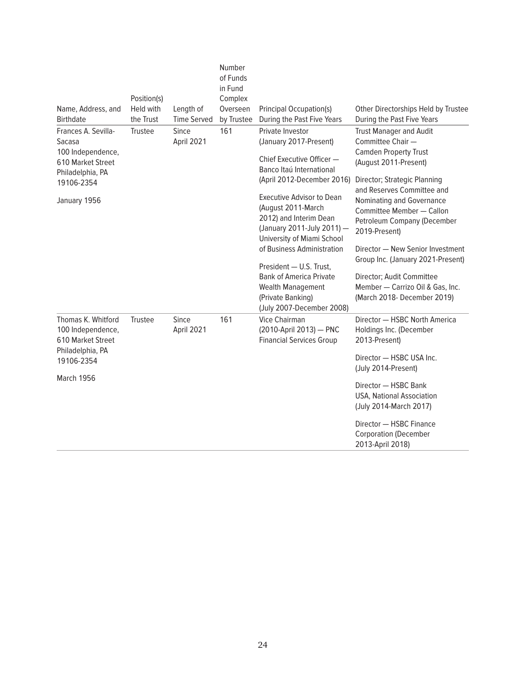| Name, Address, and<br><b>Birthdate</b>                                                                                    | Position(s)<br>Held with<br>the Trust | Length of<br><b>Time Served</b> | Number<br>of Funds<br>in Fund<br>Complex<br>Overseen<br>by Trustee | <b>Principal Occupation(s)</b><br>During the Past Five Years                                                                                                                                                                                                                                                                                                                                                                                        | Other Directorships Held by Trustee<br>During the Past Five Years                                                                                                                                                                                                                                                                                                                                                                                             |
|---------------------------------------------------------------------------------------------------------------------------|---------------------------------------|---------------------------------|--------------------------------------------------------------------|-----------------------------------------------------------------------------------------------------------------------------------------------------------------------------------------------------------------------------------------------------------------------------------------------------------------------------------------------------------------------------------------------------------------------------------------------------|---------------------------------------------------------------------------------------------------------------------------------------------------------------------------------------------------------------------------------------------------------------------------------------------------------------------------------------------------------------------------------------------------------------------------------------------------------------|
| Frances A. Sevilla-<br>Sacasa<br>100 Independence,<br>610 Market Street<br>Philadelphia, PA<br>19106-2354<br>January 1956 | Trustee                               | Since<br>April 2021             | 161                                                                | Private Investor<br>(January 2017-Present)<br>Chief Executive Officer -<br>Banco Itaú International<br>(April 2012-December 2016)<br><b>Executive Advisor to Dean</b><br>(August 2011-March<br>2012) and Interim Dean<br>(January 2011-July 2011) -<br>University of Miami School<br>of Business Administration<br>President - U.S. Trust,<br><b>Bank of America Private</b><br>Wealth Management<br>(Private Banking)<br>(July 2007-December 2008) | <b>Trust Manager and Audit</b><br>Committee Chair -<br><b>Camden Property Trust</b><br>(August 2011-Present)<br>Director; Strategic Planning<br>and Reserves Committee and<br>Nominating and Governance<br>Committee Member - Callon<br>Petroleum Company (December<br>2019-Present)<br>Director - New Senior Investment<br>Group Inc. (January 2021-Present)<br>Director; Audit Committee<br>Member - Carrizo Oil & Gas, Inc.<br>(March 2018- December 2019) |
| Thomas K. Whitford<br>100 Independence,<br>610 Market Street<br>Philadelphia, PA<br>19106-2354<br><b>March 1956</b>       | Trustee                               | Since<br>April 2021             | 161                                                                | Vice Chairman<br>(2010-April 2013) - PNC<br><b>Financial Services Group</b>                                                                                                                                                                                                                                                                                                                                                                         | Director - HSBC North America<br>Holdings Inc. (December<br>2013-Present)<br>Director - HSBC USA Inc.<br>(July 2014-Present)<br>Director - HSBC Bank<br><b>USA, National Association</b><br>(July 2014-March 2017)<br>Director - HSBC Finance<br><b>Corporation (December</b><br>2013-April 2018)                                                                                                                                                             |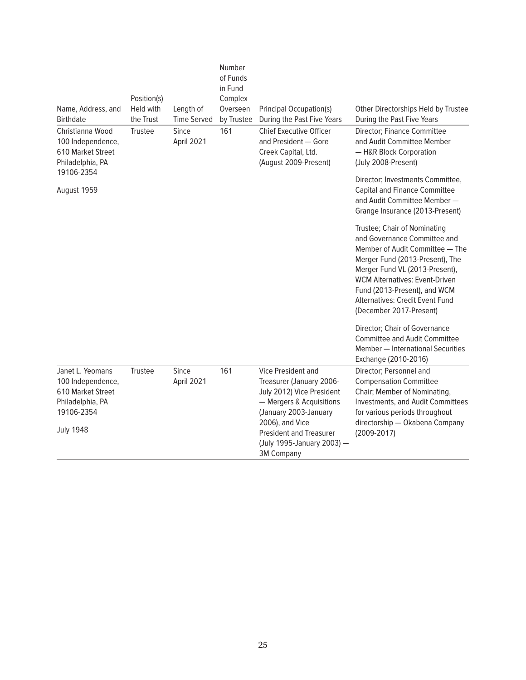| Name, Address, and<br><b>Birthdate</b>                                                                           | Position(s)<br>Held with<br>the Trust | Length of<br><b>Time Served</b> | Number<br>of Funds<br>in Fund<br>Complex<br>Overseen<br>by Trustee | Principal Occupation(s)<br>During the Past Five Years                                                                                                                                 | Other Directorships Held by Trustee<br>During the Past Five Years                                                                                                                                                                                                                                           |
|------------------------------------------------------------------------------------------------------------------|---------------------------------------|---------------------------------|--------------------------------------------------------------------|---------------------------------------------------------------------------------------------------------------------------------------------------------------------------------------|-------------------------------------------------------------------------------------------------------------------------------------------------------------------------------------------------------------------------------------------------------------------------------------------------------------|
| Christianna Wood<br>100 Independence,<br>610 Market Street<br>Philadelphia, PA<br>19106-2354                     | Trustee                               | Since<br>April 2021             | 161                                                                | <b>Chief Executive Officer</b><br>and President - Gore<br>Creek Capital, Ltd.<br>(August 2009-Present)                                                                                | Director; Finance Committee<br>and Audit Committee Member<br>- H&R Block Corporation<br>(July 2008-Present)                                                                                                                                                                                                 |
| August 1959                                                                                                      |                                       |                                 |                                                                    |                                                                                                                                                                                       | Director; Investments Committee,<br><b>Capital and Finance Committee</b><br>and Audit Committee Member -<br>Grange Insurance (2013-Present)                                                                                                                                                                 |
|                                                                                                                  |                                       |                                 |                                                                    |                                                                                                                                                                                       | Trustee; Chair of Nominating<br>and Governance Committee and<br>Member of Audit Committee - The<br>Merger Fund (2013-Present), The<br>Merger Fund VL (2013-Present),<br><b>WCM Alternatives: Event-Driven</b><br>Fund (2013-Present), and WCM<br>Alternatives: Credit Event Fund<br>(December 2017-Present) |
|                                                                                                                  |                                       |                                 |                                                                    |                                                                                                                                                                                       | Director; Chair of Governance<br><b>Committee and Audit Committee</b><br>Member - International Securities<br>Exchange (2010-2016)                                                                                                                                                                          |
| Janet L. Yeomans<br>100 Independence,<br>610 Market Street<br>Philadelphia, PA<br>19106-2354<br><b>July 1948</b> | Trustee                               | Since<br>April 2021             | 161                                                                | Vice President and<br>Treasurer (January 2006-<br>July 2012) Vice President<br>- Mergers & Acquisitions<br>(January 2003-January<br>2006), and Vice<br><b>President and Treasurer</b> | Director; Personnel and<br><b>Compensation Committee</b><br>Chair; Member of Nominating,<br>Investments, and Audit Committees<br>for various periods throughout<br>directorship - Okabena Company<br>$(2009 - 2017)$                                                                                        |
|                                                                                                                  |                                       |                                 |                                                                    | (July 1995-January 2003) -<br><b>3M Company</b>                                                                                                                                       |                                                                                                                                                                                                                                                                                                             |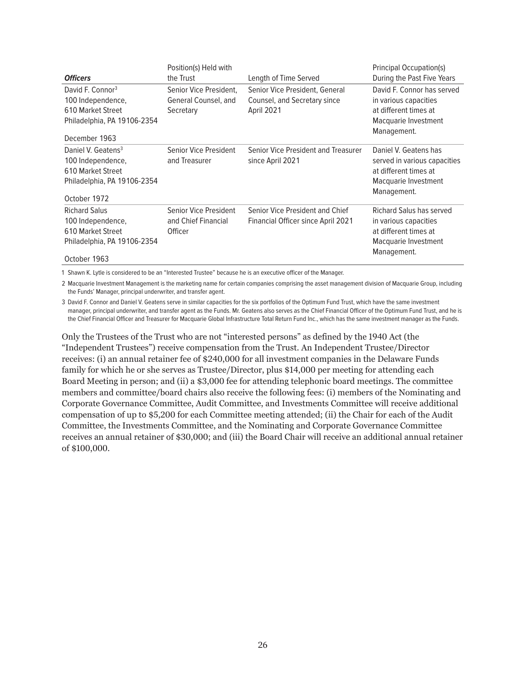| <b>Officers</b>                                                                                                         | Position(s) Held with<br>the Trust                             | Length of Time Served                                                        | Principal Occupation(s)<br>During the Past Five Years                                                                 |
|-------------------------------------------------------------------------------------------------------------------------|----------------------------------------------------------------|------------------------------------------------------------------------------|-----------------------------------------------------------------------------------------------------------------------|
| David F. Connor <sup>3</sup><br>100 Independence,<br>610 Market Street<br>Philadelphia, PA 19106-2354<br>December 1963  | Senior Vice President.<br>General Counsel, and<br>Secretary    | Senior Vice President, General<br>Counsel, and Secretary since<br>April 2021 | David F. Connor has served<br>in various capacities<br>at different times at<br>Macquarie Investment<br>Management.   |
| Daniel V. Geatens <sup>3</sup><br>100 Independence,<br>610 Market Street<br>Philadelphia, PA 19106-2354<br>October 1972 | Senior Vice President<br>and Treasurer                         | Senior Vice President and Treasurer<br>since April 2021                      | Daniel V. Geatens has<br>served in various capacities<br>at different times at<br>Macquarie Investment<br>Management. |
| <b>Richard Salus</b><br>100 Independence,<br>610 Market Street<br>Philadelphia, PA 19106-2354<br>October 1963           | <b>Senior Vice President</b><br>and Chief Financial<br>Officer | Senior Vice President and Chief<br><b>Financial Officer since April 2021</b> | Richard Salus has served<br>in various capacities<br>at different times at<br>Macquarie Investment<br>Management.     |

1 Shawn K. Lytle is considered to be an "Interested Trustee" because he is an executive officer of the Manager.

2 Macquarie Investment Management is the marketing name for certain companies comprising the asset management division of Macquarie Group, including the Funds' Manager, principal underwriter, and transfer agent.

3 David F. Connor and Daniel V. Geatens serve in similar capacities for the six portfolios of the Optimum Fund Trust, which have the same investment manager, principal underwriter, and transfer agent as the Funds. Mr. Geatens also serves as the Chief Financial Officer of the Optimum Fund Trust, and he is the Chief Financial Officer and Treasurer for Macquarie Global Infrastructure Total Return Fund Inc., which has the same investment manager as the Funds.

Only the Trustees of the Trust who are not "interested persons" as defined by the 1940 Act (the "Independent Trustees") receive compensation from the Trust. An Independent Trustee/Director receives: (i) an annual retainer fee of \$240,000 for all investment companies in the Delaware Funds family for which he or she serves as Trustee/Director, plus \$14,000 per meeting for attending each Board Meeting in person; and (ii) a \$3,000 fee for attending telephonic board meetings. The committee members and committee/board chairs also receive the following fees: (i) members of the Nominating and Corporate Governance Committee, Audit Committee, and Investments Committee will receive additional compensation of up to \$5,200 for each Committee meeting attended; (ii) the Chair for each of the Audit Committee, the Investments Committee, and the Nominating and Corporate Governance Committee receives an annual retainer of \$30,000; and (iii) the Board Chair will receive an additional annual retainer of \$100,000.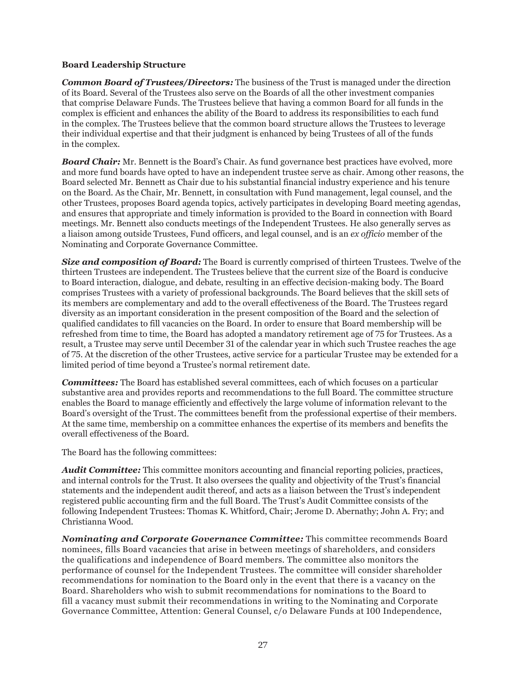#### **Board Leadership Structure**

*Common Board of Trustees/Directors:* The business of the Trust is managed under the direction of its Board. Several of the Trustees also serve on the Boards of all the other investment companies that comprise Delaware Funds. The Trustees believe that having a common Board for all funds in the complex is efficient and enhances the ability of the Board to address its responsibilities to each fund in the complex. The Trustees believe that the common board structure allows the Trustees to leverage their individual expertise and that their judgment is enhanced by being Trustees of all of the funds in the complex.

*Board Chair:* Mr. Bennett is the Board's Chair. As fund governance best practices have evolved, more and more fund boards have opted to have an independent trustee serve as chair. Among other reasons, the Board selected Mr. Bennett as Chair due to his substantial financial industry experience and his tenure on the Board. As the Chair, Mr. Bennett, in consultation with Fund management, legal counsel, and the other Trustees, proposes Board agenda topics, actively participates in developing Board meeting agendas, and ensures that appropriate and timely information is provided to the Board in connection with Board meetings. Mr. Bennett also conducts meetings of the Independent Trustees. He also generally serves as a liaison among outside Trustees, Fund officers, and legal counsel, and is an *ex officio* member of the Nominating and Corporate Governance Committee.

*Size and composition of Board:* The Board is currently comprised of thirteen Trustees. Twelve of the thirteen Trustees are independent. The Trustees believe that the current size of the Board is conducive to Board interaction, dialogue, and debate, resulting in an effective decision-making body. The Board comprises Trustees with a variety of professional backgrounds. The Board believes that the skill sets of its members are complementary and add to the overall effectiveness of the Board. The Trustees regard diversity as an important consideration in the present composition of the Board and the selection of qualified candidates to fill vacancies on the Board. In order to ensure that Board membership will be refreshed from time to time, the Board has adopted a mandatory retirement age of 75 for Trustees. As a result, a Trustee may serve until December 31 of the calendar year in which such Trustee reaches the age of 75. At the discretion of the other Trustees, active service for a particular Trustee may be extended for a limited period of time beyond a Trustee's normal retirement date.

*Committees:* The Board has established several committees, each of which focuses on a particular substantive area and provides reports and recommendations to the full Board. The committee structure enables the Board to manage efficiently and effectively the large volume of information relevant to the Board's oversight of the Trust. The committees benefit from the professional expertise of their members. At the same time, membership on a committee enhances the expertise of its members and benefits the overall effectiveness of the Board.

The Board has the following committees:

*Audit Committee:* This committee monitors accounting and financial reporting policies, practices, and internal controls for the Trust. It also oversees the quality and objectivity of the Trust's financial statements and the independent audit thereof, and acts as a liaison between the Trust's independent registered public accounting firm and the full Board. The Trust's Audit Committee consists of the following Independent Trustees: Thomas K. Whitford, Chair; Jerome D. Abernathy; John A. Fry; and Christianna Wood.

*Nominating and Corporate Governance Committee:* This committee recommends Board nominees, fills Board vacancies that arise in between meetings of shareholders, and considers the qualifications and independence of Board members. The committee also monitors the performance of counsel for the Independent Trustees. The committee will consider shareholder recommendations for nomination to the Board only in the event that there is a vacancy on the Board. Shareholders who wish to submit recommendations for nominations to the Board to fill a vacancy must submit their recommendations in writing to the Nominating and Corporate Governance Committee, Attention: General Counsel, c/o Delaware Funds at 100 Independence,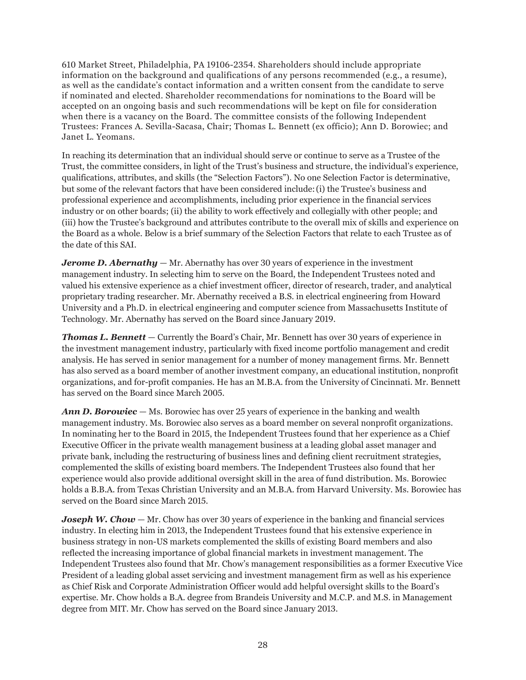610 Market Street, Philadelphia, PA 19106-2354. Shareholders should include appropriate information on the background and qualifications of any persons recommended (e.g., a resume), as well as the candidate's contact information and a written consent from the candidate to serve if nominated and elected. Shareholder recommendations for nominations to the Board will be accepted on an ongoing basis and such recommendations will be kept on file for consideration when there is a vacancy on the Board. The committee consists of the following Independent Trustees: Frances A. Sevilla-Sacasa, Chair; Thomas L. Bennett (ex officio); Ann D. Borowiec; and Janet L. Yeomans.

In reaching its determination that an individual should serve or continue to serve as a Trustee of the Trust, the committee considers, in light of the Trust's business and structure, the individual's experience, qualifications, attributes, and skills (the "Selection Factors"). No one Selection Factor is determinative, but some of the relevant factors that have been considered include:(i) the Trustee's business and professional experience and accomplishments, including prior experience in the financial services industry or on other boards; (ii) the ability to work effectively and collegially with other people; and (iii) how the Trustee's background and attributes contribute to the overall mix of skills and experience on the Board as a whole. Below is a brief summary of the Selection Factors that relate to each Trustee as of the date of this SAI.

*Jerome D. Abernathy* — Mr. Abernathy has over 30 years of experience in the investment management industry. In selecting him to serve on the Board, the Independent Trustees noted and valued his extensive experience as a chief investment officer, director of research, trader, and analytical proprietary trading researcher. Mr. Abernathy received a B.S. in electrical engineering from Howard University and a Ph.D. in electrical engineering and computer science from Massachusetts Institute of Technology. Mr. Abernathy has served on the Board since January 2019.

*Thomas L. Bennett* — Currently the Board's Chair, Mr. Bennett has over 30 years of experience in the investment management industry, particularly with fixed income portfolio management and credit analysis. He has served in senior management for a number of money management firms. Mr. Bennett has also served as a board member of another investment company, an educational institution, nonprofit organizations, and for-profit companies. He has an M.B.A. from the University of Cincinnati. Mr. Bennett has served on the Board since March 2005.

*Ann D. Borowiec* — Ms. Borowiec has over 25 years of experience in the banking and wealth management industry. Ms. Borowiec also serves as a board member on several nonprofit organizations. In nominating her to the Board in 2015, the Independent Trustees found that her experience as a Chief Executive Officer in the private wealth management business at a leading global asset manager and private bank, including the restructuring of business lines and defining client recruitment strategies, complemented the skills of existing board members. The Independent Trustees also found that her experience would also provide additional oversight skill in the area of fund distribution. Ms. Borowiec holds a B.B.A. from Texas Christian University and an M.B.A. from Harvard University. Ms. Borowiec has served on the Board since March 2015.

*Joseph W. Chow* — Mr. Chow has over 30 years of experience in the banking and financial services industry. In electing him in 2013, the Independent Trustees found that his extensive experience in business strategy in non-US markets complemented the skills of existing Board members and also reflected the increasing importance of global financial markets in investment management. The Independent Trustees also found that Mr. Chow's management responsibilities as a former Executive Vice President of a leading global asset servicing and investment management firm as well as his experience as Chief Risk and Corporate Administration Officer would add helpful oversight skills to the Board's expertise. Mr. Chow holds a B.A. degree from Brandeis University and M.C.P. and M.S. in Management degree from MIT. Mr. Chow has served on the Board since January 2013.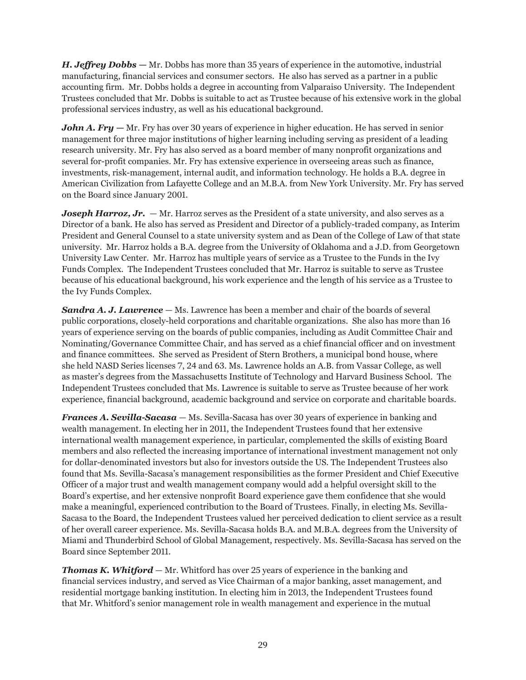*H. Jeffrey Dobbs —* Mr. Dobbs has more than 35 years of experience in the automotive, industrial manufacturing, financial services and consumer sectors. He also has served as a partner in a public accounting firm. Mr. Dobbs holds a degree in accounting from Valparaiso University. The Independent Trustees concluded that Mr. Dobbs is suitable to act as Trustee because of his extensive work in the global professional services industry, as well as his educational background.

*John A. Fry* — Mr. Fry has over 30 years of experience in higher education. He has served in senior management for three major institutions of higher learning including serving as president of a leading research university. Mr. Fry has also served as a board member of many nonprofit organizations and several for-profit companies. Mr. Fry has extensive experience in overseeing areas such as finance, investments, risk-management, internal audit, and information technology. He holds a B.A. degree in American Civilization from Lafayette College and an M.B.A. from New York University. Mr. Fry has served on the Board since January 2001.

*Joseph Harroz, Jr.* — Mr. Harroz serves as the President of a state university, and also serves as a Director of a bank. He also has served as President and Director of a publicly-traded company, as Interim President and General Counsel to a state university system and as Dean of the College of Law of that state university. Mr. Harroz holds a B.A. degree from the University of Oklahoma and a J.D. from Georgetown University Law Center. Mr. Harroz has multiple years of service as a Trustee to the Funds in the Ivy Funds Complex. The Independent Trustees concluded that Mr. Harroz is suitable to serve as Trustee because of his educational background, his work experience and the length of his service as a Trustee to the Ivy Funds Complex.

*Sandra A. J. Lawrence* — Ms. Lawrence has been a member and chair of the boards of several public corporations, closely-held corporations and charitable organizations. She also has more than 16 years of experience serving on the boards of public companies, including as Audit Committee Chair and Nominating/Governance Committee Chair, and has served as a chief financial officer and on investment and finance committees. She served as President of Stern Brothers, a municipal bond house, where she held NASD Series licenses 7, 24 and 63. Ms. Lawrence holds an A.B. from Vassar College, as well as master's degrees from the Massachusetts Institute of Technology and Harvard Business School. The Independent Trustees concluded that Ms. Lawrence is suitable to serve as Trustee because of her work experience, financial background, academic background and service on corporate and charitable boards.

*Frances A. Sevilla-Sacasa* — Ms. Sevilla-Sacasa has over 30 years of experience in banking and wealth management. In electing her in 2011, the Independent Trustees found that her extensive international wealth management experience, in particular, complemented the skills of existing Board members and also reflected the increasing importance of international investment management not only for dollar-denominated investors but also for investors outside the US. The Independent Trustees also found that Ms. Sevilla-Sacasa's management responsibilities as the former President and Chief Executive Officer of a major trust and wealth management company would add a helpful oversight skill to the Board's expertise, and her extensive nonprofit Board experience gave them confidence that she would make a meaningful, experienced contribution to the Board of Trustees. Finally, in electing Ms. Sevilla-Sacasa to the Board, the Independent Trustees valued her perceived dedication to client service as a result of her overall career experience. Ms. Sevilla-Sacasa holds B.A. and M.B.A. degrees from the University of Miami and Thunderbird School of Global Management, respectively. Ms. Sevilla-Sacasa has served on the Board since September 2011.

*Thomas K. Whitford* — Mr. Whitford has over 25 years of experience in the banking and financial services industry, and served as Vice Chairman of a major banking, asset management, and residential mortgage banking institution. In electing him in 2013, the Independent Trustees found that Mr. Whitford's senior management role in wealth management and experience in the mutual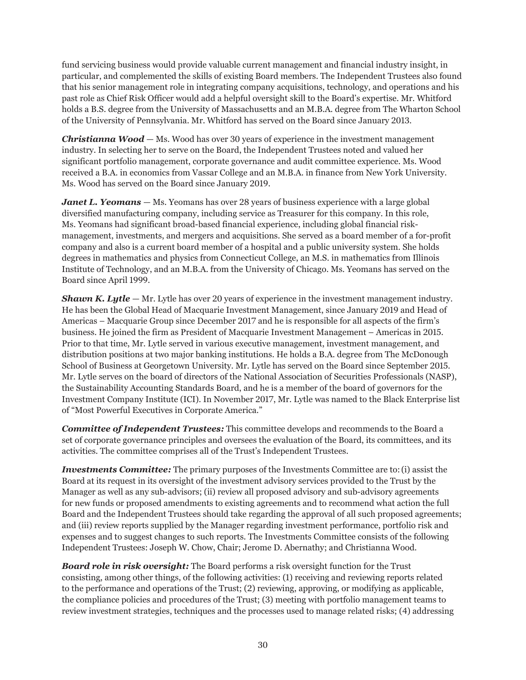fund servicing business would provide valuable current management and financial industry insight, in particular, and complemented the skills of existing Board members. The Independent Trustees also found that his senior management role in integrating company acquisitions, technology, and operations and his past role as Chief Risk Officer would add a helpful oversight skill to the Board's expertise. Mr. Whitford holds a B.S. degree from the University of Massachusetts and an M.B.A. degree from The Wharton School of the University of Pennsylvania. Mr. Whitford has served on the Board since January 2013.

*Christianna Wood* — Ms. Wood has over 30 years of experience in the investment management industry. In selecting her to serve on the Board, the Independent Trustees noted and valued her significant portfolio management, corporate governance and audit committee experience. Ms. Wood received a B.A. in economics from Vassar College and an M.B.A. in finance from New York University. Ms. Wood has served on the Board since January 2019.

*Janet L. Yeomans* — Ms. Yeomans has over 28 years of business experience with a large global diversified manufacturing company, including service as Treasurer for this company. In this role, Ms. Yeomans had significant broad-based financial experience, including global financial riskmanagement, investments, and mergers and acquisitions. She served as a board member of a for-profit company and also is a current board member of a hospital and a public university system. She holds degrees in mathematics and physics from Connecticut College, an M.S. in mathematics from Illinois Institute of Technology, and an M.B.A. from the University of Chicago. Ms. Yeomans has served on the Board since April 1999.

*Shawn K. Lytle* — Mr. Lytle has over 20 years of experience in the investment management industry. He has been the Global Head of Macquarie Investment Management, since January 2019 and Head of Americas – Macquarie Group since December 2017 and he is responsible for all aspects of the firm's business. He joined the firm as President of Macquarie Investment Management – Americas in 2015. Prior to that time, Mr. Lytle served in various executive management, investment management, and distribution positions at two major banking institutions. He holds a B.A. degree from The McDonough School of Business at Georgetown University. Mr. Lytle has served on the Board since September 2015. Mr. Lytle serves on the board of directors of the National Association of Securities Professionals (NASP), the Sustainability Accounting Standards Board, and he is a member of the board of governors for the Investment Company Institute (ICI). In November 2017, Mr. Lytle was named to the Black Enterprise list of "Most Powerful Executives in Corporate America."

*Committee of Independent Trustees:* This committee develops and recommends to the Board a set of corporate governance principles and oversees the evaluation of the Board, its committees, and its activities. The committee comprises all of the Trust's Independent Trustees.

*Investments Committee:* The primary purposes of the Investments Committee are to:(i) assist the Board at its request in its oversight of the investment advisory services provided to the Trust by the Manager as well as any sub-advisors; (ii) review all proposed advisory and sub-advisory agreements for new funds or proposed amendments to existing agreements and to recommend what action the full Board and the Independent Trustees should take regarding the approval of all such proposed agreements; and (iii) review reports supplied by the Manager regarding investment performance, portfolio risk and expenses and to suggest changes to such reports. The Investments Committee consists of the following Independent Trustees: Joseph W. Chow, Chair; Jerome D. Abernathy; and Christianna Wood.

*Board role in risk oversight:* The Board performs a risk oversight function for the Trust consisting, among other things, of the following activities: (1) receiving and reviewing reports related to the performance and operations of the Trust; (2) reviewing, approving, or modifying as applicable, the compliance policies and procedures of the Trust; (3) meeting with portfolio management teams to review investment strategies, techniques and the processes used to manage related risks; (4) addressing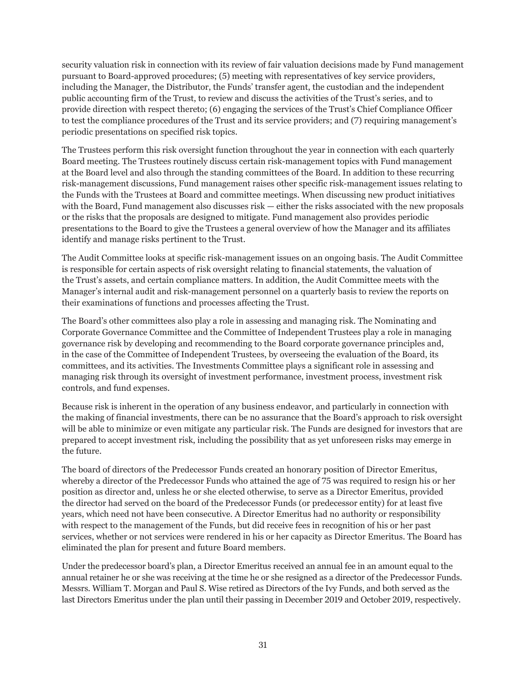security valuation risk in connection with its review of fair valuation decisions made by Fund management pursuant to Board-approved procedures; (5) meeting with representatives of key service providers, including the Manager, the Distributor, the Funds' transfer agent, the custodian and the independent public accounting firm of the Trust, to review and discuss the activities of the Trust's series, and to provide direction with respect thereto; (6) engaging the services of the Trust's Chief Compliance Officer to test the compliance procedures of the Trust and its service providers; and (7) requiring management's periodic presentations on specified risk topics.

The Trustees perform this risk oversight function throughout the year in connection with each quarterly Board meeting. The Trustees routinely discuss certain risk-management topics with Fund management at the Board level and also through the standing committees of the Board. In addition to these recurring risk-management discussions, Fund management raises other specific risk-management issues relating to the Funds with the Trustees at Board and committee meetings. When discussing new product initiatives with the Board, Fund management also discusses risk — either the risks associated with the new proposals or the risks that the proposals are designed to mitigate. Fund management also provides periodic presentations to the Board to give the Trustees a general overview of how the Manager and its affiliates identify and manage risks pertinent to the Trust.

The Audit Committee looks at specific risk-management issues on an ongoing basis. The Audit Committee is responsible for certain aspects of risk oversight relating to financial statements, the valuation of the Trust's assets, and certain compliance matters. In addition, the Audit Committee meets with the Manager's internal audit and risk-management personnel on a quarterly basis to review the reports on their examinations of functions and processes affecting the Trust.

The Board's other committees also play a role in assessing and managing risk. The Nominating and Corporate Governance Committee and the Committee of Independent Trustees play a role in managing governance risk by developing and recommending to the Board corporate governance principles and, in the case of the Committee of Independent Trustees, by overseeing the evaluation of the Board, its committees, and its activities. The Investments Committee plays a significant role in assessing and managing risk through its oversight of investment performance, investment process, investment risk controls, and fund expenses.

Because risk is inherent in the operation of any business endeavor, and particularly in connection with the making of financial investments, there can be no assurance that the Board's approach to risk oversight will be able to minimize or even mitigate any particular risk. The Funds are designed for investors that are prepared to accept investment risk, including the possibility that as yet unforeseen risks may emerge in the future.

The board of directors of the Predecessor Funds created an honorary position of Director Emeritus, whereby a director of the Predecessor Funds who attained the age of 75 was required to resign his or her position as director and, unless he or she elected otherwise, to serve as a Director Emeritus, provided the director had served on the board of the Predecessor Funds (or predecessor entity) for at least five years, which need not have been consecutive. A Director Emeritus had no authority or responsibility with respect to the management of the Funds, but did receive fees in recognition of his or her past services, whether or not services were rendered in his or her capacity as Director Emeritus. The Board has eliminated the plan for present and future Board members.

Under the predecessor board's plan, a Director Emeritus received an annual fee in an amount equal to the annual retainer he or she was receiving at the time he or she resigned as a director of the Predecessor Funds. Messrs. William T. Morgan and Paul S. Wise retired as Directors of the Ivy Funds, and both served as the last Directors Emeritus under the plan until their passing in December 2019 and October 2019, respectively.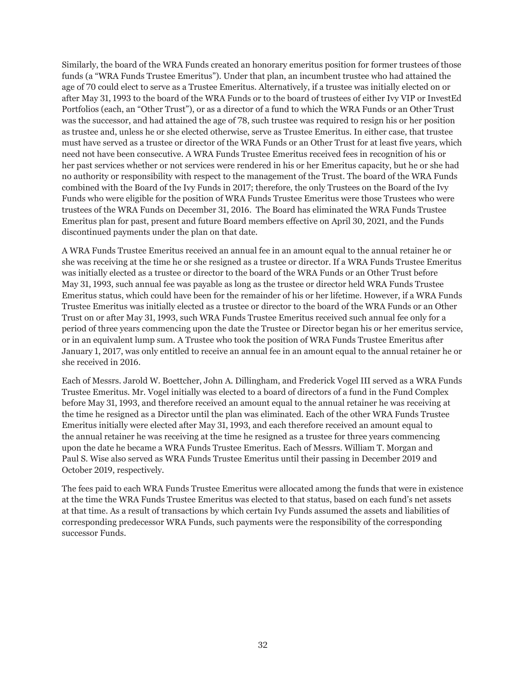Similarly, the board of the WRA Funds created an honorary emeritus position for former trustees of those funds (a "WRA Funds Trustee Emeritus"). Under that plan, an incumbent trustee who had attained the age of 70 could elect to serve as a Trustee Emeritus. Alternatively, if a trustee was initially elected on or after May 31, 1993 to the board of the WRA Funds or to the board of trustees of either Ivy VIP or InvestEd Portfolios (each, an "Other Trust"), or as a director of a fund to which the WRA Funds or an Other Trust was the successor, and had attained the age of 78, such trustee was required to resign his or her position as trustee and, unless he or she elected otherwise, serve as Trustee Emeritus. In either case, that trustee must have served as a trustee or director of the WRA Funds or an Other Trust for at least five years, which need not have been consecutive. A WRA Funds Trustee Emeritus received fees in recognition of his or her past services whether or not services were rendered in his or her Emeritus capacity, but he or she had no authority or responsibility with respect to the management of the Trust. The board of the WRA Funds combined with the Board of the Ivy Funds in 2017; therefore, the only Trustees on the Board of the Ivy Funds who were eligible for the position of WRA Funds Trustee Emeritus were those Trustees who were trustees of the WRA Funds on December 31, 2016. The Board has eliminated the WRA Funds Trustee Emeritus plan for past, present and future Board members effective on April 30, 2021, and the Funds discontinued payments under the plan on that date.

A WRA Funds Trustee Emeritus received an annual fee in an amount equal to the annual retainer he or she was receiving at the time he or she resigned as a trustee or director. If a WRA Funds Trustee Emeritus was initially elected as a trustee or director to the board of the WRA Funds or an Other Trust before May 31, 1993, such annual fee was payable as long as the trustee or director held WRA Funds Trustee Emeritus status, which could have been for the remainder of his or her lifetime. However, if a WRA Funds Trustee Emeritus was initially elected as a trustee or director to the board of the WRA Funds or an Other Trust on or after May 31, 1993, such WRA Funds Trustee Emeritus received such annual fee only for a period of three years commencing upon the date the Trustee or Director began his or her emeritus service, or in an equivalent lump sum. A Trustee who took the position of WRA Funds Trustee Emeritus after January 1, 2017, was only entitled to receive an annual fee in an amount equal to the annual retainer he or she received in 2016.

Each of Messrs. Jarold W. Boettcher, John A. Dillingham, and Frederick Vogel III served as a WRA Funds Trustee Emeritus. Mr. Vogel initially was elected to a board of directors of a fund in the Fund Complex before May 31, 1993, and therefore received an amount equal to the annual retainer he was receiving at the time he resigned as a Director until the plan was eliminated. Each of the other WRA Funds Trustee Emeritus initially were elected after May 31, 1993, and each therefore received an amount equal to the annual retainer he was receiving at the time he resigned as a trustee for three years commencing upon the date he became a WRA Funds Trustee Emeritus. Each of Messrs. William T. Morgan and Paul S. Wise also served as WRA Funds Trustee Emeritus until their passing in December 2019 and October 2019, respectively.

The fees paid to each WRA Funds Trustee Emeritus were allocated among the funds that were in existence at the time the WRA Funds Trustee Emeritus was elected to that status, based on each fund's net assets at that time. As a result of transactions by which certain Ivy Funds assumed the assets and liabilities of corresponding predecessor WRA Funds, such payments were the responsibility of the corresponding successor Funds.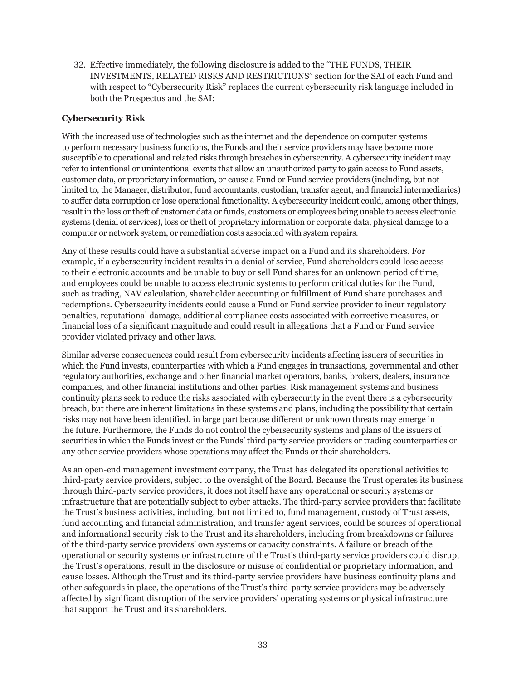32. Effective immediately, the following disclosure is added to the "THE FUNDS, THEIR INVESTMENTS, RELATED RISKS AND RESTRICTIONS" section for the SAI of each Fund and with respect to "Cybersecurity Risk" replaces the current cybersecurity risk language included in both the Prospectus and the SAI:

### **Cybersecurity Risk**

With the increased use of technologies such as the internet and the dependence on computer systems to perform necessary business functions, the Funds and their service providers may have become more susceptible to operational and related risks through breaches in cybersecurity. A cybersecurity incident may refer to intentional or unintentional events that allow an unauthorized party to gain access to Fund assets, customer data, or proprietary information, or cause a Fund or Fund service providers (including, but not limited to, the Manager, distributor, fund accountants, custodian, transfer agent, and financial intermediaries) to suffer data corruption or lose operational functionality. A cybersecurity incident could, among other things, result in the loss or theft of customer data or funds, customers or employees being unable to access electronic systems (denial of services), loss or theft of proprietary information or corporate data, physical damage to a computer or network system, or remediation costs associated with system repairs.

Any of these results could have a substantial adverse impact on a Fund and its shareholders. For example, if a cybersecurity incident results in a denial of service, Fund shareholders could lose access to their electronic accounts and be unable to buy or sell Fund shares for an unknown period of time, and employees could be unable to access electronic systems to perform critical duties for the Fund, such as trading, NAV calculation, shareholder accounting or fulfillment of Fund share purchases and redemptions. Cybersecurity incidents could cause a Fund or Fund service provider to incur regulatory penalties, reputational damage, additional compliance costs associated with corrective measures, or financial loss of a significant magnitude and could result in allegations that a Fund or Fund service provider violated privacy and other laws.

Similar adverse consequences could result from cybersecurity incidents affecting issuers of securities in which the Fund invests, counterparties with which a Fund engages in transactions, governmental and other regulatory authorities, exchange and other financial market operators, banks, brokers, dealers, insurance companies, and other financial institutions and other parties. Risk management systems and business continuity plans seek to reduce the risks associated with cybersecurity in the event there is a cybersecurity breach, but there are inherent limitations in these systems and plans, including the possibility that certain risks may not have been identified, in large part because different or unknown threats may emerge in the future. Furthermore, the Funds do not control the cybersecurity systems and plans of the issuers of securities in which the Funds invest or the Funds' third party service providers or trading counterparties or any other service providers whose operations may affect the Funds or their shareholders.

As an open-end management investment company, the Trust has delegated its operational activities to third-party service providers, subject to the oversight of the Board. Because the Trust operates its business through third-party service providers, it does not itself have any operational or security systems or infrastructure that are potentially subject to cyber attacks. The third-party service providers that facilitate the Trust's business activities, including, but not limited to, fund management, custody of Trust assets, fund accounting and financial administration, and transfer agent services, could be sources of operational and informational security risk to the Trust and its shareholders, including from breakdowns or failures of the third-party service providers' own systems or capacity constraints. A failure or breach of the operational or security systems or infrastructure of the Trust's third-party service providers could disrupt the Trust's operations, result in the disclosure or misuse of confidential or proprietary information, and cause losses. Although the Trust and its third-party service providers have business continuity plans and other safeguards in place, the operations of the Trust's third-party service providers may be adversely affected by significant disruption of the service providers' operating systems or physical infrastructure that support the Trust and its shareholders.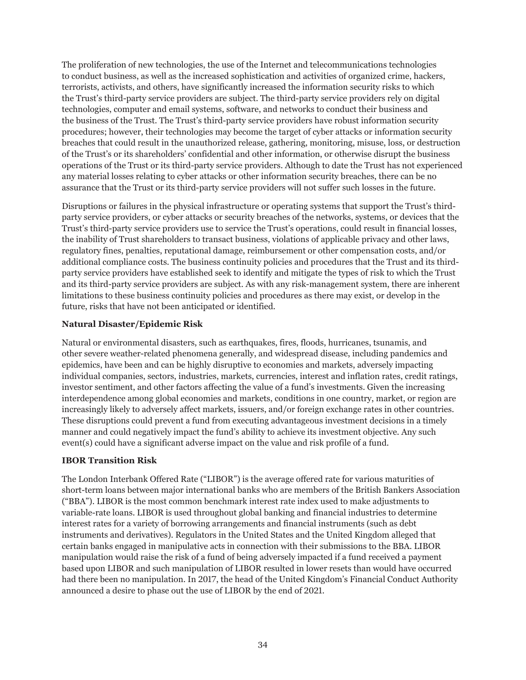The proliferation of new technologies, the use of the Internet and telecommunications technologies to conduct business, as well as the increased sophistication and activities of organized crime, hackers, terrorists, activists, and others, have significantly increased the information security risks to which the Trust's third-party service providers are subject. The third-party service providers rely on digital technologies, computer and email systems, software, and networks to conduct their business and the business of the Trust. The Trust's third-party service providers have robust information security procedures; however, their technologies may become the target of cyber attacks or information security breaches that could result in the unauthorized release, gathering, monitoring, misuse, loss, or destruction of the Trust's or its shareholders' confidential and other information, or otherwise disrupt the business operations of the Trust or its third-party service providers. Although to date the Trust has not experienced any material losses relating to cyber attacks or other information security breaches, there can be no assurance that the Trust or its third-party service providers will not suffer such losses in the future.

Disruptions or failures in the physical infrastructure or operating systems that support the Trust's thirdparty service providers, or cyber attacks or security breaches of the networks, systems, or devices that the Trust's third-party service providers use to service the Trust's operations, could result in financial losses, the inability of Trust shareholders to transact business, violations of applicable privacy and other laws, regulatory fines, penalties, reputational damage, reimbursement or other compensation costs, and/or additional compliance costs. The business continuity policies and procedures that the Trust and its thirdparty service providers have established seek to identify and mitigate the types of risk to which the Trust and its third-party service providers are subject. As with any risk-management system, there are inherent limitations to these business continuity policies and procedures as there may exist, or develop in the future, risks that have not been anticipated or identified.

## **Natural Disaster/Epidemic Risk**

Natural or environmental disasters, such as earthquakes, fires, floods, hurricanes, tsunamis, and other severe weather-related phenomena generally, and widespread disease, including pandemics and epidemics, have been and can be highly disruptive to economies and markets, adversely impacting individual companies, sectors, industries, markets, currencies, interest and inflation rates, credit ratings, investor sentiment, and other factors affecting the value of a fund's investments. Given the increasing interdependence among global economies and markets, conditions in one country, market, or region are increasingly likely to adversely affect markets, issuers, and/or foreign exchange rates in other countries. These disruptions could prevent a fund from executing advantageous investment decisions in a timely manner and could negatively impact the fund's ability to achieve its investment objective. Any such event(s) could have a significant adverse impact on the value and risk profile of a fund.

### **IBOR Transition Risk**

The London Interbank Offered Rate ("LIBOR") is the average offered rate for various maturities of short-term loans between major international banks who are members of the British Bankers Association ("BBA"). LIBOR is the most common benchmark interest rate index used to make adjustments to variable-rate loans. LIBOR is used throughout global banking and financial industries to determine interest rates for a variety of borrowing arrangements and financial instruments (such as debt instruments and derivatives). Regulators in the United States and the United Kingdom alleged that certain banks engaged in manipulative acts in connection with their submissions to the BBA. LIBOR manipulation would raise the risk of a fund of being adversely impacted if a fund received a payment based upon LIBOR and such manipulation of LIBOR resulted in lower resets than would have occurred had there been no manipulation. In 2017, the head of the United Kingdom's Financial Conduct Authority announced a desire to phase out the use of LIBOR by the end of 2021.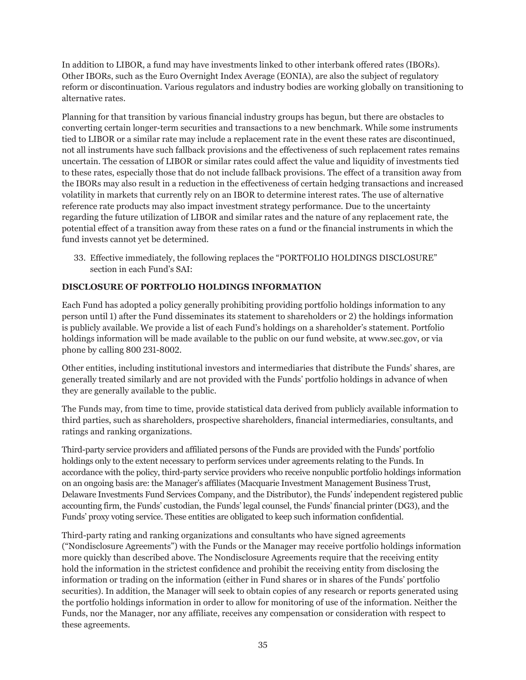In addition to LIBOR, a fund may have investments linked to other interbank offered rates (IBORs). Other IBORs, such as the Euro Overnight Index Average (EONIA), are also the subject of regulatory reform or discontinuation. Various regulators and industry bodies are working globally on transitioning to alternative rates.

Planning for that transition by various financial industry groups has begun, but there are obstacles to converting certain longer-term securities and transactions to a new benchmark. While some instruments tied to LIBOR or a similar rate may include a replacement rate in the event these rates are discontinued, not all instruments have such fallback provisions and the effectiveness of such replacement rates remains uncertain. The cessation of LIBOR or similar rates could affect the value and liquidity of investments tied to these rates, especially those that do not include fallback provisions. The effect of a transition away from the IBORs may also result in a reduction in the effectiveness of certain hedging transactions and increased volatility in markets that currently rely on an IBOR to determine interest rates. The use of alternative reference rate products may also impact investment strategy performance. Due to the uncertainty regarding the future utilization of LIBOR and similar rates and the nature of any replacement rate, the potential effect of a transition away from these rates on a fund or the financial instruments in which the fund invests cannot yet be determined.

33. Effective immediately, the following replaces the "PORTFOLIO HOLDINGS DISCLOSURE" section in each Fund's SAI:

## **DISCLOSURE OF PORTFOLIO HOLDINGS INFORMATION**

Each Fund has adopted a policy generally prohibiting providing portfolio holdings information to any person until 1) after the Fund disseminates its statement to shareholders or 2) the holdings information is publicly available. We provide a list of each Fund's holdings on a shareholder's statement. Portfolio holdings information will be made available to the public on our fund website, at www.sec.gov, or via phone by calling 800 231-8002.

Other entities, including institutional investors and intermediaries that distribute the Funds' shares, are generally treated similarly and are not provided with the Funds' portfolio holdings in advance of when they are generally available to the public.

The Funds may, from time to time, provide statistical data derived from publicly available information to third parties, such as shareholders, prospective shareholders, financial intermediaries, consultants, and ratings and ranking organizations.

Third-party service providers and affiliated persons of the Funds are provided with the Funds' portfolio holdings only to the extent necessary to perform services under agreements relating to the Funds. In accordance with the policy, third-party service providers who receive nonpublic portfolio holdings information on an ongoing basis are: the Manager's affiliates (Macquarie Investment Management Business Trust, Delaware Investments Fund Services Company, and the Distributor), the Funds' independent registered public accounting firm, the Funds' custodian, the Funds' legal counsel, the Funds' financial printer (DG3), and the Funds' proxy voting service. These entities are obligated to keep such information confidential.

Third-party rating and ranking organizations and consultants who have signed agreements ("Nondisclosure Agreements") with the Funds or the Manager may receive portfolio holdings information more quickly than described above. The Nondisclosure Agreements require that the receiving entity hold the information in the strictest confidence and prohibit the receiving entity from disclosing the information or trading on the information (either in Fund shares or in shares of the Funds' portfolio securities). In addition, the Manager will seek to obtain copies of any research or reports generated using the portfolio holdings information in order to allow for monitoring of use of the information. Neither the Funds, nor the Manager, nor any affiliate, receives any compensation or consideration with respect to these agreements.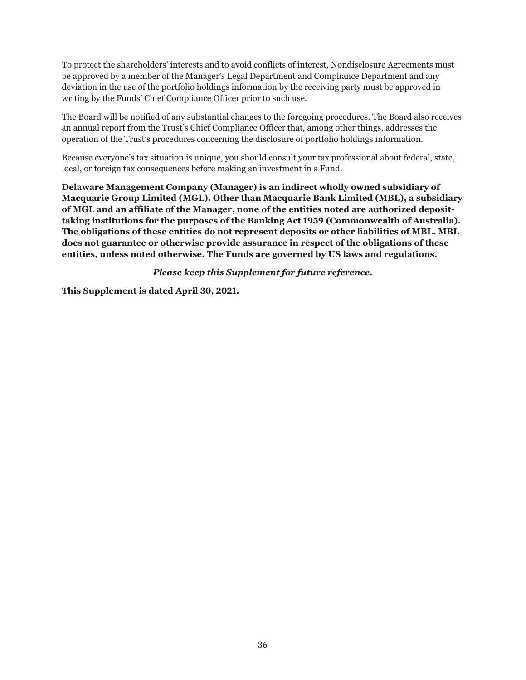To protect the shareholders' interests and to avoid conflicts of interest, Nondisclosure Agreements must be approved by a member of the Manager's Legal Department and Compliance Department and any deviation in the use of the portfolio holdings information by the receiving party must be approved in writing by the Funds' Chief Compliance Officer prior to such use.

The Board will be notified of any substantial changes to the foregoing procedures. The Board also receives an annual report from the Trust's Chief Compliance Officer that, among other things, addresses the operation of the Trust's procedures concerning the disclosure of portfolio holdings information.

Because everyone's tax situation is unique, you should consult your tax professional about federal, state, local, or foreign tax consequences before making an investment in a Fund.

**Delaware Management Company (Manager) is an indirect wholly owned subsidiary of Macquarie Group Limited (MGL). Other than Macquarie Bank Limited (MBL), a subsidiary of MGL and an affiliate of the Manager, none of the entities noted are authorized deposittaking institutions for the purposes of the Banking Act 1959 (Commonwealth of Australia). The obligations of these entities do not represent deposits or other liabilities of MBL. MBL does not guarantee or otherwise provide assurance in respect of the obligations of these entities, unless noted otherwise. The Funds are governed by US laws and regulations.**

*Please keep this Supplement for future reference.*

**This Supplement is dated April 30, 2021.**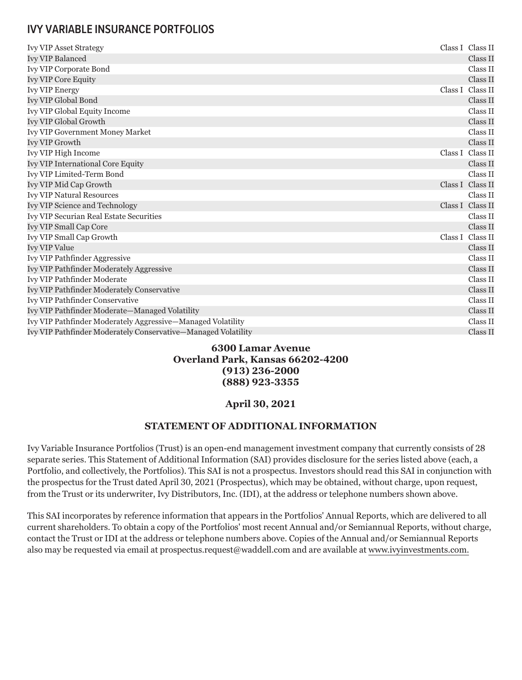# **IVY VARIABLE INSURANCE PORTFOLIOS**

| <b>Ivy VIP Asset Strategy</b>                                 | Class I Class II    |
|---------------------------------------------------------------|---------------------|
| <b>Ivy VIP Balanced</b>                                       | Class <sub>II</sub> |
| Ivy VIP Corporate Bond                                        | Class II            |
| <b>Ivy VIP Core Equity</b>                                    | Class II            |
| <b>Ivy VIP Energy</b>                                         | Class I Class II    |
| <b>Ivy VIP Global Bond</b>                                    | Class II            |
| Ivy VIP Global Equity Income                                  | Class II            |
| <b>Ivy VIP Global Growth</b>                                  | Class <sub>II</sub> |
| <b>Ivy VIP Government Money Market</b>                        | Class II            |
| <b>Ivy VIP Growth</b>                                         | Class II            |
| <b>Ivy VIP High Income</b>                                    | Class I Class II    |
| Ivy VIP International Core Equity                             | Class <sub>II</sub> |
| Ivy VIP Limited-Term Bond                                     | Class II            |
| Ivy VIP Mid Cap Growth                                        | Class I Class II    |
| <b>Ivy VIP Natural Resources</b>                              | Class II            |
| <b>Ivy VIP Science and Technology</b>                         | Class I Class II    |
| Ivy VIP Securian Real Estate Securities                       | Class II            |
| <b>Ivy VIP Small Cap Core</b>                                 | Class <sub>II</sub> |
| Ivy VIP Small Cap Growth                                      | Class I Class II    |
| <b>Ivy VIP Value</b>                                          | Class II            |
| Ivy VIP Pathfinder Aggressive                                 | Class <sub>II</sub> |
| Ivy VIP Pathfinder Moderately Aggressive                      | Class II            |
| Ivy VIP Pathfinder Moderate                                   | Class II            |
| Ivy VIP Pathfinder Moderately Conservative                    | Class <sub>II</sub> |
| Ivy VIP Pathfinder Conservative                               | Class II            |
| Ivy VIP Pathfinder Moderate-Managed Volatility                | Class II            |
| Ivy VIP Pathfinder Moderately Aggressive-Managed Volatility   | Class II            |
| Ivy VIP Pathfinder Moderately Conservative—Managed Volatility | Class II            |

#### **6300 Lamar Avenue Overland Park, Kansas 66202-4200 (913) 236-2000 (888) 923-3355**

# **April 30, 2021**

# **STATEMENT OF ADDITIONAL INFORMATION**

Ivy Variable Insurance Portfolios (Trust) is an open-end management investment company that currently consists of 28 separate series. This Statement of Additional Information (SAI) provides disclosure for the series listed above (each, a Portfolio, and collectively, the Portfolios). This SAI is not a prospectus. Investors should read this SAI in conjunction with the prospectus for the Trust dated April 30, 2021 (Prospectus), which may be obtained, without charge, upon request, from the Trust or its underwriter, Ivy Distributors, Inc. (IDI), at the address or telephone numbers shown above.

This SAI incorporates by reference information that appears in the Portfolios' Annual Reports, which are delivered to all current shareholders. To obtain a copy of the Portfolios' most recent Annual and/or Semiannual Reports, without charge, contact the Trust or IDI at the address or telephone numbers above. Copies of the Annual and/or Semiannual Reports also may be requested via email at prospectus.request@waddell.com and are available at www.ivyinvestments.com.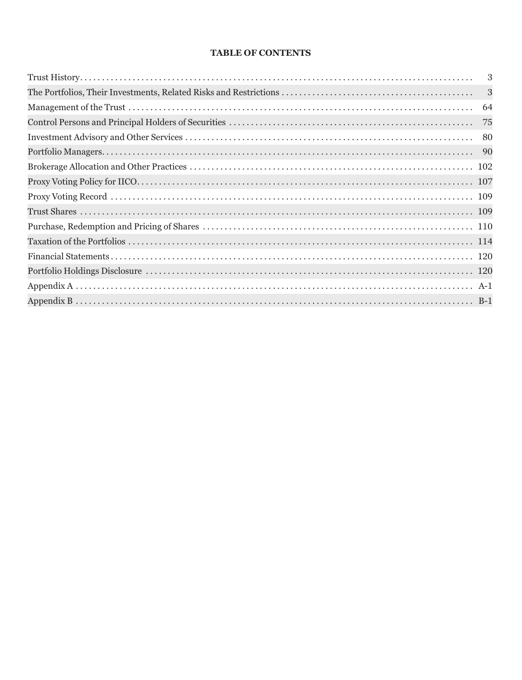#### **TABLE OF CONTENTS**

| 3   |
|-----|
| 3   |
| -64 |
|     |
| 80  |
|     |
|     |
|     |
|     |
|     |
|     |
|     |
|     |
|     |
|     |
|     |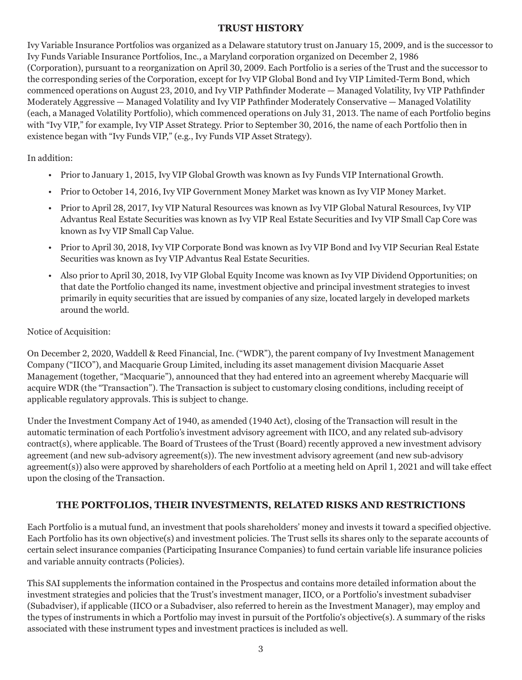# **TRUST HISTORY**

<span id="page-38-0"></span>Ivy Variable Insurance Portfolios was organized as a Delaware statutory trust on January 15, 2009, and is the successor to Ivy Funds Variable Insurance Portfolios, Inc., a Maryland corporation organized on December 2, 1986 (Corporation), pursuant to a reorganization on April 30, 2009. Each Portfolio is a series of the Trust and the successor to the corresponding series of the Corporation, except for Ivy VIP Global Bond and Ivy VIP Limited-Term Bond, which commenced operations on August 23, 2010, and Ivy VIP Pathfinder Moderate — Managed Volatility, Ivy VIP Pathfinder Moderately Aggressive — Managed Volatility and Ivy VIP Pathfinder Moderately Conservative — Managed Volatility (each, a Managed Volatility Portfolio), which commenced operations on July 31, 2013. The name of each Portfolio begins with "Ivy VIP," for example, Ivy VIP Asset Strategy. Prior to September 30, 2016, the name of each Portfolio then in existence began with "Ivy Funds VIP," (e.g., Ivy Funds VIP Asset Strategy).

In addition:

- Prior to January 1, 2015, Ivy VIP Global Growth was known as Ivy Funds VIP International Growth.
- Prior to October 14, 2016, Ivy VIP Government Money Market was known as Ivy VIP Money Market.
- Prior to April 28, 2017, Ivy VIP Natural Resources was known as Ivy VIP Global Natural Resources, Ivy VIP Advantus Real Estate Securities was known as Ivy VIP Real Estate Securities and Ivy VIP Small Cap Core was known as Ivy VIP Small Cap Value.
- Prior to April 30, 2018, Ivy VIP Corporate Bond was known as Ivy VIP Bond and Ivy VIP Securian Real Estate Securities was known as Ivy VIP Advantus Real Estate Securities.
- Also prior to April 30, 2018, Ivy VIP Global Equity Income was known as Ivy VIP Dividend Opportunities; on that date the Portfolio changed its name, investment objective and principal investment strategies to invest primarily in equity securities that are issued by companies of any size, located largely in developed markets around the world.

### Notice of Acquisition:

On December 2, 2020, Waddell & Reed Financial, Inc. ("WDR"), the parent company of Ivy Investment Management Company ("IICO"), and Macquarie Group Limited, including its asset management division Macquarie Asset Management (together, "Macquarie"), announced that they had entered into an agreement whereby Macquarie will acquire WDR (the "Transaction"). The Transaction is subject to customary closing conditions, including receipt of applicable regulatory approvals. This is subject to change.

Under the Investment Company Act of 1940, as amended (1940 Act), closing of the Transaction will result in the automatic termination of each Portfolio's investment advisory agreement with IICO, and any related sub-advisory contract(s), where applicable. The Board of Trustees of the Trust (Board) recently approved a new investment advisory agreement (and new sub-advisory agreement(s)). The new investment advisory agreement (and new sub-advisory agreement(s)) also were approved by shareholders of each Portfolio at a meeting held on April 1, 2021 and will take effect upon the closing of the Transaction.

# **THE PORTFOLIOS, THEIR INVESTMENTS, RELATED RISKS AND RESTRICTIONS**

Each Portfolio is a mutual fund, an investment that pools shareholders' money and invests it toward a specified objective. Each Portfolio has its own objective(s) and investment policies. The Trust sells its shares only to the separate accounts of certain select insurance companies (Participating Insurance Companies) to fund certain variable life insurance policies and variable annuity contracts (Policies).

This SAI supplements the information contained in the Prospectus and contains more detailed information about the investment strategies and policies that the Trust's investment manager, IICO, or a Portfolio's investment subadviser (Subadviser), if applicable (IICO or a Subadviser, also referred to herein as the Investment Manager), may employ and the types of instruments in which a Portfolio may invest in pursuit of the Portfolio's objective(s). A summary of the risks associated with these instrument types and investment practices is included as well.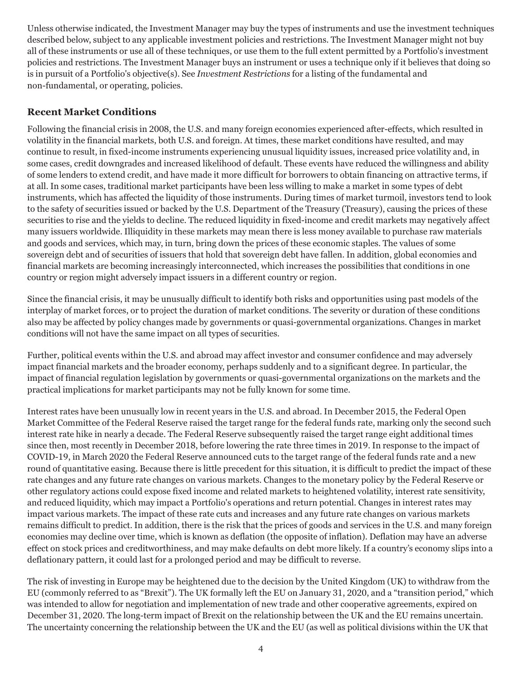Unless otherwise indicated, the Investment Manager may buy the types of instruments and use the investment techniques described below, subject to any applicable investment policies and restrictions. The Investment Manager might not buy all of these instruments or use all of these techniques, or use them to the full extent permitted by a Portfolio's investment policies and restrictions. The Investment Manager buys an instrument or uses a technique only if it believes that doing so is in pursuit of a Portfolio's objective(s). See *Investment Restrictions* for a listing of the fundamental and non-fundamental, or operating, policies.

# **Recent Market Conditions**

Following the financial crisis in 2008, the U.S. and many foreign economies experienced after-effects, which resulted in volatility in the financial markets, both U.S. and foreign. At times, these market conditions have resulted, and may continue to result, in fixed-income instruments experiencing unusual liquidity issues, increased price volatility and, in some cases, credit downgrades and increased likelihood of default. These events have reduced the willingness and ability of some lenders to extend credit, and have made it more difficult for borrowers to obtain financing on attractive terms, if at all. In some cases, traditional market participants have been less willing to make a market in some types of debt instruments, which has affected the liquidity of those instruments. During times of market turmoil, investors tend to look to the safety of securities issued or backed by the U.S. Department of the Treasury (Treasury), causing the prices of these securities to rise and the yields to decline. The reduced liquidity in fixed-income and credit markets may negatively affect many issuers worldwide. Illiquidity in these markets may mean there is less money available to purchase raw materials and goods and services, which may, in turn, bring down the prices of these economic staples. The values of some sovereign debt and of securities of issuers that hold that sovereign debt have fallen. In addition, global economies and financial markets are becoming increasingly interconnected, which increases the possibilities that conditions in one country or region might adversely impact issuers in a different country or region.

Since the financial crisis, it may be unusually difficult to identify both risks and opportunities using past models of the interplay of market forces, or to project the duration of market conditions. The severity or duration of these conditions also may be affected by policy changes made by governments or quasi-governmental organizations. Changes in market conditions will not have the same impact on all types of securities.

Further, political events within the U.S. and abroad may affect investor and consumer confidence and may adversely impact financial markets and the broader economy, perhaps suddenly and to a significant degree. In particular, the impact of financial regulation legislation by governments or quasi-governmental organizations on the markets and the practical implications for market participants may not be fully known for some time.

Interest rates have been unusually low in recent years in the U.S. and abroad. In December 2015, the Federal Open Market Committee of the Federal Reserve raised the target range for the federal funds rate, marking only the second such interest rate hike in nearly a decade. The Federal Reserve subsequently raised the target range eight additional times since then, most recently in December 2018, before lowering the rate three times in 2019. In response to the impact of COVID-19, in March 2020 the Federal Reserve announced cuts to the target range of the federal funds rate and a new round of quantitative easing. Because there is little precedent for this situation, it is difficult to predict the impact of these rate changes and any future rate changes on various markets. Changes to the monetary policy by the Federal Reserve or other regulatory actions could expose fixed income and related markets to heightened volatility, interest rate sensitivity, and reduced liquidity, which may impact a Portfolio's operations and return potential. Changes in interest rates may impact various markets. The impact of these rate cuts and increases and any future rate changes on various markets remains difficult to predict. In addition, there is the risk that the prices of goods and services in the U.S. and many foreign economies may decline over time, which is known as deflation (the opposite of inflation). Deflation may have an adverse effect on stock prices and creditworthiness, and may make defaults on debt more likely. If a country's economy slips into a deflationary pattern, it could last for a prolonged period and may be difficult to reverse.

The risk of investing in Europe may be heightened due to the decision by the United Kingdom (UK) to withdraw from the EU (commonly referred to as "Brexit"). The UK formally left the EU on January 31, 2020, and a "transition period," which was intended to allow for negotiation and implementation of new trade and other cooperative agreements, expired on December 31, 2020. The long-term impact of Brexit on the relationship between the UK and the EU remains uncertain. The uncertainty concerning the relationship between the UK and the EU (as well as political divisions within the UK that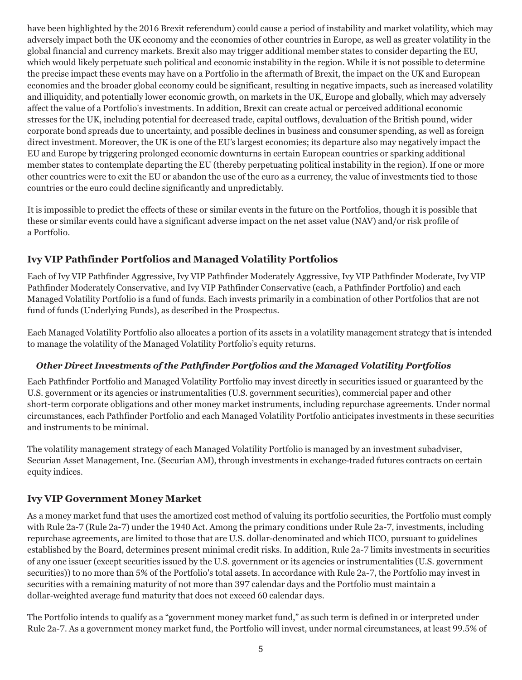have been highlighted by the 2016 Brexit referendum) could cause a period of instability and market volatility, which may adversely impact both the UK economy and the economies of other countries in Europe, as well as greater volatility in the global financial and currency markets. Brexit also may trigger additional member states to consider departing the EU, which would likely perpetuate such political and economic instability in the region. While it is not possible to determine the precise impact these events may have on a Portfolio in the aftermath of Brexit, the impact on the UK and European economies and the broader global economy could be significant, resulting in negative impacts, such as increased volatility and illiquidity, and potentially lower economic growth, on markets in the UK, Europe and globally, which may adversely affect the value of a Portfolio's investments. In addition, Brexit can create actual or perceived additional economic stresses for the UK, including potential for decreased trade, capital outflows, devaluation of the British pound, wider corporate bond spreads due to uncertainty, and possible declines in business and consumer spending, as well as foreign direct investment. Moreover, the UK is one of the EU's largest economies; its departure also may negatively impact the EU and Europe by triggering prolonged economic downturns in certain European countries or sparking additional member states to contemplate departing the EU (thereby perpetuating political instability in the region). If one or more other countries were to exit the EU or abandon the use of the euro as a currency, the value of investments tied to those countries or the euro could decline significantly and unpredictably.

It is impossible to predict the effects of these or similar events in the future on the Portfolios, though it is possible that these or similar events could have a significant adverse impact on the net asset value (NAV) and/or risk profile of a Portfolio.

# **Ivy VIP Pathfinder Portfolios and Managed Volatility Portfolios**

Each of Ivy VIP Pathfinder Aggressive, Ivy VIP Pathfinder Moderately Aggressive, Ivy VIP Pathfinder Moderate, Ivy VIP Pathfinder Moderately Conservative, and Ivy VIP Pathfinder Conservative (each, a Pathfinder Portfolio) and each Managed Volatility Portfolio is a fund of funds. Each invests primarily in a combination of other Portfolios that are not fund of funds (Underlying Funds), as described in the Prospectus.

Each Managed Volatility Portfolio also allocates a portion of its assets in a volatility management strategy that is intended to manage the volatility of the Managed Volatility Portfolio's equity returns.

# *Other Direct Investments of the Pathfinder Portfolios and the Managed Volatility Portfolios*

Each Pathfinder Portfolio and Managed Volatility Portfolio may invest directly in securities issued or guaranteed by the U.S. government or its agencies or instrumentalities (U.S. government securities), commercial paper and other short-term corporate obligations and other money market instruments, including repurchase agreements. Under normal circumstances, each Pathfinder Portfolio and each Managed Volatility Portfolio anticipates investments in these securities and instruments to be minimal.

The volatility management strategy of each Managed Volatility Portfolio is managed by an investment subadviser, Securian Asset Management, Inc. (Securian AM), through investments in exchange-traded futures contracts on certain equity indices.

# **Ivy VIP Government Money Market**

As a money market fund that uses the amortized cost method of valuing its portfolio securities, the Portfolio must comply with Rule 2a-7 (Rule 2a-7) under the 1940 Act. Among the primary conditions under Rule 2a-7, investments, including repurchase agreements, are limited to those that are U.S. dollar-denominated and which IICO, pursuant to guidelines established by the Board, determines present minimal credit risks. In addition, Rule 2a-7 limits investments in securities of any one issuer (except securities issued by the U.S. government or its agencies or instrumentalities (U.S. government securities)) to no more than 5% of the Portfolio's total assets. In accordance with Rule 2a-7, the Portfolio may invest in securities with a remaining maturity of not more than 397 calendar days and the Portfolio must maintain a dollar-weighted average fund maturity that does not exceed 60 calendar days.

The Portfolio intends to qualify as a "government money market fund," as such term is defined in or interpreted under Rule 2a-7. As a government money market fund, the Portfolio will invest, under normal circumstances, at least 99.5% of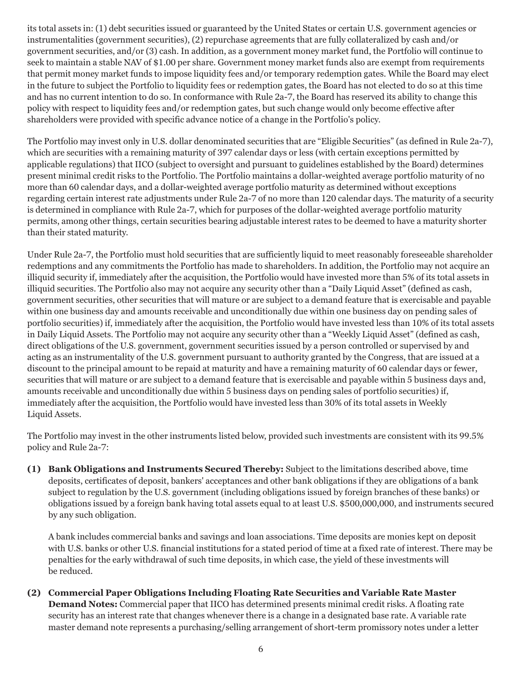its total assets in: (1) debt securities issued or guaranteed by the United States or certain U.S. government agencies or instrumentalities (government securities), (2) repurchase agreements that are fully collateralized by cash and/or government securities, and/or (3) cash. In addition, as a government money market fund, the Portfolio will continue to seek to maintain a stable NAV of \$1.00 per share. Government money market funds also are exempt from requirements that permit money market funds to impose liquidity fees and/or temporary redemption gates. While the Board may elect in the future to subject the Portfolio to liquidity fees or redemption gates, the Board has not elected to do so at this time and has no current intention to do so. In conformance with Rule 2a-7, the Board has reserved its ability to change this policy with respect to liquidity fees and/or redemption gates, but such change would only become effective after shareholders were provided with specific advance notice of a change in the Portfolio's policy.

The Portfolio may invest only in U.S. dollar denominated securities that are "Eligible Securities" (as defined in Rule 2a-7), which are securities with a remaining maturity of 397 calendar days or less (with certain exceptions permitted by applicable regulations) that IICO (subject to oversight and pursuant to guidelines established by the Board) determines present minimal credit risks to the Portfolio. The Portfolio maintains a dollar-weighted average portfolio maturity of no more than 60 calendar days, and a dollar-weighted average portfolio maturity as determined without exceptions regarding certain interest rate adjustments under Rule 2a-7 of no more than 120 calendar days. The maturity of a security is determined in compliance with Rule 2a-7, which for purposes of the dollar-weighted average portfolio maturity permits, among other things, certain securities bearing adjustable interest rates to be deemed to have a maturity shorter than their stated maturity.

Under Rule 2a-7, the Portfolio must hold securities that are sufficiently liquid to meet reasonably foreseeable shareholder redemptions and any commitments the Portfolio has made to shareholders. In addition, the Portfolio may not acquire an illiquid security if, immediately after the acquisition, the Portfolio would have invested more than 5% of its total assets in illiquid securities. The Portfolio also may not acquire any security other than a "Daily Liquid Asset" (defined as cash, government securities, other securities that will mature or are subject to a demand feature that is exercisable and payable within one business day and amounts receivable and unconditionally due within one business day on pending sales of portfolio securities) if, immediately after the acquisition, the Portfolio would have invested less than 10% of its total assets in Daily Liquid Assets. The Portfolio may not acquire any security other than a "Weekly Liquid Asset" (defined as cash, direct obligations of the U.S. government, government securities issued by a person controlled or supervised by and acting as an instrumentality of the U.S. government pursuant to authority granted by the Congress, that are issued at a discount to the principal amount to be repaid at maturity and have a remaining maturity of 60 calendar days or fewer, securities that will mature or are subject to a demand feature that is exercisable and payable within 5 business days and, amounts receivable and unconditionally due within 5 business days on pending sales of portfolio securities) if, immediately after the acquisition, the Portfolio would have invested less than 30% of its total assets in Weekly Liquid Assets.

The Portfolio may invest in the other instruments listed below, provided such investments are consistent with its 99.5% policy and Rule 2a-7:

**(1) Bank Obligations and Instruments Secured Thereby:** Subject to the limitations described above, time deposits, certificates of deposit, bankers' acceptances and other bank obligations if they are obligations of a bank subject to regulation by the U.S. government (including obligations issued by foreign branches of these banks) or obligations issued by a foreign bank having total assets equal to at least U.S. \$500,000,000, and instruments secured by any such obligation.

A bank includes commercial banks and savings and loan associations. Time deposits are monies kept on deposit with U.S. banks or other U.S. financial institutions for a stated period of time at a fixed rate of interest. There may be penalties for the early withdrawal of such time deposits, in which case, the yield of these investments will be reduced.

**(2) Commercial Paper Obligations Including Floating Rate Securities and Variable Rate Master Demand Notes:** Commercial paper that IICO has determined presents minimal credit risks. A floating rate security has an interest rate that changes whenever there is a change in a designated base rate. A variable rate master demand note represents a purchasing/selling arrangement of short-term promissory notes under a letter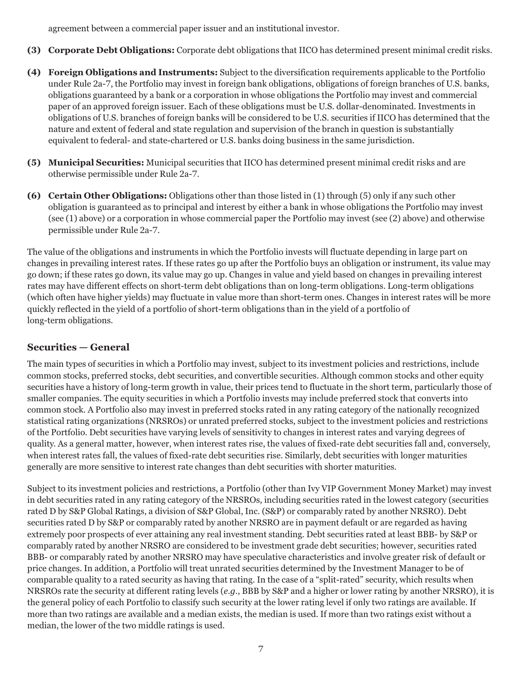agreement between a commercial paper issuer and an institutional investor.

- **(3) Corporate Debt Obligations:** Corporate debt obligations that IICO has determined present minimal credit risks.
- **(4) Foreign Obligations and Instruments:** Subject to the diversification requirements applicable to the Portfolio under Rule 2a-7, the Portfolio may invest in foreign bank obligations, obligations of foreign branches of U.S. banks, obligations guaranteed by a bank or a corporation in whose obligations the Portfolio may invest and commercial paper of an approved foreign issuer. Each of these obligations must be U.S. dollar-denominated. Investments in obligations of U.S. branches of foreign banks will be considered to be U.S. securities if IICO has determined that the nature and extent of federal and state regulation and supervision of the branch in question is substantially equivalent to federal- and state-chartered or U.S. banks doing business in the same jurisdiction.
- **(5) Municipal Securities:** Municipal securities that IICO has determined present minimal credit risks and are otherwise permissible under Rule 2a-7.
- **(6) Certain Other Obligations:** Obligations other than those listed in (1) through (5) only if any such other obligation is guaranteed as to principal and interest by either a bank in whose obligations the Portfolio may invest (see (1) above) or a corporation in whose commercial paper the Portfolio may invest (see (2) above) and otherwise permissible under Rule 2a-7.

The value of the obligations and instruments in which the Portfolio invests will fluctuate depending in large part on changes in prevailing interest rates. If these rates go up after the Portfolio buys an obligation or instrument, its value may go down; if these rates go down, its value may go up. Changes in value and yield based on changes in prevailing interest rates may have different effects on short-term debt obligations than on long-term obligations. Long-term obligations (which often have higher yields) may fluctuate in value more than short-term ones. Changes in interest rates will be more quickly reflected in the yield of a portfolio of short-term obligations than in the yield of a portfolio of long-term obligations.

# **Securities — General**

The main types of securities in which a Portfolio may invest, subject to its investment policies and restrictions, include common stocks, preferred stocks, debt securities, and convertible securities. Although common stocks and other equity securities have a history of long-term growth in value, their prices tend to fluctuate in the short term, particularly those of smaller companies. The equity securities in which a Portfolio invests may include preferred stock that converts into common stock. A Portfolio also may invest in preferred stocks rated in any rating category of the nationally recognized statistical rating organizations (NRSROs) or unrated preferred stocks, subject to the investment policies and restrictions of the Portfolio. Debt securities have varying levels of sensitivity to changes in interest rates and varying degrees of quality. As a general matter, however, when interest rates rise, the values of fixed-rate debt securities fall and, conversely, when interest rates fall, the values of fixed-rate debt securities rise. Similarly, debt securities with longer maturities generally are more sensitive to interest rate changes than debt securities with shorter maturities.

Subject to its investment policies and restrictions, a Portfolio (other than Ivy VIP Government Money Market) may invest in debt securities rated in any rating category of the NRSROs, including securities rated in the lowest category (securities rated D by S&P Global Ratings, a division of S&P Global, Inc. (S&P) or comparably rated by another NRSRO). Debt securities rated D by S&P or comparably rated by another NRSRO are in payment default or are regarded as having extremely poor prospects of ever attaining any real investment standing. Debt securities rated at least BBB- by S&P or comparably rated by another NRSRO are considered to be investment grade debt securities; however, securities rated BBB- or comparably rated by another NRSRO may have speculative characteristics and involve greater risk of default or price changes. In addition, a Portfolio will treat unrated securities determined by the Investment Manager to be of comparable quality to a rated security as having that rating. In the case of a "split-rated" security, which results when NRSROs rate the security at different rating levels (*e.g.*, BBB by S&P and a higher or lower rating by another NRSRO), it is the general policy of each Portfolio to classify such security at the lower rating level if only two ratings are available. If more than two ratings are available and a median exists, the median is used. If more than two ratings exist without a median, the lower of the two middle ratings is used.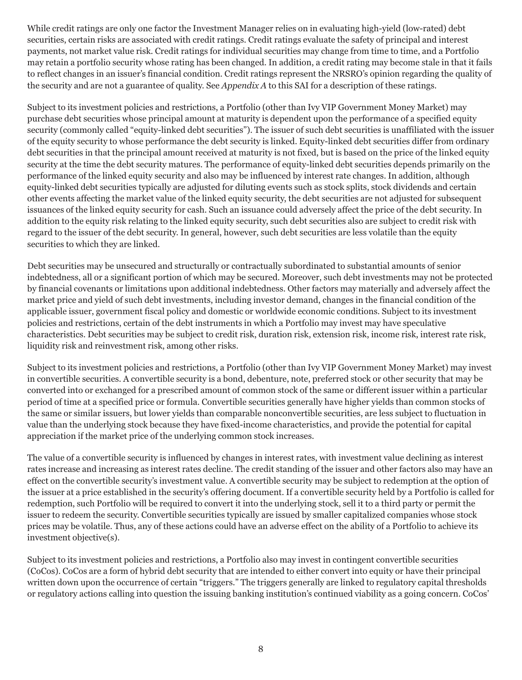While credit ratings are only one factor the Investment Manager relies on in evaluating high-yield (low-rated) debt securities, certain risks are associated with credit ratings. Credit ratings evaluate the safety of principal and interest payments, not market value risk. Credit ratings for individual securities may change from time to time, and a Portfolio may retain a portfolio security whose rating has been changed. In addition, a credit rating may become stale in that it fails to reflect changes in an issuer's financial condition. Credit ratings represent the NRSRO's opinion regarding the quality of the security and are not a guarantee of quality. See *Appendix A* to this SAI for a description of these ratings.

Subject to its investment policies and restrictions, a Portfolio (other than Ivy VIP Government Money Market) may purchase debt securities whose principal amount at maturity is dependent upon the performance of a specified equity security (commonly called "equity-linked debt securities"). The issuer of such debt securities is unaffiliated with the issuer of the equity security to whose performance the debt security is linked. Equity-linked debt securities differ from ordinary debt securities in that the principal amount received at maturity is not fixed, but is based on the price of the linked equity security at the time the debt security matures. The performance of equity-linked debt securities depends primarily on the performance of the linked equity security and also may be influenced by interest rate changes. In addition, although equity-linked debt securities typically are adjusted for diluting events such as stock splits, stock dividends and certain other events affecting the market value of the linked equity security, the debt securities are not adjusted for subsequent issuances of the linked equity security for cash. Such an issuance could adversely affect the price of the debt security. In addition to the equity risk relating to the linked equity security, such debt securities also are subject to credit risk with regard to the issuer of the debt security. In general, however, such debt securities are less volatile than the equity securities to which they are linked.

Debt securities may be unsecured and structurally or contractually subordinated to substantial amounts of senior indebtedness, all or a significant portion of which may be secured. Moreover, such debt investments may not be protected by financial covenants or limitations upon additional indebtedness. Other factors may materially and adversely affect the market price and yield of such debt investments, including investor demand, changes in the financial condition of the applicable issuer, government fiscal policy and domestic or worldwide economic conditions. Subject to its investment policies and restrictions, certain of the debt instruments in which a Portfolio may invest may have speculative characteristics. Debt securities may be subject to credit risk, duration risk, extension risk, income risk, interest rate risk, liquidity risk and reinvestment risk, among other risks.

Subject to its investment policies and restrictions, a Portfolio (other than Ivy VIP Government Money Market) may invest in convertible securities. A convertible security is a bond, debenture, note, preferred stock or other security that may be converted into or exchanged for a prescribed amount of common stock of the same or different issuer within a particular period of time at a specified price or formula. Convertible securities generally have higher yields than common stocks of the same or similar issuers, but lower yields than comparable nonconvertible securities, are less subject to fluctuation in value than the underlying stock because they have fixed-income characteristics, and provide the potential for capital appreciation if the market price of the underlying common stock increases.

The value of a convertible security is influenced by changes in interest rates, with investment value declining as interest rates increase and increasing as interest rates decline. The credit standing of the issuer and other factors also may have an effect on the convertible security's investment value. A convertible security may be subject to redemption at the option of the issuer at a price established in the security's offering document. If a convertible security held by a Portfolio is called for redemption, such Portfolio will be required to convert it into the underlying stock, sell it to a third party or permit the issuer to redeem the security. Convertible securities typically are issued by smaller capitalized companies whose stock prices may be volatile. Thus, any of these actions could have an adverse effect on the ability of a Portfolio to achieve its investment objective(s).

Subject to its investment policies and restrictions, a Portfolio also may invest in contingent convertible securities (CoCos). CoCos are a form of hybrid debt security that are intended to either convert into equity or have their principal written down upon the occurrence of certain "triggers." The triggers generally are linked to regulatory capital thresholds or regulatory actions calling into question the issuing banking institution's continued viability as a going concern. CoCos'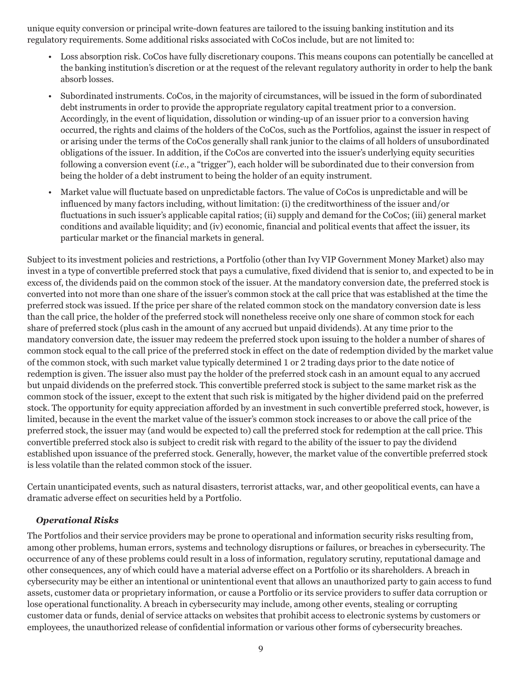unique equity conversion or principal write-down features are tailored to the issuing banking institution and its regulatory requirements. Some additional risks associated with CoCos include, but are not limited to:

- Loss absorption risk. CoCos have fully discretionary coupons. This means coupons can potentially be cancelled at the banking institution's discretion or at the request of the relevant regulatory authority in order to help the bank absorb losses.
- Subordinated instruments. CoCos, in the majority of circumstances, will be issued in the form of subordinated debt instruments in order to provide the appropriate regulatory capital treatment prior to a conversion. Accordingly, in the event of liquidation, dissolution or winding-up of an issuer prior to a conversion having occurred, the rights and claims of the holders of the CoCos, such as the Portfolios, against the issuer in respect of or arising under the terms of the CoCos generally shall rank junior to the claims of all holders of unsubordinated obligations of the issuer. In addition, if the CoCos are converted into the issuer's underlying equity securities following a conversion event (*i.e.*, a "trigger"), each holder will be subordinated due to their conversion from being the holder of a debt instrument to being the holder of an equity instrument.
- Market value will fluctuate based on unpredictable factors. The value of CoCos is unpredictable and will be influenced by many factors including, without limitation: (i) the creditworthiness of the issuer and/or fluctuations in such issuer's applicable capital ratios; (ii) supply and demand for the CoCos; (iii) general market conditions and available liquidity; and (iv) economic, financial and political events that affect the issuer, its particular market or the financial markets in general.

Subject to its investment policies and restrictions, a Portfolio (other than Ivy VIP Government Money Market) also may invest in a type of convertible preferred stock that pays a cumulative, fixed dividend that is senior to, and expected to be in excess of, the dividends paid on the common stock of the issuer. At the mandatory conversion date, the preferred stock is converted into not more than one share of the issuer's common stock at the call price that was established at the time the preferred stock was issued. If the price per share of the related common stock on the mandatory conversion date is less than the call price, the holder of the preferred stock will nonetheless receive only one share of common stock for each share of preferred stock (plus cash in the amount of any accrued but unpaid dividends). At any time prior to the mandatory conversion date, the issuer may redeem the preferred stock upon issuing to the holder a number of shares of common stock equal to the call price of the preferred stock in effect on the date of redemption divided by the market value of the common stock, with such market value typically determined 1 or 2 trading days prior to the date notice of redemption is given. The issuer also must pay the holder of the preferred stock cash in an amount equal to any accrued but unpaid dividends on the preferred stock. This convertible preferred stock is subject to the same market risk as the common stock of the issuer, except to the extent that such risk is mitigated by the higher dividend paid on the preferred stock. The opportunity for equity appreciation afforded by an investment in such convertible preferred stock, however, is limited, because in the event the market value of the issuer's common stock increases to or above the call price of the preferred stock, the issuer may (and would be expected to) call the preferred stock for redemption at the call price. This convertible preferred stock also is subject to credit risk with regard to the ability of the issuer to pay the dividend established upon issuance of the preferred stock. Generally, however, the market value of the convertible preferred stock is less volatile than the related common stock of the issuer.

Certain unanticipated events, such as natural disasters, terrorist attacks, war, and other geopolitical events, can have a dramatic adverse effect on securities held by a Portfolio.

#### *Operational Risks*

The Portfolios and their service providers may be prone to operational and information security risks resulting from, among other problems, human errors, systems and technology disruptions or failures, or breaches in cybersecurity. The occurrence of any of these problems could result in a loss of information, regulatory scrutiny, reputational damage and other consequences, any of which could have a material adverse effect on a Portfolio or its shareholders. A breach in cybersecurity may be either an intentional or unintentional event that allows an unauthorized party to gain access to fund assets, customer data or proprietary information, or cause a Portfolio or its service providers to suffer data corruption or lose operational functionality. A breach in cybersecurity may include, among other events, stealing or corrupting customer data or funds, denial of service attacks on websites that prohibit access to electronic systems by customers or employees, the unauthorized release of confidential information or various other forms of cybersecurity breaches.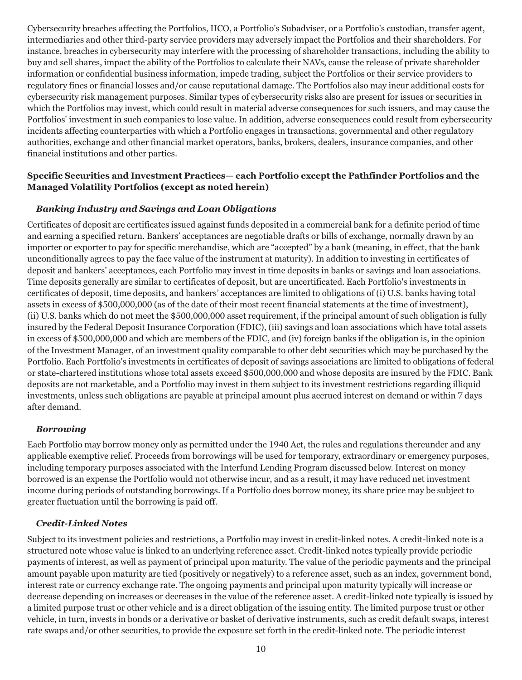Cybersecurity breaches affecting the Portfolios, IICO, a Portfolio's Subadviser, or a Portfolio's custodian, transfer agent, intermediaries and other third-party service providers may adversely impact the Portfolios and their shareholders. For instance, breaches in cybersecurity may interfere with the processing of shareholder transactions, including the ability to buy and sell shares, impact the ability of the Portfolios to calculate their NAVs, cause the release of private shareholder information or confidential business information, impede trading, subject the Portfolios or their service providers to regulatory fines or financial losses and/or cause reputational damage. The Portfolios also may incur additional costs for cybersecurity risk management purposes. Similar types of cybersecurity risks also are present for issues or securities in which the Portfolios may invest, which could result in material adverse consequences for such issuers, and may cause the Portfolios' investment in such companies to lose value. In addition, adverse consequences could result from cybersecurity incidents affecting counterparties with which a Portfolio engages in transactions, governmental and other regulatory authorities, exchange and other financial market operators, banks, brokers, dealers, insurance companies, and other financial institutions and other parties.

# **Specific Securities and Investment Practices— each Portfolio except the Pathfinder Portfolios and the Managed Volatility Portfolios (except as noted herein)**

### *Banking Industry and Savings and Loan Obligations*

Certificates of deposit are certificates issued against funds deposited in a commercial bank for a definite period of time and earning a specified return. Bankers' acceptances are negotiable drafts or bills of exchange, normally drawn by an importer or exporter to pay for specific merchandise, which are "accepted" by a bank (meaning, in effect, that the bank unconditionally agrees to pay the face value of the instrument at maturity). In addition to investing in certificates of deposit and bankers' acceptances, each Portfolio may invest in time deposits in banks or savings and loan associations. Time deposits generally are similar to certificates of deposit, but are uncertificated. Each Portfolio's investments in certificates of deposit, time deposits, and bankers' acceptances are limited to obligations of (i) U.S. banks having total assets in excess of \$500,000,000 (as of the date of their most recent financial statements at the time of investment), (ii) U.S. banks which do not meet the \$500,000,000 asset requirement, if the principal amount of such obligation is fully insured by the Federal Deposit Insurance Corporation (FDIC), (iii) savings and loan associations which have total assets in excess of \$500,000,000 and which are members of the FDIC, and (iv) foreign banks if the obligation is, in the opinion of the Investment Manager, of an investment quality comparable to other debt securities which may be purchased by the Portfolio. Each Portfolio's investments in certificates of deposit of savings associations are limited to obligations of federal or state-chartered institutions whose total assets exceed \$500,000,000 and whose deposits are insured by the FDIC. Bank deposits are not marketable, and a Portfolio may invest in them subject to its investment restrictions regarding illiquid investments, unless such obligations are payable at principal amount plus accrued interest on demand or within 7 days after demand.

#### *Borrowing*

Each Portfolio may borrow money only as permitted under the 1940 Act, the rules and regulations thereunder and any applicable exemptive relief. Proceeds from borrowings will be used for temporary, extraordinary or emergency purposes, including temporary purposes associated with the Interfund Lending Program discussed below. Interest on money borrowed is an expense the Portfolio would not otherwise incur, and as a result, it may have reduced net investment income during periods of outstanding borrowings. If a Portfolio does borrow money, its share price may be subject to greater fluctuation until the borrowing is paid off.

# *Credit-Linked Notes*

Subject to its investment policies and restrictions, a Portfolio may invest in credit-linked notes. A credit-linked note is a structured note whose value is linked to an underlying reference asset. Credit-linked notes typically provide periodic payments of interest, as well as payment of principal upon maturity. The value of the periodic payments and the principal amount payable upon maturity are tied (positively or negatively) to a reference asset, such as an index, government bond, interest rate or currency exchange rate. The ongoing payments and principal upon maturity typically will increase or decrease depending on increases or decreases in the value of the reference asset. A credit-linked note typically is issued by a limited purpose trust or other vehicle and is a direct obligation of the issuing entity. The limited purpose trust or other vehicle, in turn, invests in bonds or a derivative or basket of derivative instruments, such as credit default swaps, interest rate swaps and/or other securities, to provide the exposure set forth in the credit-linked note. The periodic interest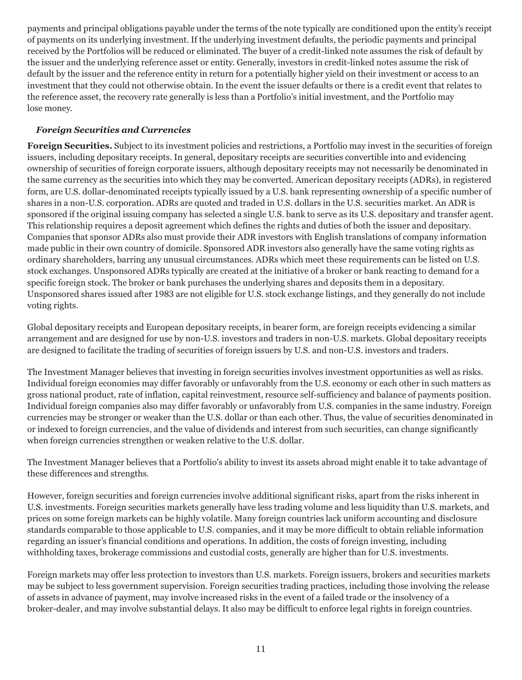payments and principal obligations payable under the terms of the note typically are conditioned upon the entity's receipt of payments on its underlying investment. If the underlying investment defaults, the periodic payments and principal received by the Portfolios will be reduced or eliminated. The buyer of a credit-linked note assumes the risk of default by the issuer and the underlying reference asset or entity. Generally, investors in credit-linked notes assume the risk of default by the issuer and the reference entity in return for a potentially higher yield on their investment or access to an investment that they could not otherwise obtain. In the event the issuer defaults or there is a credit event that relates to the reference asset, the recovery rate generally is less than a Portfolio's initial investment, and the Portfolio may lose money.

### *Foreign Securities and Currencies*

**Foreign Securities.** Subject to its investment policies and restrictions, a Portfolio may invest in the securities of foreign issuers, including depositary receipts. In general, depositary receipts are securities convertible into and evidencing ownership of securities of foreign corporate issuers, although depositary receipts may not necessarily be denominated in the same currency as the securities into which they may be converted. American depositary receipts (ADRs), in registered form, are U.S. dollar-denominated receipts typically issued by a U.S. bank representing ownership of a specific number of shares in a non-U.S. corporation. ADRs are quoted and traded in U.S. dollars in the U.S. securities market. An ADR is sponsored if the original issuing company has selected a single U.S. bank to serve as its U.S. depositary and transfer agent. This relationship requires a deposit agreement which defines the rights and duties of both the issuer and depositary. Companies that sponsor ADRs also must provide their ADR investors with English translations of company information made public in their own country of domicile. Sponsored ADR investors also generally have the same voting rights as ordinary shareholders, barring any unusual circumstances. ADRs which meet these requirements can be listed on U.S. stock exchanges. Unsponsored ADRs typically are created at the initiative of a broker or bank reacting to demand for a specific foreign stock. The broker or bank purchases the underlying shares and deposits them in a depositary. Unsponsored shares issued after 1983 are not eligible for U.S. stock exchange listings, and they generally do not include voting rights.

Global depositary receipts and European depositary receipts, in bearer form, are foreign receipts evidencing a similar arrangement and are designed for use by non-U.S. investors and traders in non-U.S. markets. Global depositary receipts are designed to facilitate the trading of securities of foreign issuers by U.S. and non-U.S. investors and traders.

The Investment Manager believes that investing in foreign securities involves investment opportunities as well as risks. Individual foreign economies may differ favorably or unfavorably from the U.S. economy or each other in such matters as gross national product, rate of inflation, capital reinvestment, resource self-sufficiency and balance of payments position. Individual foreign companies also may differ favorably or unfavorably from U.S. companies in the same industry. Foreign currencies may be stronger or weaker than the U.S. dollar or than each other. Thus, the value of securities denominated in or indexed to foreign currencies, and the value of dividends and interest from such securities, can change significantly when foreign currencies strengthen or weaken relative to the U.S. dollar.

The Investment Manager believes that a Portfolio's ability to invest its assets abroad might enable it to take advantage of these differences and strengths.

However, foreign securities and foreign currencies involve additional significant risks, apart from the risks inherent in U.S. investments. Foreign securities markets generally have less trading volume and less liquidity than U.S. markets, and prices on some foreign markets can be highly volatile. Many foreign countries lack uniform accounting and disclosure standards comparable to those applicable to U.S. companies, and it may be more difficult to obtain reliable information regarding an issuer's financial conditions and operations. In addition, the costs of foreign investing, including withholding taxes, brokerage commissions and custodial costs, generally are higher than for U.S. investments.

Foreign markets may offer less protection to investors than U.S. markets. Foreign issuers, brokers and securities markets may be subject to less government supervision. Foreign securities trading practices, including those involving the release of assets in advance of payment, may involve increased risks in the event of a failed trade or the insolvency of a broker-dealer, and may involve substantial delays. It also may be difficult to enforce legal rights in foreign countries.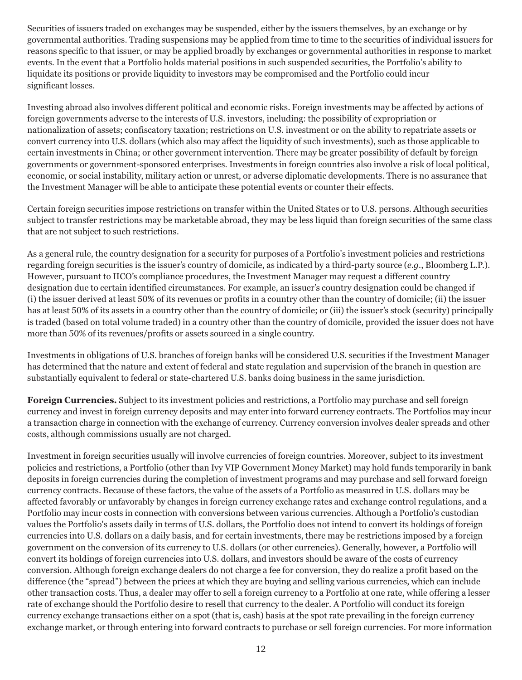Securities of issuers traded on exchanges may be suspended, either by the issuers themselves, by an exchange or by governmental authorities. Trading suspensions may be applied from time to time to the securities of individual issuers for reasons specific to that issuer, or may be applied broadly by exchanges or governmental authorities in response to market events. In the event that a Portfolio holds material positions in such suspended securities, the Portfolio's ability to liquidate its positions or provide liquidity to investors may be compromised and the Portfolio could incur significant losses.

Investing abroad also involves different political and economic risks. Foreign investments may be affected by actions of foreign governments adverse to the interests of U.S. investors, including: the possibility of expropriation or nationalization of assets; confiscatory taxation; restrictions on U.S. investment or on the ability to repatriate assets or convert currency into U.S. dollars (which also may affect the liquidity of such investments), such as those applicable to certain investments in China; or other government intervention. There may be greater possibility of default by foreign governments or government-sponsored enterprises. Investments in foreign countries also involve a risk of local political, economic, or social instability, military action or unrest, or adverse diplomatic developments. There is no assurance that the Investment Manager will be able to anticipate these potential events or counter their effects.

Certain foreign securities impose restrictions on transfer within the United States or to U.S. persons. Although securities subject to transfer restrictions may be marketable abroad, they may be less liquid than foreign securities of the same class that are not subject to such restrictions.

As a general rule, the country designation for a security for purposes of a Portfolio's investment policies and restrictions regarding foreign securities is the issuer's country of domicile, as indicated by a third-party source (*e.g.*, Bloomberg L.P.). However, pursuant to IICO's compliance procedures, the Investment Manager may request a different country designation due to certain identified circumstances. For example, an issuer's country designation could be changed if (i) the issuer derived at least 50% of its revenues or profits in a country other than the country of domicile; (ii) the issuer has at least 50% of its assets in a country other than the country of domicile; or (iii) the issuer's stock (security) principally is traded (based on total volume traded) in a country other than the country of domicile, provided the issuer does not have more than 50% of its revenues/profits or assets sourced in a single country.

Investments in obligations of U.S. branches of foreign banks will be considered U.S. securities if the Investment Manager has determined that the nature and extent of federal and state regulation and supervision of the branch in question are substantially equivalent to federal or state-chartered U.S. banks doing business in the same jurisdiction.

**Foreign Currencies.** Subject to its investment policies and restrictions, a Portfolio may purchase and sell foreign currency and invest in foreign currency deposits and may enter into forward currency contracts. The Portfolios may incur a transaction charge in connection with the exchange of currency. Currency conversion involves dealer spreads and other costs, although commissions usually are not charged.

Investment in foreign securities usually will involve currencies of foreign countries. Moreover, subject to its investment policies and restrictions, a Portfolio (other than Ivy VIP Government Money Market) may hold funds temporarily in bank deposits in foreign currencies during the completion of investment programs and may purchase and sell forward foreign currency contracts. Because of these factors, the value of the assets of a Portfolio as measured in U.S. dollars may be affected favorably or unfavorably by changes in foreign currency exchange rates and exchange control regulations, and a Portfolio may incur costs in connection with conversions between various currencies. Although a Portfolio's custodian values the Portfolio's assets daily in terms of U.S. dollars, the Portfolio does not intend to convert its holdings of foreign currencies into U.S. dollars on a daily basis, and for certain investments, there may be restrictions imposed by a foreign government on the conversion of its currency to U.S. dollars (or other currencies). Generally, however, a Portfolio will convert its holdings of foreign currencies into U.S. dollars, and investors should be aware of the costs of currency conversion. Although foreign exchange dealers do not charge a fee for conversion, they do realize a profit based on the difference (the "spread") between the prices at which they are buying and selling various currencies, which can include other transaction costs. Thus, a dealer may offer to sell a foreign currency to a Portfolio at one rate, while offering a lesser rate of exchange should the Portfolio desire to resell that currency to the dealer. A Portfolio will conduct its foreign currency exchange transactions either on a spot (that is, cash) basis at the spot rate prevailing in the foreign currency exchange market, or through entering into forward contracts to purchase or sell foreign currencies. For more information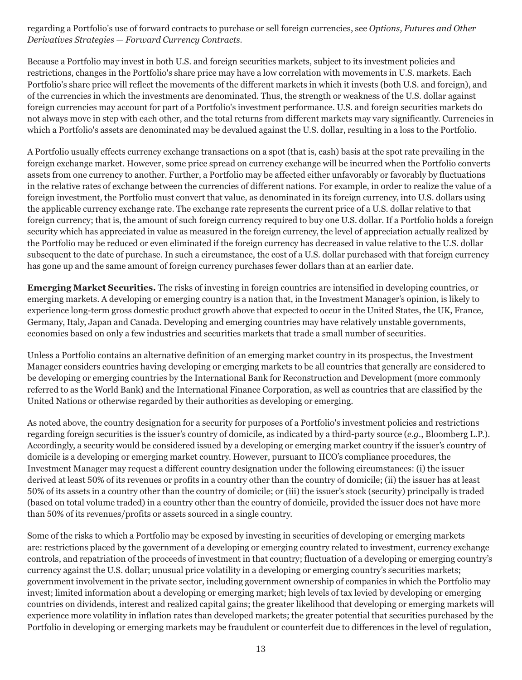regarding a Portfolio's use of forward contracts to purchase or sell foreign currencies, see *Options, Futures and Other Derivatives Strategies — Forward Currency Contracts.*

Because a Portfolio may invest in both U.S. and foreign securities markets, subject to its investment policies and restrictions, changes in the Portfolio's share price may have a low correlation with movements in U.S. markets. Each Portfolio's share price will reflect the movements of the different markets in which it invests (both U.S. and foreign), and of the currencies in which the investments are denominated. Thus, the strength or weakness of the U.S. dollar against foreign currencies may account for part of a Portfolio's investment performance. U.S. and foreign securities markets do not always move in step with each other, and the total returns from different markets may vary significantly. Currencies in which a Portfolio's assets are denominated may be devalued against the U.S. dollar, resulting in a loss to the Portfolio.

A Portfolio usually effects currency exchange transactions on a spot (that is, cash) basis at the spot rate prevailing in the foreign exchange market. However, some price spread on currency exchange will be incurred when the Portfolio converts assets from one currency to another. Further, a Portfolio may be affected either unfavorably or favorably by fluctuations in the relative rates of exchange between the currencies of different nations. For example, in order to realize the value of a foreign investment, the Portfolio must convert that value, as denominated in its foreign currency, into U.S. dollars using the applicable currency exchange rate. The exchange rate represents the current price of a U.S. dollar relative to that foreign currency; that is, the amount of such foreign currency required to buy one U.S. dollar. If a Portfolio holds a foreign security which has appreciated in value as measured in the foreign currency, the level of appreciation actually realized by the Portfolio may be reduced or even eliminated if the foreign currency has decreased in value relative to the U.S. dollar subsequent to the date of purchase. In such a circumstance, the cost of a U.S. dollar purchased with that foreign currency has gone up and the same amount of foreign currency purchases fewer dollars than at an earlier date.

**Emerging Market Securities.** The risks of investing in foreign countries are intensified in developing countries, or emerging markets. A developing or emerging country is a nation that, in the Investment Manager's opinion, is likely to experience long-term gross domestic product growth above that expected to occur in the United States, the UK, France, Germany, Italy, Japan and Canada. Developing and emerging countries may have relatively unstable governments, economies based on only a few industries and securities markets that trade a small number of securities.

Unless a Portfolio contains an alternative definition of an emerging market country in its prospectus, the Investment Manager considers countries having developing or emerging markets to be all countries that generally are considered to be developing or emerging countries by the International Bank for Reconstruction and Development (more commonly referred to as the World Bank) and the International Finance Corporation, as well as countries that are classified by the United Nations or otherwise regarded by their authorities as developing or emerging.

As noted above, the country designation for a security for purposes of a Portfolio's investment policies and restrictions regarding foreign securities is the issuer's country of domicile, as indicated by a third-party source (*e.g.*, Bloomberg L.P.). Accordingly, a security would be considered issued by a developing or emerging market country if the issuer's country of domicile is a developing or emerging market country. However, pursuant to IICO's compliance procedures, the Investment Manager may request a different country designation under the following circumstances: (i) the issuer derived at least 50% of its revenues or profits in a country other than the country of domicile; (ii) the issuer has at least 50% of its assets in a country other than the country of domicile; or (iii) the issuer's stock (security) principally is traded (based on total volume traded) in a country other than the country of domicile, provided the issuer does not have more than 50% of its revenues/profits or assets sourced in a single country.

Some of the risks to which a Portfolio may be exposed by investing in securities of developing or emerging markets are: restrictions placed by the government of a developing or emerging country related to investment, currency exchange controls, and repatriation of the proceeds of investment in that country; fluctuation of a developing or emerging country's currency against the U.S. dollar; unusual price volatility in a developing or emerging country's securities markets; government involvement in the private sector, including government ownership of companies in which the Portfolio may invest; limited information about a developing or emerging market; high levels of tax levied by developing or emerging countries on dividends, interest and realized capital gains; the greater likelihood that developing or emerging markets will experience more volatility in inflation rates than developed markets; the greater potential that securities purchased by the Portfolio in developing or emerging markets may be fraudulent or counterfeit due to differences in the level of regulation,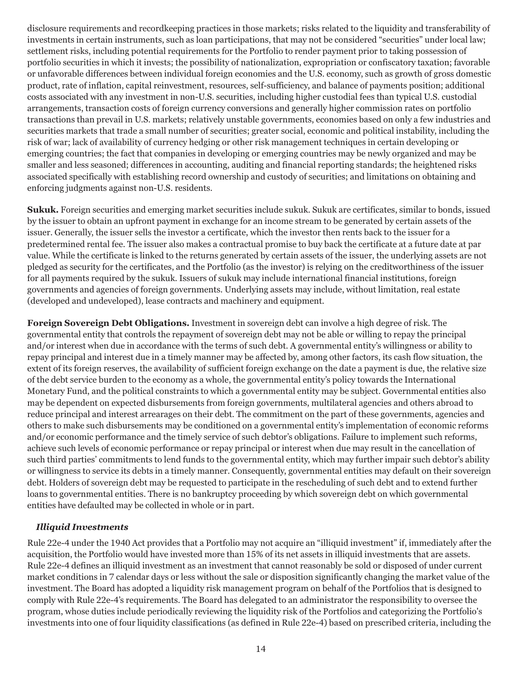disclosure requirements and recordkeeping practices in those markets; risks related to the liquidity and transferability of investments in certain instruments, such as loan participations, that may not be considered "securities" under local law; settlement risks, including potential requirements for the Portfolio to render payment prior to taking possession of portfolio securities in which it invests; the possibility of nationalization, expropriation or confiscatory taxation; favorable or unfavorable differences between individual foreign economies and the U.S. economy, such as growth of gross domestic product, rate of inflation, capital reinvestment, resources, self-sufficiency, and balance of payments position; additional costs associated with any investment in non-U.S. securities, including higher custodial fees than typical U.S. custodial arrangements, transaction costs of foreign currency conversions and generally higher commission rates on portfolio transactions than prevail in U.S. markets; relatively unstable governments, economies based on only a few industries and securities markets that trade a small number of securities; greater social, economic and political instability, including the risk of war; lack of availability of currency hedging or other risk management techniques in certain developing or emerging countries; the fact that companies in developing or emerging countries may be newly organized and may be smaller and less seasoned; differences in accounting, auditing and financial reporting standards; the heightened risks associated specifically with establishing record ownership and custody of securities; and limitations on obtaining and enforcing judgments against non-U.S. residents.

**Sukuk.** Foreign securities and emerging market securities include sukuk. Sukuk are certificates, similar to bonds, issued by the issuer to obtain an upfront payment in exchange for an income stream to be generated by certain assets of the issuer. Generally, the issuer sells the investor a certificate, which the investor then rents back to the issuer for a predetermined rental fee. The issuer also makes a contractual promise to buy back the certificate at a future date at par value. While the certificate is linked to the returns generated by certain assets of the issuer, the underlying assets are not pledged as security for the certificates, and the Portfolio (as the investor) is relying on the creditworthiness of the issuer for all payments required by the sukuk. Issuers of sukuk may include international financial institutions, foreign governments and agencies of foreign governments. Underlying assets may include, without limitation, real estate (developed and undeveloped), lease contracts and machinery and equipment.

**Foreign Sovereign Debt Obligations.** Investment in sovereign debt can involve a high degree of risk. The governmental entity that controls the repayment of sovereign debt may not be able or willing to repay the principal and/or interest when due in accordance with the terms of such debt. A governmental entity's willingness or ability to repay principal and interest due in a timely manner may be affected by, among other factors, its cash flow situation, the extent of its foreign reserves, the availability of sufficient foreign exchange on the date a payment is due, the relative size of the debt service burden to the economy as a whole, the governmental entity's policy towards the International Monetary Fund, and the political constraints to which a governmental entity may be subject. Governmental entities also may be dependent on expected disbursements from foreign governments, multilateral agencies and others abroad to reduce principal and interest arrearages on their debt. The commitment on the part of these governments, agencies and others to make such disbursements may be conditioned on a governmental entity's implementation of economic reforms and/or economic performance and the timely service of such debtor's obligations. Failure to implement such reforms, achieve such levels of economic performance or repay principal or interest when due may result in the cancellation of such third parties' commitments to lend funds to the governmental entity, which may further impair such debtor's ability or willingness to service its debts in a timely manner. Consequently, governmental entities may default on their sovereign debt. Holders of sovereign debt may be requested to participate in the rescheduling of such debt and to extend further loans to governmental entities. There is no bankruptcy proceeding by which sovereign debt on which governmental entities have defaulted may be collected in whole or in part.

#### *Illiquid Investments*

Rule 22e-4 under the 1940 Act provides that a Portfolio may not acquire an "illiquid investment" if, immediately after the acquisition, the Portfolio would have invested more than 15% of its net assets in illiquid investments that are assets. Rule 22e-4 defines an illiquid investment as an investment that cannot reasonably be sold or disposed of under current market conditions in 7 calendar days or less without the sale or disposition significantly changing the market value of the investment. The Board has adopted a liquidity risk management program on behalf of the Portfolios that is designed to comply with Rule 22e-4's requirements. The Board has delegated to an administrator the responsibility to oversee the program, whose duties include periodically reviewing the liquidity risk of the Portfolios and categorizing the Portfolio's investments into one of four liquidity classifications (as defined in Rule 22e-4) based on prescribed criteria, including the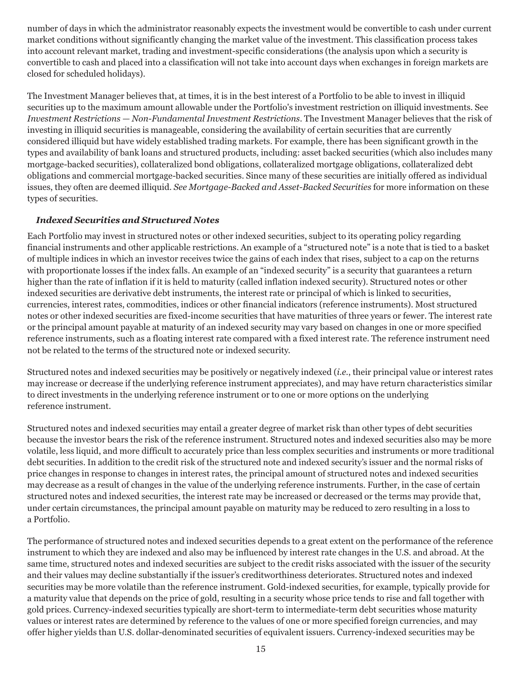number of days in which the administrator reasonably expects the investment would be convertible to cash under current market conditions without significantly changing the market value of the investment. This classification process takes into account relevant market, trading and investment-specific considerations (the analysis upon which a security is convertible to cash and placed into a classification will not take into account days when exchanges in foreign markets are closed for scheduled holidays).

The Investment Manager believes that, at times, it is in the best interest of a Portfolio to be able to invest in illiquid securities up to the maximum amount allowable under the Portfolio's investment restriction on illiquid investments. See *Investment Restrictions — Non-Fundamental Investment Restrictions*. The Investment Manager believes that the risk of investing in illiquid securities is manageable, considering the availability of certain securities that are currently considered illiquid but have widely established trading markets. For example, there has been significant growth in the types and availability of bank loans and structured products, including: asset backed securities (which also includes many mortgage-backed securities), collateralized bond obligations, collateralized mortgage obligations, collateralized debt obligations and commercial mortgage-backed securities. Since many of these securities are initially offered as individual issues, they often are deemed illiquid. *See Mortgage-Backed and Asset-Backed Securities* for more information on these types of securities.

### *Indexed Securities and Structured Notes*

Each Portfolio may invest in structured notes or other indexed securities, subject to its operating policy regarding financial instruments and other applicable restrictions. An example of a "structured note" is a note that is tied to a basket of multiple indices in which an investor receives twice the gains of each index that rises, subject to a cap on the returns with proportionate losses if the index falls. An example of an "indexed security" is a security that guarantees a return higher than the rate of inflation if it is held to maturity (called inflation indexed security). Structured notes or other indexed securities are derivative debt instruments, the interest rate or principal of which is linked to securities, currencies, interest rates, commodities, indices or other financial indicators (reference instruments). Most structured notes or other indexed securities are fixed-income securities that have maturities of three years or fewer. The interest rate or the principal amount payable at maturity of an indexed security may vary based on changes in one or more specified reference instruments, such as a floating interest rate compared with a fixed interest rate. The reference instrument need not be related to the terms of the structured note or indexed security.

Structured notes and indexed securities may be positively or negatively indexed (*i.e.*, their principal value or interest rates may increase or decrease if the underlying reference instrument appreciates), and may have return characteristics similar to direct investments in the underlying reference instrument or to one or more options on the underlying reference instrument.

Structured notes and indexed securities may entail a greater degree of market risk than other types of debt securities because the investor bears the risk of the reference instrument. Structured notes and indexed securities also may be more volatile, less liquid, and more difficult to accurately price than less complex securities and instruments or more traditional debt securities. In addition to the credit risk of the structured note and indexed security's issuer and the normal risks of price changes in response to changes in interest rates, the principal amount of structured notes and indexed securities may decrease as a result of changes in the value of the underlying reference instruments. Further, in the case of certain structured notes and indexed securities, the interest rate may be increased or decreased or the terms may provide that, under certain circumstances, the principal amount payable on maturity may be reduced to zero resulting in a loss to a Portfolio.

The performance of structured notes and indexed securities depends to a great extent on the performance of the reference instrument to which they are indexed and also may be influenced by interest rate changes in the U.S. and abroad. At the same time, structured notes and indexed securities are subject to the credit risks associated with the issuer of the security and their values may decline substantially if the issuer's creditworthiness deteriorates. Structured notes and indexed securities may be more volatile than the reference instrument. Gold-indexed securities, for example, typically provide for a maturity value that depends on the price of gold, resulting in a security whose price tends to rise and fall together with gold prices. Currency-indexed securities typically are short-term to intermediate-term debt securities whose maturity values or interest rates are determined by reference to the values of one or more specified foreign currencies, and may offer higher yields than U.S. dollar-denominated securities of equivalent issuers. Currency-indexed securities may be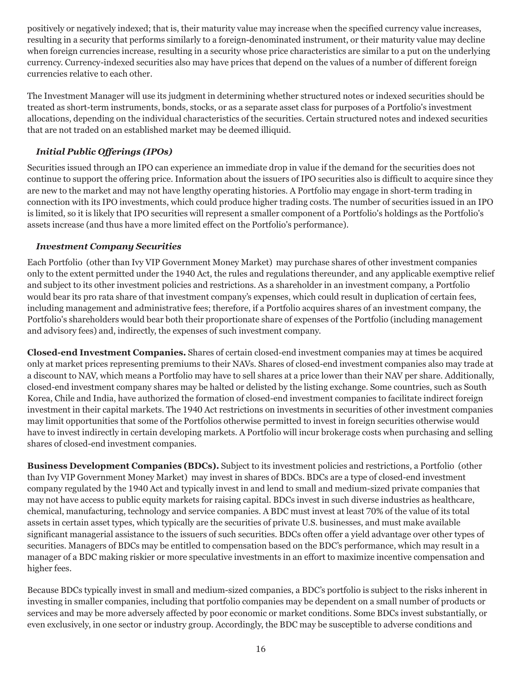positively or negatively indexed; that is, their maturity value may increase when the specified currency value increases, resulting in a security that performs similarly to a foreign-denominated instrument, or their maturity value may decline when foreign currencies increase, resulting in a security whose price characteristics are similar to a put on the underlying currency. Currency-indexed securities also may have prices that depend on the values of a number of different foreign currencies relative to each other.

The Investment Manager will use its judgment in determining whether structured notes or indexed securities should be treated as short-term instruments, bonds, stocks, or as a separate asset class for purposes of a Portfolio's investment allocations, depending on the individual characteristics of the securities. Certain structured notes and indexed securities that are not traded on an established market may be deemed illiquid.

# *Initial Public Offerings (IPOs)*

Securities issued through an IPO can experience an immediate drop in value if the demand for the securities does not continue to support the offering price. Information about the issuers of IPO securities also is difficult to acquire since they are new to the market and may not have lengthy operating histories. A Portfolio may engage in short-term trading in connection with its IPO investments, which could produce higher trading costs. The number of securities issued in an IPO is limited, so it is likely that IPO securities will represent a smaller component of a Portfolio's holdings as the Portfolio's assets increase (and thus have a more limited effect on the Portfolio's performance).

#### *Investment Company Securities*

Each Portfolio (other than Ivy VIP Government Money Market) may purchase shares of other investment companies only to the extent permitted under the 1940 Act, the rules and regulations thereunder, and any applicable exemptive relief and subject to its other investment policies and restrictions. As a shareholder in an investment company, a Portfolio would bear its pro rata share of that investment company's expenses, which could result in duplication of certain fees, including management and administrative fees; therefore, if a Portfolio acquires shares of an investment company, the Portfolio's shareholders would bear both their proportionate share of expenses of the Portfolio (including management and advisory fees) and, indirectly, the expenses of such investment company.

**Closed-end Investment Companies.** Shares of certain closed-end investment companies may at times be acquired only at market prices representing premiums to their NAVs. Shares of closed-end investment companies also may trade at a discount to NAV, which means a Portfolio may have to sell shares at a price lower than their NAV per share. Additionally, closed-end investment company shares may be halted or delisted by the listing exchange. Some countries, such as South Korea, Chile and India, have authorized the formation of closed-end investment companies to facilitate indirect foreign investment in their capital markets. The 1940 Act restrictions on investments in securities of other investment companies may limit opportunities that some of the Portfolios otherwise permitted to invest in foreign securities otherwise would have to invest indirectly in certain developing markets. A Portfolio will incur brokerage costs when purchasing and selling shares of closed-end investment companies.

**Business Development Companies (BDCs).** Subject to its investment policies and restrictions, a Portfolio (other than Ivy VIP Government Money Market) may invest in shares of BDCs. BDCs are a type of closed-end investment company regulated by the 1940 Act and typically invest in and lend to small and medium-sized private companies that may not have access to public equity markets for raising capital. BDCs invest in such diverse industries as healthcare, chemical, manufacturing, technology and service companies. A BDC must invest at least 70% of the value of its total assets in certain asset types, which typically are the securities of private U.S. businesses, and must make available significant managerial assistance to the issuers of such securities. BDCs often offer a yield advantage over other types of securities. Managers of BDCs may be entitled to compensation based on the BDC's performance, which may result in a manager of a BDC making riskier or more speculative investments in an effort to maximize incentive compensation and higher fees.

Because BDCs typically invest in small and medium-sized companies, a BDC's portfolio is subject to the risks inherent in investing in smaller companies, including that portfolio companies may be dependent on a small number of products or services and may be more adversely affected by poor economic or market conditions. Some BDCs invest substantially, or even exclusively, in one sector or industry group. Accordingly, the BDC may be susceptible to adverse conditions and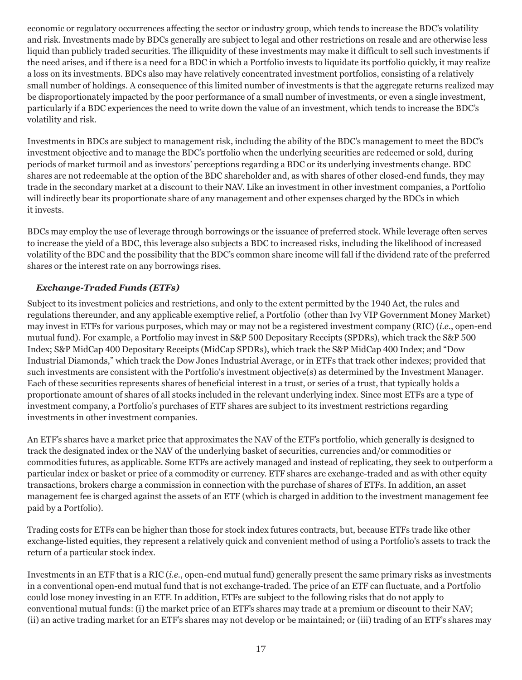economic or regulatory occurrences affecting the sector or industry group, which tends to increase the BDC's volatility and risk. Investments made by BDCs generally are subject to legal and other restrictions on resale and are otherwise less liquid than publicly traded securities. The illiquidity of these investments may make it difficult to sell such investments if the need arises, and if there is a need for a BDC in which a Portfolio invests to liquidate its portfolio quickly, it may realize a loss on its investments. BDCs also may have relatively concentrated investment portfolios, consisting of a relatively small number of holdings. A consequence of this limited number of investments is that the aggregate returns realized may be disproportionately impacted by the poor performance of a small number of investments, or even a single investment, particularly if a BDC experiences the need to write down the value of an investment, which tends to increase the BDC's volatility and risk.

Investments in BDCs are subject to management risk, including the ability of the BDC's management to meet the BDC's investment objective and to manage the BDC's portfolio when the underlying securities are redeemed or sold, during periods of market turmoil and as investors' perceptions regarding a BDC or its underlying investments change. BDC shares are not redeemable at the option of the BDC shareholder and, as with shares of other closed-end funds, they may trade in the secondary market at a discount to their NAV. Like an investment in other investment companies, a Portfolio will indirectly bear its proportionate share of any management and other expenses charged by the BDCs in which it invests.

BDCs may employ the use of leverage through borrowings or the issuance of preferred stock. While leverage often serves to increase the yield of a BDC, this leverage also subjects a BDC to increased risks, including the likelihood of increased volatility of the BDC and the possibility that the BDC's common share income will fall if the dividend rate of the preferred shares or the interest rate on any borrowings rises.

# *Exchange-Traded Funds (ETFs)*

Subject to its investment policies and restrictions, and only to the extent permitted by the 1940 Act, the rules and regulations thereunder, and any applicable exemptive relief, a Portfolio (other than Ivy VIP Government Money Market) may invest in ETFs for various purposes, which may or may not be a registered investment company (RIC) (*i.e.*, open-end mutual fund). For example, a Portfolio may invest in S&P 500 Depositary Receipts (SPDRs), which track the S&P 500 Index; S&P MidCap 400 Depositary Receipts (MidCap SPDRs), which track the S&P MidCap 400 Index; and "Dow Industrial Diamonds," which track the Dow Jones Industrial Average, or in ETFs that track other indexes; provided that such investments are consistent with the Portfolio's investment objective(s) as determined by the Investment Manager. Each of these securities represents shares of beneficial interest in a trust, or series of a trust, that typically holds a proportionate amount of shares of all stocks included in the relevant underlying index. Since most ETFs are a type of investment company, a Portfolio's purchases of ETF shares are subject to its investment restrictions regarding investments in other investment companies.

An ETF's shares have a market price that approximates the NAV of the ETF's portfolio, which generally is designed to track the designated index or the NAV of the underlying basket of securities, currencies and/or commodities or commodities futures, as applicable. Some ETFs are actively managed and instead of replicating, they seek to outperform a particular index or basket or price of a commodity or currency. ETF shares are exchange-traded and as with other equity transactions, brokers charge a commission in connection with the purchase of shares of ETFs. In addition, an asset management fee is charged against the assets of an ETF (which is charged in addition to the investment management fee paid by a Portfolio).

Trading costs for ETFs can be higher than those for stock index futures contracts, but, because ETFs trade like other exchange-listed equities, they represent a relatively quick and convenient method of using a Portfolio's assets to track the return of a particular stock index.

Investments in an ETF that is a RIC (*i.e.*, open-end mutual fund) generally present the same primary risks as investments in a conventional open-end mutual fund that is not exchange-traded. The price of an ETF can fluctuate, and a Portfolio could lose money investing in an ETF. In addition, ETFs are subject to the following risks that do not apply to conventional mutual funds: (i) the market price of an ETF's shares may trade at a premium or discount to their NAV; (ii) an active trading market for an ETF's shares may not develop or be maintained; or (iii) trading of an ETF's shares may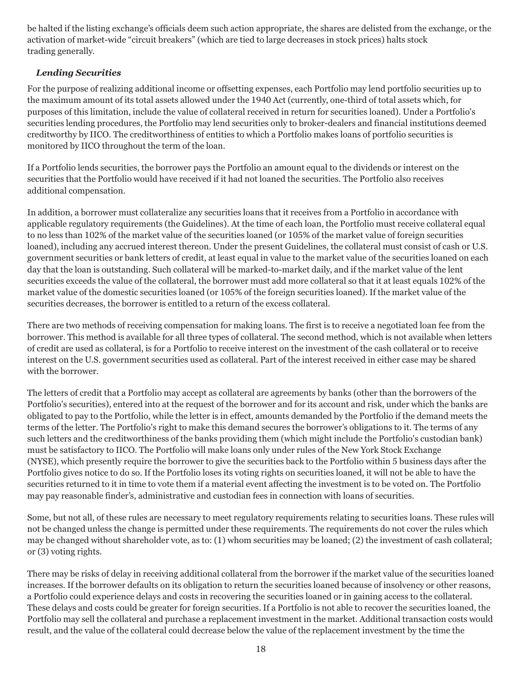be halted if the listing exchange's officials deem such action appropriate, the shares are delisted from the exchange, or the activation of market-wide "circuit breakers" (which are tied to large decreases in stock prices) halts stock trading generally.

### *Lending Securities*

For the purpose of realizing additional income or offsetting expenses, each Portfolio may lend portfolio securities up to the maximum amount of its total assets allowed under the 1940 Act (currently, one-third of total assets which, for purposes of this limitation, include the value of collateral received in return for securities loaned). Under a Portfolio's securities lending procedures, the Portfolio may lend securities only to broker-dealers and financial institutions deemed creditworthy by IICO. The creditworthiness of entities to which a Portfolio makes loans of portfolio securities is monitored by IICO throughout the term of the loan.

If a Portfolio lends securities, the borrower pays the Portfolio an amount equal to the dividends or interest on the securities that the Portfolio would have received if it had not loaned the securities. The Portfolio also receives additional compensation.

In addition, a borrower must collateralize any securities loans that it receives from a Portfolio in accordance with applicable regulatory requirements (the Guidelines). At the time of each loan, the Portfolio must receive collateral equal to no less than 102% of the market value of the securities loaned (or 105% of the market value of foreign securities loaned), including any accrued interest thereon. Under the present Guidelines, the collateral must consist of cash or U.S. government securities or bank letters of credit, at least equal in value to the market value of the securities loaned on each day that the loan is outstanding. Such collateral will be marked-to-market daily, and if the market value of the lent securities exceeds the value of the collateral, the borrower must add more collateral so that it at least equals 102% of the market value of the domestic securities loaned (or 105% of the foreign securities loaned). If the market value of the securities decreases, the borrower is entitled to a return of the excess collateral.

There are two methods of receiving compensation for making loans. The first is to receive a negotiated loan fee from the borrower. This method is available for all three types of collateral. The second method, which is not available when letters of credit are used as collateral, is for a Portfolio to receive interest on the investment of the cash collateral or to receive interest on the U.S. government securities used as collateral. Part of the interest received in either case may be shared with the borrower.

The letters of credit that a Portfolio may accept as collateral are agreements by banks (other than the borrowers of the Portfolio's securities), entered into at the request of the borrower and for its account and risk, under which the banks are obligated to pay to the Portfolio, while the letter is in effect, amounts demanded by the Portfolio if the demand meets the terms of the letter. The Portfolio's right to make this demand secures the borrower's obligations to it. The terms of any such letters and the creditworthiness of the banks providing them (which might include the Portfolio's custodian bank) must be satisfactory to IICO. The Portfolio will make loans only under rules of the New York Stock Exchange (NYSE), which presently require the borrower to give the securities back to the Portfolio within 5 business days after the Portfolio gives notice to do so. If the Portfolio loses its voting rights on securities loaned, it will not be able to have the securities returned to it in time to vote them if a material event affecting the investment is to be voted on. The Portfolio may pay reasonable finder's, administrative and custodian fees in connection with loans of securities.

Some, but not all, of these rules are necessary to meet regulatory requirements relating to securities loans. These rules will not be changed unless the change is permitted under these requirements. The requirements do not cover the rules which may be changed without shareholder vote, as to: (1) whom securities may be loaned; (2) the investment of cash collateral; or (3) voting rights.

There may be risks of delay in receiving additional collateral from the borrower if the market value of the securities loaned increases. If the borrower defaults on its obligation to return the securities loaned because of insolvency or other reasons, a Portfolio could experience delays and costs in recovering the securities loaned or in gaining access to the collateral. These delays and costs could be greater for foreign securities. If a Portfolio is not able to recover the securities loaned, the Portfolio may sell the collateral and purchase a replacement investment in the market. Additional transaction costs would result, and the value of the collateral could decrease below the value of the replacement investment by the time the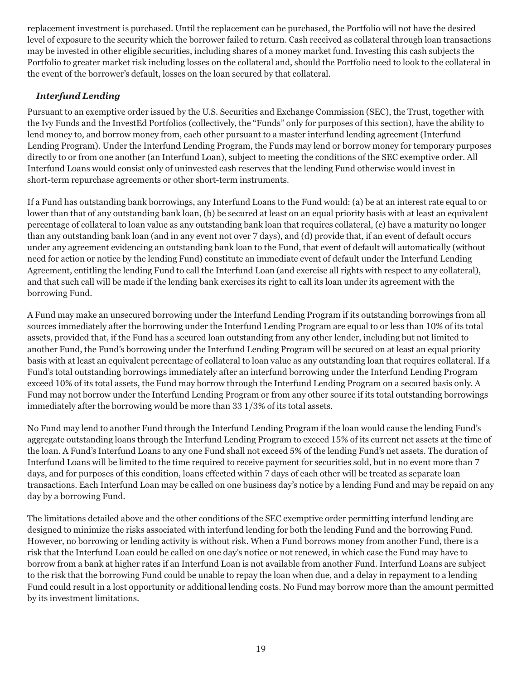replacement investment is purchased. Until the replacement can be purchased, the Portfolio will not have the desired level of exposure to the security which the borrower failed to return. Cash received as collateral through loan transactions may be invested in other eligible securities, including shares of a money market fund. Investing this cash subjects the Portfolio to greater market risk including losses on the collateral and, should the Portfolio need to look to the collateral in the event of the borrower's default, losses on the loan secured by that collateral.

# *Interfund Lending*

Pursuant to an exemptive order issued by the U.S. Securities and Exchange Commission (SEC), the Trust, together with the Ivy Funds and the InvestEd Portfolios (collectively, the "Funds" only for purposes of this section), have the ability to lend money to, and borrow money from, each other pursuant to a master interfund lending agreement (Interfund Lending Program). Under the Interfund Lending Program, the Funds may lend or borrow money for temporary purposes directly to or from one another (an Interfund Loan), subject to meeting the conditions of the SEC exemptive order. All Interfund Loans would consist only of uninvested cash reserves that the lending Fund otherwise would invest in short-term repurchase agreements or other short-term instruments.

If a Fund has outstanding bank borrowings, any Interfund Loans to the Fund would: (a) be at an interest rate equal to or lower than that of any outstanding bank loan, (b) be secured at least on an equal priority basis with at least an equivalent percentage of collateral to loan value as any outstanding bank loan that requires collateral, (c) have a maturity no longer than any outstanding bank loan (and in any event not over 7 days), and (d) provide that, if an event of default occurs under any agreement evidencing an outstanding bank loan to the Fund, that event of default will automatically (without need for action or notice by the lending Fund) constitute an immediate event of default under the Interfund Lending Agreement, entitling the lending Fund to call the Interfund Loan (and exercise all rights with respect to any collateral), and that such call will be made if the lending bank exercises its right to call its loan under its agreement with the borrowing Fund.

A Fund may make an unsecured borrowing under the Interfund Lending Program if its outstanding borrowings from all sources immediately after the borrowing under the Interfund Lending Program are equal to or less than 10% of its total assets, provided that, if the Fund has a secured loan outstanding from any other lender, including but not limited to another Fund, the Fund's borrowing under the Interfund Lending Program will be secured on at least an equal priority basis with at least an equivalent percentage of collateral to loan value as any outstanding loan that requires collateral. If a Fund's total outstanding borrowings immediately after an interfund borrowing under the Interfund Lending Program exceed 10% of its total assets, the Fund may borrow through the Interfund Lending Program on a secured basis only. A Fund may not borrow under the Interfund Lending Program or from any other source if its total outstanding borrowings immediately after the borrowing would be more than 33 1/3% of its total assets.

No Fund may lend to another Fund through the Interfund Lending Program if the loan would cause the lending Fund's aggregate outstanding loans through the Interfund Lending Program to exceed 15% of its current net assets at the time of the loan. A Fund's Interfund Loans to any one Fund shall not exceed 5% of the lending Fund's net assets. The duration of Interfund Loans will be limited to the time required to receive payment for securities sold, but in no event more than 7 days, and for purposes of this condition, loans effected within 7 days of each other will be treated as separate loan transactions. Each Interfund Loan may be called on one business day's notice by a lending Fund and may be repaid on any day by a borrowing Fund.

The limitations detailed above and the other conditions of the SEC exemptive order permitting interfund lending are designed to minimize the risks associated with interfund lending for both the lending Fund and the borrowing Fund. However, no borrowing or lending activity is without risk. When a Fund borrows money from another Fund, there is a risk that the Interfund Loan could be called on one day's notice or not renewed, in which case the Fund may have to borrow from a bank at higher rates if an Interfund Loan is not available from another Fund. Interfund Loans are subject to the risk that the borrowing Fund could be unable to repay the loan when due, and a delay in repayment to a lending Fund could result in a lost opportunity or additional lending costs. No Fund may borrow more than the amount permitted by its investment limitations.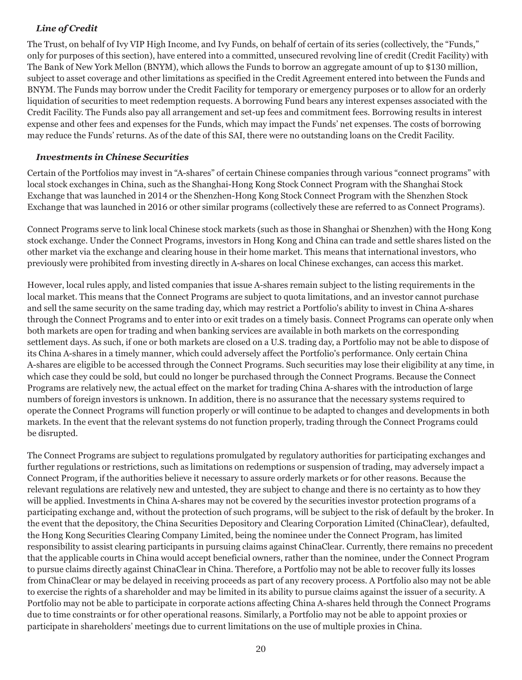# *Line of Credit*

The Trust, on behalf of Ivy VIP High Income, and Ivy Funds, on behalf of certain of its series (collectively, the "Funds," only for purposes of this section), have entered into a committed, unsecured revolving line of credit (Credit Facility) with The Bank of New York Mellon (BNYM), which allows the Funds to borrow an aggregate amount of up to \$130 million, subject to asset coverage and other limitations as specified in the Credit Agreement entered into between the Funds and BNYM. The Funds may borrow under the Credit Facility for temporary or emergency purposes or to allow for an orderly liquidation of securities to meet redemption requests. A borrowing Fund bears any interest expenses associated with the Credit Facility. The Funds also pay all arrangement and set-up fees and commitment fees. Borrowing results in interest expense and other fees and expenses for the Funds, which may impact the Funds' net expenses. The costs of borrowing may reduce the Funds' returns. As of the date of this SAI, there were no outstanding loans on the Credit Facility.

#### *Investments in Chinese Securities*

Certain of the Portfolios may invest in "A-shares" of certain Chinese companies through various "connect programs" with local stock exchanges in China, such as the Shanghai-Hong Kong Stock Connect Program with the Shanghai Stock Exchange that was launched in 2014 or the Shenzhen-Hong Kong Stock Connect Program with the Shenzhen Stock Exchange that was launched in 2016 or other similar programs (collectively these are referred to as Connect Programs).

Connect Programs serve to link local Chinese stock markets (such as those in Shanghai or Shenzhen) with the Hong Kong stock exchange. Under the Connect Programs, investors in Hong Kong and China can trade and settle shares listed on the other market via the exchange and clearing house in their home market. This means that international investors, who previously were prohibited from investing directly in A-shares on local Chinese exchanges, can access this market.

However, local rules apply, and listed companies that issue A-shares remain subject to the listing requirements in the local market. This means that the Connect Programs are subject to quota limitations, and an investor cannot purchase and sell the same security on the same trading day, which may restrict a Portfolio's ability to invest in China A-shares through the Connect Programs and to enter into or exit trades on a timely basis. Connect Programs can operate only when both markets are open for trading and when banking services are available in both markets on the corresponding settlement days. As such, if one or both markets are closed on a U.S. trading day, a Portfolio may not be able to dispose of its China A-shares in a timely manner, which could adversely affect the Portfolio's performance. Only certain China A-shares are eligible to be accessed through the Connect Programs. Such securities may lose their eligibility at any time, in which case they could be sold, but could no longer be purchased through the Connect Programs. Because the Connect Programs are relatively new, the actual effect on the market for trading China A-shares with the introduction of large numbers of foreign investors is unknown. In addition, there is no assurance that the necessary systems required to operate the Connect Programs will function properly or will continue to be adapted to changes and developments in both markets. In the event that the relevant systems do not function properly, trading through the Connect Programs could be disrupted.

The Connect Programs are subject to regulations promulgated by regulatory authorities for participating exchanges and further regulations or restrictions, such as limitations on redemptions or suspension of trading, may adversely impact a Connect Program, if the authorities believe it necessary to assure orderly markets or for other reasons. Because the relevant regulations are relatively new and untested, they are subject to change and there is no certainty as to how they will be applied. Investments in China A-shares may not be covered by the securities investor protection programs of a participating exchange and, without the protection of such programs, will be subject to the risk of default by the broker. In the event that the depository, the China Securities Depository and Clearing Corporation Limited (ChinaClear), defaulted, the Hong Kong Securities Clearing Company Limited, being the nominee under the Connect Program, has limited responsibility to assist clearing participants in pursuing claims against ChinaClear. Currently, there remains no precedent that the applicable courts in China would accept beneficial owners, rather than the nominee, under the Connect Program to pursue claims directly against ChinaClear in China. Therefore, a Portfolio may not be able to recover fully its losses from ChinaClear or may be delayed in receiving proceeds as part of any recovery process. A Portfolio also may not be able to exercise the rights of a shareholder and may be limited in its ability to pursue claims against the issuer of a security. A Portfolio may not be able to participate in corporate actions affecting China A-shares held through the Connect Programs due to time constraints or for other operational reasons. Similarly, a Portfolio may not be able to appoint proxies or participate in shareholders' meetings due to current limitations on the use of multiple proxies in China.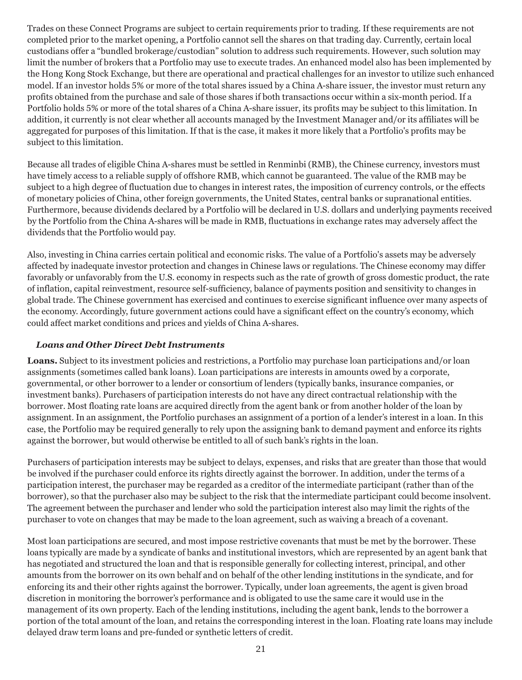Trades on these Connect Programs are subject to certain requirements prior to trading. If these requirements are not completed prior to the market opening, a Portfolio cannot sell the shares on that trading day. Currently, certain local custodians offer a "bundled brokerage/custodian" solution to address such requirements. However, such solution may limit the number of brokers that a Portfolio may use to execute trades. An enhanced model also has been implemented by the Hong Kong Stock Exchange, but there are operational and practical challenges for an investor to utilize such enhanced model. If an investor holds 5% or more of the total shares issued by a China A-share issuer, the investor must return any profits obtained from the purchase and sale of those shares if both transactions occur within a six-month period. If a Portfolio holds 5% or more of the total shares of a China A-share issuer, its profits may be subject to this limitation. In addition, it currently is not clear whether all accounts managed by the Investment Manager and/or its affiliates will be aggregated for purposes of this limitation. If that is the case, it makes it more likely that a Portfolio's profits may be subject to this limitation.

Because all trades of eligible China A-shares must be settled in Renminbi (RMB), the Chinese currency, investors must have timely access to a reliable supply of offshore RMB, which cannot be guaranteed. The value of the RMB may be subject to a high degree of fluctuation due to changes in interest rates, the imposition of currency controls, or the effects of monetary policies of China, other foreign governments, the United States, central banks or supranational entities. Furthermore, because dividends declared by a Portfolio will be declared in U.S. dollars and underlying payments received by the Portfolio from the China A-shares will be made in RMB, fluctuations in exchange rates may adversely affect the dividends that the Portfolio would pay.

Also, investing in China carries certain political and economic risks. The value of a Portfolio's assets may be adversely affected by inadequate investor protection and changes in Chinese laws or regulations. The Chinese economy may differ favorably or unfavorably from the U.S. economy in respects such as the rate of growth of gross domestic product, the rate of inflation, capital reinvestment, resource self-sufficiency, balance of payments position and sensitivity to changes in global trade. The Chinese government has exercised and continues to exercise significant influence over many aspects of the economy. Accordingly, future government actions could have a significant effect on the country's economy, which could affect market conditions and prices and yields of China A-shares.

#### *Loans and Other Direct Debt Instruments*

**Loans.** Subject to its investment policies and restrictions, a Portfolio may purchase loan participations and/or loan assignments (sometimes called bank loans). Loan participations are interests in amounts owed by a corporate, governmental, or other borrower to a lender or consortium of lenders (typically banks, insurance companies, or investment banks). Purchasers of participation interests do not have any direct contractual relationship with the borrower. Most floating rate loans are acquired directly from the agent bank or from another holder of the loan by assignment. In an assignment, the Portfolio purchases an assignment of a portion of a lender's interest in a loan. In this case, the Portfolio may be required generally to rely upon the assigning bank to demand payment and enforce its rights against the borrower, but would otherwise be entitled to all of such bank's rights in the loan.

Purchasers of participation interests may be subject to delays, expenses, and risks that are greater than those that would be involved if the purchaser could enforce its rights directly against the borrower. In addition, under the terms of a participation interest, the purchaser may be regarded as a creditor of the intermediate participant (rather than of the borrower), so that the purchaser also may be subject to the risk that the intermediate participant could become insolvent. The agreement between the purchaser and lender who sold the participation interest also may limit the rights of the purchaser to vote on changes that may be made to the loan agreement, such as waiving a breach of a covenant.

Most loan participations are secured, and most impose restrictive covenants that must be met by the borrower. These loans typically are made by a syndicate of banks and institutional investors, which are represented by an agent bank that has negotiated and structured the loan and that is responsible generally for collecting interest, principal, and other amounts from the borrower on its own behalf and on behalf of the other lending institutions in the syndicate, and for enforcing its and their other rights against the borrower. Typically, under loan agreements, the agent is given broad discretion in monitoring the borrower's performance and is obligated to use the same care it would use in the management of its own property. Each of the lending institutions, including the agent bank, lends to the borrower a portion of the total amount of the loan, and retains the corresponding interest in the loan. Floating rate loans may include delayed draw term loans and pre-funded or synthetic letters of credit.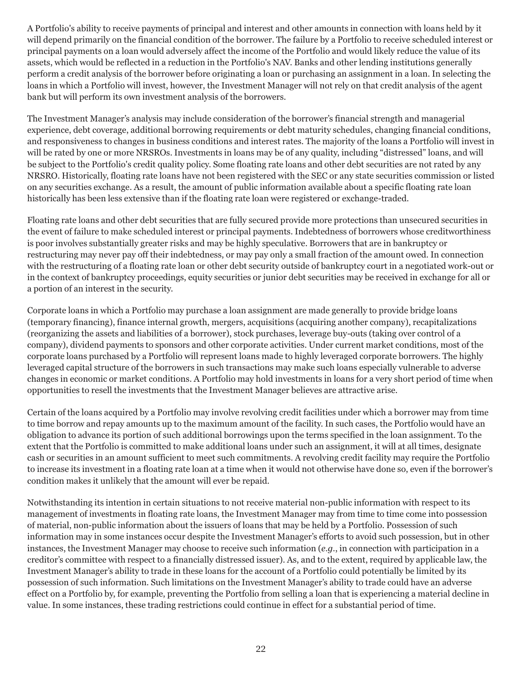A Portfolio's ability to receive payments of principal and interest and other amounts in connection with loans held by it will depend primarily on the financial condition of the borrower. The failure by a Portfolio to receive scheduled interest or principal payments on a loan would adversely affect the income of the Portfolio and would likely reduce the value of its assets, which would be reflected in a reduction in the Portfolio's NAV. Banks and other lending institutions generally perform a credit analysis of the borrower before originating a loan or purchasing an assignment in a loan. In selecting the loans in which a Portfolio will invest, however, the Investment Manager will not rely on that credit analysis of the agent bank but will perform its own investment analysis of the borrowers.

The Investment Manager's analysis may include consideration of the borrower's financial strength and managerial experience, debt coverage, additional borrowing requirements or debt maturity schedules, changing financial conditions, and responsiveness to changes in business conditions and interest rates. The majority of the loans a Portfolio will invest in will be rated by one or more NRSROs. Investments in loans may be of any quality, including "distressed" loans, and will be subject to the Portfolio's credit quality policy. Some floating rate loans and other debt securities are not rated by any NRSRO. Historically, floating rate loans have not been registered with the SEC or any state securities commission or listed on any securities exchange. As a result, the amount of public information available about a specific floating rate loan historically has been less extensive than if the floating rate loan were registered or exchange-traded.

Floating rate loans and other debt securities that are fully secured provide more protections than unsecured securities in the event of failure to make scheduled interest or principal payments. Indebtedness of borrowers whose creditworthiness is poor involves substantially greater risks and may be highly speculative. Borrowers that are in bankruptcy or restructuring may never pay off their indebtedness, or may pay only a small fraction of the amount owed. In connection with the restructuring of a floating rate loan or other debt security outside of bankruptcy court in a negotiated work-out or in the context of bankruptcy proceedings, equity securities or junior debt securities may be received in exchange for all or a portion of an interest in the security.

Corporate loans in which a Portfolio may purchase a loan assignment are made generally to provide bridge loans (temporary financing), finance internal growth, mergers, acquisitions (acquiring another company), recapitalizations (reorganizing the assets and liabilities of a borrower), stock purchases, leverage buy-outs (taking over control of a company), dividend payments to sponsors and other corporate activities. Under current market conditions, most of the corporate loans purchased by a Portfolio will represent loans made to highly leveraged corporate borrowers. The highly leveraged capital structure of the borrowers in such transactions may make such loans especially vulnerable to adverse changes in economic or market conditions. A Portfolio may hold investments in loans for a very short period of time when opportunities to resell the investments that the Investment Manager believes are attractive arise.

Certain of the loans acquired by a Portfolio may involve revolving credit facilities under which a borrower may from time to time borrow and repay amounts up to the maximum amount of the facility. In such cases, the Portfolio would have an obligation to advance its portion of such additional borrowings upon the terms specified in the loan assignment. To the extent that the Portfolio is committed to make additional loans under such an assignment, it will at all times, designate cash or securities in an amount sufficient to meet such commitments. A revolving credit facility may require the Portfolio to increase its investment in a floating rate loan at a time when it would not otherwise have done so, even if the borrower's condition makes it unlikely that the amount will ever be repaid.

Notwithstanding its intention in certain situations to not receive material non-public information with respect to its management of investments in floating rate loans, the Investment Manager may from time to time come into possession of material, non-public information about the issuers of loans that may be held by a Portfolio. Possession of such information may in some instances occur despite the Investment Manager's efforts to avoid such possession, but in other instances, the Investment Manager may choose to receive such information (*e.g.*, in connection with participation in a creditor's committee with respect to a financially distressed issuer). As, and to the extent, required by applicable law, the Investment Manager's ability to trade in these loans for the account of a Portfolio could potentially be limited by its possession of such information. Such limitations on the Investment Manager's ability to trade could have an adverse effect on a Portfolio by, for example, preventing the Portfolio from selling a loan that is experiencing a material decline in value. In some instances, these trading restrictions could continue in effect for a substantial period of time.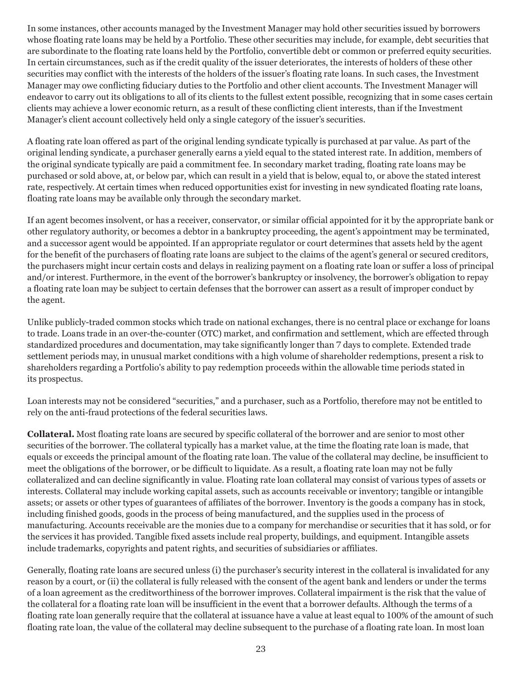In some instances, other accounts managed by the Investment Manager may hold other securities issued by borrowers whose floating rate loans may be held by a Portfolio. These other securities may include, for example, debt securities that are subordinate to the floating rate loans held by the Portfolio, convertible debt or common or preferred equity securities. In certain circumstances, such as if the credit quality of the issuer deteriorates, the interests of holders of these other securities may conflict with the interests of the holders of the issuer's floating rate loans. In such cases, the Investment Manager may owe conflicting fiduciary duties to the Portfolio and other client accounts. The Investment Manager will endeavor to carry out its obligations to all of its clients to the fullest extent possible, recognizing that in some cases certain clients may achieve a lower economic return, as a result of these conflicting client interests, than if the Investment Manager's client account collectively held only a single category of the issuer's securities.

A floating rate loan offered as part of the original lending syndicate typically is purchased at par value. As part of the original lending syndicate, a purchaser generally earns a yield equal to the stated interest rate. In addition, members of the original syndicate typically are paid a commitment fee. In secondary market trading, floating rate loans may be purchased or sold above, at, or below par, which can result in a yield that is below, equal to, or above the stated interest rate, respectively. At certain times when reduced opportunities exist for investing in new syndicated floating rate loans, floating rate loans may be available only through the secondary market.

If an agent becomes insolvent, or has a receiver, conservator, or similar official appointed for it by the appropriate bank or other regulatory authority, or becomes a debtor in a bankruptcy proceeding, the agent's appointment may be terminated, and a successor agent would be appointed. If an appropriate regulator or court determines that assets held by the agent for the benefit of the purchasers of floating rate loans are subject to the claims of the agent's general or secured creditors, the purchasers might incur certain costs and delays in realizing payment on a floating rate loan or suffer a loss of principal and/or interest. Furthermore, in the event of the borrower's bankruptcy or insolvency, the borrower's obligation to repay a floating rate loan may be subject to certain defenses that the borrower can assert as a result of improper conduct by the agent.

Unlike publicly-traded common stocks which trade on national exchanges, there is no central place or exchange for loans to trade. Loans trade in an over-the-counter (OTC) market, and confirmation and settlement, which are effected through standardized procedures and documentation, may take significantly longer than 7 days to complete. Extended trade settlement periods may, in unusual market conditions with a high volume of shareholder redemptions, present a risk to shareholders regarding a Portfolio's ability to pay redemption proceeds within the allowable time periods stated in its prospectus.

Loan interests may not be considered "securities," and a purchaser, such as a Portfolio, therefore may not be entitled to rely on the anti-fraud protections of the federal securities laws.

**Collateral.** Most floating rate loans are secured by specific collateral of the borrower and are senior to most other securities of the borrower. The collateral typically has a market value, at the time the floating rate loan is made, that equals or exceeds the principal amount of the floating rate loan. The value of the collateral may decline, be insufficient to meet the obligations of the borrower, or be difficult to liquidate. As a result, a floating rate loan may not be fully collateralized and can decline significantly in value. Floating rate loan collateral may consist of various types of assets or interests. Collateral may include working capital assets, such as accounts receivable or inventory; tangible or intangible assets; or assets or other types of guarantees of affiliates of the borrower. Inventory is the goods a company has in stock, including finished goods, goods in the process of being manufactured, and the supplies used in the process of manufacturing. Accounts receivable are the monies due to a company for merchandise or securities that it has sold, or for the services it has provided. Tangible fixed assets include real property, buildings, and equipment. Intangible assets include trademarks, copyrights and patent rights, and securities of subsidiaries or affiliates.

Generally, floating rate loans are secured unless (i) the purchaser's security interest in the collateral is invalidated for any reason by a court, or (ii) the collateral is fully released with the consent of the agent bank and lenders or under the terms of a loan agreement as the creditworthiness of the borrower improves. Collateral impairment is the risk that the value of the collateral for a floating rate loan will be insufficient in the event that a borrower defaults. Although the terms of a floating rate loan generally require that the collateral at issuance have a value at least equal to 100% of the amount of such floating rate loan, the value of the collateral may decline subsequent to the purchase of a floating rate loan. In most loan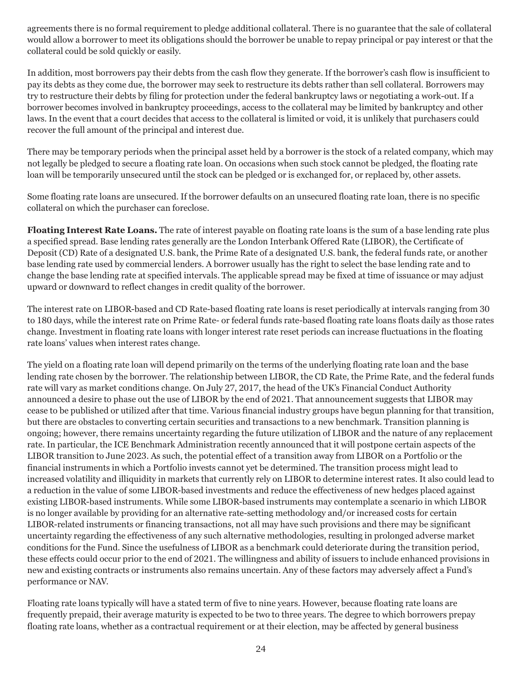agreements there is no formal requirement to pledge additional collateral. There is no guarantee that the sale of collateral would allow a borrower to meet its obligations should the borrower be unable to repay principal or pay interest or that the collateral could be sold quickly or easily.

In addition, most borrowers pay their debts from the cash flow they generate. If the borrower's cash flow is insufficient to pay its debts as they come due, the borrower may seek to restructure its debts rather than sell collateral. Borrowers may try to restructure their debts by filing for protection under the federal bankruptcy laws or negotiating a work-out. If a borrower becomes involved in bankruptcy proceedings, access to the collateral may be limited by bankruptcy and other laws. In the event that a court decides that access to the collateral is limited or void, it is unlikely that purchasers could recover the full amount of the principal and interest due.

There may be temporary periods when the principal asset held by a borrower is the stock of a related company, which may not legally be pledged to secure a floating rate loan. On occasions when such stock cannot be pledged, the floating rate loan will be temporarily unsecured until the stock can be pledged or is exchanged for, or replaced by, other assets.

Some floating rate loans are unsecured. If the borrower defaults on an unsecured floating rate loan, there is no specific collateral on which the purchaser can foreclose.

**Floating Interest Rate Loans.** The rate of interest payable on floating rate loans is the sum of a base lending rate plus a specified spread. Base lending rates generally are the London Interbank Offered Rate (LIBOR), the Certificate of Deposit (CD) Rate of a designated U.S. bank, the Prime Rate of a designated U.S. bank, the federal funds rate, or another base lending rate used by commercial lenders. A borrower usually has the right to select the base lending rate and to change the base lending rate at specified intervals. The applicable spread may be fixed at time of issuance or may adjust upward or downward to reflect changes in credit quality of the borrower.

The interest rate on LIBOR-based and CD Rate-based floating rate loans is reset periodically at intervals ranging from 30 to 180 days, while the interest rate on Prime Rate- or federal funds rate-based floating rate loans floats daily as those rates change. Investment in floating rate loans with longer interest rate reset periods can increase fluctuations in the floating rate loans' values when interest rates change.

The yield on a floating rate loan will depend primarily on the terms of the underlying floating rate loan and the base lending rate chosen by the borrower. The relationship between LIBOR, the CD Rate, the Prime Rate, and the federal funds rate will vary as market conditions change. On July 27, 2017, the head of the UK's Financial Conduct Authority announced a desire to phase out the use of LIBOR by the end of 2021. That announcement suggests that LIBOR may cease to be published or utilized after that time. Various financial industry groups have begun planning for that transition, but there are obstacles to converting certain securities and transactions to a new benchmark. Transition planning is ongoing; however, there remains uncertainty regarding the future utilization of LIBOR and the nature of any replacement rate. In particular, the ICE Benchmark Administration recently announced that it will postpone certain aspects of the LIBOR transition to June 2023. As such, the potential effect of a transition away from LIBOR on a Portfolio or the financial instruments in which a Portfolio invests cannot yet be determined. The transition process might lead to increased volatility and illiquidity in markets that currently rely on LIBOR to determine interest rates. It also could lead to a reduction in the value of some LIBOR-based investments and reduce the effectiveness of new hedges placed against existing LIBOR-based instruments. While some LIBOR-based instruments may contemplate a scenario in which LIBOR is no longer available by providing for an alternative rate-setting methodology and/or increased costs for certain LIBOR-related instruments or financing transactions, not all may have such provisions and there may be significant uncertainty regarding the effectiveness of any such alternative methodologies, resulting in prolonged adverse market conditions for the Fund. Since the usefulness of LIBOR as a benchmark could deteriorate during the transition period, these effects could occur prior to the end of 2021. The willingness and ability of issuers to include enhanced provisions in new and existing contracts or instruments also remains uncertain. Any of these factors may adversely affect a Fund's performance or NAV.

Floating rate loans typically will have a stated term of five to nine years. However, because floating rate loans are frequently prepaid, their average maturity is expected to be two to three years. The degree to which borrowers prepay floating rate loans, whether as a contractual requirement or at their election, may be affected by general business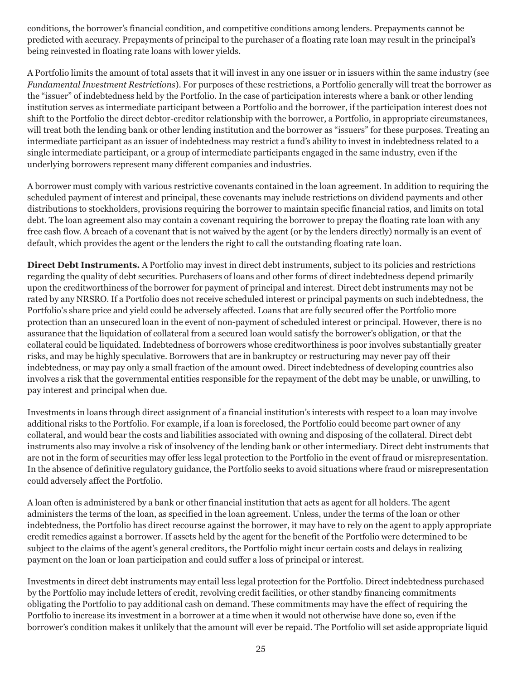conditions, the borrower's financial condition, and competitive conditions among lenders. Prepayments cannot be predicted with accuracy. Prepayments of principal to the purchaser of a floating rate loan may result in the principal's being reinvested in floating rate loans with lower yields.

A Portfolio limits the amount of total assets that it will invest in any one issuer or in issuers within the same industry (see *Fundamental Investment Restrictions*). For purposes of these restrictions, a Portfolio generally will treat the borrower as the "issuer" of indebtedness held by the Portfolio. In the case of participation interests where a bank or other lending institution serves as intermediate participant between a Portfolio and the borrower, if the participation interest does not shift to the Portfolio the direct debtor-creditor relationship with the borrower, a Portfolio, in appropriate circumstances, will treat both the lending bank or other lending institution and the borrower as "issuers" for these purposes. Treating an intermediate participant as an issuer of indebtedness may restrict a fund's ability to invest in indebtedness related to a single intermediate participant, or a group of intermediate participants engaged in the same industry, even if the underlying borrowers represent many different companies and industries.

A borrower must comply with various restrictive covenants contained in the loan agreement. In addition to requiring the scheduled payment of interest and principal, these covenants may include restrictions on dividend payments and other distributions to stockholders, provisions requiring the borrower to maintain specific financial ratios, and limits on total debt. The loan agreement also may contain a covenant requiring the borrower to prepay the floating rate loan with any free cash flow. A breach of a covenant that is not waived by the agent (or by the lenders directly) normally is an event of default, which provides the agent or the lenders the right to call the outstanding floating rate loan.

**Direct Debt Instruments.** A Portfolio may invest in direct debt instruments, subject to its policies and restrictions regarding the quality of debt securities. Purchasers of loans and other forms of direct indebtedness depend primarily upon the creditworthiness of the borrower for payment of principal and interest. Direct debt instruments may not be rated by any NRSRO. If a Portfolio does not receive scheduled interest or principal payments on such indebtedness, the Portfolio's share price and yield could be adversely affected. Loans that are fully secured offer the Portfolio more protection than an unsecured loan in the event of non-payment of scheduled interest or principal. However, there is no assurance that the liquidation of collateral from a secured loan would satisfy the borrower's obligation, or that the collateral could be liquidated. Indebtedness of borrowers whose creditworthiness is poor involves substantially greater risks, and may be highly speculative. Borrowers that are in bankruptcy or restructuring may never pay off their indebtedness, or may pay only a small fraction of the amount owed. Direct indebtedness of developing countries also involves a risk that the governmental entities responsible for the repayment of the debt may be unable, or unwilling, to pay interest and principal when due.

Investments in loans through direct assignment of a financial institution's interests with respect to a loan may involve additional risks to the Portfolio. For example, if a loan is foreclosed, the Portfolio could become part owner of any collateral, and would bear the costs and liabilities associated with owning and disposing of the collateral. Direct debt instruments also may involve a risk of insolvency of the lending bank or other intermediary. Direct debt instruments that are not in the form of securities may offer less legal protection to the Portfolio in the event of fraud or misrepresentation. In the absence of definitive regulatory guidance, the Portfolio seeks to avoid situations where fraud or misrepresentation could adversely affect the Portfolio.

A loan often is administered by a bank or other financial institution that acts as agent for all holders. The agent administers the terms of the loan, as specified in the loan agreement. Unless, under the terms of the loan or other indebtedness, the Portfolio has direct recourse against the borrower, it may have to rely on the agent to apply appropriate credit remedies against a borrower. If assets held by the agent for the benefit of the Portfolio were determined to be subject to the claims of the agent's general creditors, the Portfolio might incur certain costs and delays in realizing payment on the loan or loan participation and could suffer a loss of principal or interest.

Investments in direct debt instruments may entail less legal protection for the Portfolio. Direct indebtedness purchased by the Portfolio may include letters of credit, revolving credit facilities, or other standby financing commitments obligating the Portfolio to pay additional cash on demand. These commitments may have the effect of requiring the Portfolio to increase its investment in a borrower at a time when it would not otherwise have done so, even if the borrower's condition makes it unlikely that the amount will ever be repaid. The Portfolio will set aside appropriate liquid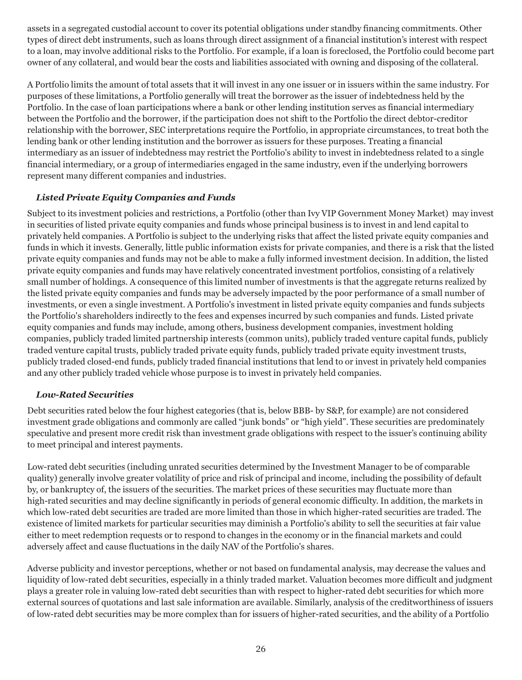assets in a segregated custodial account to cover its potential obligations under standby financing commitments. Other types of direct debt instruments, such as loans through direct assignment of a financial institution's interest with respect to a loan, may involve additional risks to the Portfolio. For example, if a loan is foreclosed, the Portfolio could become part owner of any collateral, and would bear the costs and liabilities associated with owning and disposing of the collateral.

A Portfolio limits the amount of total assets that it will invest in any one issuer or in issuers within the same industry. For purposes of these limitations, a Portfolio generally will treat the borrower as the issuer of indebtedness held by the Portfolio. In the case of loan participations where a bank or other lending institution serves as financial intermediary between the Portfolio and the borrower, if the participation does not shift to the Portfolio the direct debtor-creditor relationship with the borrower, SEC interpretations require the Portfolio, in appropriate circumstances, to treat both the lending bank or other lending institution and the borrower as issuers for these purposes. Treating a financial intermediary as an issuer of indebtedness may restrict the Portfolio's ability to invest in indebtedness related to a single financial intermediary, or a group of intermediaries engaged in the same industry, even if the underlying borrowers represent many different companies and industries.

### *Listed Private Equity Companies and Funds*

Subject to its investment policies and restrictions, a Portfolio (other than Ivy VIP Government Money Market) may invest in securities of listed private equity companies and funds whose principal business is to invest in and lend capital to privately held companies. A Portfolio is subject to the underlying risks that affect the listed private equity companies and funds in which it invests. Generally, little public information exists for private companies, and there is a risk that the listed private equity companies and funds may not be able to make a fully informed investment decision. In addition, the listed private equity companies and funds may have relatively concentrated investment portfolios, consisting of a relatively small number of holdings. A consequence of this limited number of investments is that the aggregate returns realized by the listed private equity companies and funds may be adversely impacted by the poor performance of a small number of investments, or even a single investment. A Portfolio's investment in listed private equity companies and funds subjects the Portfolio's shareholders indirectly to the fees and expenses incurred by such companies and funds. Listed private equity companies and funds may include, among others, business development companies, investment holding companies, publicly traded limited partnership interests (common units), publicly traded venture capital funds, publicly traded venture capital trusts, publicly traded private equity funds, publicly traded private equity investment trusts, publicly traded closed-end funds, publicly traded financial institutions that lend to or invest in privately held companies and any other publicly traded vehicle whose purpose is to invest in privately held companies.

# *Low-Rated Securities*

Debt securities rated below the four highest categories (that is, below BBB- by S&P, for example) are not considered investment grade obligations and commonly are called "junk bonds" or "high yield". These securities are predominately speculative and present more credit risk than investment grade obligations with respect to the issuer's continuing ability to meet principal and interest payments.

Low-rated debt securities (including unrated securities determined by the Investment Manager to be of comparable quality) generally involve greater volatility of price and risk of principal and income, including the possibility of default by, or bankruptcy of, the issuers of the securities. The market prices of these securities may fluctuate more than high-rated securities and may decline significantly in periods of general economic difficulty. In addition, the markets in which low-rated debt securities are traded are more limited than those in which higher-rated securities are traded. The existence of limited markets for particular securities may diminish a Portfolio's ability to sell the securities at fair value either to meet redemption requests or to respond to changes in the economy or in the financial markets and could adversely affect and cause fluctuations in the daily NAV of the Portfolio's shares.

Adverse publicity and investor perceptions, whether or not based on fundamental analysis, may decrease the values and liquidity of low-rated debt securities, especially in a thinly traded market. Valuation becomes more difficult and judgment plays a greater role in valuing low-rated debt securities than with respect to higher-rated debt securities for which more external sources of quotations and last sale information are available. Similarly, analysis of the creditworthiness of issuers of low-rated debt securities may be more complex than for issuers of higher-rated securities, and the ability of a Portfolio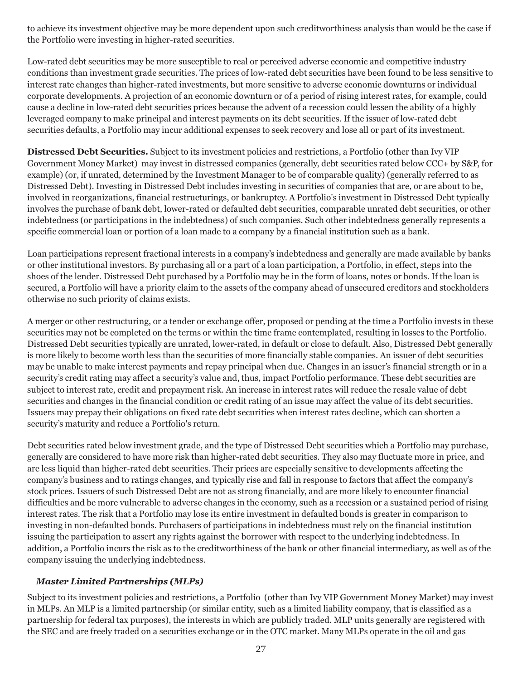to achieve its investment objective may be more dependent upon such creditworthiness analysis than would be the case if the Portfolio were investing in higher-rated securities.

Low-rated debt securities may be more susceptible to real or perceived adverse economic and competitive industry conditions than investment grade securities. The prices of low-rated debt securities have been found to be less sensitive to interest rate changes than higher-rated investments, but more sensitive to adverse economic downturns or individual corporate developments. A projection of an economic downturn or of a period of rising interest rates, for example, could cause a decline in low-rated debt securities prices because the advent of a recession could lessen the ability of a highly leveraged company to make principal and interest payments on its debt securities. If the issuer of low-rated debt securities defaults, a Portfolio may incur additional expenses to seek recovery and lose all or part of its investment.

**Distressed Debt Securities.** Subject to its investment policies and restrictions, a Portfolio (other than Ivy VIP Government Money Market) may invest in distressed companies (generally, debt securities rated below CCC+ by S&P, for example) (or, if unrated, determined by the Investment Manager to be of comparable quality) (generally referred to as Distressed Debt). Investing in Distressed Debt includes investing in securities of companies that are, or are about to be, involved in reorganizations, financial restructurings, or bankruptcy. A Portfolio's investment in Distressed Debt typically involves the purchase of bank debt, lower-rated or defaulted debt securities, comparable unrated debt securities, or other indebtedness (or participations in the indebtedness) of such companies. Such other indebtedness generally represents a specific commercial loan or portion of a loan made to a company by a financial institution such as a bank.

Loan participations represent fractional interests in a company's indebtedness and generally are made available by banks or other institutional investors. By purchasing all or a part of a loan participation, a Portfolio, in effect, steps into the shoes of the lender. Distressed Debt purchased by a Portfolio may be in the form of loans, notes or bonds. If the loan is secured, a Portfolio will have a priority claim to the assets of the company ahead of unsecured creditors and stockholders otherwise no such priority of claims exists.

A merger or other restructuring, or a tender or exchange offer, proposed or pending at the time a Portfolio invests in these securities may not be completed on the terms or within the time frame contemplated, resulting in losses to the Portfolio. Distressed Debt securities typically are unrated, lower-rated, in default or close to default. Also, Distressed Debt generally is more likely to become worth less than the securities of more financially stable companies. An issuer of debt securities may be unable to make interest payments and repay principal when due. Changes in an issuer's financial strength or in a security's credit rating may affect a security's value and, thus, impact Portfolio performance. These debt securities are subject to interest rate, credit and prepayment risk. An increase in interest rates will reduce the resale value of debt securities and changes in the financial condition or credit rating of an issue may affect the value of its debt securities. Issuers may prepay their obligations on fixed rate debt securities when interest rates decline, which can shorten a security's maturity and reduce a Portfolio's return.

Debt securities rated below investment grade, and the type of Distressed Debt securities which a Portfolio may purchase, generally are considered to have more risk than higher-rated debt securities. They also may fluctuate more in price, and are less liquid than higher-rated debt securities. Their prices are especially sensitive to developments affecting the company's business and to ratings changes, and typically rise and fall in response to factors that affect the company's stock prices. Issuers of such Distressed Debt are not as strong financially, and are more likely to encounter financial difficulties and be more vulnerable to adverse changes in the economy, such as a recession or a sustained period of rising interest rates. The risk that a Portfolio may lose its entire investment in defaulted bonds is greater in comparison to investing in non-defaulted bonds. Purchasers of participations in indebtedness must rely on the financial institution issuing the participation to assert any rights against the borrower with respect to the underlying indebtedness. In addition, a Portfolio incurs the risk as to the creditworthiness of the bank or other financial intermediary, as well as of the company issuing the underlying indebtedness.

# *Master Limited Partnerships (MLPs)*

Subject to its investment policies and restrictions, a Portfolio (other than Ivy VIP Government Money Market) may invest in MLPs. An MLP is a limited partnership (or similar entity, such as a limited liability company, that is classified as a partnership for federal tax purposes), the interests in which are publicly traded. MLP units generally are registered with the SEC and are freely traded on a securities exchange or in the OTC market. Many MLPs operate in the oil and gas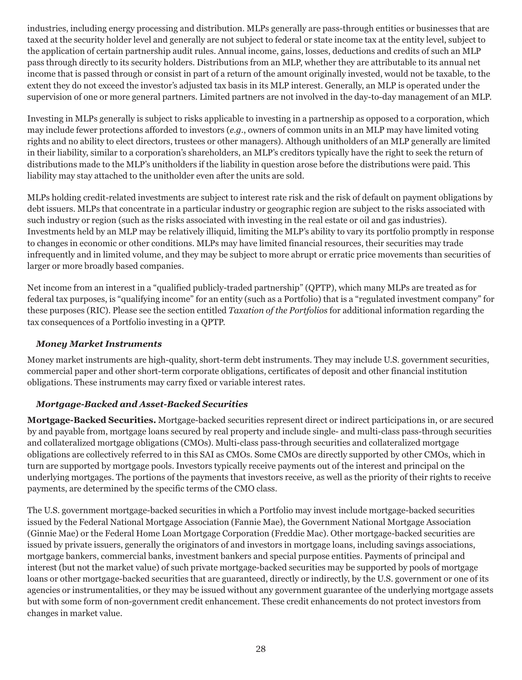industries, including energy processing and distribution. MLPs generally are pass-through entities or businesses that are taxed at the security holder level and generally are not subject to federal or state income tax at the entity level, subject to the application of certain partnership audit rules. Annual income, gains, losses, deductions and credits of such an MLP pass through directly to its security holders. Distributions from an MLP, whether they are attributable to its annual net income that is passed through or consist in part of a return of the amount originally invested, would not be taxable, to the extent they do not exceed the investor's adjusted tax basis in its MLP interest. Generally, an MLP is operated under the supervision of one or more general partners. Limited partners are not involved in the day-to-day management of an MLP.

Investing in MLPs generally is subject to risks applicable to investing in a partnership as opposed to a corporation, which may include fewer protections afforded to investors (*e.g.*, owners of common units in an MLP may have limited voting rights and no ability to elect directors, trustees or other managers). Although unitholders of an MLP generally are limited in their liability, similar to a corporation's shareholders, an MLP's creditors typically have the right to seek the return of distributions made to the MLP's unitholders if the liability in question arose before the distributions were paid. This liability may stay attached to the unitholder even after the units are sold.

MLPs holding credit-related investments are subject to interest rate risk and the risk of default on payment obligations by debt issuers. MLPs that concentrate in a particular industry or geographic region are subject to the risks associated with such industry or region (such as the risks associated with investing in the real estate or oil and gas industries). Investments held by an MLP may be relatively illiquid, limiting the MLP's ability to vary its portfolio promptly in response to changes in economic or other conditions. MLPs may have limited financial resources, their securities may trade infrequently and in limited volume, and they may be subject to more abrupt or erratic price movements than securities of larger or more broadly based companies.

Net income from an interest in a "qualified publicly-traded partnership" (QPTP), which many MLPs are treated as for federal tax purposes, is "qualifying income" for an entity (such as a Portfolio) that is a "regulated investment company" for these purposes (RIC). Please see the section entitled *Taxation of the Portfolios* for additional information regarding the tax consequences of a Portfolio investing in a QPTP.

#### *Money Market Instruments*

Money market instruments are high-quality, short-term debt instruments. They may include U.S. government securities, commercial paper and other short-term corporate obligations, certificates of deposit and other financial institution obligations. These instruments may carry fixed or variable interest rates.

# *Mortgage-Backed and Asset-Backed Securities*

**Mortgage-Backed Securities.** Mortgage-backed securities represent direct or indirect participations in, or are secured by and payable from, mortgage loans secured by real property and include single- and multi-class pass-through securities and collateralized mortgage obligations (CMOs). Multi-class pass-through securities and collateralized mortgage obligations are collectively referred to in this SAI as CMOs. Some CMOs are directly supported by other CMOs, which in turn are supported by mortgage pools. Investors typically receive payments out of the interest and principal on the underlying mortgages. The portions of the payments that investors receive, as well as the priority of their rights to receive payments, are determined by the specific terms of the CMO class.

The U.S. government mortgage-backed securities in which a Portfolio may invest include mortgage-backed securities issued by the Federal National Mortgage Association (Fannie Mae), the Government National Mortgage Association (Ginnie Mae) or the Federal Home Loan Mortgage Corporation (Freddie Mac). Other mortgage-backed securities are issued by private issuers, generally the originators of and investors in mortgage loans, including savings associations, mortgage bankers, commercial banks, investment bankers and special purpose entities. Payments of principal and interest (but not the market value) of such private mortgage-backed securities may be supported by pools of mortgage loans or other mortgage-backed securities that are guaranteed, directly or indirectly, by the U.S. government or one of its agencies or instrumentalities, or they may be issued without any government guarantee of the underlying mortgage assets but with some form of non-government credit enhancement. These credit enhancements do not protect investors from changes in market value.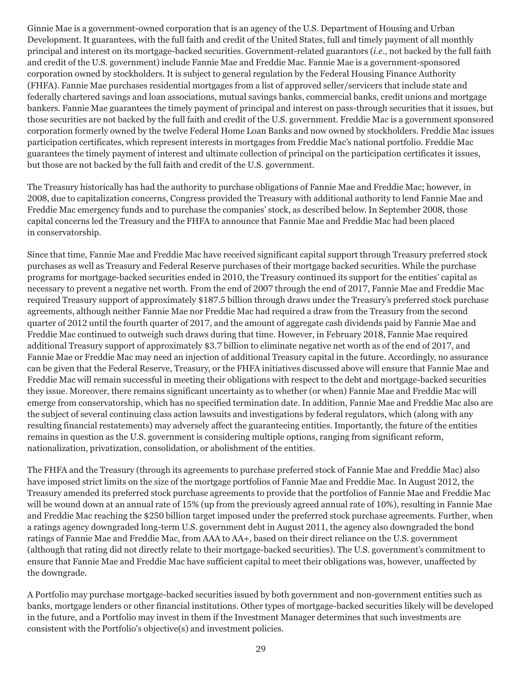Ginnie Mae is a government-owned corporation that is an agency of the U.S. Department of Housing and Urban Development. It guarantees, with the full faith and credit of the United States, full and timely payment of all monthly principal and interest on its mortgage-backed securities. Government-related guarantors (*i.e.*, not backed by the full faith and credit of the U.S. government) include Fannie Mae and Freddie Mac. Fannie Mae is a government-sponsored corporation owned by stockholders. It is subject to general regulation by the Federal Housing Finance Authority (FHFA). Fannie Mae purchases residential mortgages from a list of approved seller/servicers that include state and federally chartered savings and loan associations, mutual savings banks, commercial banks, credit unions and mortgage bankers. Fannie Mae guarantees the timely payment of principal and interest on pass-through securities that it issues, but those securities are not backed by the full faith and credit of the U.S. government. Freddie Mac is a government sponsored corporation formerly owned by the twelve Federal Home Loan Banks and now owned by stockholders. Freddie Mac issues participation certificates, which represent interests in mortgages from Freddie Mac's national portfolio. Freddie Mac guarantees the timely payment of interest and ultimate collection of principal on the participation certificates it issues, but those are not backed by the full faith and credit of the U.S. government.

The Treasury historically has had the authority to purchase obligations of Fannie Mae and Freddie Mac; however, in 2008, due to capitalization concerns, Congress provided the Treasury with additional authority to lend Fannie Mae and Freddie Mac emergency funds and to purchase the companies' stock, as described below. In September 2008, those capital concerns led the Treasury and the FHFA to announce that Fannie Mae and Freddie Mac had been placed in conservatorship.

Since that time, Fannie Mae and Freddie Mac have received significant capital support through Treasury preferred stock purchases as well as Treasury and Federal Reserve purchases of their mortgage backed securities. While the purchase programs for mortgage-backed securities ended in 2010, the Treasury continued its support for the entities' capital as necessary to prevent a negative net worth. From the end of 2007 through the end of 2017, Fannie Mae and Freddie Mac required Treasury support of approximately \$187.5 billion through draws under the Treasury's preferred stock purchase agreements, although neither Fannie Mae nor Freddie Mac had required a draw from the Treasury from the second quarter of 2012 until the fourth quarter of 2017, and the amount of aggregate cash dividends paid by Fannie Mae and Freddie Mac continued to outweigh such draws during that time. However, in February 2018, Fannie Mae required additional Treasury support of approximately \$3.7 billion to eliminate negative net worth as of the end of 2017, and Fannie Mae or Freddie Mac may need an injection of additional Treasury capital in the future. Accordingly, no assurance can be given that the Federal Reserve, Treasury, or the FHFA initiatives discussed above will ensure that Fannie Mae and Freddie Mac will remain successful in meeting their obligations with respect to the debt and mortgage-backed securities they issue. Moreover, there remains significant uncertainty as to whether (or when) Fannie Mae and Freddie Mac will emerge from conservatorship, which has no specified termination date. In addition, Fannie Mae and Freddie Mac also are the subject of several continuing class action lawsuits and investigations by federal regulators, which (along with any resulting financial restatements) may adversely affect the guaranteeing entities. Importantly, the future of the entities remains in question as the U.S. government is considering multiple options, ranging from significant reform, nationalization, privatization, consolidation, or abolishment of the entities.

The FHFA and the Treasury (through its agreements to purchase preferred stock of Fannie Mae and Freddie Mac) also have imposed strict limits on the size of the mortgage portfolios of Fannie Mae and Freddie Mac. In August 2012, the Treasury amended its preferred stock purchase agreements to provide that the portfolios of Fannie Mae and Freddie Mac will be wound down at an annual rate of 15% (up from the previously agreed annual rate of 10%), resulting in Fannie Mae and Freddie Mac reaching the \$250 billion target imposed under the preferred stock purchase agreements. Further, when a ratings agency downgraded long-term U.S. government debt in August 2011, the agency also downgraded the bond ratings of Fannie Mae and Freddie Mac, from AAA to AA+, based on their direct reliance on the U.S. government (although that rating did not directly relate to their mortgage-backed securities). The U.S. government's commitment to ensure that Fannie Mae and Freddie Mac have sufficient capital to meet their obligations was, however, unaffected by the downgrade.

A Portfolio may purchase mortgage-backed securities issued by both government and non-government entities such as banks, mortgage lenders or other financial institutions. Other types of mortgage-backed securities likely will be developed in the future, and a Portfolio may invest in them if the Investment Manager determines that such investments are consistent with the Portfolio's objective(s) and investment policies.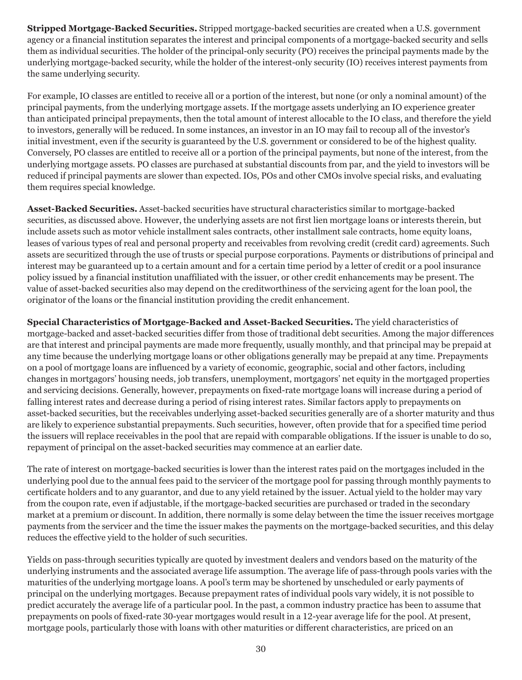**Stripped Mortgage-Backed Securities.** Stripped mortgage-backed securities are created when a U.S. government agency or a financial institution separates the interest and principal components of a mortgage-backed security and sells them as individual securities. The holder of the principal-only security (PO) receives the principal payments made by the underlying mortgage-backed security, while the holder of the interest-only security (IO) receives interest payments from the same underlying security.

For example, IO classes are entitled to receive all or a portion of the interest, but none (or only a nominal amount) of the principal payments, from the underlying mortgage assets. If the mortgage assets underlying an IO experience greater than anticipated principal prepayments, then the total amount of interest allocable to the IO class, and therefore the yield to investors, generally will be reduced. In some instances, an investor in an IO may fail to recoup all of the investor's initial investment, even if the security is guaranteed by the U.S. government or considered to be of the highest quality. Conversely, PO classes are entitled to receive all or a portion of the principal payments, but none of the interest, from the underlying mortgage assets. PO classes are purchased at substantial discounts from par, and the yield to investors will be reduced if principal payments are slower than expected. IOs, POs and other CMOs involve special risks, and evaluating them requires special knowledge.

**Asset-Backed Securities.** Asset-backed securities have structural characteristics similar to mortgage-backed securities, as discussed above. However, the underlying assets are not first lien mortgage loans or interests therein, but include assets such as motor vehicle installment sales contracts, other installment sale contracts, home equity loans, leases of various types of real and personal property and receivables from revolving credit (credit card) agreements. Such assets are securitized through the use of trusts or special purpose corporations. Payments or distributions of principal and interest may be guaranteed up to a certain amount and for a certain time period by a letter of credit or a pool insurance policy issued by a financial institution unaffiliated with the issuer, or other credit enhancements may be present. The value of asset-backed securities also may depend on the creditworthiness of the servicing agent for the loan pool, the originator of the loans or the financial institution providing the credit enhancement.

**Special Characteristics of Mortgage-Backed and Asset-Backed Securities.** The yield characteristics of mortgage-backed and asset-backed securities differ from those of traditional debt securities. Among the major differences are that interest and principal payments are made more frequently, usually monthly, and that principal may be prepaid at any time because the underlying mortgage loans or other obligations generally may be prepaid at any time. Prepayments on a pool of mortgage loans are influenced by a variety of economic, geographic, social and other factors, including changes in mortgagors' housing needs, job transfers, unemployment, mortgagors' net equity in the mortgaged properties and servicing decisions. Generally, however, prepayments on fixed-rate mortgage loans will increase during a period of falling interest rates and decrease during a period of rising interest rates. Similar factors apply to prepayments on asset-backed securities, but the receivables underlying asset-backed securities generally are of a shorter maturity and thus are likely to experience substantial prepayments. Such securities, however, often provide that for a specified time period the issuers will replace receivables in the pool that are repaid with comparable obligations. If the issuer is unable to do so, repayment of principal on the asset-backed securities may commence at an earlier date.

The rate of interest on mortgage-backed securities is lower than the interest rates paid on the mortgages included in the underlying pool due to the annual fees paid to the servicer of the mortgage pool for passing through monthly payments to certificate holders and to any guarantor, and due to any yield retained by the issuer. Actual yield to the holder may vary from the coupon rate, even if adjustable, if the mortgage-backed securities are purchased or traded in the secondary market at a premium or discount. In addition, there normally is some delay between the time the issuer receives mortgage payments from the servicer and the time the issuer makes the payments on the mortgage-backed securities, and this delay reduces the effective yield to the holder of such securities.

Yields on pass-through securities typically are quoted by investment dealers and vendors based on the maturity of the underlying instruments and the associated average life assumption. The average life of pass-through pools varies with the maturities of the underlying mortgage loans. A pool's term may be shortened by unscheduled or early payments of principal on the underlying mortgages. Because prepayment rates of individual pools vary widely, it is not possible to predict accurately the average life of a particular pool. In the past, a common industry practice has been to assume that prepayments on pools of fixed-rate 30-year mortgages would result in a 12-year average life for the pool. At present, mortgage pools, particularly those with loans with other maturities or different characteristics, are priced on an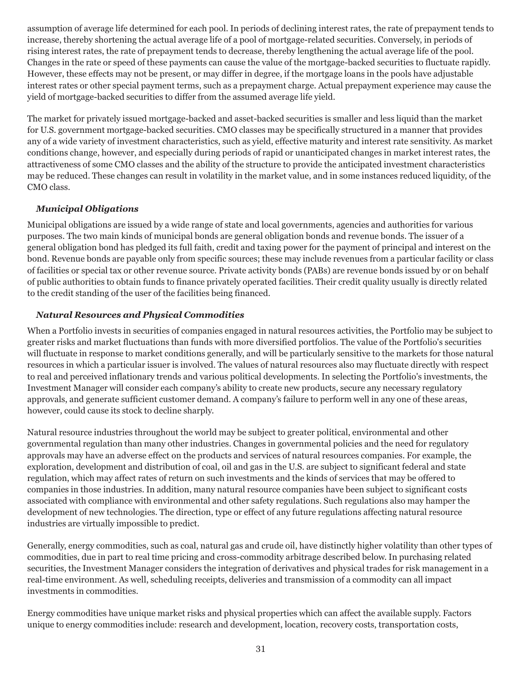assumption of average life determined for each pool. In periods of declining interest rates, the rate of prepayment tends to increase, thereby shortening the actual average life of a pool of mortgage-related securities. Conversely, in periods of rising interest rates, the rate of prepayment tends to decrease, thereby lengthening the actual average life of the pool. Changes in the rate or speed of these payments can cause the value of the mortgage-backed securities to fluctuate rapidly. However, these effects may not be present, or may differ in degree, if the mortgage loans in the pools have adjustable interest rates or other special payment terms, such as a prepayment charge. Actual prepayment experience may cause the yield of mortgage-backed securities to differ from the assumed average life yield.

The market for privately issued mortgage-backed and asset-backed securities is smaller and less liquid than the market for U.S. government mortgage-backed securities. CMO classes may be specifically structured in a manner that provides any of a wide variety of investment characteristics, such as yield, effective maturity and interest rate sensitivity. As market conditions change, however, and especially during periods of rapid or unanticipated changes in market interest rates, the attractiveness of some CMO classes and the ability of the structure to provide the anticipated investment characteristics may be reduced. These changes can result in volatility in the market value, and in some instances reduced liquidity, of the CMO class.

### *Municipal Obligations*

Municipal obligations are issued by a wide range of state and local governments, agencies and authorities for various purposes. The two main kinds of municipal bonds are general obligation bonds and revenue bonds. The issuer of a general obligation bond has pledged its full faith, credit and taxing power for the payment of principal and interest on the bond. Revenue bonds are payable only from specific sources; these may include revenues from a particular facility or class of facilities or special tax or other revenue source. Private activity bonds (PABs) are revenue bonds issued by or on behalf of public authorities to obtain funds to finance privately operated facilities. Their credit quality usually is directly related to the credit standing of the user of the facilities being financed.

### *Natural Resources and Physical Commodities*

When a Portfolio invests in securities of companies engaged in natural resources activities, the Portfolio may be subject to greater risks and market fluctuations than funds with more diversified portfolios. The value of the Portfolio's securities will fluctuate in response to market conditions generally, and will be particularly sensitive to the markets for those natural resources in which a particular issuer is involved. The values of natural resources also may fluctuate directly with respect to real and perceived inflationary trends and various political developments. In selecting the Portfolio's investments, the Investment Manager will consider each company's ability to create new products, secure any necessary regulatory approvals, and generate sufficient customer demand. A company's failure to perform well in any one of these areas, however, could cause its stock to decline sharply.

Natural resource industries throughout the world may be subject to greater political, environmental and other governmental regulation than many other industries. Changes in governmental policies and the need for regulatory approvals may have an adverse effect on the products and services of natural resources companies. For example, the exploration, development and distribution of coal, oil and gas in the U.S. are subject to significant federal and state regulation, which may affect rates of return on such investments and the kinds of services that may be offered to companies in those industries. In addition, many natural resource companies have been subject to significant costs associated with compliance with environmental and other safety regulations. Such regulations also may hamper the development of new technologies. The direction, type or effect of any future regulations affecting natural resource industries are virtually impossible to predict.

Generally, energy commodities, such as coal, natural gas and crude oil, have distinctly higher volatility than other types of commodities, due in part to real time pricing and cross-commodity arbitrage described below. In purchasing related securities, the Investment Manager considers the integration of derivatives and physical trades for risk management in a real-time environment. As well, scheduling receipts, deliveries and transmission of a commodity can all impact investments in commodities.

Energy commodities have unique market risks and physical properties which can affect the available supply. Factors unique to energy commodities include: research and development, location, recovery costs, transportation costs,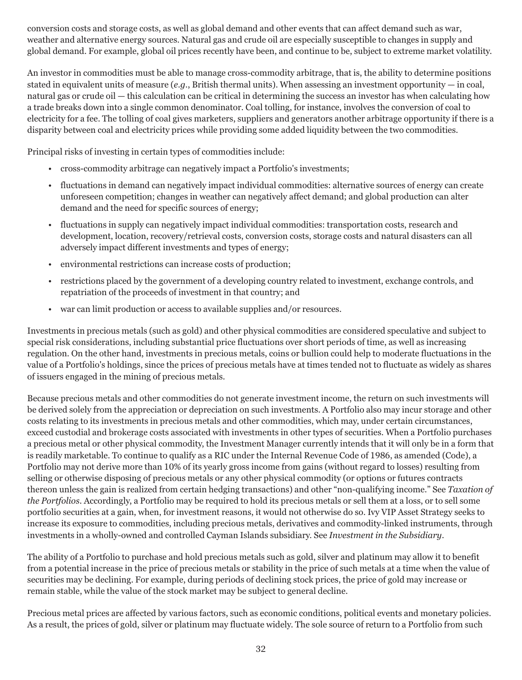conversion costs and storage costs, as well as global demand and other events that can affect demand such as war, weather and alternative energy sources. Natural gas and crude oil are especially susceptible to changes in supply and global demand. For example, global oil prices recently have been, and continue to be, subject to extreme market volatility.

An investor in commodities must be able to manage cross-commodity arbitrage, that is, the ability to determine positions stated in equivalent units of measure (*e.g.*, British thermal units). When assessing an investment opportunity — in coal, natural gas or crude oil — this calculation can be critical in determining the success an investor has when calculating how a trade breaks down into a single common denominator. Coal tolling, for instance, involves the conversion of coal to electricity for a fee. The tolling of coal gives marketers, suppliers and generators another arbitrage opportunity if there is a disparity between coal and electricity prices while providing some added liquidity between the two commodities.

Principal risks of investing in certain types of commodities include:

- cross-commodity arbitrage can negatively impact a Portfolio's investments;
- fluctuations in demand can negatively impact individual commodities: alternative sources of energy can create unforeseen competition; changes in weather can negatively affect demand; and global production can alter demand and the need for specific sources of energy;
- fluctuations in supply can negatively impact individual commodities: transportation costs, research and development, location, recovery/retrieval costs, conversion costs, storage costs and natural disasters can all adversely impact different investments and types of energy;
- environmental restrictions can increase costs of production;
- restrictions placed by the government of a developing country related to investment, exchange controls, and repatriation of the proceeds of investment in that country; and
- war can limit production or access to available supplies and/or resources.

Investments in precious metals (such as gold) and other physical commodities are considered speculative and subject to special risk considerations, including substantial price fluctuations over short periods of time, as well as increasing regulation. On the other hand, investments in precious metals, coins or bullion could help to moderate fluctuations in the value of a Portfolio's holdings, since the prices of precious metals have at times tended not to fluctuate as widely as shares of issuers engaged in the mining of precious metals.

Because precious metals and other commodities do not generate investment income, the return on such investments will be derived solely from the appreciation or depreciation on such investments. A Portfolio also may incur storage and other costs relating to its investments in precious metals and other commodities, which may, under certain circumstances, exceed custodial and brokerage costs associated with investments in other types of securities. When a Portfolio purchases a precious metal or other physical commodity, the Investment Manager currently intends that it will only be in a form that is readily marketable. To continue to qualify as a RIC under the Internal Revenue Code of 1986, as amended (Code), a Portfolio may not derive more than 10% of its yearly gross income from gains (without regard to losses) resulting from selling or otherwise disposing of precious metals or any other physical commodity (or options or futures contracts thereon unless the gain is realized from certain hedging transactions) and other "non-qualifying income." See *Taxation of the Portfolios*. Accordingly, a Portfolio may be required to hold its precious metals or sell them at a loss, or to sell some portfolio securities at a gain, when, for investment reasons, it would not otherwise do so. Ivy VIP Asset Strategy seeks to increase its exposure to commodities, including precious metals, derivatives and commodity-linked instruments, through investments in a wholly-owned and controlled Cayman Islands subsidiary. See *Investment in the Subsidiary*.

The ability of a Portfolio to purchase and hold precious metals such as gold, silver and platinum may allow it to benefit from a potential increase in the price of precious metals or stability in the price of such metals at a time when the value of securities may be declining. For example, during periods of declining stock prices, the price of gold may increase or remain stable, while the value of the stock market may be subject to general decline.

Precious metal prices are affected by various factors, such as economic conditions, political events and monetary policies. As a result, the prices of gold, silver or platinum may fluctuate widely. The sole source of return to a Portfolio from such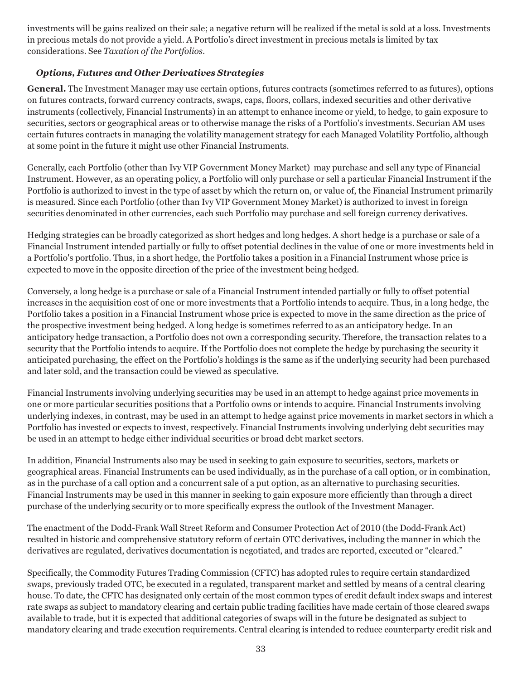investments will be gains realized on their sale; a negative return will be realized if the metal is sold at a loss. Investments in precious metals do not provide a yield. A Portfolio's direct investment in precious metals is limited by tax considerations. See *Taxation of the Portfolios.*

### *Options, Futures and Other Derivatives Strategies*

**General.** The Investment Manager may use certain options, futures contracts (sometimes referred to as futures), options on futures contracts, forward currency contracts, swaps, caps, floors, collars, indexed securities and other derivative instruments (collectively, Financial Instruments) in an attempt to enhance income or yield, to hedge, to gain exposure to securities, sectors or geographical areas or to otherwise manage the risks of a Portfolio's investments. Securian AM uses certain futures contracts in managing the volatility management strategy for each Managed Volatility Portfolio, although at some point in the future it might use other Financial Instruments.

Generally, each Portfolio (other than Ivy VIP Government Money Market) may purchase and sell any type of Financial Instrument. However, as an operating policy, a Portfolio will only purchase or sell a particular Financial Instrument if the Portfolio is authorized to invest in the type of asset by which the return on, or value of, the Financial Instrument primarily is measured. Since each Portfolio (other than Ivy VIP Government Money Market) is authorized to invest in foreign securities denominated in other currencies, each such Portfolio may purchase and sell foreign currency derivatives.

Hedging strategies can be broadly categorized as short hedges and long hedges. A short hedge is a purchase or sale of a Financial Instrument intended partially or fully to offset potential declines in the value of one or more investments held in a Portfolio's portfolio. Thus, in a short hedge, the Portfolio takes a position in a Financial Instrument whose price is expected to move in the opposite direction of the price of the investment being hedged.

Conversely, a long hedge is a purchase or sale of a Financial Instrument intended partially or fully to offset potential increases in the acquisition cost of one or more investments that a Portfolio intends to acquire. Thus, in a long hedge, the Portfolio takes a position in a Financial Instrument whose price is expected to move in the same direction as the price of the prospective investment being hedged. A long hedge is sometimes referred to as an anticipatory hedge. In an anticipatory hedge transaction, a Portfolio does not own a corresponding security. Therefore, the transaction relates to a security that the Portfolio intends to acquire. If the Portfolio does not complete the hedge by purchasing the security it anticipated purchasing, the effect on the Portfolio's holdings is the same as if the underlying security had been purchased and later sold, and the transaction could be viewed as speculative.

Financial Instruments involving underlying securities may be used in an attempt to hedge against price movements in one or more particular securities positions that a Portfolio owns or intends to acquire. Financial Instruments involving underlying indexes, in contrast, may be used in an attempt to hedge against price movements in market sectors in which a Portfolio has invested or expects to invest, respectively. Financial Instruments involving underlying debt securities may be used in an attempt to hedge either individual securities or broad debt market sectors.

In addition, Financial Instruments also may be used in seeking to gain exposure to securities, sectors, markets or geographical areas. Financial Instruments can be used individually, as in the purchase of a call option, or in combination, as in the purchase of a call option and a concurrent sale of a put option, as an alternative to purchasing securities. Financial Instruments may be used in this manner in seeking to gain exposure more efficiently than through a direct purchase of the underlying security or to more specifically express the outlook of the Investment Manager.

The enactment of the Dodd-Frank Wall Street Reform and Consumer Protection Act of 2010 (the Dodd-Frank Act) resulted in historic and comprehensive statutory reform of certain OTC derivatives, including the manner in which the derivatives are regulated, derivatives documentation is negotiated, and trades are reported, executed or "cleared."

Specifically, the Commodity Futures Trading Commission (CFTC) has adopted rules to require certain standardized swaps, previously traded OTC, be executed in a regulated, transparent market and settled by means of a central clearing house. To date, the CFTC has designated only certain of the most common types of credit default index swaps and interest rate swaps as subject to mandatory clearing and certain public trading facilities have made certain of those cleared swaps available to trade, but it is expected that additional categories of swaps will in the future be designated as subject to mandatory clearing and trade execution requirements. Central clearing is intended to reduce counterparty credit risk and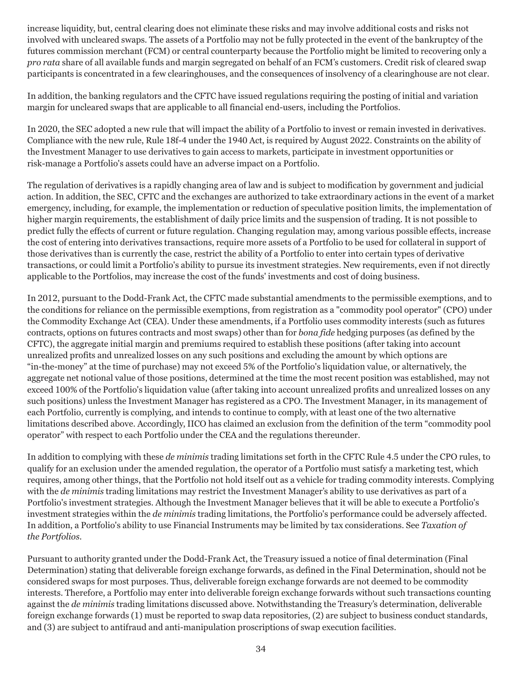increase liquidity, but, central clearing does not eliminate these risks and may involve additional costs and risks not involved with uncleared swaps. The assets of a Portfolio may not be fully protected in the event of the bankruptcy of the futures commission merchant (FCM) or central counterparty because the Portfolio might be limited to recovering only a *pro rata* share of all available funds and margin segregated on behalf of an FCM's customers. Credit risk of cleared swap participants is concentrated in a few clearinghouses, and the consequences of insolvency of a clearinghouse are not clear.

In addition, the banking regulators and the CFTC have issued regulations requiring the posting of initial and variation margin for uncleared swaps that are applicable to all financial end-users, including the Portfolios.

In 2020, the SEC adopted a new rule that will impact the ability of a Portfolio to invest or remain invested in derivatives. Compliance with the new rule, Rule 18f-4 under the 1940 Act, is required by August 2022. Constraints on the ability of the Investment Manager to use derivatives to gain access to markets, participate in investment opportunities or risk-manage a Portfolio's assets could have an adverse impact on a Portfolio.

The regulation of derivatives is a rapidly changing area of law and is subject to modification by government and judicial action. In addition, the SEC, CFTC and the exchanges are authorized to take extraordinary actions in the event of a market emergency, including, for example, the implementation or reduction of speculative position limits, the implementation of higher margin requirements, the establishment of daily price limits and the suspension of trading. It is not possible to predict fully the effects of current or future regulation. Changing regulation may, among various possible effects, increase the cost of entering into derivatives transactions, require more assets of a Portfolio to be used for collateral in support of those derivatives than is currently the case, restrict the ability of a Portfolio to enter into certain types of derivative transactions, or could limit a Portfolio's ability to pursue its investment strategies. New requirements, even if not directly applicable to the Portfolios, may increase the cost of the funds' investments and cost of doing business.

In 2012, pursuant to the Dodd-Frank Act, the CFTC made substantial amendments to the permissible exemptions, and to the conditions for reliance on the permissible exemptions, from registration as a "commodity pool operator" (CPO) under the Commodity Exchange Act (CEA). Under these amendments, if a Portfolio uses commodity interests (such as futures contracts, options on futures contracts and most swaps) other than for *bona fide* hedging purposes (as defined by the CFTC), the aggregate initial margin and premiums required to establish these positions (after taking into account unrealized profits and unrealized losses on any such positions and excluding the amount by which options are "in-the-money" at the time of purchase) may not exceed 5% of the Portfolio's liquidation value, or alternatively, the aggregate net notional value of those positions, determined at the time the most recent position was established, may not exceed 100% of the Portfolio's liquidation value (after taking into account unrealized profits and unrealized losses on any such positions) unless the Investment Manager has registered as a CPO. The Investment Manager, in its management of each Portfolio, currently is complying, and intends to continue to comply, with at least one of the two alternative limitations described above. Accordingly, IICO has claimed an exclusion from the definition of the term "commodity pool operator" with respect to each Portfolio under the CEA and the regulations thereunder.

In addition to complying with these *de minimis* trading limitations set forth in the CFTC Rule 4.5 under the CPO rules, to qualify for an exclusion under the amended regulation, the operator of a Portfolio must satisfy a marketing test, which requires, among other things, that the Portfolio not hold itself out as a vehicle for trading commodity interests. Complying with the *de minimis* trading limitations may restrict the Investment Manager's ability to use derivatives as part of a Portfolio's investment strategies. Although the Investment Manager believes that it will be able to execute a Portfolio's investment strategies within the *de minimis* trading limitations, the Portfolio's performance could be adversely affected. In addition, a Portfolio's ability to use Financial Instruments may be limited by tax considerations. See *Taxation of the Portfolios.*

Pursuant to authority granted under the Dodd-Frank Act, the Treasury issued a notice of final determination (Final Determination) stating that deliverable foreign exchange forwards, as defined in the Final Determination, should not be considered swaps for most purposes. Thus, deliverable foreign exchange forwards are not deemed to be commodity interests. Therefore, a Portfolio may enter into deliverable foreign exchange forwards without such transactions counting against the *de minimis* trading limitations discussed above. Notwithstanding the Treasury's determination, deliverable foreign exchange forwards (1) must be reported to swap data repositories, (2) are subject to business conduct standards, and (3) are subject to antifraud and anti-manipulation proscriptions of swap execution facilities.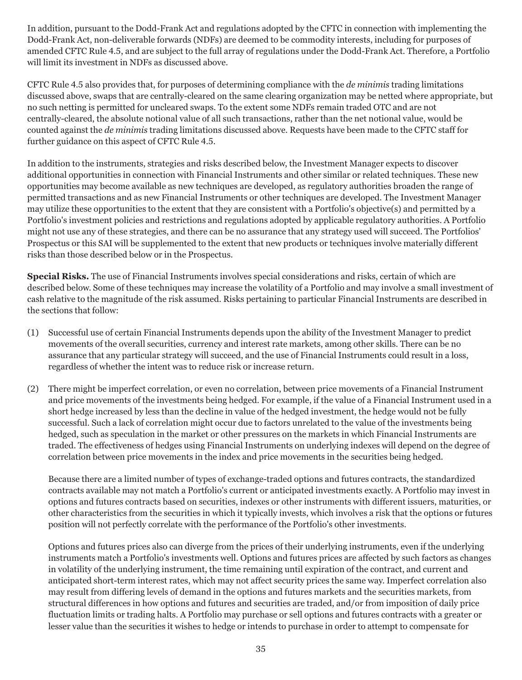In addition, pursuant to the Dodd-Frank Act and regulations adopted by the CFTC in connection with implementing the Dodd-Frank Act, non-deliverable forwards (NDFs) are deemed to be commodity interests, including for purposes of amended CFTC Rule 4.5, and are subject to the full array of regulations under the Dodd-Frank Act. Therefore, a Portfolio will limit its investment in NDFs as discussed above.

CFTC Rule 4.5 also provides that, for purposes of determining compliance with the *de minimis* trading limitations discussed above, swaps that are centrally-cleared on the same clearing organization may be netted where appropriate, but no such netting is permitted for uncleared swaps. To the extent some NDFs remain traded OTC and are not centrally-cleared, the absolute notional value of all such transactions, rather than the net notional value, would be counted against the *de minimis* trading limitations discussed above. Requests have been made to the CFTC staff for further guidance on this aspect of CFTC Rule 4.5.

In addition to the instruments, strategies and risks described below, the Investment Manager expects to discover additional opportunities in connection with Financial Instruments and other similar or related techniques. These new opportunities may become available as new techniques are developed, as regulatory authorities broaden the range of permitted transactions and as new Financial Instruments or other techniques are developed. The Investment Manager may utilize these opportunities to the extent that they are consistent with a Portfolio's objective(s) and permitted by a Portfolio's investment policies and restrictions and regulations adopted by applicable regulatory authorities. A Portfolio might not use any of these strategies, and there can be no assurance that any strategy used will succeed. The Portfolios' Prospectus or this SAI will be supplemented to the extent that new products or techniques involve materially different risks than those described below or in the Prospectus.

**Special Risks.** The use of Financial Instruments involves special considerations and risks, certain of which are described below. Some of these techniques may increase the volatility of a Portfolio and may involve a small investment of cash relative to the magnitude of the risk assumed. Risks pertaining to particular Financial Instruments are described in the sections that follow:

- (1) Successful use of certain Financial Instruments depends upon the ability of the Investment Manager to predict movements of the overall securities, currency and interest rate markets, among other skills. There can be no assurance that any particular strategy will succeed, and the use of Financial Instruments could result in a loss, regardless of whether the intent was to reduce risk or increase return.
- (2) There might be imperfect correlation, or even no correlation, between price movements of a Financial Instrument and price movements of the investments being hedged. For example, if the value of a Financial Instrument used in a short hedge increased by less than the decline in value of the hedged investment, the hedge would not be fully successful. Such a lack of correlation might occur due to factors unrelated to the value of the investments being hedged, such as speculation in the market or other pressures on the markets in which Financial Instruments are traded. The effectiveness of hedges using Financial Instruments on underlying indexes will depend on the degree of correlation between price movements in the index and price movements in the securities being hedged.

Because there are a limited number of types of exchange-traded options and futures contracts, the standardized contracts available may not match a Portfolio's current or anticipated investments exactly. A Portfolio may invest in options and futures contracts based on securities, indexes or other instruments with different issuers, maturities, or other characteristics from the securities in which it typically invests, which involves a risk that the options or futures position will not perfectly correlate with the performance of the Portfolio's other investments.

Options and futures prices also can diverge from the prices of their underlying instruments, even if the underlying instruments match a Portfolio's investments well. Options and futures prices are affected by such factors as changes in volatility of the underlying instrument, the time remaining until expiration of the contract, and current and anticipated short-term interest rates, which may not affect security prices the same way. Imperfect correlation also may result from differing levels of demand in the options and futures markets and the securities markets, from structural differences in how options and futures and securities are traded, and/or from imposition of daily price fluctuation limits or trading halts. A Portfolio may purchase or sell options and futures contracts with a greater or lesser value than the securities it wishes to hedge or intends to purchase in order to attempt to compensate for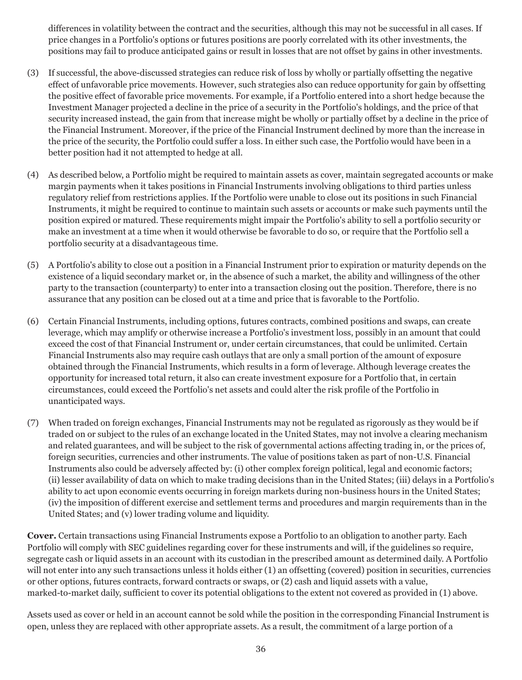differences in volatility between the contract and the securities, although this may not be successful in all cases. If price changes in a Portfolio's options or futures positions are poorly correlated with its other investments, the positions may fail to produce anticipated gains or result in losses that are not offset by gains in other investments.

- (3) If successful, the above-discussed strategies can reduce risk of loss by wholly or partially offsetting the negative effect of unfavorable price movements. However, such strategies also can reduce opportunity for gain by offsetting the positive effect of favorable price movements. For example, if a Portfolio entered into a short hedge because the Investment Manager projected a decline in the price of a security in the Portfolio's holdings, and the price of that security increased instead, the gain from that increase might be wholly or partially offset by a decline in the price of the Financial Instrument. Moreover, if the price of the Financial Instrument declined by more than the increase in the price of the security, the Portfolio could suffer a loss. In either such case, the Portfolio would have been in a better position had it not attempted to hedge at all.
- (4) As described below, a Portfolio might be required to maintain assets as cover, maintain segregated accounts or make margin payments when it takes positions in Financial Instruments involving obligations to third parties unless regulatory relief from restrictions applies. If the Portfolio were unable to close out its positions in such Financial Instruments, it might be required to continue to maintain such assets or accounts or make such payments until the position expired or matured. These requirements might impair the Portfolio's ability to sell a portfolio security or make an investment at a time when it would otherwise be favorable to do so, or require that the Portfolio sell a portfolio security at a disadvantageous time.
- (5) A Portfolio's ability to close out a position in a Financial Instrument prior to expiration or maturity depends on the existence of a liquid secondary market or, in the absence of such a market, the ability and willingness of the other party to the transaction (counterparty) to enter into a transaction closing out the position. Therefore, there is no assurance that any position can be closed out at a time and price that is favorable to the Portfolio.
- (6) Certain Financial Instruments, including options, futures contracts, combined positions and swaps, can create leverage, which may amplify or otherwise increase a Portfolio's investment loss, possibly in an amount that could exceed the cost of that Financial Instrument or, under certain circumstances, that could be unlimited. Certain Financial Instruments also may require cash outlays that are only a small portion of the amount of exposure obtained through the Financial Instruments, which results in a form of leverage. Although leverage creates the opportunity for increased total return, it also can create investment exposure for a Portfolio that, in certain circumstances, could exceed the Portfolio's net assets and could alter the risk profile of the Portfolio in unanticipated ways.
- (7) When traded on foreign exchanges, Financial Instruments may not be regulated as rigorously as they would be if traded on or subject to the rules of an exchange located in the United States, may not involve a clearing mechanism and related guarantees, and will be subject to the risk of governmental actions affecting trading in, or the prices of, foreign securities, currencies and other instruments. The value of positions taken as part of non-U.S. Financial Instruments also could be adversely affected by: (i) other complex foreign political, legal and economic factors; (ii) lesser availability of data on which to make trading decisions than in the United States; (iii) delays in a Portfolio's ability to act upon economic events occurring in foreign markets during non-business hours in the United States; (iv) the imposition of different exercise and settlement terms and procedures and margin requirements than in the United States; and (v) lower trading volume and liquidity.

**Cover.** Certain transactions using Financial Instruments expose a Portfolio to an obligation to another party. Each Portfolio will comply with SEC guidelines regarding cover for these instruments and will, if the guidelines so require, segregate cash or liquid assets in an account with its custodian in the prescribed amount as determined daily. A Portfolio will not enter into any such transactions unless it holds either (1) an offsetting (covered) position in securities, currencies or other options, futures contracts, forward contracts or swaps, or (2) cash and liquid assets with a value, marked-to-market daily, sufficient to cover its potential obligations to the extent not covered as provided in (1) above.

Assets used as cover or held in an account cannot be sold while the position in the corresponding Financial Instrument is open, unless they are replaced with other appropriate assets. As a result, the commitment of a large portion of a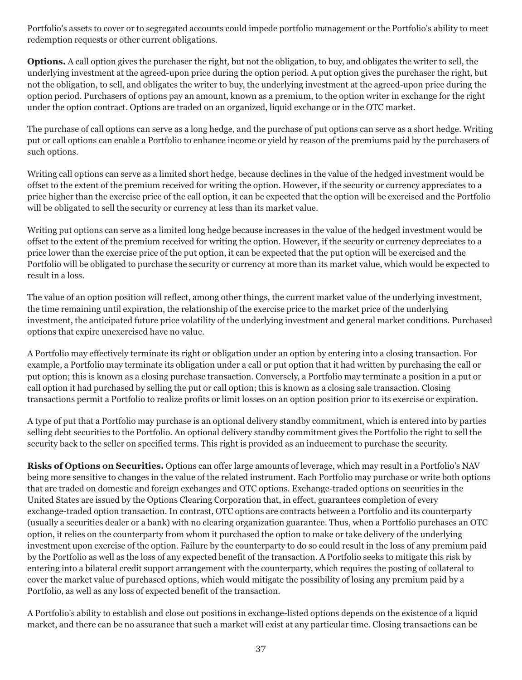Portfolio's assets to cover or to segregated accounts could impede portfolio management or the Portfolio's ability to meet redemption requests or other current obligations.

**Options.** A call option gives the purchaser the right, but not the obligation, to buy, and obligates the writer to sell, the underlying investment at the agreed-upon price during the option period. A put option gives the purchaser the right, but not the obligation, to sell, and obligates the writer to buy, the underlying investment at the agreed-upon price during the option period. Purchasers of options pay an amount, known as a premium, to the option writer in exchange for the right under the option contract. Options are traded on an organized, liquid exchange or in the OTC market.

The purchase of call options can serve as a long hedge, and the purchase of put options can serve as a short hedge. Writing put or call options can enable a Portfolio to enhance income or yield by reason of the premiums paid by the purchasers of such options.

Writing call options can serve as a limited short hedge, because declines in the value of the hedged investment would be offset to the extent of the premium received for writing the option. However, if the security or currency appreciates to a price higher than the exercise price of the call option, it can be expected that the option will be exercised and the Portfolio will be obligated to sell the security or currency at less than its market value.

Writing put options can serve as a limited long hedge because increases in the value of the hedged investment would be offset to the extent of the premium received for writing the option. However, if the security or currency depreciates to a price lower than the exercise price of the put option, it can be expected that the put option will be exercised and the Portfolio will be obligated to purchase the security or currency at more than its market value, which would be expected to result in a loss.

The value of an option position will reflect, among other things, the current market value of the underlying investment, the time remaining until expiration, the relationship of the exercise price to the market price of the underlying investment, the anticipated future price volatility of the underlying investment and general market conditions. Purchased options that expire unexercised have no value.

A Portfolio may effectively terminate its right or obligation under an option by entering into a closing transaction. For example, a Portfolio may terminate its obligation under a call or put option that it had written by purchasing the call or put option; this is known as a closing purchase transaction. Conversely, a Portfolio may terminate a position in a put or call option it had purchased by selling the put or call option; this is known as a closing sale transaction. Closing transactions permit a Portfolio to realize profits or limit losses on an option position prior to its exercise or expiration.

A type of put that a Portfolio may purchase is an optional delivery standby commitment, which is entered into by parties selling debt securities to the Portfolio. An optional delivery standby commitment gives the Portfolio the right to sell the security back to the seller on specified terms. This right is provided as an inducement to purchase the security.

**Risks of Options on Securities.** Options can offer large amounts of leverage, which may result in a Portfolio's NAV being more sensitive to changes in the value of the related instrument. Each Portfolio may purchase or write both options that are traded on domestic and foreign exchanges and OTC options. Exchange-traded options on securities in the United States are issued by the Options Clearing Corporation that, in effect, guarantees completion of every exchange-traded option transaction. In contrast, OTC options are contracts between a Portfolio and its counterparty (usually a securities dealer or a bank) with no clearing organization guarantee. Thus, when a Portfolio purchases an OTC option, it relies on the counterparty from whom it purchased the option to make or take delivery of the underlying investment upon exercise of the option. Failure by the counterparty to do so could result in the loss of any premium paid by the Portfolio as well as the loss of any expected benefit of the transaction. A Portfolio seeks to mitigate this risk by entering into a bilateral credit support arrangement with the counterparty, which requires the posting of collateral to cover the market value of purchased options, which would mitigate the possibility of losing any premium paid by a Portfolio, as well as any loss of expected benefit of the transaction.

A Portfolio's ability to establish and close out positions in exchange-listed options depends on the existence of a liquid market, and there can be no assurance that such a market will exist at any particular time. Closing transactions can be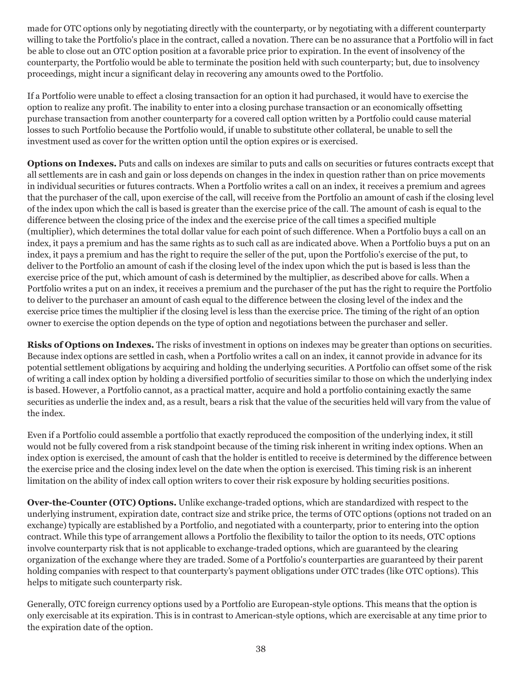made for OTC options only by negotiating directly with the counterparty, or by negotiating with a different counterparty willing to take the Portfolio's place in the contract, called a novation. There can be no assurance that a Portfolio will in fact be able to close out an OTC option position at a favorable price prior to expiration. In the event of insolvency of the counterparty, the Portfolio would be able to terminate the position held with such counterparty; but, due to insolvency proceedings, might incur a significant delay in recovering any amounts owed to the Portfolio.

If a Portfolio were unable to effect a closing transaction for an option it had purchased, it would have to exercise the option to realize any profit. The inability to enter into a closing purchase transaction or an economically offsetting purchase transaction from another counterparty for a covered call option written by a Portfolio could cause material losses to such Portfolio because the Portfolio would, if unable to substitute other collateral, be unable to sell the investment used as cover for the written option until the option expires or is exercised.

**Options on Indexes.** Puts and calls on indexes are similar to puts and calls on securities or futures contracts except that all settlements are in cash and gain or loss depends on changes in the index in question rather than on price movements in individual securities or futures contracts. When a Portfolio writes a call on an index, it receives a premium and agrees that the purchaser of the call, upon exercise of the call, will receive from the Portfolio an amount of cash if the closing level of the index upon which the call is based is greater than the exercise price of the call. The amount of cash is equal to the difference between the closing price of the index and the exercise price of the call times a specified multiple (multiplier), which determines the total dollar value for each point of such difference. When a Portfolio buys a call on an index, it pays a premium and has the same rights as to such call as are indicated above. When a Portfolio buys a put on an index, it pays a premium and has the right to require the seller of the put, upon the Portfolio's exercise of the put, to deliver to the Portfolio an amount of cash if the closing level of the index upon which the put is based is less than the exercise price of the put, which amount of cash is determined by the multiplier, as described above for calls. When a Portfolio writes a put on an index, it receives a premium and the purchaser of the put has the right to require the Portfolio to deliver to the purchaser an amount of cash equal to the difference between the closing level of the index and the exercise price times the multiplier if the closing level is less than the exercise price. The timing of the right of an option owner to exercise the option depends on the type of option and negotiations between the purchaser and seller.

**Risks of Options on Indexes.** The risks of investment in options on indexes may be greater than options on securities. Because index options are settled in cash, when a Portfolio writes a call on an index, it cannot provide in advance for its potential settlement obligations by acquiring and holding the underlying securities. A Portfolio can offset some of the risk of writing a call index option by holding a diversified portfolio of securities similar to those on which the underlying index is based. However, a Portfolio cannot, as a practical matter, acquire and hold a portfolio containing exactly the same securities as underlie the index and, as a result, bears a risk that the value of the securities held will vary from the value of the index.

Even if a Portfolio could assemble a portfolio that exactly reproduced the composition of the underlying index, it still would not be fully covered from a risk standpoint because of the timing risk inherent in writing index options. When an index option is exercised, the amount of cash that the holder is entitled to receive is determined by the difference between the exercise price and the closing index level on the date when the option is exercised. This timing risk is an inherent limitation on the ability of index call option writers to cover their risk exposure by holding securities positions.

**Over-the-Counter (OTC) Options.** Unlike exchange-traded options, which are standardized with respect to the underlying instrument, expiration date, contract size and strike price, the terms of OTC options (options not traded on an exchange) typically are established by a Portfolio, and negotiated with a counterparty, prior to entering into the option contract. While this type of arrangement allows a Portfolio the flexibility to tailor the option to its needs, OTC options involve counterparty risk that is not applicable to exchange-traded options, which are guaranteed by the clearing organization of the exchange where they are traded. Some of a Portfolio's counterparties are guaranteed by their parent holding companies with respect to that counterparty's payment obligations under OTC trades (like OTC options). This helps to mitigate such counterparty risk.

Generally, OTC foreign currency options used by a Portfolio are European-style options. This means that the option is only exercisable at its expiration. This is in contrast to American-style options, which are exercisable at any time prior to the expiration date of the option.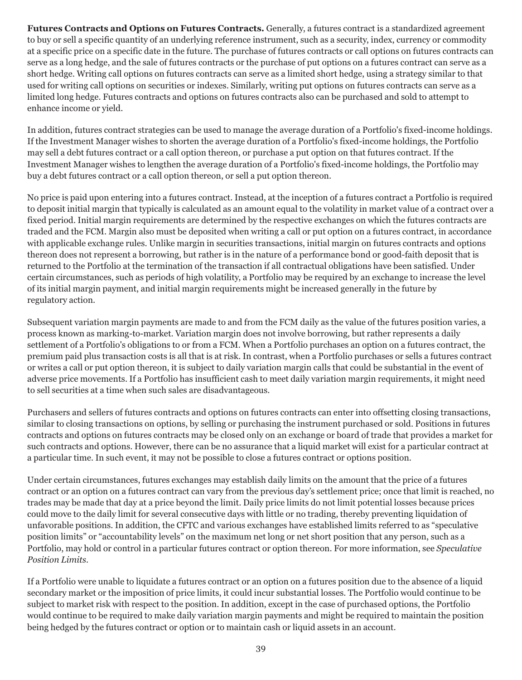**Futures Contracts and Options on Futures Contracts.** Generally, a futures contract is a standardized agreement to buy or sell a specific quantity of an underlying reference instrument, such as a security, index, currency or commodity at a specific price on a specific date in the future. The purchase of futures contracts or call options on futures contracts can serve as a long hedge, and the sale of futures contracts or the purchase of put options on a futures contract can serve as a short hedge. Writing call options on futures contracts can serve as a limited short hedge, using a strategy similar to that used for writing call options on securities or indexes. Similarly, writing put options on futures contracts can serve as a limited long hedge. Futures contracts and options on futures contracts also can be purchased and sold to attempt to enhance income or yield.

In addition, futures contract strategies can be used to manage the average duration of a Portfolio's fixed-income holdings. If the Investment Manager wishes to shorten the average duration of a Portfolio's fixed-income holdings, the Portfolio may sell a debt futures contract or a call option thereon, or purchase a put option on that futures contract. If the Investment Manager wishes to lengthen the average duration of a Portfolio's fixed-income holdings, the Portfolio may buy a debt futures contract or a call option thereon, or sell a put option thereon.

No price is paid upon entering into a futures contract. Instead, at the inception of a futures contract a Portfolio is required to deposit initial margin that typically is calculated as an amount equal to the volatility in market value of a contract over a fixed period. Initial margin requirements are determined by the respective exchanges on which the futures contracts are traded and the FCM. Margin also must be deposited when writing a call or put option on a futures contract, in accordance with applicable exchange rules. Unlike margin in securities transactions, initial margin on futures contracts and options thereon does not represent a borrowing, but rather is in the nature of a performance bond or good-faith deposit that is returned to the Portfolio at the termination of the transaction if all contractual obligations have been satisfied. Under certain circumstances, such as periods of high volatility, a Portfolio may be required by an exchange to increase the level of its initial margin payment, and initial margin requirements might be increased generally in the future by regulatory action.

Subsequent variation margin payments are made to and from the FCM daily as the value of the futures position varies, a process known as marking-to-market. Variation margin does not involve borrowing, but rather represents a daily settlement of a Portfolio's obligations to or from a FCM. When a Portfolio purchases an option on a futures contract, the premium paid plus transaction costs is all that is at risk. In contrast, when a Portfolio purchases or sells a futures contract or writes a call or put option thereon, it is subject to daily variation margin calls that could be substantial in the event of adverse price movements. If a Portfolio has insufficient cash to meet daily variation margin requirements, it might need to sell securities at a time when such sales are disadvantageous.

Purchasers and sellers of futures contracts and options on futures contracts can enter into offsetting closing transactions, similar to closing transactions on options, by selling or purchasing the instrument purchased or sold. Positions in futures contracts and options on futures contracts may be closed only on an exchange or board of trade that provides a market for such contracts and options. However, there can be no assurance that a liquid market will exist for a particular contract at a particular time. In such event, it may not be possible to close a futures contract or options position.

Under certain circumstances, futures exchanges may establish daily limits on the amount that the price of a futures contract or an option on a futures contract can vary from the previous day's settlement price; once that limit is reached, no trades may be made that day at a price beyond the limit. Daily price limits do not limit potential losses because prices could move to the daily limit for several consecutive days with little or no trading, thereby preventing liquidation of unfavorable positions. In addition, the CFTC and various exchanges have established limits referred to as "speculative position limits" or "accountability levels" on the maximum net long or net short position that any person, such as a Portfolio, may hold or control in a particular futures contract or option thereon. For more information, see *Speculative Position Limits*.

If a Portfolio were unable to liquidate a futures contract or an option on a futures position due to the absence of a liquid secondary market or the imposition of price limits, it could incur substantial losses. The Portfolio would continue to be subject to market risk with respect to the position. In addition, except in the case of purchased options, the Portfolio would continue to be required to make daily variation margin payments and might be required to maintain the position being hedged by the futures contract or option or to maintain cash or liquid assets in an account.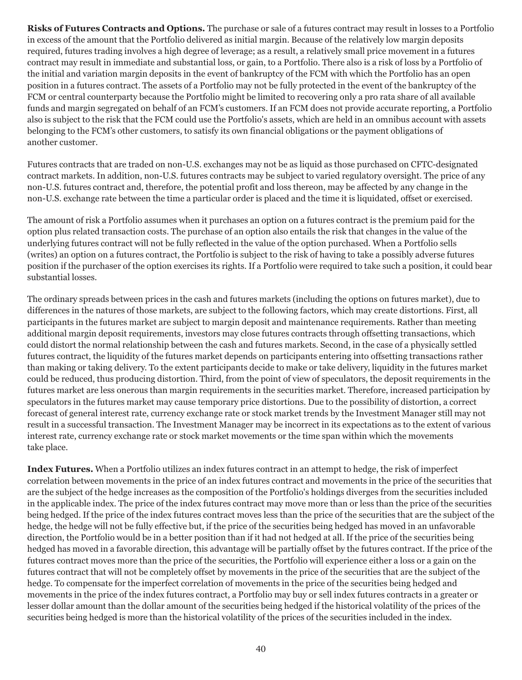**Risks of Futures Contracts and Options.** The purchase or sale of a futures contract may result in losses to a Portfolio in excess of the amount that the Portfolio delivered as initial margin. Because of the relatively low margin deposits required, futures trading involves a high degree of leverage; as a result, a relatively small price movement in a futures contract may result in immediate and substantial loss, or gain, to a Portfolio. There also is a risk of loss by a Portfolio of the initial and variation margin deposits in the event of bankruptcy of the FCM with which the Portfolio has an open position in a futures contract. The assets of a Portfolio may not be fully protected in the event of the bankruptcy of the FCM or central counterparty because the Portfolio might be limited to recovering only a pro rata share of all available funds and margin segregated on behalf of an FCM's customers. If an FCM does not provide accurate reporting, a Portfolio also is subject to the risk that the FCM could use the Portfolio's assets, which are held in an omnibus account with assets belonging to the FCM's other customers, to satisfy its own financial obligations or the payment obligations of another customer.

Futures contracts that are traded on non-U.S. exchanges may not be as liquid as those purchased on CFTC-designated contract markets. In addition, non-U.S. futures contracts may be subject to varied regulatory oversight. The price of any non-U.S. futures contract and, therefore, the potential profit and loss thereon, may be affected by any change in the non-U.S. exchange rate between the time a particular order is placed and the time it is liquidated, offset or exercised.

The amount of risk a Portfolio assumes when it purchases an option on a futures contract is the premium paid for the option plus related transaction costs. The purchase of an option also entails the risk that changes in the value of the underlying futures contract will not be fully reflected in the value of the option purchased. When a Portfolio sells (writes) an option on a futures contract, the Portfolio is subject to the risk of having to take a possibly adverse futures position if the purchaser of the option exercises its rights. If a Portfolio were required to take such a position, it could bear substantial losses.

The ordinary spreads between prices in the cash and futures markets (including the options on futures market), due to differences in the natures of those markets, are subject to the following factors, which may create distortions. First, all participants in the futures market are subject to margin deposit and maintenance requirements. Rather than meeting additional margin deposit requirements, investors may close futures contracts through offsetting transactions, which could distort the normal relationship between the cash and futures markets. Second, in the case of a physically settled futures contract, the liquidity of the futures market depends on participants entering into offsetting transactions rather than making or taking delivery. To the extent participants decide to make or take delivery, liquidity in the futures market could be reduced, thus producing distortion. Third, from the point of view of speculators, the deposit requirements in the futures market are less onerous than margin requirements in the securities market. Therefore, increased participation by speculators in the futures market may cause temporary price distortions. Due to the possibility of distortion, a correct forecast of general interest rate, currency exchange rate or stock market trends by the Investment Manager still may not result in a successful transaction. The Investment Manager may be incorrect in its expectations as to the extent of various interest rate, currency exchange rate or stock market movements or the time span within which the movements take place.

**Index Futures.** When a Portfolio utilizes an index futures contract in an attempt to hedge, the risk of imperfect correlation between movements in the price of an index futures contract and movements in the price of the securities that are the subject of the hedge increases as the composition of the Portfolio's holdings diverges from the securities included in the applicable index. The price of the index futures contract may move more than or less than the price of the securities being hedged. If the price of the index futures contract moves less than the price of the securities that are the subject of the hedge, the hedge will not be fully effective but, if the price of the securities being hedged has moved in an unfavorable direction, the Portfolio would be in a better position than if it had not hedged at all. If the price of the securities being hedged has moved in a favorable direction, this advantage will be partially offset by the futures contract. If the price of the futures contract moves more than the price of the securities, the Portfolio will experience either a loss or a gain on the futures contract that will not be completely offset by movements in the price of the securities that are the subject of the hedge. To compensate for the imperfect correlation of movements in the price of the securities being hedged and movements in the price of the index futures contract, a Portfolio may buy or sell index futures contracts in a greater or lesser dollar amount than the dollar amount of the securities being hedged if the historical volatility of the prices of the securities being hedged is more than the historical volatility of the prices of the securities included in the index.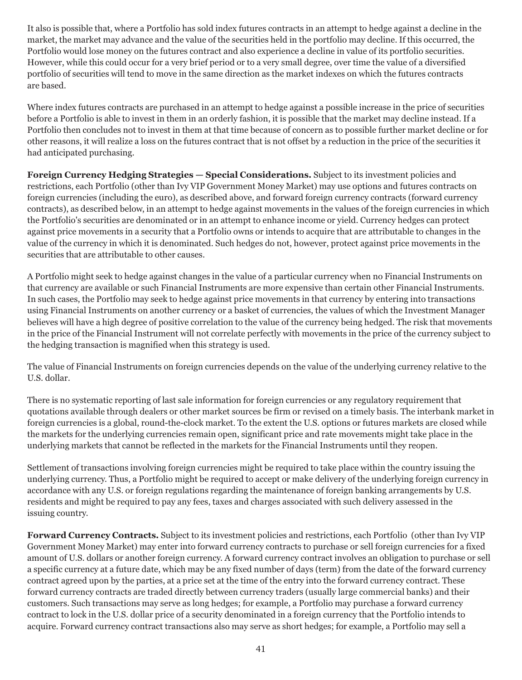It also is possible that, where a Portfolio has sold index futures contracts in an attempt to hedge against a decline in the market, the market may advance and the value of the securities held in the portfolio may decline. If this occurred, the Portfolio would lose money on the futures contract and also experience a decline in value of its portfolio securities. However, while this could occur for a very brief period or to a very small degree, over time the value of a diversified portfolio of securities will tend to move in the same direction as the market indexes on which the futures contracts are based.

Where index futures contracts are purchased in an attempt to hedge against a possible increase in the price of securities before a Portfolio is able to invest in them in an orderly fashion, it is possible that the market may decline instead. If a Portfolio then concludes not to invest in them at that time because of concern as to possible further market decline or for other reasons, it will realize a loss on the futures contract that is not offset by a reduction in the price of the securities it had anticipated purchasing.

**Foreign Currency Hedging Strategies — Special Considerations.** Subject to its investment policies and restrictions, each Portfolio (other than Ivy VIP Government Money Market) may use options and futures contracts on foreign currencies (including the euro), as described above, and forward foreign currency contracts (forward currency contracts), as described below, in an attempt to hedge against movements in the values of the foreign currencies in which the Portfolio's securities are denominated or in an attempt to enhance income or yield. Currency hedges can protect against price movements in a security that a Portfolio owns or intends to acquire that are attributable to changes in the value of the currency in which it is denominated. Such hedges do not, however, protect against price movements in the securities that are attributable to other causes.

A Portfolio might seek to hedge against changes in the value of a particular currency when no Financial Instruments on that currency are available or such Financial Instruments are more expensive than certain other Financial Instruments. In such cases, the Portfolio may seek to hedge against price movements in that currency by entering into transactions using Financial Instruments on another currency or a basket of currencies, the values of which the Investment Manager believes will have a high degree of positive correlation to the value of the currency being hedged. The risk that movements in the price of the Financial Instrument will not correlate perfectly with movements in the price of the currency subject to the hedging transaction is magnified when this strategy is used.

The value of Financial Instruments on foreign currencies depends on the value of the underlying currency relative to the U.S. dollar.

There is no systematic reporting of last sale information for foreign currencies or any regulatory requirement that quotations available through dealers or other market sources be firm or revised on a timely basis. The interbank market in foreign currencies is a global, round-the-clock market. To the extent the U.S. options or futures markets are closed while the markets for the underlying currencies remain open, significant price and rate movements might take place in the underlying markets that cannot be reflected in the markets for the Financial Instruments until they reopen.

Settlement of transactions involving foreign currencies might be required to take place within the country issuing the underlying currency. Thus, a Portfolio might be required to accept or make delivery of the underlying foreign currency in accordance with any U.S. or foreign regulations regarding the maintenance of foreign banking arrangements by U.S. residents and might be required to pay any fees, taxes and charges associated with such delivery assessed in the issuing country.

**Forward Currency Contracts.** Subject to its investment policies and restrictions, each Portfolio (other than Ivy VIP Government Money Market) may enter into forward currency contracts to purchase or sell foreign currencies for a fixed amount of U.S. dollars or another foreign currency. A forward currency contract involves an obligation to purchase or sell a specific currency at a future date, which may be any fixed number of days (term) from the date of the forward currency contract agreed upon by the parties, at a price set at the time of the entry into the forward currency contract. These forward currency contracts are traded directly between currency traders (usually large commercial banks) and their customers. Such transactions may serve as long hedges; for example, a Portfolio may purchase a forward currency contract to lock in the U.S. dollar price of a security denominated in a foreign currency that the Portfolio intends to acquire. Forward currency contract transactions also may serve as short hedges; for example, a Portfolio may sell a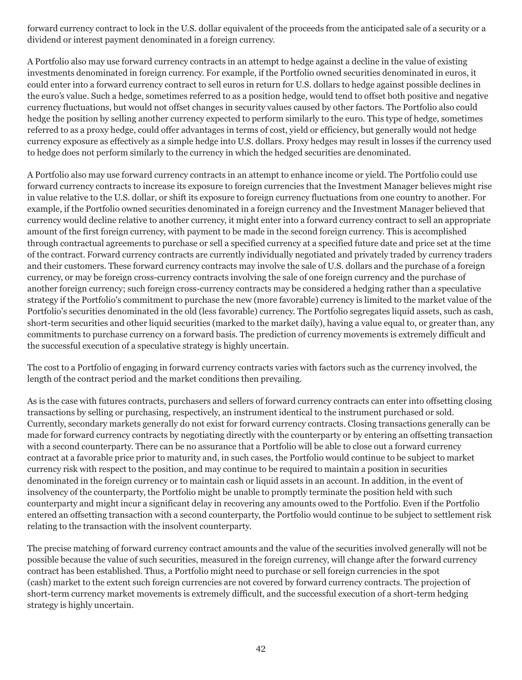forward currency contract to lock in the U.S. dollar equivalent of the proceeds from the anticipated sale of a security or a dividend or interest payment denominated in a foreign currency.

A Portfolio also may use forward currency contracts in an attempt to hedge against a decline in the value of existing investments denominated in foreign currency. For example, if the Portfolio owned securities denominated in euros, it could enter into a forward currency contract to sell euros in return for U.S. dollars to hedge against possible declines in the euro's value. Such a hedge, sometimes referred to as a position hedge, would tend to offset both positive and negative currency fluctuations, but would not offset changes in security values caused by other factors. The Portfolio also could hedge the position by selling another currency expected to perform similarly to the euro. This type of hedge, sometimes referred to as a proxy hedge, could offer advantages in terms of cost, yield or efficiency, but generally would not hedge currency exposure as effectively as a simple hedge into U.S. dollars. Proxy hedges may result in losses if the currency used to hedge does not perform similarly to the currency in which the hedged securities are denominated.

A Portfolio also may use forward currency contracts in an attempt to enhance income or yield. The Portfolio could use forward currency contracts to increase its exposure to foreign currencies that the Investment Manager believes might rise in value relative to the U.S. dollar, or shift its exposure to foreign currency fluctuations from one country to another. For example, if the Portfolio owned securities denominated in a foreign currency and the Investment Manager believed that currency would decline relative to another currency, it might enter into a forward currency contract to sell an appropriate amount of the first foreign currency, with payment to be made in the second foreign currency. This is accomplished through contractual agreements to purchase or sell a specified currency at a specified future date and price set at the time of the contract. Forward currency contracts are currently individually negotiated and privately traded by currency traders and their customers. These forward currency contracts may involve the sale of U.S. dollars and the purchase of a foreign currency, or may be foreign cross-currency contracts involving the sale of one foreign currency and the purchase of another foreign currency; such foreign cross-currency contracts may be considered a hedging rather than a speculative strategy if the Portfolio's commitment to purchase the new (more favorable) currency is limited to the market value of the Portfolio's securities denominated in the old (less favorable) currency. The Portfolio segregates liquid assets, such as cash, short-term securities and other liquid securities (marked to the market daily), having a value equal to, or greater than, any commitments to purchase currency on a forward basis. The prediction of currency movements is extremely difficult and the successful execution of a speculative strategy is highly uncertain.

The cost to a Portfolio of engaging in forward currency contracts varies with factors such as the currency involved, the length of the contract period and the market conditions then prevailing.

As is the case with futures contracts, purchasers and sellers of forward currency contracts can enter into offsetting closing transactions by selling or purchasing, respectively, an instrument identical to the instrument purchased or sold. Currently, secondary markets generally do not exist for forward currency contracts. Closing transactions generally can be made for forward currency contracts by negotiating directly with the counterparty or by entering an offsetting transaction with a second counterparty. There can be no assurance that a Portfolio will be able to close out a forward currency contract at a favorable price prior to maturity and, in such cases, the Portfolio would continue to be subject to market currency risk with respect to the position, and may continue to be required to maintain a position in securities denominated in the foreign currency or to maintain cash or liquid assets in an account. In addition, in the event of insolvency of the counterparty, the Portfolio might be unable to promptly terminate the position held with such counterparty and might incur a significant delay in recovering any amounts owed to the Portfolio. Even if the Portfolio entered an offsetting transaction with a second counterparty, the Portfolio would continue to be subject to settlement risk relating to the transaction with the insolvent counterparty.

The precise matching of forward currency contract amounts and the value of the securities involved generally will not be possible because the value of such securities, measured in the foreign currency, will change after the forward currency contract has been established. Thus, a Portfolio might need to purchase or sell foreign currencies in the spot (cash) market to the extent such foreign currencies are not covered by forward currency contracts. The projection of short-term currency market movements is extremely difficult, and the successful execution of a short-term hedging strategy is highly uncertain.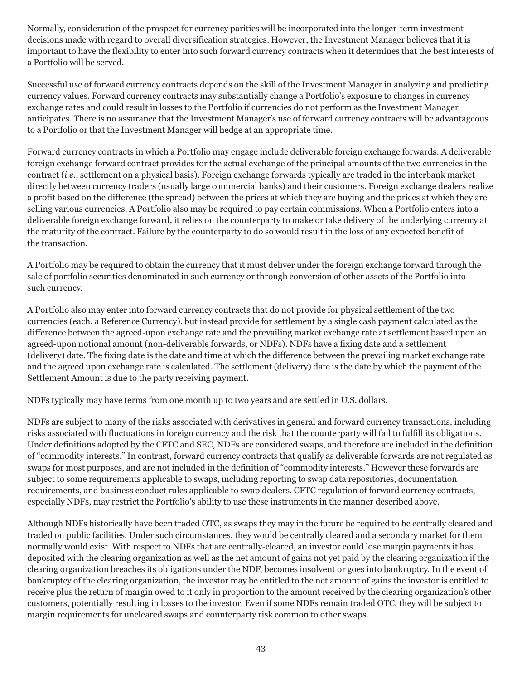Normally, consideration of the prospect for currency parities will be incorporated into the longer-term investment decisions made with regard to overall diversification strategies. However, the Investment Manager believes that it is important to have the flexibility to enter into such forward currency contracts when it determines that the best interests of a Portfolio will be served.

Successful use of forward currency contracts depends on the skill of the Investment Manager in analyzing and predicting currency values. Forward currency contracts may substantially change a Portfolio's exposure to changes in currency exchange rates and could result in losses to the Portfolio if currencies do not perform as the Investment Manager anticipates. There is no assurance that the Investment Manager's use of forward currency contracts will be advantageous to a Portfolio or that the Investment Manager will hedge at an appropriate time.

Forward currency contracts in which a Portfolio may engage include deliverable foreign exchange forwards. A deliverable foreign exchange forward contract provides for the actual exchange of the principal amounts of the two currencies in the contract (*i.e.*, settlement on a physical basis). Foreign exchange forwards typically are traded in the interbank market directly between currency traders (usually large commercial banks) and their customers. Foreign exchange dealers realize a profit based on the difference (the spread) between the prices at which they are buying and the prices at which they are selling various currencies. A Portfolio also may be required to pay certain commissions. When a Portfolio enters into a deliverable foreign exchange forward, it relies on the counterparty to make or take delivery of the underlying currency at the maturity of the contract. Failure by the counterparty to do so would result in the loss of any expected benefit of the transaction.

A Portfolio may be required to obtain the currency that it must deliver under the foreign exchange forward through the sale of portfolio securities denominated in such currency or through conversion of other assets of the Portfolio into such currency.

A Portfolio also may enter into forward currency contracts that do not provide for physical settlement of the two currencies (each, a Reference Currency), but instead provide for settlement by a single cash payment calculated as the difference between the agreed-upon exchange rate and the prevailing market exchange rate at settlement based upon an agreed-upon notional amount (non-deliverable forwards, or NDFs). NDFs have a fixing date and a settlement (delivery) date. The fixing date is the date and time at which the difference between the prevailing market exchange rate and the agreed upon exchange rate is calculated. The settlement (delivery) date is the date by which the payment of the Settlement Amount is due to the party receiving payment.

NDFs typically may have terms from one month up to two years and are settled in U.S. dollars.

NDFs are subject to many of the risks associated with derivatives in general and forward currency transactions, including risks associated with fluctuations in foreign currency and the risk that the counterparty will fail to fulfill its obligations. Under definitions adopted by the CFTC and SEC, NDFs are considered swaps, and therefore are included in the definition of "commodity interests." In contrast, forward currency contracts that qualify as deliverable forwards are not regulated as swaps for most purposes, and are not included in the definition of "commodity interests." However these forwards are subject to some requirements applicable to swaps, including reporting to swap data repositories, documentation requirements, and business conduct rules applicable to swap dealers. CFTC regulation of forward currency contracts, especially NDFs, may restrict the Portfolio's ability to use these instruments in the manner described above.

Although NDFs historically have been traded OTC, as swaps they may in the future be required to be centrally cleared and traded on public facilities. Under such circumstances, they would be centrally cleared and a secondary market for them normally would exist. With respect to NDFs that are centrally-cleared, an investor could lose margin payments it has deposited with the clearing organization as well as the net amount of gains not yet paid by the clearing organization if the clearing organization breaches its obligations under the NDF, becomes insolvent or goes into bankruptcy. In the event of bankruptcy of the clearing organization, the investor may be entitled to the net amount of gains the investor is entitled to receive plus the return of margin owed to it only in proportion to the amount received by the clearing organization's other customers, potentially resulting in losses to the investor. Even if some NDFs remain traded OTC, they will be subject to margin requirements for uncleared swaps and counterparty risk common to other swaps.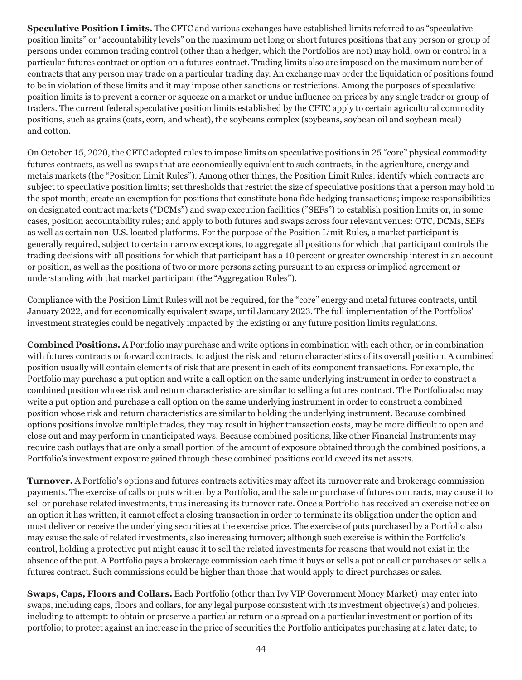**Speculative Position Limits.** The CFTC and various exchanges have established limits referred to as "speculative position limits" or "accountability levels" on the maximum net long or short futures positions that any person or group of persons under common trading control (other than a hedger, which the Portfolios are not) may hold, own or control in a particular futures contract or option on a futures contract. Trading limits also are imposed on the maximum number of contracts that any person may trade on a particular trading day. An exchange may order the liquidation of positions found to be in violation of these limits and it may impose other sanctions or restrictions. Among the purposes of speculative position limits is to prevent a corner or squeeze on a market or undue influence on prices by any single trader or group of traders. The current federal speculative position limits established by the CFTC apply to certain agricultural commodity positions, such as grains (oats, corn, and wheat), the soybeans complex (soybeans, soybean oil and soybean meal) and cotton.

On October 15, 2020, the CFTC adopted rules to impose limits on speculative positions in 25 "core" physical commodity futures contracts, as well as swaps that are economically equivalent to such contracts, in the agriculture, energy and metals markets (the "Position Limit Rules"). Among other things, the Position Limit Rules: identify which contracts are subject to speculative position limits; set thresholds that restrict the size of speculative positions that a person may hold in the spot month; create an exemption for positions that constitute bona fide hedging transactions; impose responsibilities on designated contract markets ("DCMs") and swap execution facilities ("SEFs") to establish position limits or, in some cases, position accountability rules; and apply to both futures and swaps across four relevant venues: OTC, DCMs, SEFs as well as certain non-U.S. located platforms. For the purpose of the Position Limit Rules, a market participant is generally required, subject to certain narrow exceptions, to aggregate all positions for which that participant controls the trading decisions with all positions for which that participant has a 10 percent or greater ownership interest in an account or position, as well as the positions of two or more persons acting pursuant to an express or implied agreement or understanding with that market participant (the "Aggregation Rules").

Compliance with the Position Limit Rules will not be required, for the "core" energy and metal futures contracts, until January 2022, and for economically equivalent swaps, until January 2023. The full implementation of the Portfolios' investment strategies could be negatively impacted by the existing or any future position limits regulations.

**Combined Positions.** A Portfolio may purchase and write options in combination with each other, or in combination with futures contracts or forward contracts, to adjust the risk and return characteristics of its overall position. A combined position usually will contain elements of risk that are present in each of its component transactions. For example, the Portfolio may purchase a put option and write a call option on the same underlying instrument in order to construct a combined position whose risk and return characteristics are similar to selling a futures contract. The Portfolio also may write a put option and purchase a call option on the same underlying instrument in order to construct a combined position whose risk and return characteristics are similar to holding the underlying instrument. Because combined options positions involve multiple trades, they may result in higher transaction costs, may be more difficult to open and close out and may perform in unanticipated ways. Because combined positions, like other Financial Instruments may require cash outlays that are only a small portion of the amount of exposure obtained through the combined positions, a Portfolio's investment exposure gained through these combined positions could exceed its net assets.

**Turnover.** A Portfolio's options and futures contracts activities may affect its turnover rate and brokerage commission payments. The exercise of calls or puts written by a Portfolio, and the sale or purchase of futures contracts, may cause it to sell or purchase related investments, thus increasing its turnover rate. Once a Portfolio has received an exercise notice on an option it has written, it cannot effect a closing transaction in order to terminate its obligation under the option and must deliver or receive the underlying securities at the exercise price. The exercise of puts purchased by a Portfolio also may cause the sale of related investments, also increasing turnover; although such exercise is within the Portfolio's control, holding a protective put might cause it to sell the related investments for reasons that would not exist in the absence of the put. A Portfolio pays a brokerage commission each time it buys or sells a put or call or purchases or sells a futures contract. Such commissions could be higher than those that would apply to direct purchases or sales.

**Swaps, Caps, Floors and Collars.** Each Portfolio (other than Ivy VIP Government Money Market) may enter into swaps, including caps, floors and collars, for any legal purpose consistent with its investment objective(s) and policies, including to attempt: to obtain or preserve a particular return or a spread on a particular investment or portion of its portfolio; to protect against an increase in the price of securities the Portfolio anticipates purchasing at a later date; to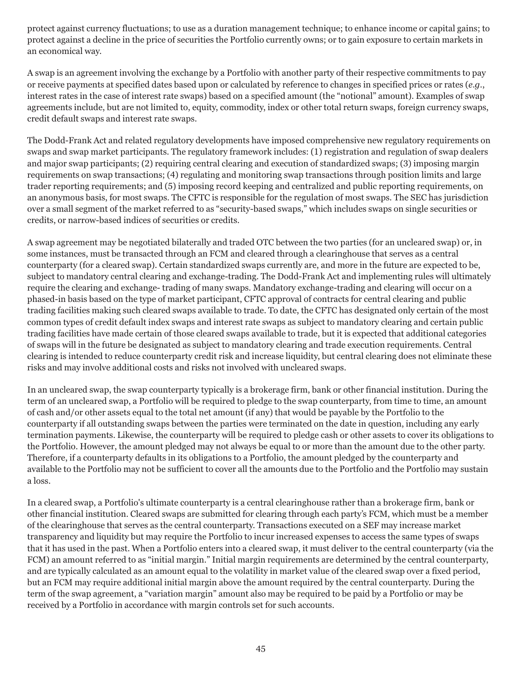protect against currency fluctuations; to use as a duration management technique; to enhance income or capital gains; to protect against a decline in the price of securities the Portfolio currently owns; or to gain exposure to certain markets in an economical way.

A swap is an agreement involving the exchange by a Portfolio with another party of their respective commitments to pay or receive payments at specified dates based upon or calculated by reference to changes in specified prices or rates (*e.g.*, interest rates in the case of interest rate swaps) based on a specified amount (the "notional" amount). Examples of swap agreements include, but are not limited to, equity, commodity, index or other total return swaps, foreign currency swaps, credit default swaps and interest rate swaps.

The Dodd-Frank Act and related regulatory developments have imposed comprehensive new regulatory requirements on swaps and swap market participants. The regulatory framework includes: (1) registration and regulation of swap dealers and major swap participants; (2) requiring central clearing and execution of standardized swaps; (3) imposing margin requirements on swap transactions; (4) regulating and monitoring swap transactions through position limits and large trader reporting requirements; and (5) imposing record keeping and centralized and public reporting requirements, on an anonymous basis, for most swaps. The CFTC is responsible for the regulation of most swaps. The SEC has jurisdiction over a small segment of the market referred to as "security-based swaps," which includes swaps on single securities or credits, or narrow-based indices of securities or credits.

A swap agreement may be negotiated bilaterally and traded OTC between the two parties (for an uncleared swap) or, in some instances, must be transacted through an FCM and cleared through a clearinghouse that serves as a central counterparty (for a cleared swap). Certain standardized swaps currently are, and more in the future are expected to be, subject to mandatory central clearing and exchange-trading. The Dodd-Frank Act and implementing rules will ultimately require the clearing and exchange- trading of many swaps. Mandatory exchange-trading and clearing will occur on a phased-in basis based on the type of market participant, CFTC approval of contracts for central clearing and public trading facilities making such cleared swaps available to trade. To date, the CFTC has designated only certain of the most common types of credit default index swaps and interest rate swaps as subject to mandatory clearing and certain public trading facilities have made certain of those cleared swaps available to trade, but it is expected that additional categories of swaps will in the future be designated as subject to mandatory clearing and trade execution requirements. Central clearing is intended to reduce counterparty credit risk and increase liquidity, but central clearing does not eliminate these risks and may involve additional costs and risks not involved with uncleared swaps.

In an uncleared swap, the swap counterparty typically is a brokerage firm, bank or other financial institution. During the term of an uncleared swap, a Portfolio will be required to pledge to the swap counterparty, from time to time, an amount of cash and/or other assets equal to the total net amount (if any) that would be payable by the Portfolio to the counterparty if all outstanding swaps between the parties were terminated on the date in question, including any early termination payments. Likewise, the counterparty will be required to pledge cash or other assets to cover its obligations to the Portfolio. However, the amount pledged may not always be equal to or more than the amount due to the other party. Therefore, if a counterparty defaults in its obligations to a Portfolio, the amount pledged by the counterparty and available to the Portfolio may not be sufficient to cover all the amounts due to the Portfolio and the Portfolio may sustain a loss.

In a cleared swap, a Portfolio's ultimate counterparty is a central clearinghouse rather than a brokerage firm, bank or other financial institution. Cleared swaps are submitted for clearing through each party's FCM, which must be a member of the clearinghouse that serves as the central counterparty. Transactions executed on a SEF may increase market transparency and liquidity but may require the Portfolio to incur increased expenses to access the same types of swaps that it has used in the past. When a Portfolio enters into a cleared swap, it must deliver to the central counterparty (via the FCM) an amount referred to as "initial margin." Initial margin requirements are determined by the central counterparty, and are typically calculated as an amount equal to the volatility in market value of the cleared swap over a fixed period, but an FCM may require additional initial margin above the amount required by the central counterparty. During the term of the swap agreement, a "variation margin" amount also may be required to be paid by a Portfolio or may be received by a Portfolio in accordance with margin controls set for such accounts.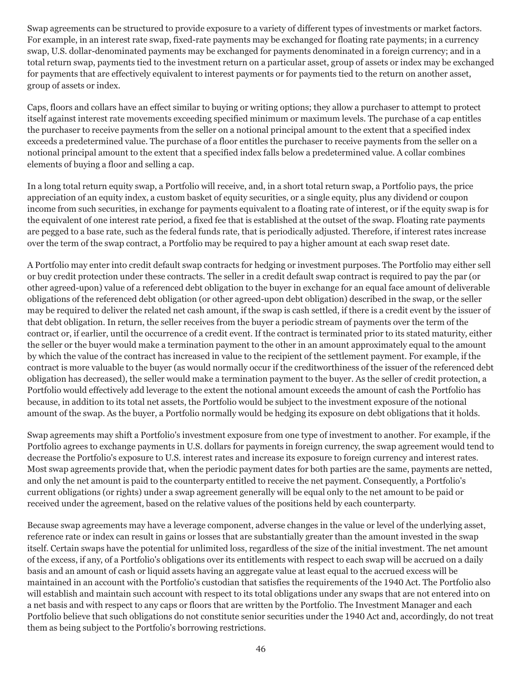Swap agreements can be structured to provide exposure to a variety of different types of investments or market factors. For example, in an interest rate swap, fixed-rate payments may be exchanged for floating rate payments; in a currency swap, U.S. dollar-denominated payments may be exchanged for payments denominated in a foreign currency; and in a total return swap, payments tied to the investment return on a particular asset, group of assets or index may be exchanged for payments that are effectively equivalent to interest payments or for payments tied to the return on another asset, group of assets or index.

Caps, floors and collars have an effect similar to buying or writing options; they allow a purchaser to attempt to protect itself against interest rate movements exceeding specified minimum or maximum levels. The purchase of a cap entitles the purchaser to receive payments from the seller on a notional principal amount to the extent that a specified index exceeds a predetermined value. The purchase of a floor entitles the purchaser to receive payments from the seller on a notional principal amount to the extent that a specified index falls below a predetermined value. A collar combines elements of buying a floor and selling a cap.

In a long total return equity swap, a Portfolio will receive, and, in a short total return swap, a Portfolio pays, the price appreciation of an equity index, a custom basket of equity securities, or a single equity, plus any dividend or coupon income from such securities, in exchange for payments equivalent to a floating rate of interest, or if the equity swap is for the equivalent of one interest rate period, a fixed fee that is established at the outset of the swap. Floating rate payments are pegged to a base rate, such as the federal funds rate, that is periodically adjusted. Therefore, if interest rates increase over the term of the swap contract, a Portfolio may be required to pay a higher amount at each swap reset date.

A Portfolio may enter into credit default swap contracts for hedging or investment purposes. The Portfolio may either sell or buy credit protection under these contracts. The seller in a credit default swap contract is required to pay the par (or other agreed-upon) value of a referenced debt obligation to the buyer in exchange for an equal face amount of deliverable obligations of the referenced debt obligation (or other agreed-upon debt obligation) described in the swap, or the seller may be required to deliver the related net cash amount, if the swap is cash settled, if there is a credit event by the issuer of that debt obligation. In return, the seller receives from the buyer a periodic stream of payments over the term of the contract or, if earlier, until the occurrence of a credit event. If the contract is terminated prior to its stated maturity, either the seller or the buyer would make a termination payment to the other in an amount approximately equal to the amount by which the value of the contract has increased in value to the recipient of the settlement payment. For example, if the contract is more valuable to the buyer (as would normally occur if the creditworthiness of the issuer of the referenced debt obligation has decreased), the seller would make a termination payment to the buyer. As the seller of credit protection, a Portfolio would effectively add leverage to the extent the notional amount exceeds the amount of cash the Portfolio has because, in addition to its total net assets, the Portfolio would be subject to the investment exposure of the notional amount of the swap. As the buyer, a Portfolio normally would be hedging its exposure on debt obligations that it holds.

Swap agreements may shift a Portfolio's investment exposure from one type of investment to another. For example, if the Portfolio agrees to exchange payments in U.S. dollars for payments in foreign currency, the swap agreement would tend to decrease the Portfolio's exposure to U.S. interest rates and increase its exposure to foreign currency and interest rates. Most swap agreements provide that, when the periodic payment dates for both parties are the same, payments are netted, and only the net amount is paid to the counterparty entitled to receive the net payment. Consequently, a Portfolio's current obligations (or rights) under a swap agreement generally will be equal only to the net amount to be paid or received under the agreement, based on the relative values of the positions held by each counterparty.

Because swap agreements may have a leverage component, adverse changes in the value or level of the underlying asset, reference rate or index can result in gains or losses that are substantially greater than the amount invested in the swap itself. Certain swaps have the potential for unlimited loss, regardless of the size of the initial investment. The net amount of the excess, if any, of a Portfolio's obligations over its entitlements with respect to each swap will be accrued on a daily basis and an amount of cash or liquid assets having an aggregate value at least equal to the accrued excess will be maintained in an account with the Portfolio's custodian that satisfies the requirements of the 1940 Act. The Portfolio also will establish and maintain such account with respect to its total obligations under any swaps that are not entered into on a net basis and with respect to any caps or floors that are written by the Portfolio. The Investment Manager and each Portfolio believe that such obligations do not constitute senior securities under the 1940 Act and, accordingly, do not treat them as being subject to the Portfolio's borrowing restrictions.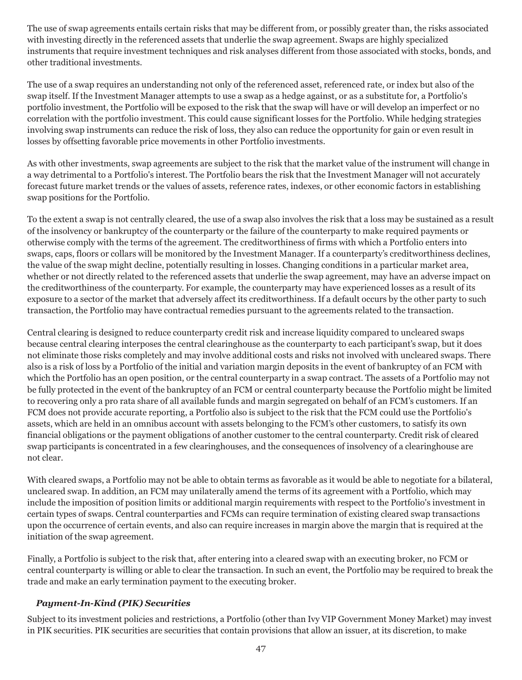The use of swap agreements entails certain risks that may be different from, or possibly greater than, the risks associated with investing directly in the referenced assets that underlie the swap agreement. Swaps are highly specialized instruments that require investment techniques and risk analyses different from those associated with stocks, bonds, and other traditional investments.

The use of a swap requires an understanding not only of the referenced asset, referenced rate, or index but also of the swap itself. If the Investment Manager attempts to use a swap as a hedge against, or as a substitute for, a Portfolio's portfolio investment, the Portfolio will be exposed to the risk that the swap will have or will develop an imperfect or no correlation with the portfolio investment. This could cause significant losses for the Portfolio. While hedging strategies involving swap instruments can reduce the risk of loss, they also can reduce the opportunity for gain or even result in losses by offsetting favorable price movements in other Portfolio investments.

As with other investments, swap agreements are subject to the risk that the market value of the instrument will change in a way detrimental to a Portfolio's interest. The Portfolio bears the risk that the Investment Manager will not accurately forecast future market trends or the values of assets, reference rates, indexes, or other economic factors in establishing swap positions for the Portfolio.

To the extent a swap is not centrally cleared, the use of a swap also involves the risk that a loss may be sustained as a result of the insolvency or bankruptcy of the counterparty or the failure of the counterparty to make required payments or otherwise comply with the terms of the agreement. The creditworthiness of firms with which a Portfolio enters into swaps, caps, floors or collars will be monitored by the Investment Manager. If a counterparty's creditworthiness declines, the value of the swap might decline, potentially resulting in losses. Changing conditions in a particular market area, whether or not directly related to the referenced assets that underlie the swap agreement, may have an adverse impact on the creditworthiness of the counterparty. For example, the counterparty may have experienced losses as a result of its exposure to a sector of the market that adversely affect its creditworthiness. If a default occurs by the other party to such transaction, the Portfolio may have contractual remedies pursuant to the agreements related to the transaction.

Central clearing is designed to reduce counterparty credit risk and increase liquidity compared to uncleared swaps because central clearing interposes the central clearinghouse as the counterparty to each participant's swap, but it does not eliminate those risks completely and may involve additional costs and risks not involved with uncleared swaps. There also is a risk of loss by a Portfolio of the initial and variation margin deposits in the event of bankruptcy of an FCM with which the Portfolio has an open position, or the central counterparty in a swap contract. The assets of a Portfolio may not be fully protected in the event of the bankruptcy of an FCM or central counterparty because the Portfolio might be limited to recovering only a pro rata share of all available funds and margin segregated on behalf of an FCM's customers. If an FCM does not provide accurate reporting, a Portfolio also is subject to the risk that the FCM could use the Portfolio's assets, which are held in an omnibus account with assets belonging to the FCM's other customers, to satisfy its own financial obligations or the payment obligations of another customer to the central counterparty. Credit risk of cleared swap participants is concentrated in a few clearinghouses, and the consequences of insolvency of a clearinghouse are not clear.

With cleared swaps, a Portfolio may not be able to obtain terms as favorable as it would be able to negotiate for a bilateral, uncleared swap. In addition, an FCM may unilaterally amend the terms of its agreement with a Portfolio, which may include the imposition of position limits or additional margin requirements with respect to the Portfolio's investment in certain types of swaps. Central counterparties and FCMs can require termination of existing cleared swap transactions upon the occurrence of certain events, and also can require increases in margin above the margin that is required at the initiation of the swap agreement.

Finally, a Portfolio is subject to the risk that, after entering into a cleared swap with an executing broker, no FCM or central counterparty is willing or able to clear the transaction. In such an event, the Portfolio may be required to break the trade and make an early termination payment to the executing broker.

## *Payment-In-Kind (PIK) Securities*

Subject to its investment policies and restrictions, a Portfolio (other than Ivy VIP Government Money Market) may invest in PIK securities. PIK securities are securities that contain provisions that allow an issuer, at its discretion, to make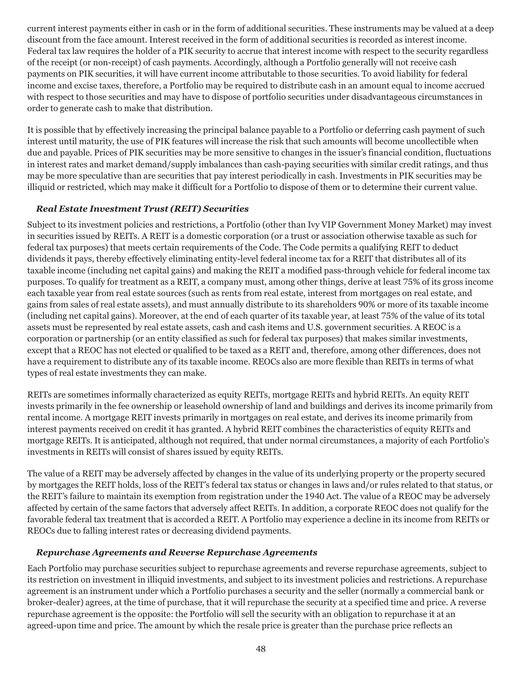current interest payments either in cash or in the form of additional securities. These instruments may be valued at a deep discount from the face amount. Interest received in the form of additional securities is recorded as interest income. Federal tax law requires the holder of a PIK security to accrue that interest income with respect to the security regardless of the receipt (or non-receipt) of cash payments. Accordingly, although a Portfolio generally will not receive cash payments on PIK securities, it will have current income attributable to those securities. To avoid liability for federal income and excise taxes, therefore, a Portfolio may be required to distribute cash in an amount equal to income accrued with respect to those securities and may have to dispose of portfolio securities under disadvantageous circumstances in order to generate cash to make that distribution.

It is possible that by effectively increasing the principal balance payable to a Portfolio or deferring cash payment of such interest until maturity, the use of PIK features will increase the risk that such amounts will become uncollectible when due and payable. Prices of PIK securities may be more sensitive to changes in the issuer's financial condition, fluctuations in interest rates and market demand/supply imbalances than cash-paying securities with similar credit ratings, and thus may be more speculative than are securities that pay interest periodically in cash. Investments in PIK securities may be illiquid or restricted, which may make it difficult for a Portfolio to dispose of them or to determine their current value.

## *Real Estate Investment Trust (REIT) Securities*

Subject to its investment policies and restrictions, a Portfolio (other than Ivy VIP Government Money Market) may invest in securities issued by REITs. A REIT is a domestic corporation (or a trust or association otherwise taxable as such for federal tax purposes) that meets certain requirements of the Code. The Code permits a qualifying REIT to deduct dividends it pays, thereby effectively eliminating entity-level federal income tax for a REIT that distributes all of its taxable income (including net capital gains) and making the REIT a modified pass-through vehicle for federal income tax purposes. To qualify for treatment as a REIT, a company must, among other things, derive at least 75% of its gross income each taxable year from real estate sources (such as rents from real estate, interest from mortgages on real estate, and gains from sales of real estate assets), and must annually distribute to its shareholders 90% or more of its taxable income (including net capital gains). Moreover, at the end of each quarter of its taxable year, at least 75% of the value of its total assets must be represented by real estate assets, cash and cash items and U.S. government securities. A REOC is a corporation or partnership (or an entity classified as such for federal tax purposes) that makes similar investments, except that a REOC has not elected or qualified to be taxed as a REIT and, therefore, among other differences, does not have a requirement to distribute any of its taxable income. REOCs also are more flexible than REITs in terms of what types of real estate investments they can make.

REITs are sometimes informally characterized as equity REITs, mortgage REITs and hybrid REITs. An equity REIT invests primarily in the fee ownership or leasehold ownership of land and buildings and derives its income primarily from rental income. A mortgage REIT invests primarily in mortgages on real estate, and derives its income primarily from interest payments received on credit it has granted. A hybrid REIT combines the characteristics of equity REITs and mortgage REITs. It is anticipated, although not required, that under normal circumstances, a majority of each Portfolio's investments in REITs will consist of shares issued by equity REITs.

The value of a REIT may be adversely affected by changes in the value of its underlying property or the property secured by mortgages the REIT holds, loss of the REIT's federal tax status or changes in laws and/or rules related to that status, or the REIT's failure to maintain its exemption from registration under the 1940 Act. The value of a REOC may be adversely affected by certain of the same factors that adversely affect REITs. In addition, a corporate REOC does not qualify for the favorable federal tax treatment that is accorded a REIT. A Portfolio may experience a decline in its income from REITs or REOCs due to falling interest rates or decreasing dividend payments.

#### *Repurchase Agreements and Reverse Repurchase Agreements*

Each Portfolio may purchase securities subject to repurchase agreements and reverse repurchase agreements, subject to its restriction on investment in illiquid investments, and subject to its investment policies and restrictions. A repurchase agreement is an instrument under which a Portfolio purchases a security and the seller (normally a commercial bank or broker-dealer) agrees, at the time of purchase, that it will repurchase the security at a specified time and price. A reverse repurchase agreement is the opposite: the Portfolio will sell the security with an obligation to repurchase it at an agreed-upon time and price. The amount by which the resale price is greater than the purchase price reflects an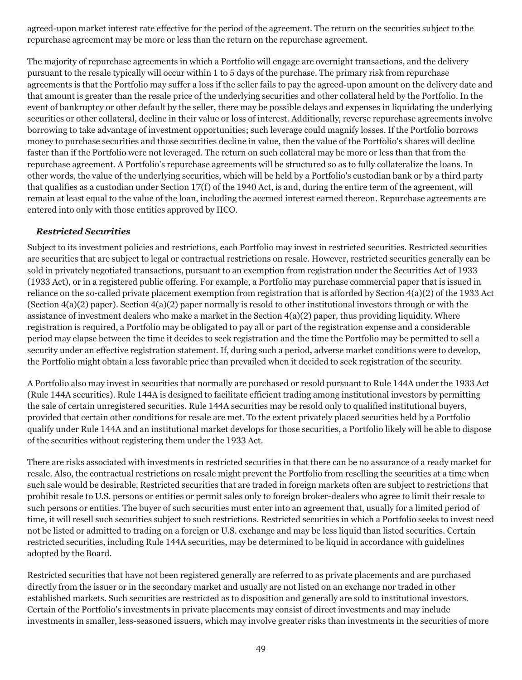agreed-upon market interest rate effective for the period of the agreement. The return on the securities subject to the repurchase agreement may be more or less than the return on the repurchase agreement.

The majority of repurchase agreements in which a Portfolio will engage are overnight transactions, and the delivery pursuant to the resale typically will occur within 1 to 5 days of the purchase. The primary risk from repurchase agreements is that the Portfolio may suffer a loss if the seller fails to pay the agreed-upon amount on the delivery date and that amount is greater than the resale price of the underlying securities and other collateral held by the Portfolio. In the event of bankruptcy or other default by the seller, there may be possible delays and expenses in liquidating the underlying securities or other collateral, decline in their value or loss of interest. Additionally, reverse repurchase agreements involve borrowing to take advantage of investment opportunities; such leverage could magnify losses. If the Portfolio borrows money to purchase securities and those securities decline in value, then the value of the Portfolio's shares will decline faster than if the Portfolio were not leveraged. The return on such collateral may be more or less than that from the repurchase agreement. A Portfolio's repurchase agreements will be structured so as to fully collateralize the loans. In other words, the value of the underlying securities, which will be held by a Portfolio's custodian bank or by a third party that qualifies as a custodian under Section 17(f) of the 1940 Act, is and, during the entire term of the agreement, will remain at least equal to the value of the loan, including the accrued interest earned thereon. Repurchase agreements are entered into only with those entities approved by IICO.

## *Restricted Securities*

Subject to its investment policies and restrictions, each Portfolio may invest in restricted securities. Restricted securities are securities that are subject to legal or contractual restrictions on resale. However, restricted securities generally can be sold in privately negotiated transactions, pursuant to an exemption from registration under the Securities Act of 1933 (1933 Act), or in a registered public offering. For example, a Portfolio may purchase commercial paper that is issued in reliance on the so-called private placement exemption from registration that is afforded by Section 4(a)(2) of the 1933 Act (Section  $4(a)(2)$  paper). Section  $4(a)(2)$  paper normally is resold to other institutional investors through or with the assistance of investment dealers who make a market in the Section 4(a)(2) paper, thus providing liquidity. Where registration is required, a Portfolio may be obligated to pay all or part of the registration expense and a considerable period may elapse between the time it decides to seek registration and the time the Portfolio may be permitted to sell a security under an effective registration statement. If, during such a period, adverse market conditions were to develop, the Portfolio might obtain a less favorable price than prevailed when it decided to seek registration of the security.

A Portfolio also may invest in securities that normally are purchased or resold pursuant to Rule 144A under the 1933 Act (Rule 144A securities). Rule 144A is designed to facilitate efficient trading among institutional investors by permitting the sale of certain unregistered securities. Rule 144A securities may be resold only to qualified institutional buyers, provided that certain other conditions for resale are met. To the extent privately placed securities held by a Portfolio qualify under Rule 144A and an institutional market develops for those securities, a Portfolio likely will be able to dispose of the securities without registering them under the 1933 Act.

There are risks associated with investments in restricted securities in that there can be no assurance of a ready market for resale. Also, the contractual restrictions on resale might prevent the Portfolio from reselling the securities at a time when such sale would be desirable. Restricted securities that are traded in foreign markets often are subject to restrictions that prohibit resale to U.S. persons or entities or permit sales only to foreign broker-dealers who agree to limit their resale to such persons or entities. The buyer of such securities must enter into an agreement that, usually for a limited period of time, it will resell such securities subject to such restrictions. Restricted securities in which a Portfolio seeks to invest need not be listed or admitted to trading on a foreign or U.S. exchange and may be less liquid than listed securities. Certain restricted securities, including Rule 144A securities, may be determined to be liquid in accordance with guidelines adopted by the Board.

Restricted securities that have not been registered generally are referred to as private placements and are purchased directly from the issuer or in the secondary market and usually are not listed on an exchange nor traded in other established markets. Such securities are restricted as to disposition and generally are sold to institutional investors. Certain of the Portfolio's investments in private placements may consist of direct investments and may include investments in smaller, less-seasoned issuers, which may involve greater risks than investments in the securities of more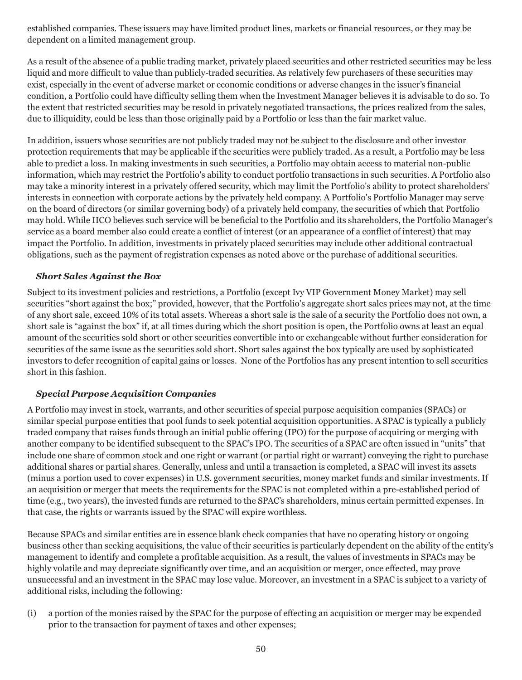established companies. These issuers may have limited product lines, markets or financial resources, or they may be dependent on a limited management group.

As a result of the absence of a public trading market, privately placed securities and other restricted securities may be less liquid and more difficult to value than publicly-traded securities. As relatively few purchasers of these securities may exist, especially in the event of adverse market or economic conditions or adverse changes in the issuer's financial condition, a Portfolio could have difficulty selling them when the Investment Manager believes it is advisable to do so. To the extent that restricted securities may be resold in privately negotiated transactions, the prices realized from the sales, due to illiquidity, could be less than those originally paid by a Portfolio or less than the fair market value.

In addition, issuers whose securities are not publicly traded may not be subject to the disclosure and other investor protection requirements that may be applicable if the securities were publicly traded. As a result, a Portfolio may be less able to predict a loss. In making investments in such securities, a Portfolio may obtain access to material non-public information, which may restrict the Portfolio's ability to conduct portfolio transactions in such securities. A Portfolio also may take a minority interest in a privately offered security, which may limit the Portfolio's ability to protect shareholders' interests in connection with corporate actions by the privately held company. A Portfolio's Portfolio Manager may serve on the board of directors (or similar governing body) of a privately held company, the securities of which that Portfolio may hold. While IICO believes such service will be beneficial to the Portfolio and its shareholders, the Portfolio Manager's service as a board member also could create a conflict of interest (or an appearance of a conflict of interest) that may impact the Portfolio. In addition, investments in privately placed securities may include other additional contractual obligations, such as the payment of registration expenses as noted above or the purchase of additional securities.

#### *Short Sales Against the Box*

Subject to its investment policies and restrictions, a Portfolio (except Ivy VIP Government Money Market) may sell securities "short against the box;" provided, however, that the Portfolio's aggregate short sales prices may not, at the time of any short sale, exceed 10% of its total assets. Whereas a short sale is the sale of a security the Portfolio does not own, a short sale is "against the box" if, at all times during which the short position is open, the Portfolio owns at least an equal amount of the securities sold short or other securities convertible into or exchangeable without further consideration for securities of the same issue as the securities sold short. Short sales against the box typically are used by sophisticated investors to defer recognition of capital gains or losses. None of the Portfolios has any present intention to sell securities short in this fashion.

#### *Special Purpose Acquisition Companies*

A Portfolio may invest in stock, warrants, and other securities of special purpose acquisition companies (SPACs) or similar special purpose entities that pool funds to seek potential acquisition opportunities. A SPAC is typically a publicly traded company that raises funds through an initial public offering (IPO) for the purpose of acquiring or merging with another company to be identified subsequent to the SPAC's IPO. The securities of a SPAC are often issued in "units" that include one share of common stock and one right or warrant (or partial right or warrant) conveying the right to purchase additional shares or partial shares. Generally, unless and until a transaction is completed, a SPAC will invest its assets (minus a portion used to cover expenses) in U.S. government securities, money market funds and similar investments. If an acquisition or merger that meets the requirements for the SPAC is not completed within a pre-established period of time (e.g., two years), the invested funds are returned to the SPAC's shareholders, minus certain permitted expenses. In that case, the rights or warrants issued by the SPAC will expire worthless.

Because SPACs and similar entities are in essence blank check companies that have no operating history or ongoing business other than seeking acquisitions, the value of their securities is particularly dependent on the ability of the entity's management to identify and complete a profitable acquisition. As a result, the values of investments in SPACs may be highly volatile and may depreciate significantly over time, and an acquisition or merger, once effected, may prove unsuccessful and an investment in the SPAC may lose value. Moreover, an investment in a SPAC is subject to a variety of additional risks, including the following:

(i) a portion of the monies raised by the SPAC for the purpose of effecting an acquisition or merger may be expended prior to the transaction for payment of taxes and other expenses;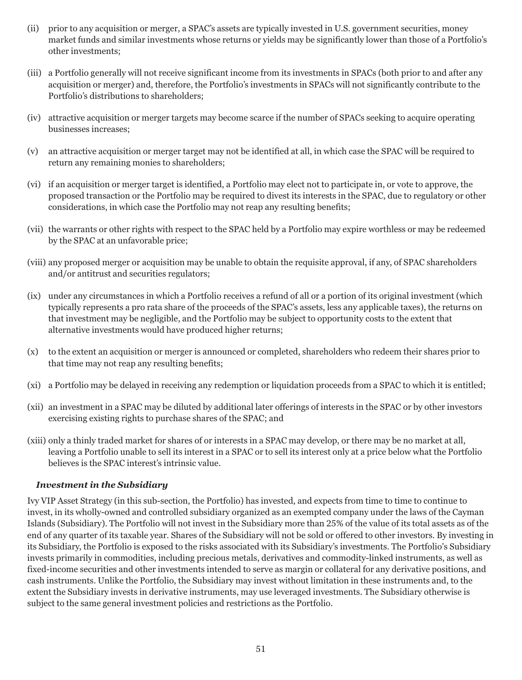- (ii) prior to any acquisition or merger, a SPAC's assets are typically invested in U.S. government securities, money market funds and similar investments whose returns or yields may be significantly lower than those of a Portfolio's other investments;
- (iii) a Portfolio generally will not receive significant income from its investments in SPACs (both prior to and after any acquisition or merger) and, therefore, the Portfolio's investments in SPACs will not significantly contribute to the Portfolio's distributions to shareholders;
- (iv) attractive acquisition or merger targets may become scarce if the number of SPACs seeking to acquire operating businesses increases;
- (v) an attractive acquisition or merger target may not be identified at all, in which case the SPAC will be required to return any remaining monies to shareholders;
- (vi) if an acquisition or merger target is identified, a Portfolio may elect not to participate in, or vote to approve, the proposed transaction or the Portfolio may be required to divest its interests in the SPAC, due to regulatory or other considerations, in which case the Portfolio may not reap any resulting benefits;
- (vii) the warrants or other rights with respect to the SPAC held by a Portfolio may expire worthless or may be redeemed by the SPAC at an unfavorable price;
- (viii) any proposed merger or acquisition may be unable to obtain the requisite approval, if any, of SPAC shareholders and/or antitrust and securities regulators;
- (ix) under any circumstances in which a Portfolio receives a refund of all or a portion of its original investment (which typically represents a pro rata share of the proceeds of the SPAC's assets, less any applicable taxes), the returns on that investment may be negligible, and the Portfolio may be subject to opportunity costs to the extent that alternative investments would have produced higher returns;
- (x) to the extent an acquisition or merger is announced or completed, shareholders who redeem their shares prior to that time may not reap any resulting benefits;
- (xi) a Portfolio may be delayed in receiving any redemption or liquidation proceeds from a SPAC to which it is entitled;
- (xii) an investment in a SPAC may be diluted by additional later offerings of interests in the SPAC or by other investors exercising existing rights to purchase shares of the SPAC; and
- (xiii) only a thinly traded market for shares of or interests in a SPAC may develop, or there may be no market at all, leaving a Portfolio unable to sell its interest in a SPAC or to sell its interest only at a price below what the Portfolio believes is the SPAC interest's intrinsic value.

#### *Investment in the Subsidiary*

Ivy VIP Asset Strategy (in this sub-section, the Portfolio) has invested, and expects from time to time to continue to invest, in its wholly-owned and controlled subsidiary organized as an exempted company under the laws of the Cayman Islands (Subsidiary). The Portfolio will not invest in the Subsidiary more than 25% of the value of its total assets as of the end of any quarter of its taxable year. Shares of the Subsidiary will not be sold or offered to other investors. By investing in its Subsidiary, the Portfolio is exposed to the risks associated with its Subsidiary's investments. The Portfolio's Subsidiary invests primarily in commodities, including precious metals, derivatives and commodity-linked instruments, as well as fixed-income securities and other investments intended to serve as margin or collateral for any derivative positions, and cash instruments. Unlike the Portfolio, the Subsidiary may invest without limitation in these instruments and, to the extent the Subsidiary invests in derivative instruments, may use leveraged investments. The Subsidiary otherwise is subject to the same general investment policies and restrictions as the Portfolio.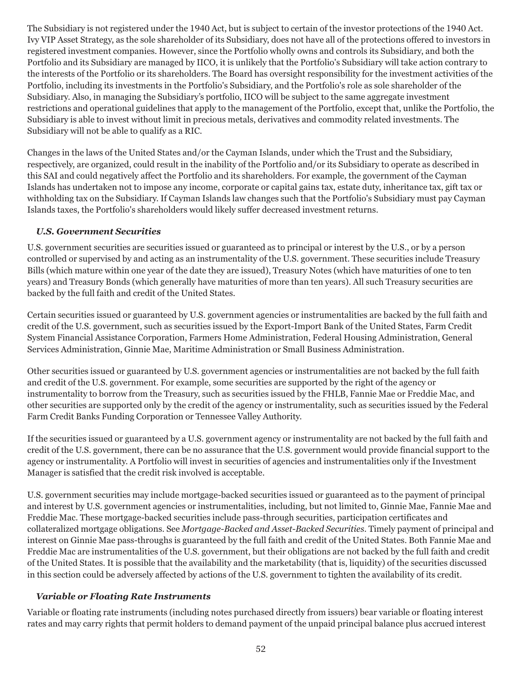The Subsidiary is not registered under the 1940 Act, but is subject to certain of the investor protections of the 1940 Act. Ivy VIP Asset Strategy, as the sole shareholder of its Subsidiary, does not have all of the protections offered to investors in registered investment companies. However, since the Portfolio wholly owns and controls its Subsidiary, and both the Portfolio and its Subsidiary are managed by IICO, it is unlikely that the Portfolio's Subsidiary will take action contrary to the interests of the Portfolio or its shareholders. The Board has oversight responsibility for the investment activities of the Portfolio, including its investments in the Portfolio's Subsidiary, and the Portfolio's role as sole shareholder of the Subsidiary. Also, in managing the Subsidiary's portfolio, IICO will be subject to the same aggregate investment restrictions and operational guidelines that apply to the management of the Portfolio, except that, unlike the Portfolio, the Subsidiary is able to invest without limit in precious metals, derivatives and commodity related investments. The Subsidiary will not be able to qualify as a RIC.

Changes in the laws of the United States and/or the Cayman Islands, under which the Trust and the Subsidiary, respectively, are organized, could result in the inability of the Portfolio and/or its Subsidiary to operate as described in this SAI and could negatively affect the Portfolio and its shareholders. For example, the government of the Cayman Islands has undertaken not to impose any income, corporate or capital gains tax, estate duty, inheritance tax, gift tax or withholding tax on the Subsidiary. If Cayman Islands law changes such that the Portfolio's Subsidiary must pay Cayman Islands taxes, the Portfolio's shareholders would likely suffer decreased investment returns.

## *U.S. Government Securities*

U.S. government securities are securities issued or guaranteed as to principal or interest by the U.S., or by a person controlled or supervised by and acting as an instrumentality of the U.S. government. These securities include Treasury Bills (which mature within one year of the date they are issued), Treasury Notes (which have maturities of one to ten years) and Treasury Bonds (which generally have maturities of more than ten years). All such Treasury securities are backed by the full faith and credit of the United States.

Certain securities issued or guaranteed by U.S. government agencies or instrumentalities are backed by the full faith and credit of the U.S. government, such as securities issued by the Export-Import Bank of the United States, Farm Credit System Financial Assistance Corporation, Farmers Home Administration, Federal Housing Administration, General Services Administration, Ginnie Mae, Maritime Administration or Small Business Administration.

Other securities issued or guaranteed by U.S. government agencies or instrumentalities are not backed by the full faith and credit of the U.S. government. For example, some securities are supported by the right of the agency or instrumentality to borrow from the Treasury, such as securities issued by the FHLB, Fannie Mae or Freddie Mac, and other securities are supported only by the credit of the agency or instrumentality, such as securities issued by the Federal Farm Credit Banks Funding Corporation or Tennessee Valley Authority.

If the securities issued or guaranteed by a U.S. government agency or instrumentality are not backed by the full faith and credit of the U.S. government, there can be no assurance that the U.S. government would provide financial support to the agency or instrumentality. A Portfolio will invest in securities of agencies and instrumentalities only if the Investment Manager is satisfied that the credit risk involved is acceptable.

U.S. government securities may include mortgage-backed securities issued or guaranteed as to the payment of principal and interest by U.S. government agencies or instrumentalities, including, but not limited to, Ginnie Mae, Fannie Mae and Freddie Mac. These mortgage-backed securities include pass-through securities, participation certificates and collateralized mortgage obligations. See *Mortgage-Backed and Asset-Backed Securities*. Timely payment of principal and interest on Ginnie Mae pass-throughs is guaranteed by the full faith and credit of the United States. Both Fannie Mae and Freddie Mac are instrumentalities of the U.S. government, but their obligations are not backed by the full faith and credit of the United States. It is possible that the availability and the marketability (that is, liquidity) of the securities discussed in this section could be adversely affected by actions of the U.S. government to tighten the availability of its credit.

## *Variable or Floating Rate Instruments*

Variable or floating rate instruments (including notes purchased directly from issuers) bear variable or floating interest rates and may carry rights that permit holders to demand payment of the unpaid principal balance plus accrued interest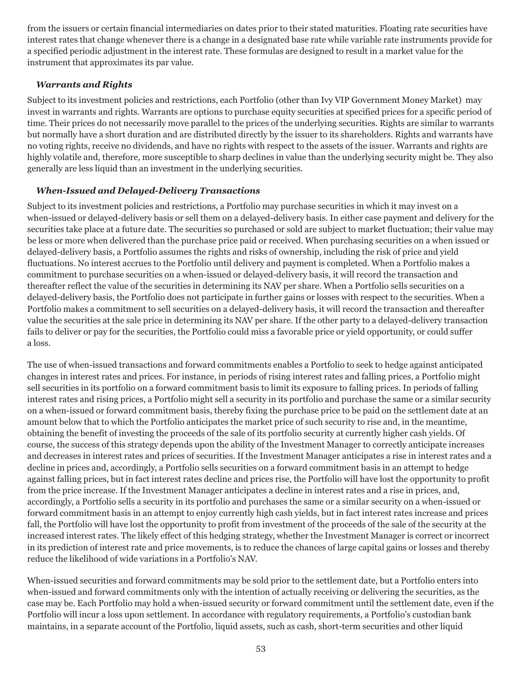from the issuers or certain financial intermediaries on dates prior to their stated maturities. Floating rate securities have interest rates that change whenever there is a change in a designated base rate while variable rate instruments provide for a specified periodic adjustment in the interest rate. These formulas are designed to result in a market value for the instrument that approximates its par value.

#### *Warrants and Rights*

Subject to its investment policies and restrictions, each Portfolio (other than Ivy VIP Government Money Market) may invest in warrants and rights. Warrants are options to purchase equity securities at specified prices for a specific period of time. Their prices do not necessarily move parallel to the prices of the underlying securities. Rights are similar to warrants but normally have a short duration and are distributed directly by the issuer to its shareholders. Rights and warrants have no voting rights, receive no dividends, and have no rights with respect to the assets of the issuer. Warrants and rights are highly volatile and, therefore, more susceptible to sharp declines in value than the underlying security might be. They also generally are less liquid than an investment in the underlying securities.

## *When-Issued and Delayed-Delivery Transactions*

Subject to its investment policies and restrictions, a Portfolio may purchase securities in which it may invest on a when-issued or delayed-delivery basis or sell them on a delayed-delivery basis. In either case payment and delivery for the securities take place at a future date. The securities so purchased or sold are subject to market fluctuation; their value may be less or more when delivered than the purchase price paid or received. When purchasing securities on a when issued or delayed-delivery basis, a Portfolio assumes the rights and risks of ownership, including the risk of price and yield fluctuations. No interest accrues to the Portfolio until delivery and payment is completed. When a Portfolio makes a commitment to purchase securities on a when-issued or delayed-delivery basis, it will record the transaction and thereafter reflect the value of the securities in determining its NAV per share. When a Portfolio sells securities on a delayed-delivery basis, the Portfolio does not participate in further gains or losses with respect to the securities. When a Portfolio makes a commitment to sell securities on a delayed-delivery basis, it will record the transaction and thereafter value the securities at the sale price in determining its NAV per share. If the other party to a delayed-delivery transaction fails to deliver or pay for the securities, the Portfolio could miss a favorable price or yield opportunity, or could suffer a loss.

The use of when-issued transactions and forward commitments enables a Portfolio to seek to hedge against anticipated changes in interest rates and prices. For instance, in periods of rising interest rates and falling prices, a Portfolio might sell securities in its portfolio on a forward commitment basis to limit its exposure to falling prices. In periods of falling interest rates and rising prices, a Portfolio might sell a security in its portfolio and purchase the same or a similar security on a when-issued or forward commitment basis, thereby fixing the purchase price to be paid on the settlement date at an amount below that to which the Portfolio anticipates the market price of such security to rise and, in the meantime, obtaining the benefit of investing the proceeds of the sale of its portfolio security at currently higher cash yields. Of course, the success of this strategy depends upon the ability of the Investment Manager to correctly anticipate increases and decreases in interest rates and prices of securities. If the Investment Manager anticipates a rise in interest rates and a decline in prices and, accordingly, a Portfolio sells securities on a forward commitment basis in an attempt to hedge against falling prices, but in fact interest rates decline and prices rise, the Portfolio will have lost the opportunity to profit from the price increase. If the Investment Manager anticipates a decline in interest rates and a rise in prices, and, accordingly, a Portfolio sells a security in its portfolio and purchases the same or a similar security on a when-issued or forward commitment basis in an attempt to enjoy currently high cash yields, but in fact interest rates increase and prices fall, the Portfolio will have lost the opportunity to profit from investment of the proceeds of the sale of the security at the increased interest rates. The likely effect of this hedging strategy, whether the Investment Manager is correct or incorrect in its prediction of interest rate and price movements, is to reduce the chances of large capital gains or losses and thereby reduce the likelihood of wide variations in a Portfolio's NAV.

When-issued securities and forward commitments may be sold prior to the settlement date, but a Portfolio enters into when-issued and forward commitments only with the intention of actually receiving or delivering the securities, as the case may be. Each Portfolio may hold a when-issued security or forward commitment until the settlement date, even if the Portfolio will incur a loss upon settlement. In accordance with regulatory requirements, a Portfolio's custodian bank maintains, in a separate account of the Portfolio, liquid assets, such as cash, short-term securities and other liquid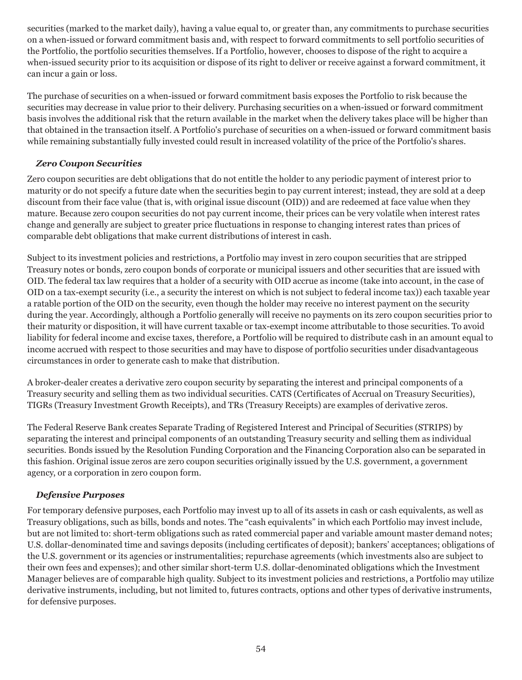securities (marked to the market daily), having a value equal to, or greater than, any commitments to purchase securities on a when-issued or forward commitment basis and, with respect to forward commitments to sell portfolio securities of the Portfolio, the portfolio securities themselves. If a Portfolio, however, chooses to dispose of the right to acquire a when-issued security prior to its acquisition or dispose of its right to deliver or receive against a forward commitment, it can incur a gain or loss.

The purchase of securities on a when-issued or forward commitment basis exposes the Portfolio to risk because the securities may decrease in value prior to their delivery. Purchasing securities on a when-issued or forward commitment basis involves the additional risk that the return available in the market when the delivery takes place will be higher than that obtained in the transaction itself. A Portfolio's purchase of securities on a when-issued or forward commitment basis while remaining substantially fully invested could result in increased volatility of the price of the Portfolio's shares.

## *Zero Coupon Securities*

Zero coupon securities are debt obligations that do not entitle the holder to any periodic payment of interest prior to maturity or do not specify a future date when the securities begin to pay current interest; instead, they are sold at a deep discount from their face value (that is, with original issue discount (OID)) and are redeemed at face value when they mature. Because zero coupon securities do not pay current income, their prices can be very volatile when interest rates change and generally are subject to greater price fluctuations in response to changing interest rates than prices of comparable debt obligations that make current distributions of interest in cash.

Subject to its investment policies and restrictions, a Portfolio may invest in zero coupon securities that are stripped Treasury notes or bonds, zero coupon bonds of corporate or municipal issuers and other securities that are issued with OID. The federal tax law requires that a holder of a security with OID accrue as income (take into account, in the case of OID on a tax-exempt security (i.e., a security the interest on which is not subject to federal income tax)) each taxable year a ratable portion of the OID on the security, even though the holder may receive no interest payment on the security during the year. Accordingly, although a Portfolio generally will receive no payments on its zero coupon securities prior to their maturity or disposition, it will have current taxable or tax-exempt income attributable to those securities. To avoid liability for federal income and excise taxes, therefore, a Portfolio will be required to distribute cash in an amount equal to income accrued with respect to those securities and may have to dispose of portfolio securities under disadvantageous circumstances in order to generate cash to make that distribution.

A broker-dealer creates a derivative zero coupon security by separating the interest and principal components of a Treasury security and selling them as two individual securities. CATS (Certificates of Accrual on Treasury Securities), TIGRs (Treasury Investment Growth Receipts), and TRs (Treasury Receipts) are examples of derivative zeros.

The Federal Reserve Bank creates Separate Trading of Registered Interest and Principal of Securities (STRIPS) by separating the interest and principal components of an outstanding Treasury security and selling them as individual securities. Bonds issued by the Resolution Funding Corporation and the Financing Corporation also can be separated in this fashion. Original issue zeros are zero coupon securities originally issued by the U.S. government, a government agency, or a corporation in zero coupon form.

## *Defensive Purposes*

For temporary defensive purposes, each Portfolio may invest up to all of its assets in cash or cash equivalents, as well as Treasury obligations, such as bills, bonds and notes. The "cash equivalents" in which each Portfolio may invest include, but are not limited to: short-term obligations such as rated commercial paper and variable amount master demand notes; U.S. dollar-denominated time and savings deposits (including certificates of deposit); bankers' acceptances; obligations of the U.S. government or its agencies or instrumentalities; repurchase agreements (which investments also are subject to their own fees and expenses); and other similar short-term U.S. dollar-denominated obligations which the Investment Manager believes are of comparable high quality. Subject to its investment policies and restrictions, a Portfolio may utilize derivative instruments, including, but not limited to, futures contracts, options and other types of derivative instruments, for defensive purposes.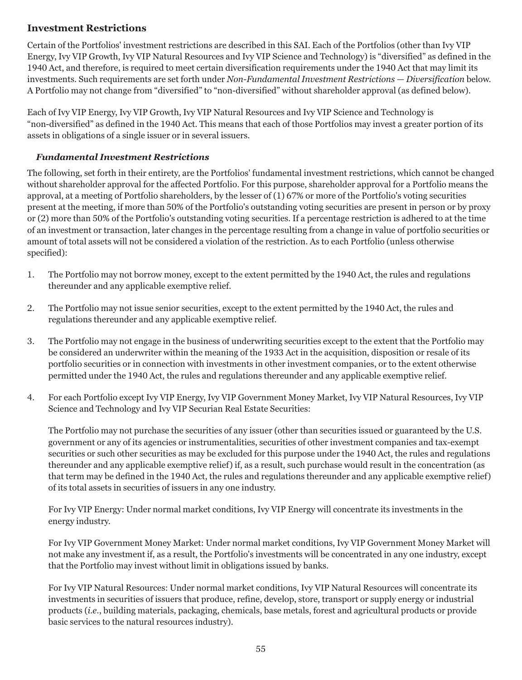# **Investment Restrictions**

Certain of the Portfolios' investment restrictions are described in this SAI. Each of the Portfolios (other than Ivy VIP Energy, Ivy VIP Growth, Ivy VIP Natural Resources and Ivy VIP Science and Technology) is "diversified" as defined in the 1940 Act, and therefore, is required to meet certain diversification requirements under the 1940 Act that may limit its investments. Such requirements are set forth under *Non-Fundamental Investment Restrictions — Diversification* below. A Portfolio may not change from "diversified" to "non-diversified" without shareholder approval (as defined below).

Each of Ivy VIP Energy, Ivy VIP Growth, Ivy VIP Natural Resources and Ivy VIP Science and Technology is "non-diversified" as defined in the 1940 Act. This means that each of those Portfolios may invest a greater portion of its assets in obligations of a single issuer or in several issuers.

## *Fundamental Investment Restrictions*

The following, set forth in their entirety, are the Portfolios' fundamental investment restrictions, which cannot be changed without shareholder approval for the affected Portfolio. For this purpose, shareholder approval for a Portfolio means the approval, at a meeting of Portfolio shareholders, by the lesser of (1) 67% or more of the Portfolio's voting securities present at the meeting, if more than 50% of the Portfolio's outstanding voting securities are present in person or by proxy or (2) more than 50% of the Portfolio's outstanding voting securities. If a percentage restriction is adhered to at the time of an investment or transaction, later changes in the percentage resulting from a change in value of portfolio securities or amount of total assets will not be considered a violation of the restriction. As to each Portfolio (unless otherwise specified):

- 1. The Portfolio may not borrow money, except to the extent permitted by the 1940 Act, the rules and regulations thereunder and any applicable exemptive relief.
- 2. The Portfolio may not issue senior securities, except to the extent permitted by the 1940 Act, the rules and regulations thereunder and any applicable exemptive relief.
- 3. The Portfolio may not engage in the business of underwriting securities except to the extent that the Portfolio may be considered an underwriter within the meaning of the 1933 Act in the acquisition, disposition or resale of its portfolio securities or in connection with investments in other investment companies, or to the extent otherwise permitted under the 1940 Act, the rules and regulations thereunder and any applicable exemptive relief.
- 4. For each Portfolio except Ivy VIP Energy, Ivy VIP Government Money Market, Ivy VIP Natural Resources, Ivy VIP Science and Technology and Ivy VIP Securian Real Estate Securities:

The Portfolio may not purchase the securities of any issuer (other than securities issued or guaranteed by the U.S. government or any of its agencies or instrumentalities, securities of other investment companies and tax-exempt securities or such other securities as may be excluded for this purpose under the 1940 Act, the rules and regulations thereunder and any applicable exemptive relief) if, as a result, such purchase would result in the concentration (as that term may be defined in the 1940 Act, the rules and regulations thereunder and any applicable exemptive relief) of its total assets in securities of issuers in any one industry.

For Ivy VIP Energy: Under normal market conditions, Ivy VIP Energy will concentrate its investments in the energy industry.

For Ivy VIP Government Money Market: Under normal market conditions, Ivy VIP Government Money Market will not make any investment if, as a result, the Portfolio's investments will be concentrated in any one industry, except that the Portfolio may invest without limit in obligations issued by banks.

For Ivy VIP Natural Resources: Under normal market conditions, Ivy VIP Natural Resources will concentrate its investments in securities of issuers that produce, refine, develop, store, transport or supply energy or industrial products (*i.e.*, building materials, packaging, chemicals, base metals, forest and agricultural products or provide basic services to the natural resources industry).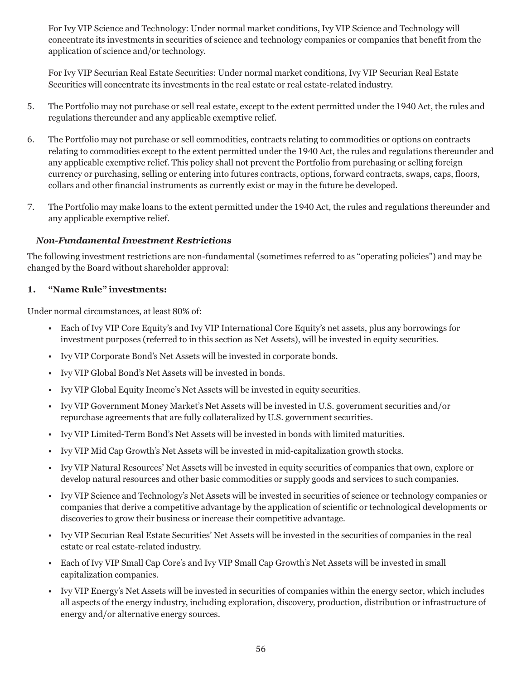For Ivy VIP Science and Technology: Under normal market conditions, Ivy VIP Science and Technology will concentrate its investments in securities of science and technology companies or companies that benefit from the application of science and/or technology.

For Ivy VIP Securian Real Estate Securities: Under normal market conditions, Ivy VIP Securian Real Estate Securities will concentrate its investments in the real estate or real estate-related industry.

- 5. The Portfolio may not purchase or sell real estate, except to the extent permitted under the 1940 Act, the rules and regulations thereunder and any applicable exemptive relief.
- 6. The Portfolio may not purchase or sell commodities, contracts relating to commodities or options on contracts relating to commodities except to the extent permitted under the 1940 Act, the rules and regulations thereunder and any applicable exemptive relief. This policy shall not prevent the Portfolio from purchasing or selling foreign currency or purchasing, selling or entering into futures contracts, options, forward contracts, swaps, caps, floors, collars and other financial instruments as currently exist or may in the future be developed.
- 7. The Portfolio may make loans to the extent permitted under the 1940 Act, the rules and regulations thereunder and any applicable exemptive relief.

#### *Non-Fundamental Investment Restrictions*

The following investment restrictions are non-fundamental (sometimes referred to as "operating policies") and may be changed by the Board without shareholder approval:

#### **1. "Name Rule" investments:**

Under normal circumstances, at least 80% of:

- Each of Ivy VIP Core Equity's and Ivy VIP International Core Equity's net assets, plus any borrowings for investment purposes (referred to in this section as Net Assets), will be invested in equity securities.
- Ivy VIP Corporate Bond's Net Assets will be invested in corporate bonds.
- Ivy VIP Global Bond's Net Assets will be invested in bonds.
- Ivy VIP Global Equity Income's Net Assets will be invested in equity securities.
- Ivy VIP Government Money Market's Net Assets will be invested in U.S. government securities and/or repurchase agreements that are fully collateralized by U.S. government securities.
- Ivy VIP Limited-Term Bond's Net Assets will be invested in bonds with limited maturities.
- Ivy VIP Mid Cap Growth's Net Assets will be invested in mid-capitalization growth stocks.
- Ivy VIP Natural Resources' Net Assets will be invested in equity securities of companies that own, explore or develop natural resources and other basic commodities or supply goods and services to such companies.
- Ivy VIP Science and Technology's Net Assets will be invested in securities of science or technology companies or companies that derive a competitive advantage by the application of scientific or technological developments or discoveries to grow their business or increase their competitive advantage.
- Ivy VIP Securian Real Estate Securities' Net Assets will be invested in the securities of companies in the real estate or real estate-related industry.
- Each of Ivy VIP Small Cap Core's and Ivy VIP Small Cap Growth's Net Assets will be invested in small capitalization companies.
- Ivy VIP Energy's Net Assets will be invested in securities of companies within the energy sector, which includes all aspects of the energy industry, including exploration, discovery, production, distribution or infrastructure of energy and/or alternative energy sources.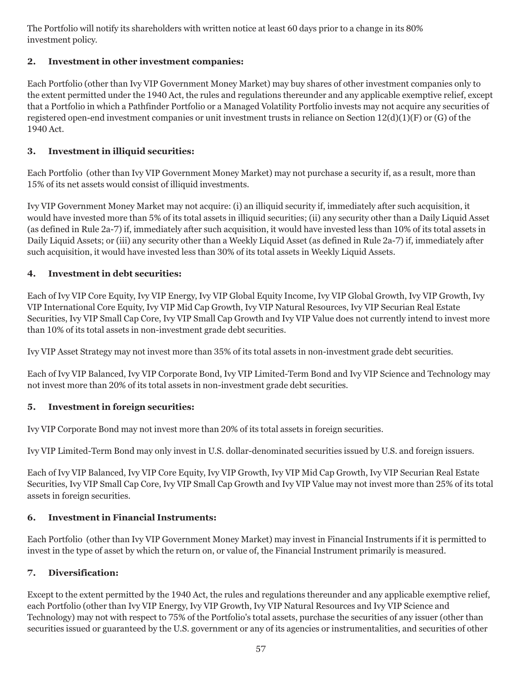The Portfolio will notify its shareholders with written notice at least 60 days prior to a change in its 80% investment policy.

## **2. Investment in other investment companies:**

Each Portfolio (other than Ivy VIP Government Money Market) may buy shares of other investment companies only to the extent permitted under the 1940 Act, the rules and regulations thereunder and any applicable exemptive relief, except that a Portfolio in which a Pathfinder Portfolio or a Managed Volatility Portfolio invests may not acquire any securities of registered open-end investment companies or unit investment trusts in reliance on Section 12(d)(1)(F) or (G) of the 1940 Act.

# **3. Investment in illiquid securities:**

Each Portfolio (other than Ivy VIP Government Money Market) may not purchase a security if, as a result, more than 15% of its net assets would consist of illiquid investments.

Ivy VIP Government Money Market may not acquire: (i) an illiquid security if, immediately after such acquisition, it would have invested more than 5% of its total assets in illiquid securities; (ii) any security other than a Daily Liquid Asset (as defined in Rule 2a-7) if, immediately after such acquisition, it would have invested less than 10% of its total assets in Daily Liquid Assets; or (iii) any security other than a Weekly Liquid Asset (as defined in Rule 2a-7) if, immediately after such acquisition, it would have invested less than 30% of its total assets in Weekly Liquid Assets.

# **4. Investment in debt securities:**

Each of Ivy VIP Core Equity, Ivy VIP Energy, Ivy VIP Global Equity Income, Ivy VIP Global Growth, Ivy VIP Growth, Ivy VIP International Core Equity, Ivy VIP Mid Cap Growth, Ivy VIP Natural Resources, Ivy VIP Securian Real Estate Securities, Ivy VIP Small Cap Core, Ivy VIP Small Cap Growth and Ivy VIP Value does not currently intend to invest more than 10% of its total assets in non-investment grade debt securities.

Ivy VIP Asset Strategy may not invest more than 35% of its total assets in non-investment grade debt securities.

Each of Ivy VIP Balanced, Ivy VIP Corporate Bond, Ivy VIP Limited-Term Bond and Ivy VIP Science and Technology may not invest more than 20% of its total assets in non-investment grade debt securities.

## **5. Investment in foreign securities:**

Ivy VIP Corporate Bond may not invest more than 20% of its total assets in foreign securities.

Ivy VIP Limited-Term Bond may only invest in U.S. dollar-denominated securities issued by U.S. and foreign issuers.

Each of Ivy VIP Balanced, Ivy VIP Core Equity, Ivy VIP Growth, Ivy VIP Mid Cap Growth, Ivy VIP Securian Real Estate Securities, Ivy VIP Small Cap Core, Ivy VIP Small Cap Growth and Ivy VIP Value may not invest more than 25% of its total assets in foreign securities.

# **6. Investment in Financial Instruments:**

Each Portfolio (other than Ivy VIP Government Money Market) may invest in Financial Instruments if it is permitted to invest in the type of asset by which the return on, or value of, the Financial Instrument primarily is measured.

# **7. Diversification:**

Except to the extent permitted by the 1940 Act, the rules and regulations thereunder and any applicable exemptive relief, each Portfolio (other than Ivy VIP Energy, Ivy VIP Growth, Ivy VIP Natural Resources and Ivy VIP Science and Technology) may not with respect to 75% of the Portfolio's total assets, purchase the securities of any issuer (other than securities issued or guaranteed by the U.S. government or any of its agencies or instrumentalities, and securities of other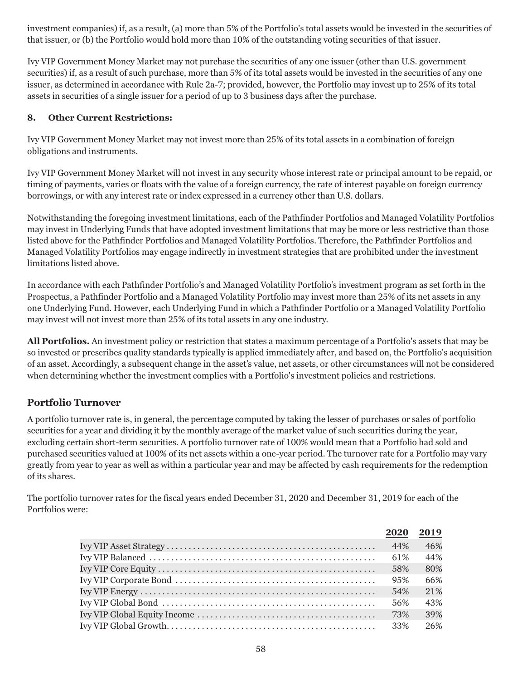investment companies) if, as a result, (a) more than 5% of the Portfolio's total assets would be invested in the securities of that issuer, or (b) the Portfolio would hold more than 10% of the outstanding voting securities of that issuer.

Ivy VIP Government Money Market may not purchase the securities of any one issuer (other than U.S. government securities) if, as a result of such purchase, more than 5% of its total assets would be invested in the securities of any one issuer, as determined in accordance with Rule 2a-7; provided, however, the Portfolio may invest up to 25% of its total assets in securities of a single issuer for a period of up to 3 business days after the purchase.

## **8. Other Current Restrictions:**

Ivy VIP Government Money Market may not invest more than 25% of its total assets in a combination of foreign obligations and instruments.

Ivy VIP Government Money Market will not invest in any security whose interest rate or principal amount to be repaid, or timing of payments, varies or floats with the value of a foreign currency, the rate of interest payable on foreign currency borrowings, or with any interest rate or index expressed in a currency other than U.S. dollars.

Notwithstanding the foregoing investment limitations, each of the Pathfinder Portfolios and Managed Volatility Portfolios may invest in Underlying Funds that have adopted investment limitations that may be more or less restrictive than those listed above for the Pathfinder Portfolios and Managed Volatility Portfolios. Therefore, the Pathfinder Portfolios and Managed Volatility Portfolios may engage indirectly in investment strategies that are prohibited under the investment limitations listed above.

In accordance with each Pathfinder Portfolio's and Managed Volatility Portfolio's investment program as set forth in the Prospectus, a Pathfinder Portfolio and a Managed Volatility Portfolio may invest more than 25% of its net assets in any one Underlying Fund. However, each Underlying Fund in which a Pathfinder Portfolio or a Managed Volatility Portfolio may invest will not invest more than 25% of its total assets in any one industry.

**All Portfolios.** An investment policy or restriction that states a maximum percentage of a Portfolio's assets that may be so invested or prescribes quality standards typically is applied immediately after, and based on, the Portfolio's acquisition of an asset. Accordingly, a subsequent change in the asset's value, net assets, or other circumstances will not be considered when determining whether the investment complies with a Portfolio's investment policies and restrictions.

## **Portfolio Turnover**

A portfolio turnover rate is, in general, the percentage computed by taking the lesser of purchases or sales of portfolio securities for a year and dividing it by the monthly average of the market value of such securities during the year, excluding certain short-term securities. A portfolio turnover rate of 100% would mean that a Portfolio had sold and purchased securities valued at 100% of its net assets within a one-year period. The turnover rate for a Portfolio may vary greatly from year to year as well as within a particular year and may be affected by cash requirements for the redemption of its shares.

The portfolio turnover rates for the fiscal years ended December 31, 2020 and December 31, 2019 for each of the Portfolios were:

| 2020  | 2019 |
|-------|------|
| 44%   | 46%  |
| 61%   | 44%  |
| 58%   | 80%  |
| 95%   | 66%  |
| 54%   | 21%  |
| 56%   | 43%  |
| 73%   | 39%  |
| - 33% | 26%  |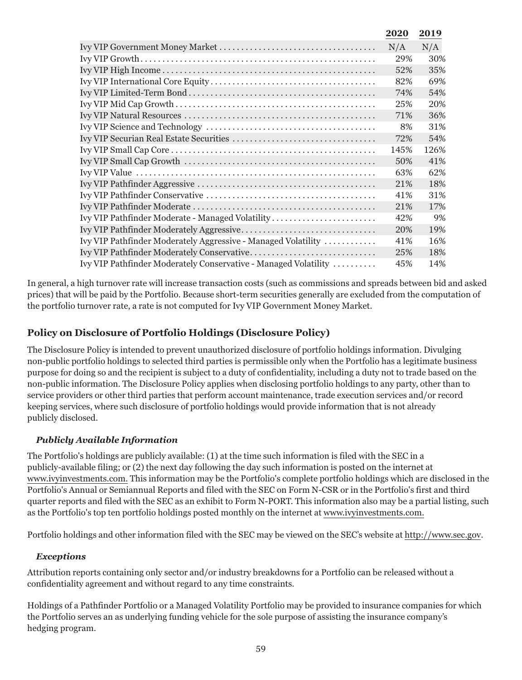|                                                                 | ZUZU | 2012 |
|-----------------------------------------------------------------|------|------|
|                                                                 | N/A  | N/A  |
|                                                                 | 29%  | 30%  |
|                                                                 | 52%  | 35%  |
|                                                                 | 82%  | 69%  |
|                                                                 | 74%  | 54%  |
|                                                                 | 25%  | 20%  |
|                                                                 | 71%  | 36%  |
|                                                                 | 8%   | 31%  |
|                                                                 | 72%  | 54%  |
|                                                                 | 145% | 126% |
|                                                                 | 50%  | 41%  |
|                                                                 | 63%  | 62%  |
|                                                                 | 21%  | 18%  |
|                                                                 | 41%  | 31%  |
|                                                                 | 21%  | 17%  |
| Ivy VIP Pathfinder Moderate - Managed Volatility                | 42%  | 9%   |
|                                                                 | 20%  | 19%  |
| Ivy VIP Pathfinder Moderately Aggressive - Managed Volatility   | 41%  | 16%  |
| Ivy VIP Pathfinder Moderately Conservative                      | 25%  | 18%  |
| Ivy VIP Pathfinder Moderately Conservative - Managed Volatility | 45%  | 14%  |

**2020 2019**

In general, a high turnover rate will increase transaction costs (such as commissions and spreads between bid and asked prices) that will be paid by the Portfolio. Because short-term securities generally are excluded from the computation of the portfolio turnover rate, a rate is not computed for Ivy VIP Government Money Market.

# **Policy on Disclosure of Portfolio Holdings (Disclosure Policy)**

The Disclosure Policy is intended to prevent unauthorized disclosure of portfolio holdings information. Divulging non-public portfolio holdings to selected third parties is permissible only when the Portfolio has a legitimate business purpose for doing so and the recipient is subject to a duty of confidentiality, including a duty not to trade based on the non-public information. The Disclosure Policy applies when disclosing portfolio holdings to any party, other than to service providers or other third parties that perform account maintenance, trade execution services and/or record keeping services, where such disclosure of portfolio holdings would provide information that is not already publicly disclosed.

#### *Publicly Available Information*

The Portfolio's holdings are publicly available: (1) at the time such information is filed with the SEC in a publicly-available filing; or (2) the next day following the day such information is posted on the internet at www.ivyinvestments.com. This information may be the Portfolio's complete portfolio holdings which are disclosed in the Portfolio's Annual or Semiannual Reports and filed with the SEC on Form N-CSR or in the Portfolio's first and third quarter reports and filed with the SEC as an exhibit to Form N-PORT. This information also may be a partial listing, such as the Portfolio's top ten portfolio holdings posted monthly on the internet at www.ivyinvestments.com.

Portfolio holdings and other information filed with the SEC may be viewed on the SEC's website at [http://www.sec.gov.](http://www.sec.gov/)

#### *Exceptions*

Attribution reports containing only sector and/or industry breakdowns for a Portfolio can be released without a confidentiality agreement and without regard to any time constraints.

Holdings of a Pathfinder Portfolio or a Managed Volatility Portfolio may be provided to insurance companies for which the Portfolio serves an as underlying funding vehicle for the sole purpose of assisting the insurance company's hedging program.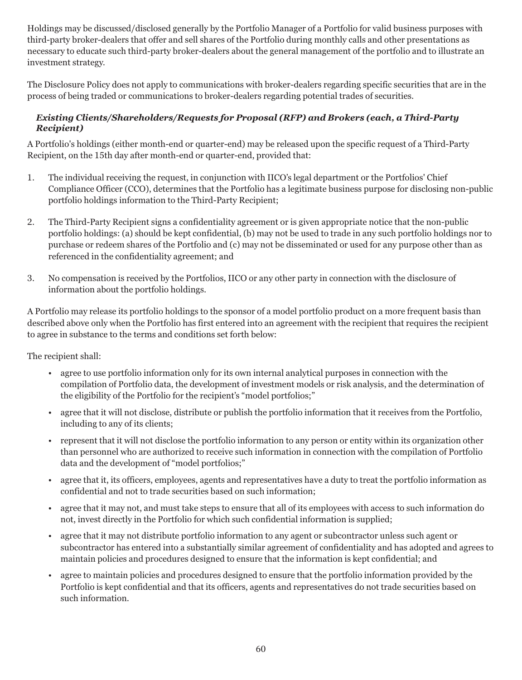Holdings may be discussed/disclosed generally by the Portfolio Manager of a Portfolio for valid business purposes with third-party broker-dealers that offer and sell shares of the Portfolio during monthly calls and other presentations as necessary to educate such third-party broker-dealers about the general management of the portfolio and to illustrate an investment strategy.

The Disclosure Policy does not apply to communications with broker-dealers regarding specific securities that are in the process of being traded or communications to broker-dealers regarding potential trades of securities.

## *Existing Clients/Shareholders/Requests for Proposal (RFP) and Brokers (each, a Third-Party Recipient)*

A Portfolio's holdings (either month-end or quarter-end) may be released upon the specific request of a Third-Party Recipient, on the 15th day after month-end or quarter-end, provided that:

- 1. The individual receiving the request, in conjunction with IICO's legal department or the Portfolios' Chief Compliance Officer (CCO), determines that the Portfolio has a legitimate business purpose for disclosing non-public portfolio holdings information to the Third-Party Recipient;
- 2. The Third-Party Recipient signs a confidentiality agreement or is given appropriate notice that the non-public portfolio holdings: (a) should be kept confidential, (b) may not be used to trade in any such portfolio holdings nor to purchase or redeem shares of the Portfolio and (c) may not be disseminated or used for any purpose other than as referenced in the confidentiality agreement; and
- 3. No compensation is received by the Portfolios, IICO or any other party in connection with the disclosure of information about the portfolio holdings.

A Portfolio may release its portfolio holdings to the sponsor of a model portfolio product on a more frequent basis than described above only when the Portfolio has first entered into an agreement with the recipient that requires the recipient to agree in substance to the terms and conditions set forth below:

The recipient shall:

- agree to use portfolio information only for its own internal analytical purposes in connection with the compilation of Portfolio data, the development of investment models or risk analysis, and the determination of the eligibility of the Portfolio for the recipient's "model portfolios;"
- agree that it will not disclose, distribute or publish the portfolio information that it receives from the Portfolio, including to any of its clients;
- represent that it will not disclose the portfolio information to any person or entity within its organization other than personnel who are authorized to receive such information in connection with the compilation of Portfolio data and the development of "model portfolios;"
- agree that it, its officers, employees, agents and representatives have a duty to treat the portfolio information as confidential and not to trade securities based on such information;
- agree that it may not, and must take steps to ensure that all of its employees with access to such information do not, invest directly in the Portfolio for which such confidential information is supplied;
- agree that it may not distribute portfolio information to any agent or subcontractor unless such agent or subcontractor has entered into a substantially similar agreement of confidentiality and has adopted and agrees to maintain policies and procedures designed to ensure that the information is kept confidential; and
- agree to maintain policies and procedures designed to ensure that the portfolio information provided by the Portfolio is kept confidential and that its officers, agents and representatives do not trade securities based on such information.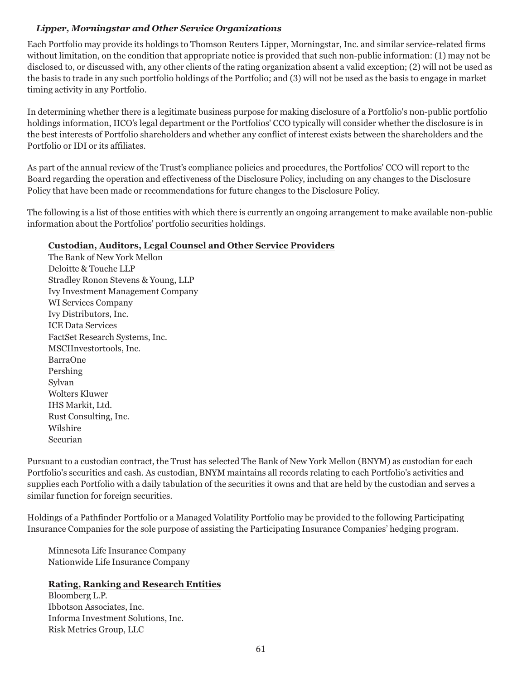## *Lipper, Morningstar and Other Service Organizations*

Each Portfolio may provide its holdings to Thomson Reuters Lipper, Morningstar, Inc. and similar service-related firms without limitation, on the condition that appropriate notice is provided that such non-public information: (1) may not be disclosed to, or discussed with, any other clients of the rating organization absent a valid exception; (2) will not be used as the basis to trade in any such portfolio holdings of the Portfolio; and (3) will not be used as the basis to engage in market timing activity in any Portfolio.

In determining whether there is a legitimate business purpose for making disclosure of a Portfolio's non-public portfolio holdings information, IICO's legal department or the Portfolios' CCO typically will consider whether the disclosure is in the best interests of Portfolio shareholders and whether any conflict of interest exists between the shareholders and the Portfolio or IDI or its affiliates.

As part of the annual review of the Trust's compliance policies and procedures, the Portfolios' CCO will report to the Board regarding the operation and effectiveness of the Disclosure Policy, including on any changes to the Disclosure Policy that have been made or recommendations for future changes to the Disclosure Policy.

The following is a list of those entities with which there is currently an ongoing arrangement to make available non-public information about the Portfolios' portfolio securities holdings.

#### **Custodian, Auditors, Legal Counsel and Other Service Providers**

The Bank of New York Mellon Deloitte & Touche LLP Stradley Ronon Stevens & Young, LLP Ivy Investment Management Company WI Services Company Ivy Distributors, Inc. ICE Data Services FactSet Research Systems, Inc. MSCIInvestortools, Inc. BarraOne Pershing Sylvan Wolters Kluwer IHS Markit, Ltd. Rust Consulting, Inc. Wilshire Securian

Pursuant to a custodian contract, the Trust has selected The Bank of New York Mellon (BNYM) as custodian for each Portfolio's securities and cash. As custodian, BNYM maintains all records relating to each Portfolio's activities and supplies each Portfolio with a daily tabulation of the securities it owns and that are held by the custodian and serves a similar function for foreign securities.

Holdings of a Pathfinder Portfolio or a Managed Volatility Portfolio may be provided to the following Participating Insurance Companies for the sole purpose of assisting the Participating Insurance Companies' hedging program.

Minnesota Life Insurance Company Nationwide Life Insurance Company

#### **Rating, Ranking and Research Entities**

Bloomberg L.P. Ibbotson Associates, Inc. Informa Investment Solutions, Inc. Risk Metrics Group, LLC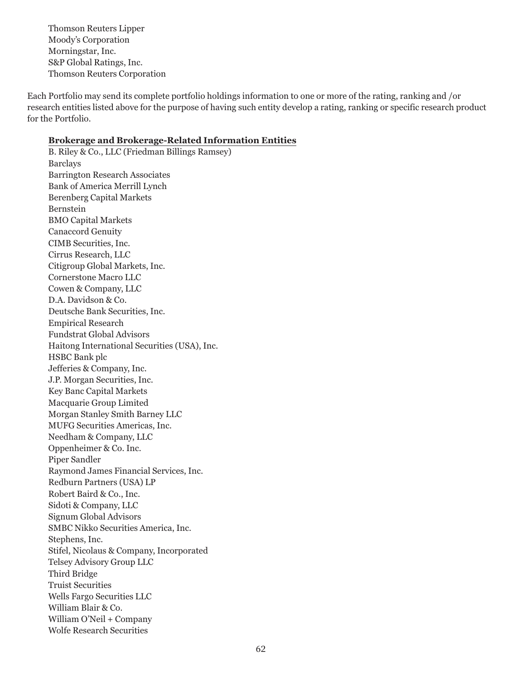Thomson Reuters Lipper Moody's Corporation Morningstar, Inc. S&P Global Ratings, Inc. Thomson Reuters Corporation

Each Portfolio may send its complete portfolio holdings information to one or more of the rating, ranking and /or research entities listed above for the purpose of having such entity develop a rating, ranking or specific research product for the Portfolio.

#### **Brokerage and Brokerage-Related Information Entities**

B. Riley & Co., LLC (Friedman Billings Ramsey) Barclays Barrington Research Associates Bank of America Merrill Lynch Berenberg Capital Markets Bernstein BMO Capital Markets Canaccord Genuity CIMB Securities, Inc. Cirrus Research, LLC Citigroup Global Markets, Inc. Cornerstone Macro LLC Cowen & Company, LLC D.A. Davidson & Co. Deutsche Bank Securities, Inc. Empirical Research Fundstrat Global Advisors Haitong International Securities (USA), Inc. HSBC Bank plc Jefferies & Company, Inc. J.P. Morgan Securities, Inc. Key Banc Capital Markets Macquarie Group Limited Morgan Stanley Smith Barney LLC MUFG Securities Americas, Inc. Needham & Company, LLC Oppenheimer & Co. Inc. Piper Sandler Raymond James Financial Services, Inc. Redburn Partners (USA) LP Robert Baird & Co., Inc. Sidoti & Company, LLC Signum Global Advisors SMBC Nikko Securities America, Inc. Stephens, Inc. Stifel, Nicolaus & Company, Incorporated Telsey Advisory Group LLC Third Bridge Truist Securities Wells Fargo Securities LLC William Blair & Co. William O'Neil + Company Wolfe Research Securities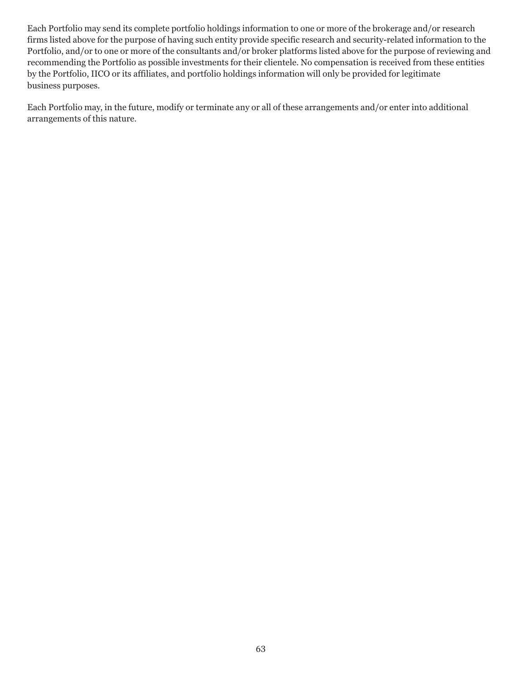Each Portfolio may send its complete portfolio holdings information to one or more of the brokerage and/or research firms listed above for the purpose of having such entity provide specific research and security-related information to the Portfolio, and/or to one or more of the consultants and/or broker platforms listed above for the purpose of reviewing and recommending the Portfolio as possible investments for their clientele. No compensation is received from these entities by the Portfolio, IICO or its affiliates, and portfolio holdings information will only be provided for legitimate business purposes.

Each Portfolio may, in the future, modify or terminate any or all of these arrangements and/or enter into additional arrangements of this nature.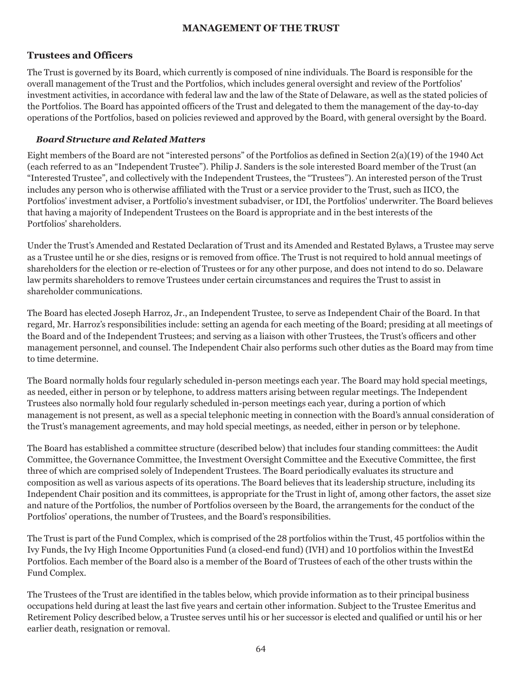## **MANAGEMENT OF THE TRUST**

## **Trustees and Officers**

The Trust is governed by its Board, which currently is composed of nine individuals. The Board is responsible for the overall management of the Trust and the Portfolios, which includes general oversight and review of the Portfolios' investment activities, in accordance with federal law and the law of the State of Delaware, as well as the stated policies of the Portfolios. The Board has appointed officers of the Trust and delegated to them the management of the day-to-day operations of the Portfolios, based on policies reviewed and approved by the Board, with general oversight by the Board.

#### *Board Structure and Related Matters*

Eight members of the Board are not "interested persons" of the Portfolios as defined in Section 2(a)(19) of the 1940 Act (each referred to as an "Independent Trustee"). Philip J. Sanders is the sole interested Board member of the Trust (an "Interested Trustee", and collectively with the Independent Trustees, the "Trustees"). An interested person of the Trust includes any person who is otherwise affiliated with the Trust or a service provider to the Trust, such as IICO, the Portfolios' investment adviser, a Portfolio's investment subadviser, or IDI, the Portfolios' underwriter. The Board believes that having a majority of Independent Trustees on the Board is appropriate and in the best interests of the Portfolios' shareholders.

Under the Trust's Amended and Restated Declaration of Trust and its Amended and Restated Bylaws, a Trustee may serve as a Trustee until he or she dies, resigns or is removed from office. The Trust is not required to hold annual meetings of shareholders for the election or re-election of Trustees or for any other purpose, and does not intend to do so. Delaware law permits shareholders to remove Trustees under certain circumstances and requires the Trust to assist in shareholder communications.

The Board has elected Joseph Harroz, Jr., an Independent Trustee, to serve as Independent Chair of the Board. In that regard, Mr. Harroz's responsibilities include: setting an agenda for each meeting of the Board; presiding at all meetings of the Board and of the Independent Trustees; and serving as a liaison with other Trustees, the Trust's officers and other management personnel, and counsel. The Independent Chair also performs such other duties as the Board may from time to time determine.

The Board normally holds four regularly scheduled in-person meetings each year. The Board may hold special meetings, as needed, either in person or by telephone, to address matters arising between regular meetings. The Independent Trustees also normally hold four regularly scheduled in-person meetings each year, during a portion of which management is not present, as well as a special telephonic meeting in connection with the Board's annual consideration of the Trust's management agreements, and may hold special meetings, as needed, either in person or by telephone.

The Board has established a committee structure (described below) that includes four standing committees: the Audit Committee, the Governance Committee, the Investment Oversight Committee and the Executive Committee, the first three of which are comprised solely of Independent Trustees. The Board periodically evaluates its structure and composition as well as various aspects of its operations. The Board believes that its leadership structure, including its Independent Chair position and its committees, is appropriate for the Trust in light of, among other factors, the asset size and nature of the Portfolios, the number of Portfolios overseen by the Board, the arrangements for the conduct of the Portfolios' operations, the number of Trustees, and the Board's responsibilities.

The Trust is part of the Fund Complex, which is comprised of the 28 portfolios within the Trust, 45 portfolios within the Ivy Funds, the Ivy High Income Opportunities Fund (a closed-end fund) (IVH) and 10 portfolios within the InvestEd Portfolios. Each member of the Board also is a member of the Board of Trustees of each of the other trusts within the Fund Complex.

The Trustees of the Trust are identified in the tables below, which provide information as to their principal business occupations held during at least the last five years and certain other information. Subject to the Trustee Emeritus and Retirement Policy described below, a Trustee serves until his or her successor is elected and qualified or until his or her earlier death, resignation or removal.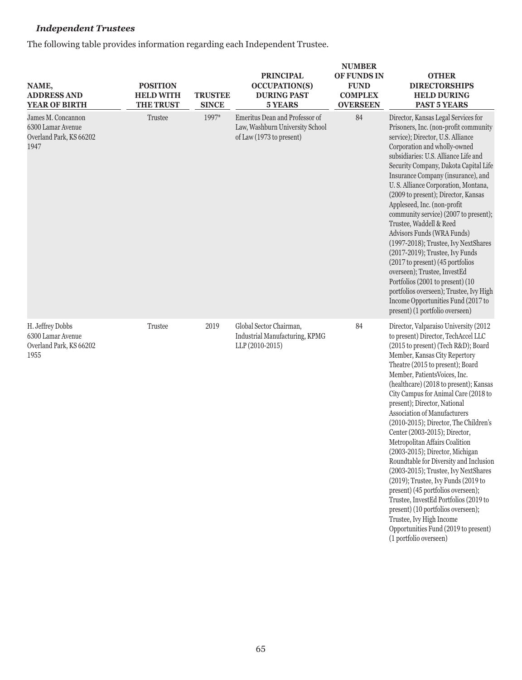# *Independent Trustees*

The following table provides information regarding each Independent Trustee.

| NAME,<br><b>ADDRESS AND</b><br>YEAR OF BIRTH                               | <b>POSITION</b><br><b>HELD WITH</b><br><b>THE TRUST</b> | <b>TRUSTEE</b><br><b>SINCE</b> | <b>PRINCIPAL</b><br><b>OCCUPATION(S)</b><br><b>DURING PAST</b><br><b>5 YEARS</b>              | <b>NUMBER</b><br><b>OF FUNDS IN</b><br><b>FUND</b><br><b>COMPLEX</b><br><b>OVERSEEN</b> | <b>OTHER</b><br><b>DIRECTORSHIPS</b><br><b>HELD DURING</b><br><b>PAST 5 YEARS</b>                                                                                                                                                                                                                                                                                                                                                                                                                                                                                                                                                                                                                                                                                                                                                                                     |
|----------------------------------------------------------------------------|---------------------------------------------------------|--------------------------------|-----------------------------------------------------------------------------------------------|-----------------------------------------------------------------------------------------|-----------------------------------------------------------------------------------------------------------------------------------------------------------------------------------------------------------------------------------------------------------------------------------------------------------------------------------------------------------------------------------------------------------------------------------------------------------------------------------------------------------------------------------------------------------------------------------------------------------------------------------------------------------------------------------------------------------------------------------------------------------------------------------------------------------------------------------------------------------------------|
| James M. Concannon<br>6300 Lamar Avenue<br>Overland Park, KS 66202<br>1947 | Trustee                                                 | 1997*                          | Emeritus Dean and Professor of<br>Law, Washburn University School<br>of Law (1973 to present) | 84                                                                                      | Director, Kansas Legal Services for<br>Prisoners, Inc. (non-profit community<br>service); Director, U.S. Alliance<br>Corporation and wholly-owned<br>subsidiaries: U.S. Alliance Life and<br>Security Company, Dakota Capital Life<br>Insurance Company (insurance), and<br>U.S. Alliance Corporation, Montana,<br>(2009 to present); Director, Kansas<br>Appleseed, Inc. (non-profit<br>community service) (2007 to present);<br>Trustee, Waddell & Reed<br>Advisors Funds (WRA Funds)<br>(1997-2018); Trustee, Ivy NextShares<br>(2017-2019); Trustee, Ivy Funds<br>(2017 to present) (45 portfolios<br>overseen); Trustee, InvestEd<br>Portfolios (2001 to present) (10<br>portfolios overseen); Trustee, Ivy High<br>Income Opportunities Fund (2017 to<br>present) (1 portfolio overseen)                                                                        |
| H. Jeffrey Dobbs<br>6300 Lamar Avenue<br>Overland Park, KS 66202<br>1955   | Trustee                                                 | 2019                           | Global Sector Chairman,<br>Industrial Manufacturing, KPMG<br>LLP (2010-2015)                  | 84                                                                                      | Director, Valparaiso University (2012<br>to present) Director, TechAccel LLC<br>(2015 to present) (Tech R&D); Board<br>Member, Kansas City Repertory<br>Theatre (2015 to present); Board<br>Member, PatientsVoices, Inc.<br>(healthcare) (2018 to present); Kansas<br>City Campus for Animal Care (2018 to<br>present); Director, National<br>Association of Manufacturers<br>(2010-2015); Director, The Children's<br>Center (2003-2015); Director,<br>Metropolitan Affairs Coalition<br>(2003-2015); Director, Michigan<br>Roundtable for Diversity and Inclusion<br>(2003-2015); Trustee, Ivy NextShares<br>(2019); Trustee, Ivy Funds (2019 to<br>present) (45 portfolios overseen);<br>Trustee, InvestEd Portfolios (2019 to<br>present) (10 portfolios overseen);<br>Trustee, Ivy High Income<br>Opportunities Fund (2019 to present)<br>(1 portfolio overseen) |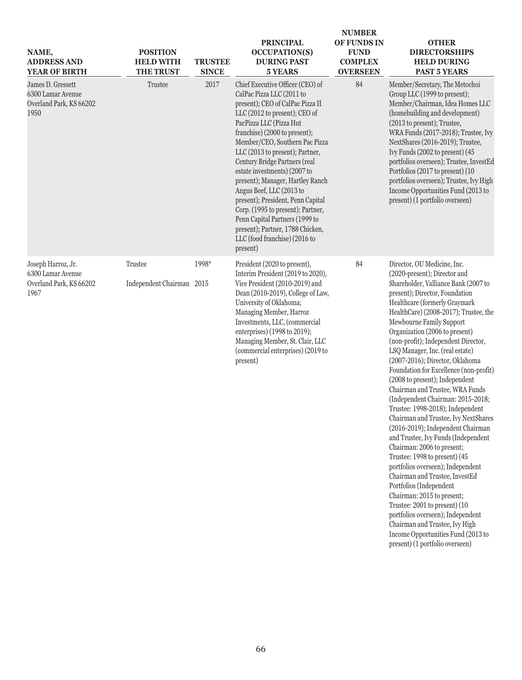| NAME,<br><b>ADDRESS AND</b><br><b>YEAR OF BIRTH</b>                        | <b>POSITION</b><br><b>HELD WITH</b><br><b>THE TRUST</b> | <b>TRUSTEE</b><br><b>SINCE</b> | <b>PRINCIPAL</b><br><b>OCCUPATION(S)</b><br><b>DURING PAST</b><br><b>5 YEARS</b>                                                                                                                                                                                                                                                                                                                                                                                                                                                                                                                  | <b>NUMBER</b><br>OF FUNDS IN<br><b>FUND</b><br><b>COMPLEX</b><br><b>OVERSEEN</b> | <b>OTHER</b><br><b>DIRECTORSHIPS</b><br><b>HELD DURING</b><br><b>PAST 5 YEARS</b>                                                                                                                                                                                                                                                                                                                                                                                                                                                                                                                                                                                                                                                                                                                                                                                                                                                                                                                                                                                                      |
|----------------------------------------------------------------------------|---------------------------------------------------------|--------------------------------|---------------------------------------------------------------------------------------------------------------------------------------------------------------------------------------------------------------------------------------------------------------------------------------------------------------------------------------------------------------------------------------------------------------------------------------------------------------------------------------------------------------------------------------------------------------------------------------------------|----------------------------------------------------------------------------------|----------------------------------------------------------------------------------------------------------------------------------------------------------------------------------------------------------------------------------------------------------------------------------------------------------------------------------------------------------------------------------------------------------------------------------------------------------------------------------------------------------------------------------------------------------------------------------------------------------------------------------------------------------------------------------------------------------------------------------------------------------------------------------------------------------------------------------------------------------------------------------------------------------------------------------------------------------------------------------------------------------------------------------------------------------------------------------------|
| James D. Gressett<br>6300 Lamar Avenue<br>Overland Park, KS 66202<br>1950  | Trustee                                                 | 2017                           | Chief Executive Officer (CEO) of<br>CalPac Pizza LLC (2011 to<br>present); CEO of CalPac Pizza II<br>LLC (2012 to present); CEO of<br>PacPizza LLC (Pizza Hut<br>franchise) (2000 to present);<br>Member/CEO, Southern Pac Pizza<br>LLC (2013 to present); Partner,<br>Century Bridge Partners (real<br>estate investments) (2007 to<br>present); Manager, Hartley Ranch<br>Angus Beef, LLC (2013 to<br>present); President, Penn Capital<br>Corp. (1995 to present); Partner,<br>Penn Capital Partners (1999 to<br>present); Partner, 1788 Chicken,<br>LLC (food franchise) (2016 to<br>present) | 84                                                                               | Member/Secretary, The Metochoi<br>Group LLC (1999 to present);<br>Member/Chairman, Idea Homes LLC<br>(homebuilding and development)<br>(2013 to present); Trustee,<br>WRA Funds (2017-2018); Trustee, Ivy<br>NextShares (2016-2019); Trustee,<br>Ivy Funds (2002 to present) (45<br>portfolios overseen); Trustee, InvestEd<br>Portfolios (2017 to present) (10<br>portfolios overseen); Trustee, Ivy High<br>Income Opportunities Fund (2013 to<br>present) (1 portfolio overseen)                                                                                                                                                                                                                                                                                                                                                                                                                                                                                                                                                                                                    |
| Joseph Harroz, Jr.<br>6300 Lamar Avenue<br>Overland Park, KS 66202<br>1967 | Trustee<br>Independent Chairman 2015                    | 1998*                          | President (2020 to present),<br>Interim President (2019 to 2020),<br>Vice President (2010-2019) and<br>Dean (2010-2019), College of Law,<br>University of Oklahoma;<br>Managing Member, Harroz<br>Investments, LLC, (commercial<br>enterprises) (1998 to 2019);<br>Managing Member, St. Clair, LLC<br>(commercial enterprises) (2019 to<br>present)                                                                                                                                                                                                                                               | 84                                                                               | Director, OU Medicine, Inc.<br>(2020-present); Director and<br>Shareholder, Valliance Bank (2007 to<br>present); Director, Foundation<br>Healthcare (formerly Graymark<br>HealthCare) (2008-2017); Trustee, the<br>Mewbourne Family Support<br>Organization (2006 to present)<br>(non-profit); Independent Director,<br>LSQ Manager, Inc. (real estate)<br>(2007-2016); Director, Oklahoma<br>Foundation for Excellence (non-profit)<br>(2008 to present); Independent<br>Chairman and Trustee, WRA Funds<br>(Independent Chairman: 2015-2018;<br>Trustee: 1998-2018); Independent<br>Chairman and Trustee, Ivy NextShares<br>(2016-2019); Independent Chairman<br>and Trustee, Ivy Funds (Independent<br>Chairman: 2006 to present;<br>Trustee: 1998 to present) (45<br>portfolios overseen); Independent<br>Chairman and Trustee, InvestEd<br>Portfolios (Independent<br>Chairman: 2015 to present;<br>Trustee: 2001 to present) (10<br>portfolios overseen); Independent<br>Chairman and Trustee, Ivy High<br>Income Opportunities Fund (2013 to<br>present) (1 portfolio overseen) |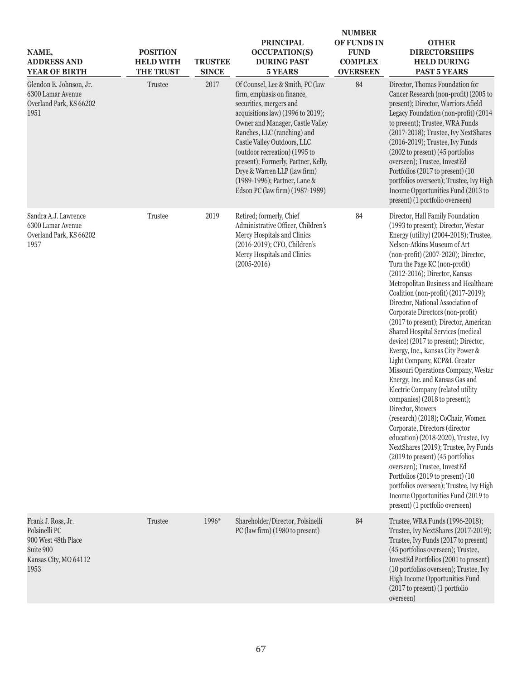| NAME,<br><b>ADDRESS AND</b><br><b>YEAR OF BIRTH</b>                                                      | <b>POSITION</b><br><b>HELD WITH</b><br><b>THE TRUST</b> | <b>TRUSTEE</b><br><b>SINCE</b> | <b>PRINCIPAL</b><br><b>OCCUPATION(S)</b><br><b>DURING PAST</b><br><b>5 YEARS</b>                                                                                                                                                                                                                                                                                                                            | <b>NUMBER</b><br>OF FUNDS IN<br><b>FUND</b><br><b>COMPLEX</b><br><b>OVERSEEN</b> | <b>OTHER</b><br><b>DIRECTORSHIPS</b><br><b>HELD DURING</b><br><b>PAST 5 YEARS</b>                                                                                                                                                                                                                                                                                                                                                                                                                                                                                                                                                                                                                                                                                                                                                                                                                                                                                                                                                                                                                                                                                     |
|----------------------------------------------------------------------------------------------------------|---------------------------------------------------------|--------------------------------|-------------------------------------------------------------------------------------------------------------------------------------------------------------------------------------------------------------------------------------------------------------------------------------------------------------------------------------------------------------------------------------------------------------|----------------------------------------------------------------------------------|-----------------------------------------------------------------------------------------------------------------------------------------------------------------------------------------------------------------------------------------------------------------------------------------------------------------------------------------------------------------------------------------------------------------------------------------------------------------------------------------------------------------------------------------------------------------------------------------------------------------------------------------------------------------------------------------------------------------------------------------------------------------------------------------------------------------------------------------------------------------------------------------------------------------------------------------------------------------------------------------------------------------------------------------------------------------------------------------------------------------------------------------------------------------------|
| Glendon E. Johnson, Jr.<br>6300 Lamar Avenue<br>Overland Park, KS 66202<br>1951                          | Trustee                                                 | 2017                           | Of Counsel, Lee & Smith, PC (law<br>firm, emphasis on finance,<br>securities, mergers and<br>acquisitions law) (1996 to 2019);<br>Owner and Manager, Castle Valley<br>Ranches, LLC (ranching) and<br>Castle Valley Outdoors, LLC<br>(outdoor recreation) (1995 to<br>present); Formerly, Partner, Kelly,<br>Drye & Warren LLP (law firm)<br>(1989-1996); Partner, Lane &<br>Edson PC (law firm) (1987-1989) | 84                                                                               | Director, Thomas Foundation for<br>Cancer Research (non-profit) (2005 to<br>present); Director, Warriors Afield<br>Legacy Foundation (non-profit) (2014<br>to present); Trustee, WRA Funds<br>(2017-2018); Trustee, Ivy NextShares<br>(2016-2019); Trustee, Ivy Funds<br>(2002 to present) (45 portfolios<br>overseen); Trustee, InvestEd<br>Portfolios (2017 to present) (10<br>portfolios overseen); Trustee, Ivy High<br>Income Opportunities Fund (2013 to<br>present) (1 portfolio overseen)                                                                                                                                                                                                                                                                                                                                                                                                                                                                                                                                                                                                                                                                     |
| Sandra A.J. Lawrence<br>6300 Lamar Avenue<br>Overland Park, KS 66202<br>1957                             | Trustee                                                 | 2019                           | Retired; formerly, Chief<br>Administrative Officer, Children's<br>Mercy Hospitals and Clinics<br>(2016-2019); CFO, Children's<br>Mercy Hospitals and Clinics<br>$(2005 - 2016)$                                                                                                                                                                                                                             | 84                                                                               | Director, Hall Family Foundation<br>(1993 to present); Director, Westar<br>Energy (utility) (2004-2018); Trustee,<br>Nelson-Atkins Museum of Art<br>(non-profit) (2007-2020); Director,<br>Turn the Page KC (non-profit)<br>(2012-2016); Director, Kansas<br>Metropolitan Business and Healthcare<br>Coalition (non-profit) (2017-2019);<br>Director, National Association of<br>Corporate Directors (non-profit)<br>(2017 to present); Director, American<br>Shared Hospital Services (medical<br>device) (2017 to present); Director,<br>Evergy, Inc., Kansas City Power &<br>Light Company, KCP&L Greater<br>Missouri Operations Company, Westar<br>Energy, Inc. and Kansas Gas and<br>Electric Company (related utility<br>companies) (2018 to present);<br>Director, Stowers<br>(research) (2018); CoChair, Women<br>Corporate, Directors (director<br>education) (2018-2020), Trustee, Ivy<br>NextShares (2019); Trustee, Ivy Funds<br>(2019 to present) (45 portfolios<br>overseen); Trustee, InvestEd<br>Portfolios (2019 to present) (10<br>portfolios overseen); Trustee, Ivy High<br>Income Opportunities Fund (2019 to<br>present) (1 portfolio overseen) |
| Frank J. Ross, Jr.<br>Polsinelli PC<br>900 West 48th Place<br>Suite 900<br>Kansas City, MO 64112<br>1953 | Trustee                                                 | 1996*                          | Shareholder/Director, Polsinelli<br>PC (law firm) (1980 to present)                                                                                                                                                                                                                                                                                                                                         | 84                                                                               | Trustee, WRA Funds (1996-2018);<br>Trustee, Ivy NextShares (2017-2019);<br>Trustee, Ivy Funds (2017 to present)<br>(45 portfolios overseen); Trustee,<br>InvestEd Portfolios (2001 to present)<br>(10 portfolios overseen); Trustee, Ivy<br>High Income Opportunities Fund<br>(2017 to present) (1 portfolio<br>overseen)                                                                                                                                                                                                                                                                                                                                                                                                                                                                                                                                                                                                                                                                                                                                                                                                                                             |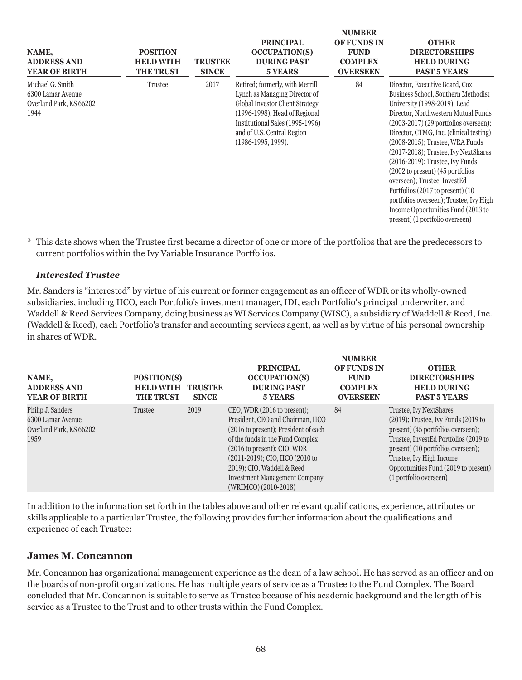| NAME,<br><b>ADDRESS AND</b><br><b>YEAR OF BIRTH</b>                      | <b>POSITION</b><br><b>HELD WITH</b><br><b>THE TRUST</b> | <b>TRUSTEE</b><br><b>SINCE</b> | <b>PRINCIPAL</b><br><b>OCCUPATION(S)</b><br><b>DURING PAST</b><br>5 YEARS                                                                                                                                                   | NUMBER<br><b>OF FUNDS IN</b><br><b>FUND</b><br><b>COMPLEX</b><br><b>OVERSEEN</b> | <b>OTHER</b><br><b>DIRECTORSHIPS</b><br><b>HELD DURING</b><br><b>PAST 5 YEARS</b>                                                                                                                                                                                                                                                                                                                                                                                                                                                                                              |
|--------------------------------------------------------------------------|---------------------------------------------------------|--------------------------------|-----------------------------------------------------------------------------------------------------------------------------------------------------------------------------------------------------------------------------|----------------------------------------------------------------------------------|--------------------------------------------------------------------------------------------------------------------------------------------------------------------------------------------------------------------------------------------------------------------------------------------------------------------------------------------------------------------------------------------------------------------------------------------------------------------------------------------------------------------------------------------------------------------------------|
| Michael G. Smith<br>6300 Lamar Avenue<br>Overland Park, KS 66202<br>1944 | Trustee                                                 | 2017                           | Retired; formerly, with Merrill<br>Lynch as Managing Director of<br>Global Investor Client Strategy<br>(1996-1998), Head of Regional<br>Institutional Sales (1995-1996)<br>and of U.S. Central Region<br>(1986-1995, 1999). | 84                                                                               | Director, Executive Board, Cox<br>Business School, Southern Methodist<br>University (1998-2019); Lead<br>Director, Northwestern Mutual Funds<br>$(2003-2017)$ $(29$ portfolios overseen);<br>Director, CTMG, Inc. (clinical testing)<br>(2008-2015); Trustee, WRA Funds<br>(2017-2018); Trustee, Ivy NextShares<br>(2016-2019); Trustee, Ivy Funds<br>(2002 to present) (45 portfolios<br>overseen); Trustee, InvestEd<br>Portfolios (2017 to present) (10<br>portfolios overseen); Trustee, Ivy High<br>Income Opportunities Fund (2013 to<br>present) (1 portfolio overseen) |

**NUMBER**

This date shows when the Trustee first became a director of one or more of the portfolios that are the predecessors to current portfolios within the Ivy Variable Insurance Portfolios.

#### *Interested Trustee*

Mr. Sanders is "interested" by virtue of his current or former engagement as an officer of WDR or its wholly-owned subsidiaries, including IICO, each Portfolio's investment manager, IDI, each Portfolio's principal underwriter, and Waddell & Reed Services Company, doing business as WI Services Company (WISC), a subsidiary of Waddell & Reed, Inc. (Waddell & Reed), each Portfolio's transfer and accounting services agent, as well as by virtue of his personal ownership in shares of WDR.

| NAME,<br><b>ADDRESS AND</b><br><b>YEAR OF BIRTH</b>                       | POSITION(S)<br><b>HELD WITH</b><br><b>THE TRUST</b> | <b>TRUSTEE</b><br><b>SINCE</b> | <b>PRINCIPAL</b><br><b>OCCUPATION(S)</b><br><b>DURING PAST</b><br>5 YEARS                                                                                                                                                                                                                                    | <b>NUMBER</b><br><b>OF FUNDS IN</b><br><b>FUND</b><br><b>COMPLEX</b><br><b>OVERSEEN</b> | <b>OTHER</b><br><b>DIRECTORSHIPS</b><br><b>HELD DURING</b><br><b>PAST 5 YEARS</b>                                                                                                                                                                                                      |
|---------------------------------------------------------------------------|-----------------------------------------------------|--------------------------------|--------------------------------------------------------------------------------------------------------------------------------------------------------------------------------------------------------------------------------------------------------------------------------------------------------------|-----------------------------------------------------------------------------------------|----------------------------------------------------------------------------------------------------------------------------------------------------------------------------------------------------------------------------------------------------------------------------------------|
| Philip J. Sanders<br>6300 Lamar Avenue<br>Overland Park, KS 66202<br>1959 | Trustee                                             | 2019                           | CEO, WDR (2016 to present);<br>President, CEO and Chairman, IICO<br>(2016 to present); President of each<br>of the funds in the Fund Complex<br>(2016 to present); CIO, WDR<br>(2011-2019); CIO, IICO (2010 to<br>2019); CIO, Waddell & Reed<br><b>Investment Management Company</b><br>(WRIMCO) (2010-2018) | 84                                                                                      | Trustee, Ivy NextShares<br>$(2019)$ ; Trustee, Ivy Funds $(2019$ to<br>present) (45 portfolios overseen);<br>Trustee, InvestEd Portfolios (2019 to<br>present) (10 portfolios overseen);<br>Trustee, Ivy High Income<br>Opportunities Fund (2019 to present)<br>(1 portfolio overseen) |

In addition to the information set forth in the tables above and other relevant qualifications, experience, attributes or skills applicable to a particular Trustee, the following provides further information about the qualifications and experience of each Trustee:

#### **James M. Concannon**

Mr. Concannon has organizational management experience as the dean of a law school. He has served as an officer and on the boards of non-profit organizations. He has multiple years of service as a Trustee to the Fund Complex. The Board concluded that Mr. Concannon is suitable to serve as Trustee because of his academic background and the length of his service as a Trustee to the Trust and to other trusts within the Fund Complex.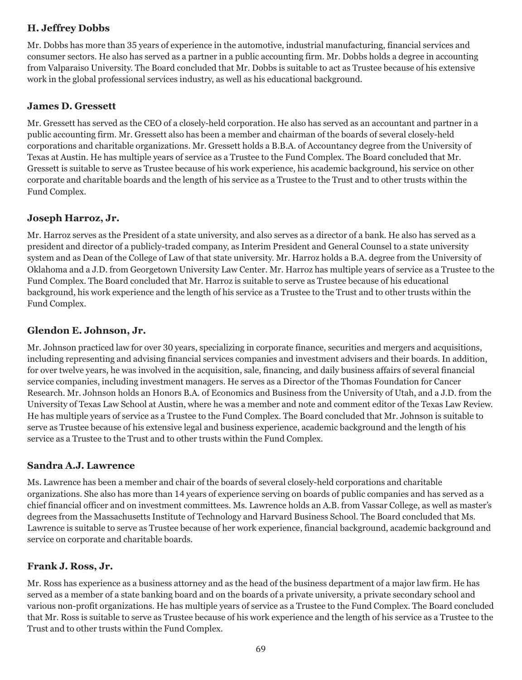# **H. Jeffrey Dobbs**

Mr. Dobbs has more than 35 years of experience in the automotive, industrial manufacturing, financial services and consumer sectors. He also has served as a partner in a public accounting firm. Mr. Dobbs holds a degree in accounting from Valparaiso University. The Board concluded that Mr. Dobbs is suitable to act as Trustee because of his extensive work in the global professional services industry, as well as his educational background.

## **James D. Gressett**

Mr. Gressett has served as the CEO of a closely-held corporation. He also has served as an accountant and partner in a public accounting firm. Mr. Gressett also has been a member and chairman of the boards of several closely-held corporations and charitable organizations. Mr. Gressett holds a B.B.A. of Accountancy degree from the University of Texas at Austin. He has multiple years of service as a Trustee to the Fund Complex. The Board concluded that Mr. Gressett is suitable to serve as Trustee because of his work experience, his academic background, his service on other corporate and charitable boards and the length of his service as a Trustee to the Trust and to other trusts within the Fund Complex.

# **Joseph Harroz, Jr.**

Mr. Harroz serves as the President of a state university, and also serves as a director of a bank. He also has served as a president and director of a publicly-traded company, as Interim President and General Counsel to a state university system and as Dean of the College of Law of that state university. Mr. Harroz holds a B.A. degree from the University of Oklahoma and a J.D. from Georgetown University Law Center. Mr. Harroz has multiple years of service as a Trustee to the Fund Complex. The Board concluded that Mr. Harroz is suitable to serve as Trustee because of his educational background, his work experience and the length of his service as a Trustee to the Trust and to other trusts within the Fund Complex.

# **Glendon E. Johnson, Jr.**

Mr. Johnson practiced law for over 30 years, specializing in corporate finance, securities and mergers and acquisitions, including representing and advising financial services companies and investment advisers and their boards. In addition, for over twelve years, he was involved in the acquisition, sale, financing, and daily business affairs of several financial service companies, including investment managers. He serves as a Director of the Thomas Foundation for Cancer Research. Mr. Johnson holds an Honors B.A. of Economics and Business from the University of Utah, and a J.D. from the University of Texas Law School at Austin, where he was a member and note and comment editor of the Texas Law Review. He has multiple years of service as a Trustee to the Fund Complex. The Board concluded that Mr. Johnson is suitable to serve as Trustee because of his extensive legal and business experience, academic background and the length of his service as a Trustee to the Trust and to other trusts within the Fund Complex.

## **Sandra A.J. Lawrence**

Ms. Lawrence has been a member and chair of the boards of several closely-held corporations and charitable organizations. She also has more than 14 years of experience serving on boards of public companies and has served as a chief financial officer and on investment committees. Ms. Lawrence holds an A.B. from Vassar College, as well as master's degrees from the Massachusetts Institute of Technology and Harvard Business School. The Board concluded that Ms. Lawrence is suitable to serve as Trustee because of her work experience, financial background, academic background and service on corporate and charitable boards.

## **Frank J. Ross, Jr.**

Mr. Ross has experience as a business attorney and as the head of the business department of a major law firm. He has served as a member of a state banking board and on the boards of a private university, a private secondary school and various non-profit organizations. He has multiple years of service as a Trustee to the Fund Complex. The Board concluded that Mr. Ross is suitable to serve as Trustee because of his work experience and the length of his service as a Trustee to the Trust and to other trusts within the Fund Complex.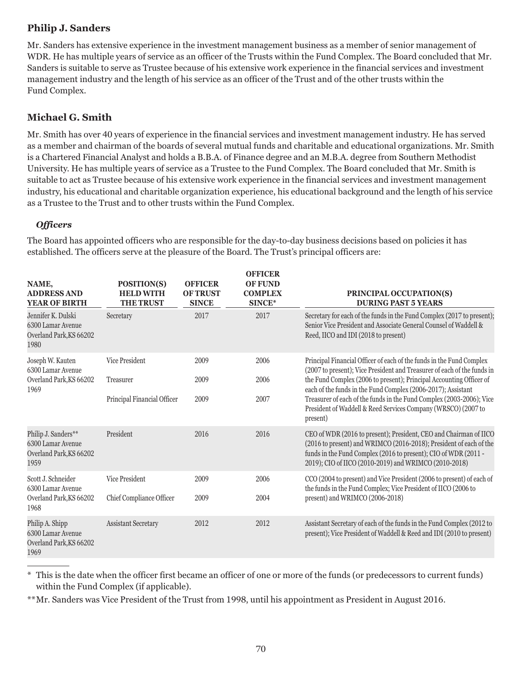# **Philip J. Sanders**

Mr. Sanders has extensive experience in the investment management business as a member of senior management of WDR. He has multiple years of service as an officer of the Trusts within the Fund Complex. The Board concluded that Mr. Sanders is suitable to serve as Trustee because of his extensive work experience in the financial services and investment management industry and the length of his service as an officer of the Trust and of the other trusts within the Fund Complex.

# **Michael G. Smith**

Mr. Smith has over 40 years of experience in the financial services and investment management industry. He has served as a member and chairman of the boards of several mutual funds and charitable and educational organizations. Mr. Smith is a Chartered Financial Analyst and holds a B.B.A. of Finance degree and an M.B.A. degree from Southern Methodist University. He has multiple years of service as a Trustee to the Fund Complex. The Board concluded that Mr. Smith is suitable to act as Trustee because of his extensive work experience in the financial services and investment management industry, his educational and charitable organization experience, his educational background and the length of his service as a Trustee to the Trust and to other trusts within the Fund Complex.

## *Officers*

The Board has appointed officers who are responsible for the day-to-day business decisions based on policies it has established. The officers serve at the pleasure of the Board. The Trust's principal officers are:

| NAME,<br><b>ADDRESS AND</b><br><b>YEAR OF BIRTH</b>                         | POSITION(S)<br><b>HELD WITH</b><br><b>THE TRUST</b> | <b>OFFICER</b><br><b>OF TRUST</b><br><b>SINCE</b> | <b>OFFICER</b><br><b>OF FUND</b><br><b>COMPLEX</b><br>SINCE* | PRINCIPAL OCCUPATION(S)<br><b>DURING PAST 5 YEARS</b>                                                                                                                                                                                                               |
|-----------------------------------------------------------------------------|-----------------------------------------------------|---------------------------------------------------|--------------------------------------------------------------|---------------------------------------------------------------------------------------------------------------------------------------------------------------------------------------------------------------------------------------------------------------------|
| Jennifer K. Dulski<br>6300 Lamar Avenue<br>Overland Park, KS 66202<br>1980  | Secretary                                           | 2017                                              | 2017                                                         | Secretary for each of the funds in the Fund Complex (2017 to present);<br>Senior Vice President and Associate General Counsel of Waddell &<br>Reed, IICO and IDI (2018 to present)                                                                                  |
| Joseph W. Kauten<br>6300 Lamar Avenue                                       | Vice President                                      | 2009                                              | 2006                                                         | Principal Financial Officer of each of the funds in the Fund Complex<br>(2007 to present); Vice President and Treasurer of each of the funds in                                                                                                                     |
| Overland Park, KS 66202<br>1969                                             | Treasurer                                           | 2009                                              | 2006                                                         | the Fund Complex (2006 to present); Principal Accounting Officer of<br>each of the funds in the Fund Complex (2006-2017); Assistant                                                                                                                                 |
|                                                                             | Principal Financial Officer                         | 2009                                              | 2007                                                         | Treasurer of each of the funds in the Fund Complex (2003-2006); Vice<br>President of Waddell & Reed Services Company (WRSCO) (2007 to<br>present)                                                                                                                   |
| Philip J. Sanders**<br>6300 Lamar Avenue<br>Overland Park, KS 66202<br>1959 | President                                           | 2016                                              | 2016                                                         | CEO of WDR (2016 to present); President, CEO and Chairman of IICO<br>(2016 to present) and WRIMCO (2016-2018); President of each of the<br>funds in the Fund Complex (2016 to present); CIO of WDR (2011 -<br>2019); CIO of IICO (2010-2019) and WRIMCO (2010-2018) |
| Scott J. Schneider<br>6300 Lamar Avenue                                     | Vice President                                      | 2009                                              | 2006                                                         | CCO (2004 to present) and Vice President (2006 to present) of each of<br>the funds in the Fund Complex; Vice President of IICO (2006 to                                                                                                                             |
| Overland Park, KS 66202<br>1968                                             | Chief Compliance Officer                            | 2009                                              | 2004                                                         | present) and WRIMCO (2006-2018)                                                                                                                                                                                                                                     |
| Philip A. Shipp<br>6300 Lamar Avenue<br>Overland Park, KS 66202<br>1969     | <b>Assistant Secretary</b>                          | 2012                                              | 2012                                                         | Assistant Secretary of each of the funds in the Fund Complex (2012 to<br>present); Vice President of Waddell & Reed and IDI (2010 to present)                                                                                                                       |

\* This is the date when the officer first became an officer of one or more of the funds (or predecessors to current funds) within the Fund Complex (if applicable).

\*\*Mr. Sanders was Vice President of the Trust from 1998, until his appointment as President in August 2016.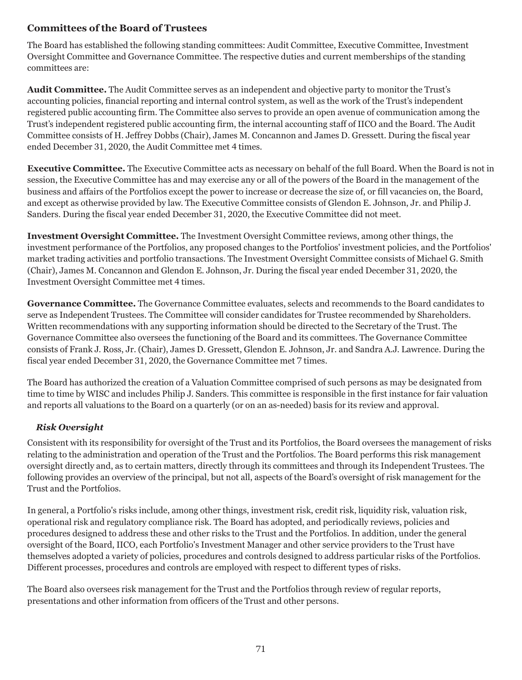# **Committees of the Board of Trustees**

The Board has established the following standing committees: Audit Committee, Executive Committee, Investment Oversight Committee and Governance Committee. The respective duties and current memberships of the standing committees are:

**Audit Committee.** The Audit Committee serves as an independent and objective party to monitor the Trust's accounting policies, financial reporting and internal control system, as well as the work of the Trust's independent registered public accounting firm. The Committee also serves to provide an open avenue of communication among the Trust's independent registered public accounting firm, the internal accounting staff of IICO and the Board. The Audit Committee consists of H. Jeffrey Dobbs (Chair), James M. Concannon and James D. Gressett. During the fiscal year ended December 31, 2020, the Audit Committee met 4 times.

**Executive Committee.** The Executive Committee acts as necessary on behalf of the full Board. When the Board is not in session, the Executive Committee has and may exercise any or all of the powers of the Board in the management of the business and affairs of the Portfolios except the power to increase or decrease the size of, or fill vacancies on, the Board, and except as otherwise provided by law. The Executive Committee consists of Glendon E. Johnson, Jr. and Philip J. Sanders. During the fiscal year ended December 31, 2020, the Executive Committee did not meet.

**Investment Oversight Committee.** The Investment Oversight Committee reviews, among other things, the investment performance of the Portfolios, any proposed changes to the Portfolios' investment policies, and the Portfolios' market trading activities and portfolio transactions. The Investment Oversight Committee consists of Michael G. Smith (Chair), James M. Concannon and Glendon E. Johnson, Jr. During the fiscal year ended December 31, 2020, the Investment Oversight Committee met 4 times.

**Governance Committee.** The Governance Committee evaluates, selects and recommends to the Board candidates to serve as Independent Trustees. The Committee will consider candidates for Trustee recommended by Shareholders. Written recommendations with any supporting information should be directed to the Secretary of the Trust. The Governance Committee also oversees the functioning of the Board and its committees. The Governance Committee consists of Frank J. Ross, Jr. (Chair), James D. Gressett, Glendon E. Johnson, Jr. and Sandra A.J. Lawrence. During the fiscal year ended December 31, 2020, the Governance Committee met 7 times.

The Board has authorized the creation of a Valuation Committee comprised of such persons as may be designated from time to time by WISC and includes Philip J. Sanders. This committee is responsible in the first instance for fair valuation and reports all valuations to the Board on a quarterly (or on an as-needed) basis for its review and approval.

## *Risk Oversight*

Consistent with its responsibility for oversight of the Trust and its Portfolios, the Board oversees the management of risks relating to the administration and operation of the Trust and the Portfolios. The Board performs this risk management oversight directly and, as to certain matters, directly through its committees and through its Independent Trustees. The following provides an overview of the principal, but not all, aspects of the Board's oversight of risk management for the Trust and the Portfolios.

In general, a Portfolio's risks include, among other things, investment risk, credit risk, liquidity risk, valuation risk, operational risk and regulatory compliance risk. The Board has adopted, and periodically reviews, policies and procedures designed to address these and other risks to the Trust and the Portfolios. In addition, under the general oversight of the Board, IICO, each Portfolio's Investment Manager and other service providers to the Trust have themselves adopted a variety of policies, procedures and controls designed to address particular risks of the Portfolios. Different processes, procedures and controls are employed with respect to different types of risks.

The Board also oversees risk management for the Trust and the Portfolios through review of regular reports, presentations and other information from officers of the Trust and other persons.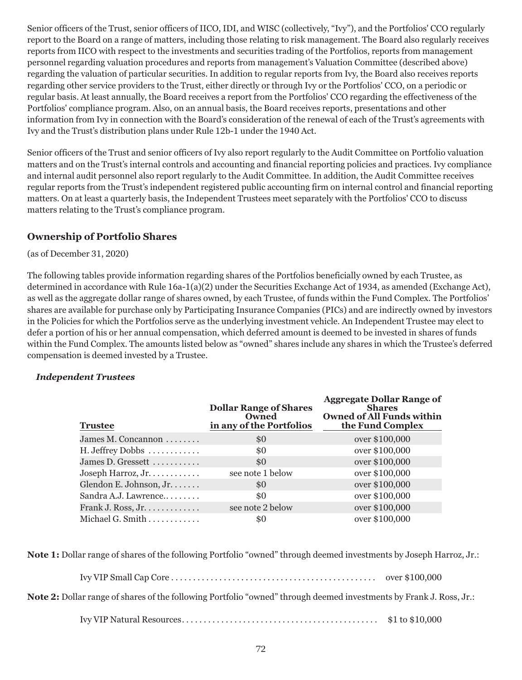Senior officers of the Trust, senior officers of IICO, IDI, and WISC (collectively, "Ivy"), and the Portfolios' CCO regularly report to the Board on a range of matters, including those relating to risk management. The Board also regularly receives reports from IICO with respect to the investments and securities trading of the Portfolios, reports from management personnel regarding valuation procedures and reports from management's Valuation Committee (described above) regarding the valuation of particular securities. In addition to regular reports from Ivy, the Board also receives reports regarding other service providers to the Trust, either directly or through Ivy or the Portfolios' CCO, on a periodic or regular basis. At least annually, the Board receives a report from the Portfolios' CCO regarding the effectiveness of the Portfolios' compliance program. Also, on an annual basis, the Board receives reports, presentations and other information from Ivy in connection with the Board's consideration of the renewal of each of the Trust's agreements with Ivy and the Trust's distribution plans under Rule 12b-1 under the 1940 Act.

Senior officers of the Trust and senior officers of Ivy also report regularly to the Audit Committee on Portfolio valuation matters and on the Trust's internal controls and accounting and financial reporting policies and practices. Ivy compliance and internal audit personnel also report regularly to the Audit Committee. In addition, the Audit Committee receives regular reports from the Trust's independent registered public accounting firm on internal control and financial reporting matters. On at least a quarterly basis, the Independent Trustees meet separately with the Portfolios' CCO to discuss matters relating to the Trust's compliance program.

# **Ownership of Portfolio Shares**

#### (as of December 31, 2020)

The following tables provide information regarding shares of the Portfolios beneficially owned by each Trustee, as determined in accordance with Rule 16a-1(a)(2) under the Securities Exchange Act of 1934, as amended (Exchange Act), as well as the aggregate dollar range of shares owned, by each Trustee, of funds within the Fund Complex. The Portfolios' shares are available for purchase only by Participating Insurance Companies (PICs) and are indirectly owned by investors in the Policies for which the Portfolios serve as the underlying investment vehicle. An Independent Trustee may elect to defer a portion of his or her annual compensation, which deferred amount is deemed to be invested in shares of funds within the Fund Complex. The amounts listed below as "owned" shares include any shares in which the Trustee's deferred compensation is deemed invested by a Trustee.

#### *Independent Trustees*

| <b>Trustee</b>          | <b>Dollar Range of Shares</b><br>Owned<br>in any of the Portfolios | <b>Aggregate Dollar Range of</b><br><b>Shares</b><br><b>Owned of All Funds within</b><br>the Fund Complex |
|-------------------------|--------------------------------------------------------------------|-----------------------------------------------------------------------------------------------------------|
| James M. Concannon      | \$0                                                                | over \$100,000                                                                                            |
| H. Jeffrey Dobbs        | \$0                                                                | over \$100,000                                                                                            |
| James D. Gressett       | \$0                                                                | over \$100,000                                                                                            |
| Joseph Harroz, Jr.      | see note 1 below                                                   | over \$100,000                                                                                            |
| Glendon E. Johnson, Jr. | \$0                                                                | over \$100,000                                                                                            |
| Sandra A.J. Lawrence    | \$0                                                                | over \$100,000                                                                                            |
| Frank J. Ross, $Jr$     | see note 2 below                                                   | over \$100,000                                                                                            |
| Michael G. Smith        | \$0                                                                | over \$100,000                                                                                            |

**Note 1:** Dollar range of shares of the following Portfolio "owned" through deemed investments by Joseph Harroz, Jr.:

Ivy VIP Small Cap Core . . . . . . . . . . . . . . . . . . . . . . . . . . . . . . . . . . . . . . . . . . . . . . . over \$100,000 **Note 2:** Dollar range of shares of the following Portfolio "owned" through deemed investments by Frank J. Ross, Jr.: Ivy VIP Natural Resources. . . . . . . . . . . . . . . . . . . . . . . . . . . . . . . . . . . . . . . . . . . . . \$1 to \$10,000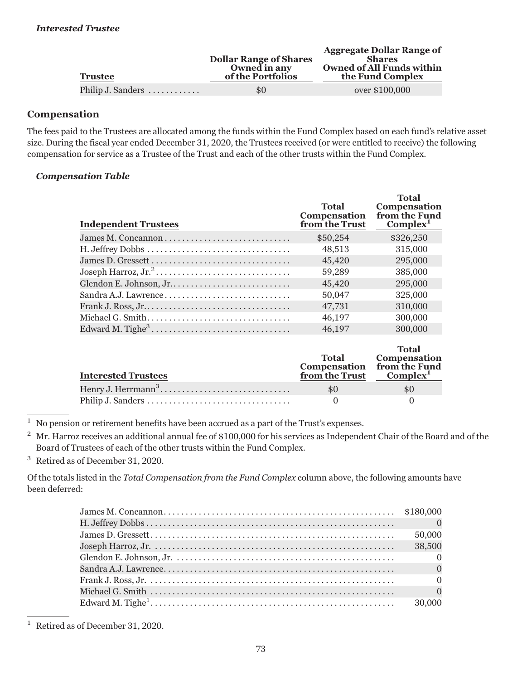| <b>Trustee</b>    | <b>Dollar Range of Shares</b><br>Owned in any<br>of the Portfolios | <b>Aggregate Dollar Range of</b><br><b>Shares</b><br><b>Owned of All Funds within</b><br>the Fund Complex |
|-------------------|--------------------------------------------------------------------|-----------------------------------------------------------------------------------------------------------|
| Philip J. Sanders | \$0                                                                | over \$100,000                                                                                            |

#### **Compensation**

The fees paid to the Trustees are allocated among the funds within the Fund Complex based on each fund's relative asset size. During the fiscal year ended December 31, 2020, the Trustees received (or were entitled to receive) the following compensation for service as a Trustee of the Trust and each of the other trusts within the Fund Complex.

#### *Compensation Table*

| <b>Independent Trustees</b> | <b>Total</b><br>Compensation<br>from the Trust | <b>Total</b><br>Compensation<br>from the Fund<br>Complex <sup>1</sup> |
|-----------------------------|------------------------------------------------|-----------------------------------------------------------------------|
|                             | \$50,254                                       | \$326,250                                                             |
|                             | 48,513                                         | 315,000                                                               |
|                             | 45,420                                         | 295,000                                                               |
|                             | 59,289                                         | 385,000                                                               |
|                             | 45,420                                         | 295,000                                                               |
| Sandra A.J. Lawrence        | 50,047                                         | 325,000                                                               |
|                             | 47,731                                         | 310,000                                                               |
| Michael G. Smith            | 46,197                                         | 300,000                                                               |
|                             | 46,197                                         | 300,000                                                               |
|                             | Total                                          | <b>Total</b><br>Compensation<br>Companion from the Eured              |

| <b>Interested Trustees</b> | Compensation from the Fund<br>from the Trust $\qquad \qquad \text{Complex}^1$ | Total Compensation |
|----------------------------|-------------------------------------------------------------------------------|--------------------|
|                            | $-$ \$0 $-$                                                                   | $-$ \$0 $-$        |
|                            |                                                                               |                    |

 $1$  No pension or retirement benefits have been accrued as a part of the Trust's expenses.

<sup>2</sup> Mr. Harroz receives an additional annual fee of \$100,000 for his services as Independent Chair of the Board and of the Board of Trustees of each of the other trusts within the Fund Complex.

<sup>3</sup> Retired as of December 31, 2020.

Of the totals listed in the *Total Compensation from the Fund Complex* column above, the following amounts have been deferred:

|                                                                                                                                                         | $\overline{0}$ |
|---------------------------------------------------------------------------------------------------------------------------------------------------------|----------------|
|                                                                                                                                                         | 50,000         |
|                                                                                                                                                         | 38,500         |
| Glendon E. Johnson, Jr. $\dots$ . $\dots$ . $\dots$ . $\dots$ . $\dots$ . $\dots$ . $\dots$ . $\dots$ . $\dots$ . $\dots$ . $\dots$ . $\qquad \qquad 0$ |                |
|                                                                                                                                                         | $\theta$       |
|                                                                                                                                                         | $\theta$       |
|                                                                                                                                                         | $\theta$       |
|                                                                                                                                                         |                |

<sup>&</sup>lt;sup>1</sup> Retired as of December 31, 2020.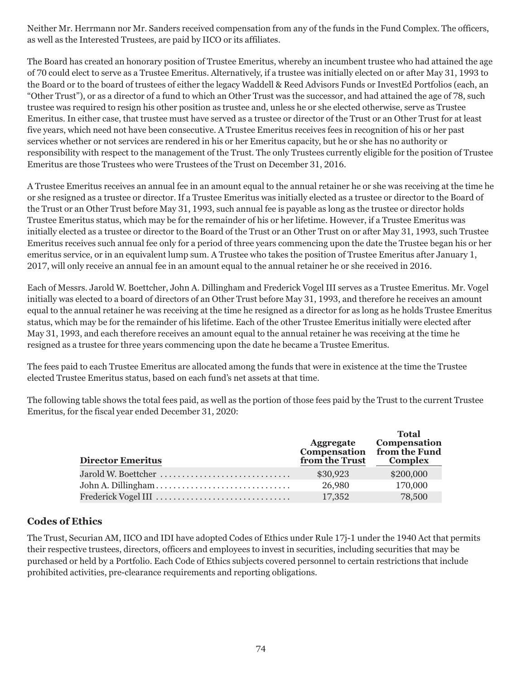Neither Mr. Herrmann nor Mr. Sanders received compensation from any of the funds in the Fund Complex. The officers, as well as the Interested Trustees, are paid by IICO or its affiliates.

The Board has created an honorary position of Trustee Emeritus, whereby an incumbent trustee who had attained the age of 70 could elect to serve as a Trustee Emeritus. Alternatively, if a trustee was initially elected on or after May 31, 1993 to the Board or to the board of trustees of either the legacy Waddell & Reed Advisors Funds or InvestEd Portfolios (each, an "Other Trust"), or as a director of a fund to which an Other Trust was the successor, and had attained the age of 78, such trustee was required to resign his other position as trustee and, unless he or she elected otherwise, serve as Trustee Emeritus. In either case, that trustee must have served as a trustee or director of the Trust or an Other Trust for at least five years, which need not have been consecutive. A Trustee Emeritus receives fees in recognition of his or her past services whether or not services are rendered in his or her Emeritus capacity, but he or she has no authority or responsibility with respect to the management of the Trust. The only Trustees currently eligible for the position of Trustee Emeritus are those Trustees who were Trustees of the Trust on December 31, 2016.

A Trustee Emeritus receives an annual fee in an amount equal to the annual retainer he or she was receiving at the time he or she resigned as a trustee or director. If a Trustee Emeritus was initially elected as a trustee or director to the Board of the Trust or an Other Trust before May 31, 1993, such annual fee is payable as long as the trustee or director holds Trustee Emeritus status, which may be for the remainder of his or her lifetime. However, if a Trustee Emeritus was initially elected as a trustee or director to the Board of the Trust or an Other Trust on or after May 31, 1993, such Trustee Emeritus receives such annual fee only for a period of three years commencing upon the date the Trustee began his or her emeritus service, or in an equivalent lump sum. A Trustee who takes the position of Trustee Emeritus after January 1, 2017, will only receive an annual fee in an amount equal to the annual retainer he or she received in 2016.

Each of Messrs. Jarold W. Boettcher, John A. Dillingham and Frederick Vogel III serves as a Trustee Emeritus. Mr. Vogel initially was elected to a board of directors of an Other Trust before May 31, 1993, and therefore he receives an amount equal to the annual retainer he was receiving at the time he resigned as a director for as long as he holds Trustee Emeritus status, which may be for the remainder of his lifetime. Each of the other Trustee Emeritus initially were elected after May 31, 1993, and each therefore receives an amount equal to the annual retainer he was receiving at the time he resigned as a trustee for three years commencing upon the date he became a Trustee Emeritus.

The fees paid to each Trustee Emeritus are allocated among the funds that were in existence at the time the Trustee elected Trustee Emeritus status, based on each fund's net assets at that time.

The following table shows the total fees paid, as well as the portion of those fees paid by the Trust to the current Trustee Emeritus, for the fiscal year ended December 31, 2020:

| <b>Director Emeritus</b> | Aggregate<br>Compensation<br>from the Trust | Total<br>Compensation<br>from the Fund<br>Complex |
|--------------------------|---------------------------------------------|---------------------------------------------------|
| Jarold W. Boettcher      | \$30,923                                    | \$200,000                                         |
|                          | 26,980                                      | 170,000                                           |
|                          | 17,352                                      | 78,500                                            |

### **Codes of Ethics**

The Trust, Securian AM, IICO and IDI have adopted Codes of Ethics under Rule 17j-1 under the 1940 Act that permits their respective trustees, directors, officers and employees to invest in securities, including securities that may be purchased or held by a Portfolio. Each Code of Ethics subjects covered personnel to certain restrictions that include prohibited activities, pre-clearance requirements and reporting obligations.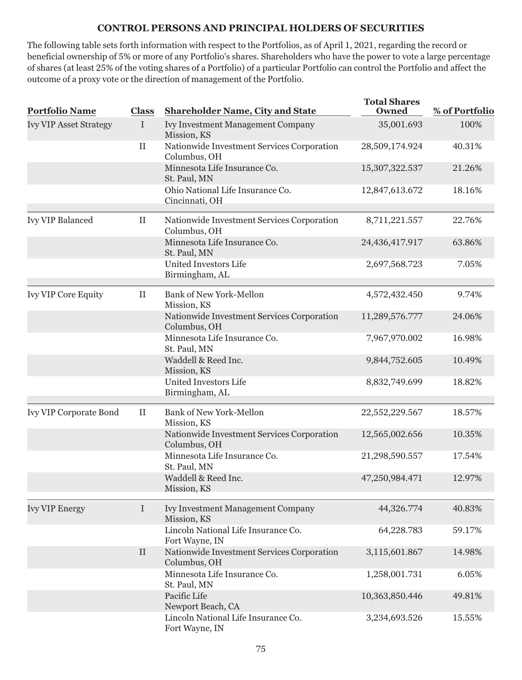## **CONTROL PERSONS AND PRINCIPAL HOLDERS OF SECURITIES**

The following table sets forth information with respect to the Portfolios, as of April 1, 2021, regarding the record or beneficial ownership of 5% or more of any Portfolio's shares. Shareholders who have the power to vote a large percentage of shares (at least 25% of the voting shares of a Portfolio) of a particular Portfolio can control the Portfolio and affect the outcome of a proxy vote or the direction of management of the Portfolio.

| <b>Portfolio Name</b>         | <b>Class</b> | <b>Shareholder Name, City and State</b>                    | <b>Total Shares</b><br>Owned | % of Portfolio |
|-------------------------------|--------------|------------------------------------------------------------|------------------------------|----------------|
| <b>Ivy VIP Asset Strategy</b> | I            | Ivy Investment Management Company<br>Mission, KS           | 35,001.693                   | 100%           |
|                               | $\rm II$     | Nationwide Investment Services Corporation<br>Columbus, OH | 28,509,174.924               | 40.31%         |
|                               |              | Minnesota Life Insurance Co.<br>St. Paul, MN               | 15,307,322.537               | 21.26%         |
|                               |              | Ohio National Life Insurance Co.<br>Cincinnati, OH         | 12,847,613.672               | 18.16%         |
| <b>Ivy VIP Balanced</b>       | $\rm II$     | Nationwide Investment Services Corporation<br>Columbus, OH | 8,711,221.557                | 22.76%         |
|                               |              | Minnesota Life Insurance Co.<br>St. Paul, MN               | 24,436,417.917               | 63.86%         |
|                               |              | United Investors Life<br>Birmingham, AL                    | 2,697,568.723                | 7.05%          |
| <b>Ivy VIP Core Equity</b>    | $\rm II$     | Bank of New York-Mellon<br>Mission, KS                     | 4,572,432.450                | 9.74%          |
|                               |              | Nationwide Investment Services Corporation<br>Columbus, OH | 11,289,576.777               | 24.06%         |
|                               |              | Minnesota Life Insurance Co.<br>St. Paul, MN               | 7,967,970.002                | 16.98%         |
|                               |              | Waddell & Reed Inc.<br>Mission, KS                         | 9,844,752.605                | 10.49%         |
|                               |              | United Investors Life<br>Birmingham, AL                    | 8,832,749.699                | 18.82%         |
| <b>Ivy VIP Corporate Bond</b> | $\rm II$     | <b>Bank of New York-Mellon</b><br>Mission, KS              | 22,552,229.567               | 18.57%         |
|                               |              | Nationwide Investment Services Corporation<br>Columbus, OH | 12,565,002.656               | 10.35%         |
|                               |              | Minnesota Life Insurance Co.<br>St. Paul, MN               | 21,298,590.557               | 17.54%         |
|                               |              | Waddell & Reed Inc.<br>Mission, KS                         | 47,250,984.471               | 12.97%         |
| <b>Ivy VIP Energy</b>         | $\bf{I}$     | <b>Ivy Investment Management Company</b><br>Mission, KS    | 44,326.774                   | 40.83%         |
|                               |              | Lincoln National Life Insurance Co.<br>Fort Wayne, IN      | 64,228.783                   | 59.17%         |
|                               | $\rm II$     | Nationwide Investment Services Corporation<br>Columbus, OH | 3,115,601.867                | 14.98%         |
|                               |              | Minnesota Life Insurance Co.<br>St. Paul, MN               | 1,258,001.731                | 6.05%          |
|                               |              | Pacific Life<br>Newport Beach, CA                          | 10,363,850.446               | 49.81%         |
|                               |              | Lincoln National Life Insurance Co.<br>Fort Wayne, IN      | 3,234,693.526                | 15.55%         |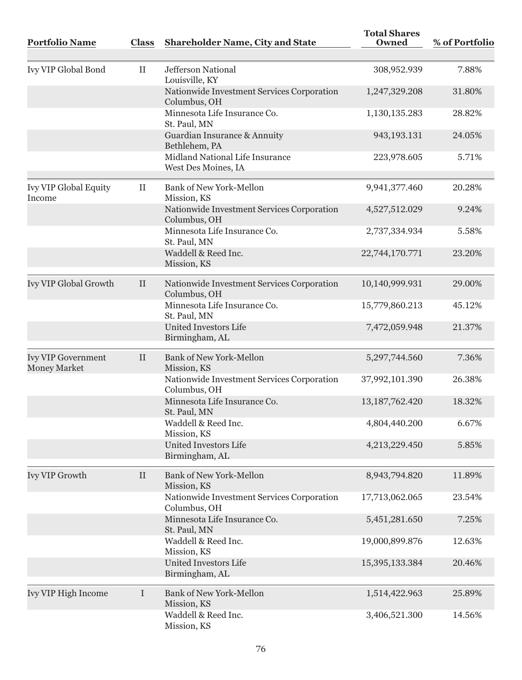| <b>Portfolio Name</b>                            | <b>Class</b> | <b>Shareholder Name, City and State</b>                    | <b>Total Shares</b><br>Owned | % of Portfolio |
|--------------------------------------------------|--------------|------------------------------------------------------------|------------------------------|----------------|
| Ivy VIP Global Bond                              | $\rm II$     | Jefferson National<br>Louisville, KY                       | 308,952.939                  | 7.88%          |
|                                                  |              | Nationwide Investment Services Corporation<br>Columbus, OH | 1,247,329.208                | 31.80%         |
|                                                  |              | Minnesota Life Insurance Co.<br>St. Paul, MN               | 1,130,135.283                | 28.82%         |
|                                                  |              | <b>Guardian Insurance &amp; Annuity</b><br>Bethlehem, PA   | 943,193.131                  | 24.05%         |
|                                                  |              | Midland National Life Insurance<br>West Des Moines, IA     | 223,978.605                  | 5.71%          |
| <b>Ivy VIP Global Equity</b><br>Income           | $\rm II$     | <b>Bank of New York-Mellon</b><br>Mission, KS              | 9,941,377.460                | 20.28%         |
|                                                  |              | Nationwide Investment Services Corporation<br>Columbus, OH | 4,527,512.029                | 9.24%          |
|                                                  |              | Minnesota Life Insurance Co.<br>St. Paul, MN               | 2,737,334.934                | 5.58%          |
|                                                  |              | Waddell & Reed Inc.<br>Mission, KS                         | 22,744,170.771               | 23.20%         |
| <b>Ivy VIP Global Growth</b>                     | $\rm II$     | Nationwide Investment Services Corporation<br>Columbus, OH | 10,140,999.931               | 29.00%         |
|                                                  |              | Minnesota Life Insurance Co.<br>St. Paul, MN               | 15,779,860.213               | 45.12%         |
|                                                  |              | United Investors Life<br>Birmingham, AL                    | 7,472,059.948                | 21.37%         |
| <b>Ivy VIP Government</b><br><b>Money Market</b> | $\rm II$     | <b>Bank of New York-Mellon</b><br>Mission, KS              | 5,297,744.560                | 7.36%          |
|                                                  |              | Nationwide Investment Services Corporation<br>Columbus, OH | 37,992,101.390               | 26.38%         |
|                                                  |              | Minnesota Life Insurance Co.<br>St. Paul, MN               | 13, 187, 762. 420            | 18.32%         |
|                                                  |              | Waddell & Reed Inc.<br>Mission, KS                         | 4,804,440.200                | 6.67%          |
|                                                  |              | United Investors Life<br>Birmingham, AL                    | 4,213,229.450                | 5.85%          |
| <b>Ivy VIP Growth</b>                            | $\rm II$     | <b>Bank of New York-Mellon</b><br>Mission, KS              | 8,943,794.820                | 11.89%         |
|                                                  |              | Nationwide Investment Services Corporation<br>Columbus, OH | 17,713,062.065               | 23.54%         |
|                                                  |              | Minnesota Life Insurance Co.<br>St. Paul, MN               | 5,451,281.650                | 7.25%          |
|                                                  |              | Waddell & Reed Inc.<br>Mission, KS                         | 19,000,899.876               | 12.63%         |
|                                                  |              | <b>United Investors Life</b><br>Birmingham, AL             | 15,395,133.384               | 20.46%         |
| Ivy VIP High Income                              | $\rm I$      | <b>Bank of New York-Mellon</b><br>Mission, KS              | 1,514,422.963                | 25.89%         |
|                                                  |              | Waddell & Reed Inc.<br>Mission, KS                         | 3,406,521.300                | 14.56%         |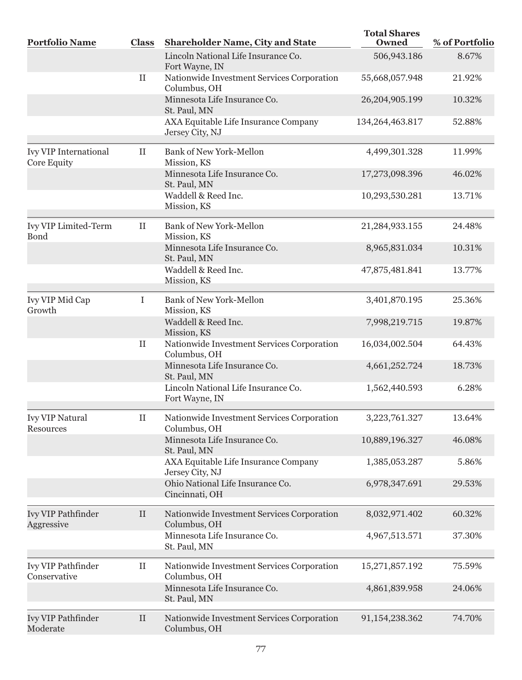| <b>Portfolio Name</b>                     | <b>Class</b> | <b>Shareholder Name, City and State</b>                    | <b>Total Shares</b><br>Owned | % of Portfolio |
|-------------------------------------------|--------------|------------------------------------------------------------|------------------------------|----------------|
|                                           |              | Lincoln National Life Insurance Co.<br>Fort Wayne, IN      | 506,943.186                  | 8.67%          |
|                                           | $\rm II$     | Nationwide Investment Services Corporation<br>Columbus, OH | 55,668,057.948               | 21.92%         |
|                                           |              | Minnesota Life Insurance Co.<br>St. Paul, MN               | 26,204,905.199               | 10.32%         |
|                                           |              | AXA Equitable Life Insurance Company<br>Jersey City, NJ    | 134, 264, 463. 817           | 52.88%         |
| Ivy VIP International<br>Core Equity      | $\rm II$     | <b>Bank of New York-Mellon</b><br>Mission, KS              | 4,499,301.328                | 11.99%         |
|                                           |              | Minnesota Life Insurance Co.<br>St. Paul, MN               | 17,273,098.396               | 46.02%         |
|                                           |              | Waddell & Reed Inc.<br>Mission, KS                         | 10,293,530.281               | 13.71%         |
| Ivy VIP Limited-Term<br><b>Bond</b>       | $\rm II$     | <b>Bank of New York-Mellon</b><br>Mission, KS              | 21,284,933.155               | 24.48%         |
|                                           |              | Minnesota Life Insurance Co.<br>St. Paul, MN               | 8,965,831.034                | 10.31%         |
|                                           |              | Waddell & Reed Inc.<br>Mission, KS                         | 47,875,481.841               | 13.77%         |
| Ivy VIP Mid Cap<br>Growth                 | I            | Bank of New York-Mellon<br>Mission, KS                     | 3,401,870.195                | 25.36%         |
|                                           |              | Waddell & Reed Inc.<br>Mission, KS                         | 7,998,219.715                | 19.87%         |
|                                           | $\rm II$     | Nationwide Investment Services Corporation<br>Columbus, OH | 16,034,002.504               | 64.43%         |
|                                           |              | Minnesota Life Insurance Co.<br>St. Paul, MN               | 4,661,252.724                | 18.73%         |
|                                           |              | Lincoln National Life Insurance Co.<br>Fort Wayne, IN      | 1,562,440.593                | 6.28%          |
| <b>Ivy VIP Natural</b><br>Resources       | $\rm II$     | Nationwide Investment Services Corporation<br>Columbus, OH | 3,223,761.327                | 13.64%         |
|                                           |              | Minnesota Life Insurance Co.<br>St. Paul, MN               | 10,889,196.327               | 46.08%         |
|                                           |              | AXA Equitable Life Insurance Company<br>Jersey City, NJ    | 1,385,053.287                | 5.86%          |
|                                           |              | Ohio National Life Insurance Co.<br>Cincinnati, OH         | 6,978,347.691                | 29.53%         |
| <b>Ivy VIP Pathfinder</b><br>Aggressive   | $\rm II$     | Nationwide Investment Services Corporation<br>Columbus, OH | 8,032,971.402                | 60.32%         |
|                                           |              | Minnesota Life Insurance Co.<br>St. Paul, MN               | 4,967,513.571                | 37.30%         |
| <b>Ivy VIP Pathfinder</b><br>Conservative | $\rm II$     | Nationwide Investment Services Corporation<br>Columbus, OH | 15,271,857.192               | 75.59%         |
|                                           |              | Minnesota Life Insurance Co.<br>St. Paul, MN               | 4,861,839.958                | 24.06%         |
| <b>Ivy VIP Pathfinder</b><br>Moderate     | $\rm II$     | Nationwide Investment Services Corporation<br>Columbus, OH | 91,154,238.362               | 74.70%         |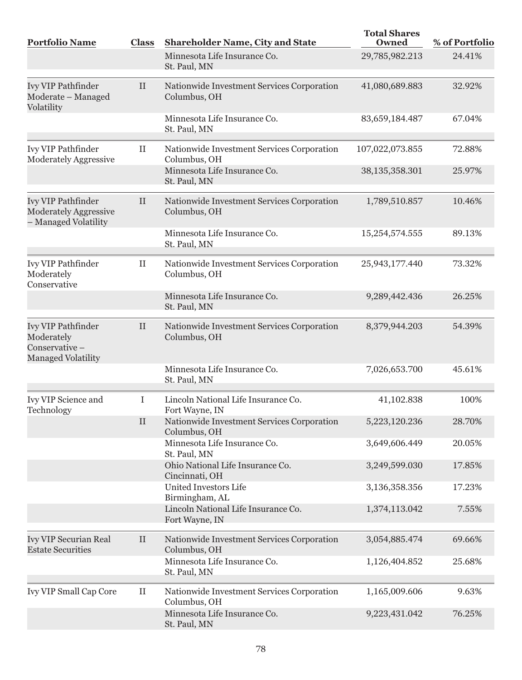| <b>Portfolio Name</b>                                                                 | <b>Class</b>           | <b>Shareholder Name, City and State</b>                    | <b>Total Shares</b><br>Owned | % of Portfolio |
|---------------------------------------------------------------------------------------|------------------------|------------------------------------------------------------|------------------------------|----------------|
|                                                                                       |                        | Minnesota Life Insurance Co.<br>St. Paul, MN               | 29,785,982.213               | 24.41%         |
| <b>Ivy VIP Pathfinder</b><br>Moderate - Managed<br>Volatility                         | $\mathcal{I}$          | Nationwide Investment Services Corporation<br>Columbus, OH | 41,080,689.883               | 32.92%         |
|                                                                                       |                        | Minnesota Life Insurance Co.<br>St. Paul, MN               | 83,659,184.487               | 67.04%         |
| <b>Ivy VIP Pathfinder</b><br><b>Moderately Aggressive</b>                             | $\rm II$               | Nationwide Investment Services Corporation<br>Columbus, OH | 107,022,073.855              | 72.88%         |
|                                                                                       |                        | Minnesota Life Insurance Co.<br>St. Paul, MN               | 38, 135, 358. 301            | 25.97%         |
| <b>Ivy VIP Pathfinder</b><br><b>Moderately Aggressive</b><br>- Managed Volatility     | $\rm II$               | Nationwide Investment Services Corporation<br>Columbus, OH | 1,789,510.857                | 10.46%         |
|                                                                                       |                        | Minnesota Life Insurance Co.<br>St. Paul, MN               | 15,254,574.555               | 89.13%         |
| <b>Ivy VIP Pathfinder</b><br>Moderately<br>Conservative                               | $\rm II$               | Nationwide Investment Services Corporation<br>Columbus, OH | 25,943,177.440               | 73.32%         |
|                                                                                       |                        | Minnesota Life Insurance Co.<br>St. Paul, MN               | 9,289,442.436                | 26.25%         |
| <b>Ivy VIP Pathfinder</b><br>Moderately<br>Conservative-<br><b>Managed Volatility</b> | $\mathcal{I}$          | Nationwide Investment Services Corporation<br>Columbus, OH | 8,379,944.203                | 54.39%         |
|                                                                                       |                        | Minnesota Life Insurance Co.<br>St. Paul, MN               | 7,026,653.700                | 45.61%         |
| Ivy VIP Science and<br>Technology                                                     | I                      | Lincoln National Life Insurance Co.<br>Fort Wayne, IN      | 41,102.838                   | 100%           |
|                                                                                       | $\mathop{\mathrm{II}}$ | Nationwide Investment Services Corporation<br>Columbus, OH | 5,223,120.236                | 28.70%         |
|                                                                                       |                        | Minnesota Life Insurance Co.<br>St. Paul, MN               | 3,649,606.449                | 20.05%         |
|                                                                                       |                        | Ohio National Life Insurance Co.<br>Cincinnati, OH         | 3,249,599.030                | 17.85%         |
|                                                                                       |                        | United Investors Life<br>Birmingham, AL                    | 3,136,358.356                | 17.23%         |
|                                                                                       |                        | Lincoln National Life Insurance Co.<br>Fort Wayne, IN      | 1,374,113.042                | 7.55%          |
| <b>Ivy VIP Securian Real</b><br><b>Estate Securities</b>                              | $\mathbf{I}$           | Nationwide Investment Services Corporation<br>Columbus, OH | 3,054,885.474                | 69.66%         |
|                                                                                       |                        | Minnesota Life Insurance Co.<br>St. Paul, MN               | 1,126,404.852                | 25.68%         |
| <b>Ivy VIP Small Cap Core</b>                                                         | $_{\rm II}$            | Nationwide Investment Services Corporation<br>Columbus, OH | 1,165,009.606                | 9.63%          |
|                                                                                       |                        | Minnesota Life Insurance Co.<br>St. Paul, MN               | 9,223,431.042                | 76.25%         |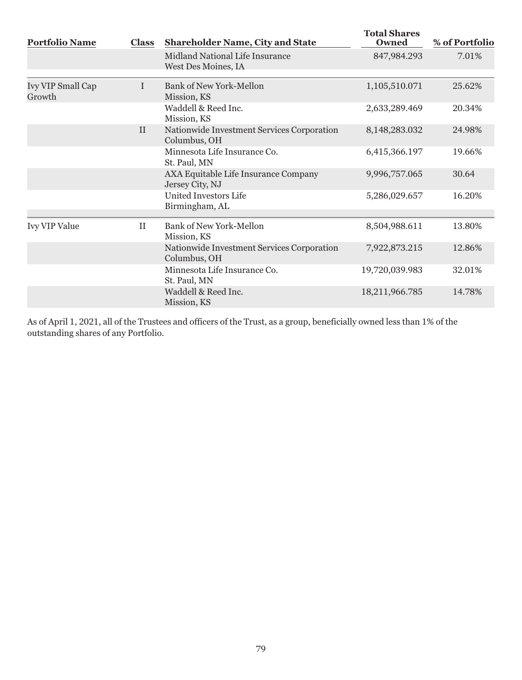| <b>Portfolio Name</b>              | <b>Class</b> | <b>Shareholder Name, City and State</b>                    | <b>Total Shares</b><br><b>Owned</b> | % of Portfolio |
|------------------------------------|--------------|------------------------------------------------------------|-------------------------------------|----------------|
|                                    |              | Midland National Life Insurance<br>West Des Moines, IA     | 847,984.293                         | 7.01%          |
| <b>Ivy VIP Small Cap</b><br>Growth | I            | <b>Bank of New York-Mellon</b><br>Mission, KS              | 1,105,510.071                       | 25.62%         |
|                                    |              | Waddell & Reed Inc.<br>Mission, KS                         | 2,633,289.469                       | 20.34%         |
|                                    | II           | Nationwide Investment Services Corporation<br>Columbus, OH | 8,148,283.032                       | 24.98%         |
|                                    |              | Minnesota Life Insurance Co.<br>St. Paul, MN               | 6,415,366.197                       | 19.66%         |
|                                    |              | AXA Equitable Life Insurance Company<br>Jersey City, NJ    | 9,996,757.065                       | 30.64          |
|                                    |              | <b>United Investors Life</b><br>Birmingham, AL             | 5,286,029.657                       | 16.20%         |
| <b>Ivy VIP Value</b>               | $\rm II$     | Bank of New York-Mellon<br>Mission, KS                     | 8,504,988.611                       | 13.80%         |
|                                    |              | Nationwide Investment Services Corporation<br>Columbus, OH | 7,922,873.215                       | 12.86%         |
|                                    |              | Minnesota Life Insurance Co.<br>St. Paul, MN               | 19,720,039.983                      | 32.01%         |
|                                    |              | Waddell & Reed Inc.<br>Mission, KS                         | 18,211,966.785                      | 14.78%         |

As of April 1, 2021, all of the Trustees and officers of the Trust, as a group, beneficially owned less than 1% of the outstanding shares of any Portfolio.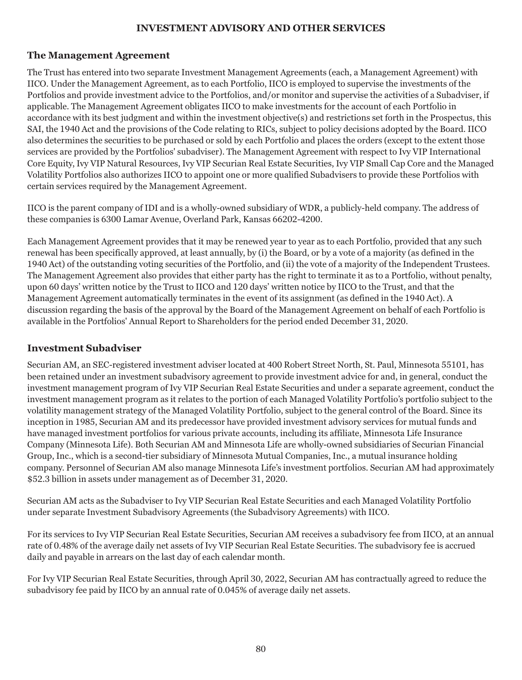### **INVESTMENT ADVISORY AND OTHER SERVICES**

#### **The Management Agreement**

The Trust has entered into two separate Investment Management Agreements (each, a Management Agreement) with IICO. Under the Management Agreement, as to each Portfolio, IICO is employed to supervise the investments of the Portfolios and provide investment advice to the Portfolios, and/or monitor and supervise the activities of a Subadviser, if applicable. The Management Agreement obligates IICO to make investments for the account of each Portfolio in accordance with its best judgment and within the investment objective(s) and restrictions set forth in the Prospectus, this SAI, the 1940 Act and the provisions of the Code relating to RICs, subject to policy decisions adopted by the Board. IICO also determines the securities to be purchased or sold by each Portfolio and places the orders (except to the extent those services are provided by the Portfolios' subadviser). The Management Agreement with respect to Ivy VIP International Core Equity, Ivy VIP Natural Resources, Ivy VIP Securian Real Estate Securities, Ivy VIP Small Cap Core and the Managed Volatility Portfolios also authorizes IICO to appoint one or more qualified Subadvisers to provide these Portfolios with certain services required by the Management Agreement.

IICO is the parent company of IDI and is a wholly-owned subsidiary of WDR, a publicly-held company. The address of these companies is 6300 Lamar Avenue, Overland Park, Kansas 66202-4200.

Each Management Agreement provides that it may be renewed year to year as to each Portfolio, provided that any such renewal has been specifically approved, at least annually, by (i) the Board, or by a vote of a majority (as defined in the 1940 Act) of the outstanding voting securities of the Portfolio, and (ii) the vote of a majority of the Independent Trustees. The Management Agreement also provides that either party has the right to terminate it as to a Portfolio, without penalty, upon 60 days' written notice by the Trust to IICO and 120 days' written notice by IICO to the Trust, and that the Management Agreement automatically terminates in the event of its assignment (as defined in the 1940 Act). A discussion regarding the basis of the approval by the Board of the Management Agreement on behalf of each Portfolio is available in the Portfolios' Annual Report to Shareholders for the period ended December 31, 2020.

### **Investment Subadviser**

Securian AM, an SEC-registered investment adviser located at 400 Robert Street North, St. Paul, Minnesota 55101, has been retained under an investment subadvisory agreement to provide investment advice for and, in general, conduct the investment management program of Ivy VIP Securian Real Estate Securities and under a separate agreement, conduct the investment management program as it relates to the portion of each Managed Volatility Portfolio's portfolio subject to the volatility management strategy of the Managed Volatility Portfolio, subject to the general control of the Board. Since its inception in 1985, Securian AM and its predecessor have provided investment advisory services for mutual funds and have managed investment portfolios for various private accounts, including its affiliate, Minnesota Life Insurance Company (Minnesota Life). Both Securian AM and Minnesota Life are wholly-owned subsidiaries of Securian Financial Group, Inc., which is a second-tier subsidiary of Minnesota Mutual Companies, Inc., a mutual insurance holding company. Personnel of Securian AM also manage Minnesota Life's investment portfolios. Securian AM had approximately \$52.3 billion in assets under management as of December 31, 2020.

Securian AM acts as the Subadviser to Ivy VIP Securian Real Estate Securities and each Managed Volatility Portfolio under separate Investment Subadvisory Agreements (the Subadvisory Agreements) with IICO.

For its services to Ivy VIP Securian Real Estate Securities, Securian AM receives a subadvisory fee from IICO, at an annual rate of 0.48% of the average daily net assets of Ivy VIP Securian Real Estate Securities. The subadvisory fee is accrued daily and payable in arrears on the last day of each calendar month.

For Ivy VIP Securian Real Estate Securities, through April 30, 2022, Securian AM has contractually agreed to reduce the subadvisory fee paid by IICO by an annual rate of 0.045% of average daily net assets.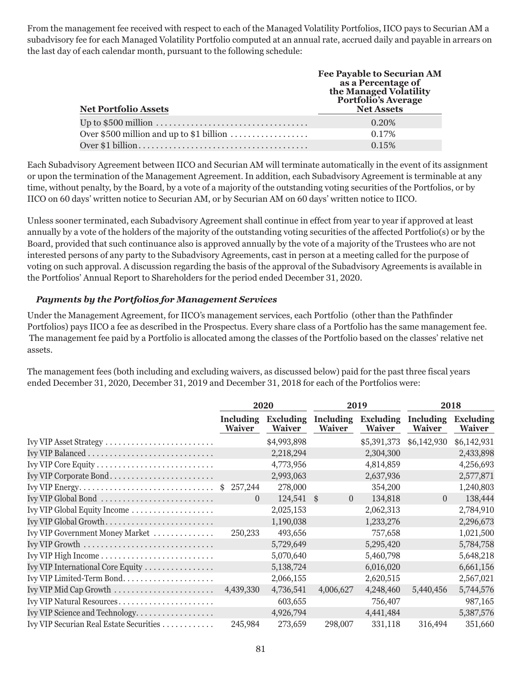From the management fee received with respect to each of the Managed Volatility Portfolios, IICO pays to Securian AM a subadvisory fee for each Managed Volatility Portfolio computed at an annual rate, accrued daily and payable in arrears on the last day of each calendar month, pursuant to the following schedule:

| <b>Net Portfolio Assets</b>                                               | Fee Payable to Securian AM<br>as a Percentage of<br>the Managed Volatility<br>Portfolio's Average<br><b>Net Assets</b> |
|---------------------------------------------------------------------------|------------------------------------------------------------------------------------------------------------------------|
|                                                                           | 0.20%                                                                                                                  |
| Over \$500 million and up to \$1 billion $\dots\dots\dots\dots\dots\dots$ | 0.17%                                                                                                                  |
|                                                                           | 0.15%                                                                                                                  |

Each Subadvisory Agreement between IICO and Securian AM will terminate automatically in the event of its assignment or upon the termination of the Management Agreement. In addition, each Subadvisory Agreement is terminable at any time, without penalty, by the Board, by a vote of a majority of the outstanding voting securities of the Portfolios, or by IICO on 60 days' written notice to Securian AM, or by Securian AM on 60 days' written notice to IICO.

Unless sooner terminated, each Subadvisory Agreement shall continue in effect from year to year if approved at least annually by a vote of the holders of the majority of the outstanding voting securities of the affected Portfolio(s) or by the Board, provided that such continuance also is approved annually by the vote of a majority of the Trustees who are not interested persons of any party to the Subadvisory Agreements, cast in person at a meeting called for the purpose of voting on such approval. A discussion regarding the basis of the approval of the Subadvisory Agreements is available in the Portfolios' Annual Report to Shareholders for the period ended December 31, 2020.

#### *Payments by the Portfolios for Management Services*

Under the Management Agreement, for IICO's management services, each Portfolio (other than the Pathfinder Portfolios) pays IICO a fee as described in the Prospectus. Every share class of a Portfolio has the same management fee. The management fee paid by a Portfolio is allocated among the classes of the Portfolio based on the classes' relative net assets.

The management fees (both including and excluding waivers, as discussed below) paid for the past three fiscal years ended December 31, 2020, December 31, 2019 and December 31, 2018 for each of the Portfolios were:

|                                         |                                   | 2020                       |                            | 2019                       | 2018                       |                            |
|-----------------------------------------|-----------------------------------|----------------------------|----------------------------|----------------------------|----------------------------|----------------------------|
|                                         | <b>Including</b><br><b>Waiver</b> | Excluding<br><b>Waiver</b> | Including<br><b>Waiver</b> | Excluding<br><b>Waiver</b> | Including<br><b>Waiver</b> | Excluding<br><b>Waiver</b> |
| Ivy VIP Asset Strategy                  |                                   | \$4,993,898                |                            | \$5,391,373                | \$6,142,930                | \$6,142,931                |
|                                         |                                   | 2,218,294                  |                            | 2,304,300                  |                            | 2,433,898                  |
|                                         |                                   | 4,773,956                  |                            | 4,814,859                  |                            | 4,256,693                  |
| Ivy VIP Corporate Bond                  |                                   | 2,993,063                  |                            | 2,637,936                  |                            | 2,577,871                  |
| Ivy VIP Energy                          | 257,244<br>$\mathcal{S}$          | 278,000                    |                            | 354,200                    |                            | 1,240,803                  |
| Ivy VIP Global Bond                     | $\theta$                          | 124.541 \$                 | $\theta$                   | 134,818                    | $\overline{0}$             | 138,444                    |
| Ivy VIP Global Equity Income            |                                   | 2,025,153                  |                            | 2,062,313                  |                            | 2,784,910                  |
| Ivy VIP Global Growth                   |                                   | 1,190,038                  |                            | 1,233,276                  |                            | 2,296,673                  |
| Ivy VIP Government Money Market         | 250,233                           | 493,656                    |                            | 757,658                    |                            | 1,021,500                  |
|                                         |                                   | 5,729,649                  |                            | 5,295,420                  |                            | 5,784,758                  |
|                                         |                                   | 5,070,640                  |                            | 5,460,798                  |                            | 5,648,218                  |
| Ivy VIP International Core Equity       |                                   | 5, 138, 724                |                            | 6,016,020                  |                            | 6,661,156                  |
|                                         |                                   | 2,066,155                  |                            | 2,620,515                  |                            | 2,567,021                  |
| Ivy VIP Mid Cap Growth                  | 4,439,330                         | 4,736,541                  | 4,006,627                  | 4,248,460                  | 5,440,456                  | 5,744,576                  |
| Ivy VIP Natural Resources               |                                   | 603,655                    |                            | 756,407                    |                            | 987,165                    |
| Ivy VIP Science and Technology          |                                   | 4,926,794                  |                            | 4,441,484                  |                            | 5,387,576                  |
| Ivy VIP Securian Real Estate Securities | 245,984                           | 273,659                    | 298,007                    | 331,118                    | 316,494                    | 351,660                    |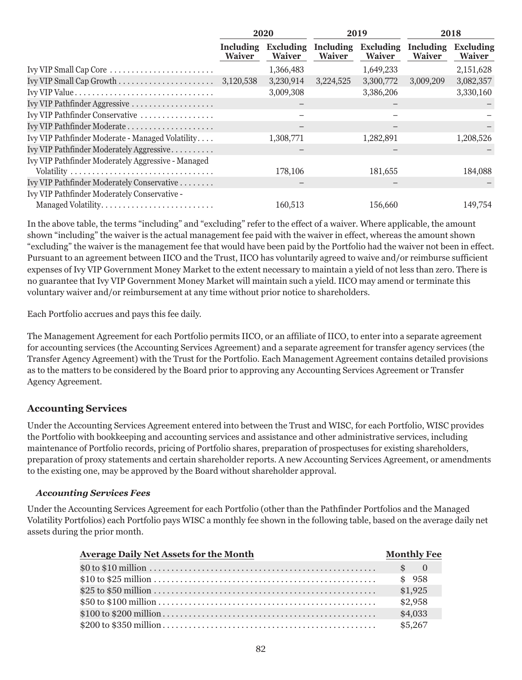|                                                    | 2020                              |                                   | 2019                              |                                   | 2018                       |                            |
|----------------------------------------------------|-----------------------------------|-----------------------------------|-----------------------------------|-----------------------------------|----------------------------|----------------------------|
|                                                    | <b>Including</b><br><b>Waiver</b> | <b>Excluding</b><br><b>Waiver</b> | <b>Including</b><br><b>Waiver</b> | <b>Excluding</b><br><b>Waiver</b> | Including<br><b>Waiver</b> | Excluding<br><b>Waiver</b> |
| Ivy VIP Small Cap Core                             |                                   | 1,366,483                         |                                   | 1,649,233                         |                            | 2,151,628                  |
| Ivy VIP Small Cap Growth                           | 3,120,538                         | 3,230,914                         | 3,224,525                         | 3,300,772                         | 3,009,209                  | 3,082,357                  |
|                                                    |                                   | 3,009,308                         |                                   | 3,386,206                         |                            | 3,330,160                  |
| Ivy VIP Pathfinder Aggressive                      |                                   |                                   |                                   |                                   |                            |                            |
| Ivy VIP Pathfinder Conservative                    |                                   |                                   |                                   |                                   |                            |                            |
| Ivy VIP Pathfinder Moderate                        |                                   |                                   |                                   |                                   |                            |                            |
| Ivy VIP Pathfinder Moderate - Managed Volatility   |                                   | 1,308,771                         |                                   | 1,282,891                         |                            | 1,208,526                  |
| Ivy VIP Pathfinder Moderately Aggressive           |                                   |                                   |                                   |                                   |                            |                            |
| Ivy VIP Pathfinder Moderately Aggressive - Managed |                                   |                                   |                                   |                                   |                            |                            |
|                                                    |                                   | 178,106                           |                                   | 181,655                           |                            | 184,088                    |
| Ivy VIP Pathfinder Moderately Conservative         |                                   |                                   |                                   |                                   |                            |                            |
| Ivy VIP Pathfinder Moderately Conservative -       |                                   |                                   |                                   |                                   |                            |                            |
|                                                    |                                   | 160,513                           |                                   | 156,660                           |                            | 149,754                    |

In the above table, the terms "including" and "excluding" refer to the effect of a waiver. Where applicable, the amount shown "including" the waiver is the actual management fee paid with the waiver in effect, whereas the amount shown "excluding" the waiver is the management fee that would have been paid by the Portfolio had the waiver not been in effect. Pursuant to an agreement between IICO and the Trust, IICO has voluntarily agreed to waive and/or reimburse sufficient expenses of Ivy VIP Government Money Market to the extent necessary to maintain a yield of not less than zero. There is no guarantee that Ivy VIP Government Money Market will maintain such a yield. IICO may amend or terminate this voluntary waiver and/or reimbursement at any time without prior notice to shareholders.

Each Portfolio accrues and pays this fee daily.

The Management Agreement for each Portfolio permits IICO, or an affiliate of IICO, to enter into a separate agreement for accounting services (the Accounting Services Agreement) and a separate agreement for transfer agency services (the Transfer Agency Agreement) with the Trust for the Portfolio. Each Management Agreement contains detailed provisions as to the matters to be considered by the Board prior to approving any Accounting Services Agreement or Transfer Agency Agreement.

### **Accounting Services**

Under the Accounting Services Agreement entered into between the Trust and WISC, for each Portfolio, WISC provides the Portfolio with bookkeeping and accounting services and assistance and other administrative services, including maintenance of Portfolio records, pricing of Portfolio shares, preparation of prospectuses for existing shareholders, preparation of proxy statements and certain shareholder reports. A new Accounting Services Agreement, or amendments to the existing one, may be approved by the Board without shareholder approval.

#### *Accounting Services Fees*

Under the Accounting Services Agreement for each Portfolio (other than the Pathfinder Portfolios and the Managed Volatility Portfolios) each Portfolio pays WISC a monthly fee shown in the following table, based on the average daily net assets during the prior month.

| <b>Average Daily Net Assets for the Month</b> | <b>Monthly Fee</b> |
|-----------------------------------------------|--------------------|
|                                               |                    |
|                                               | \$958              |
|                                               | \$1.925            |
|                                               | \$2,958            |
|                                               | \$4,033            |
|                                               | \$5,267            |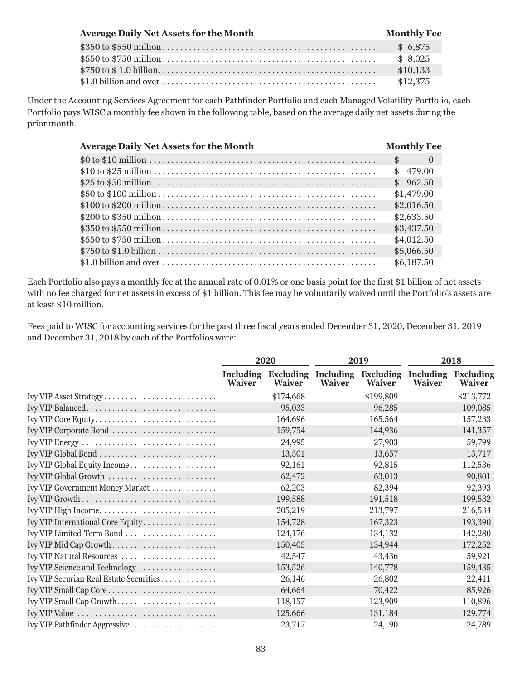| <b>Average Daily Net Assets for the Month</b> | <b>Monthly Fee</b> |
|-----------------------------------------------|--------------------|
|                                               | \$6.875            |
|                                               | \$8.025            |
|                                               | \$10.133           |
|                                               | \$12,375           |

Under the Accounting Services Agreement for each Pathfinder Portfolio and each Managed Volatility Portfolio, each Portfolio pays WISC a monthly fee shown in the following table, based on the average daily net assets during the prior month.

| <b>Average Daily Net Assets for the Month</b> | <b>Monthly Fee</b>        |
|-----------------------------------------------|---------------------------|
|                                               | $\mathbf{\$}$<br>$\Omega$ |
|                                               | 479.00<br>\$              |
|                                               | \$962.50                  |
|                                               | \$1,479.00                |
|                                               | \$2,016.50                |
|                                               | \$2,633.50                |
|                                               | \$3,437.50                |
|                                               | \$4,012.50                |
|                                               | \$5,066.50                |
|                                               | \$6,187.50                |

Each Portfolio also pays a monthly fee at the annual rate of 0.01% or one basis point for the first \$1 billion of net assets with no fee charged for net assets in excess of \$1 billion. This fee may be voluntarily waived until the Portfolio's assets are at least \$10 million.

Fees paid to WISC for accounting services for the past three fiscal years ended December 31, 2020, December 31, 2019 and December 31, 2018 by each of the Portfolios were:

|                                          | 2020          |               | 2019          |                                                                    | 2018          |                                   |
|------------------------------------------|---------------|---------------|---------------|--------------------------------------------------------------------|---------------|-----------------------------------|
|                                          | <b>Waiver</b> | <b>Waiver</b> | <b>Waiver</b> | Including Excluding Including Excluding Including<br><b>Waiver</b> | <b>Waiver</b> | <b>Excluding</b><br><b>Waiver</b> |
| Ivy VIP Asset Strategy                   |               | \$174,668     |               | \$199,809                                                          |               | \$213,772                         |
|                                          |               | 95,033        |               | 96,285                                                             |               | 109,085                           |
|                                          |               | 164,696       |               | 165,564                                                            |               | 157,233                           |
| Ivy VIP Corporate Bond                   |               | 159,754       |               | 144,936                                                            |               | 141,357                           |
| Ivy VIP Energy                           |               | 24,995        |               | 27,903                                                             |               | 59,799                            |
|                                          |               | 13,501        |               | 13,657                                                             |               | 13,717                            |
| Ivy VIP Global Equity Income             |               | 92,161        |               | 92,815                                                             |               | 112,536                           |
| Ivy VIP Global Growth                    |               | 62,472        |               | 63,013                                                             |               | 90,801                            |
| Ivy VIP Government Money Market          |               | 62,203        |               | 82,394                                                             |               | 92,393                            |
|                                          |               | 199,588       |               | 191,518                                                            |               | 199,532                           |
|                                          |               | 205,219       |               | 213,797                                                            |               | 216,534                           |
| Ivy VIP International Core Equity.       |               | 154,728       |               | 167,323                                                            |               | 193,390                           |
| Ivy VIP Limited-Term Bond                |               | 124,176       |               | 134,132                                                            |               | 142,280                           |
| Ivy VIP Mid Cap Growth                   |               | 150,405       |               | 134,944                                                            |               | 172,252                           |
| Ivy VIP Natural Resources                |               | 42,547        |               | 43,436                                                             |               | 59,921                            |
| Ivy VIP Science and Technology           |               | 153,526       |               | 140,778                                                            |               | 159,435                           |
| Ivy VIP Securian Real Estate Securities. |               | 26,146        |               | 26,802                                                             |               | 22,411                            |
| Ivy VIP Small Cap Core                   |               | 64,664        |               | 70,422                                                             |               | 85,926                            |
| Ivy VIP Small Cap Growth                 |               | 118,157       |               | 123,909                                                            |               | 110,896                           |
| Ivy VIP Value                            |               | 125,666       |               | 131,184                                                            |               | 129,774                           |
| Ivy VIP Pathfinder Aggressive            |               | 23,717        |               | 24,190                                                             |               | 24,789                            |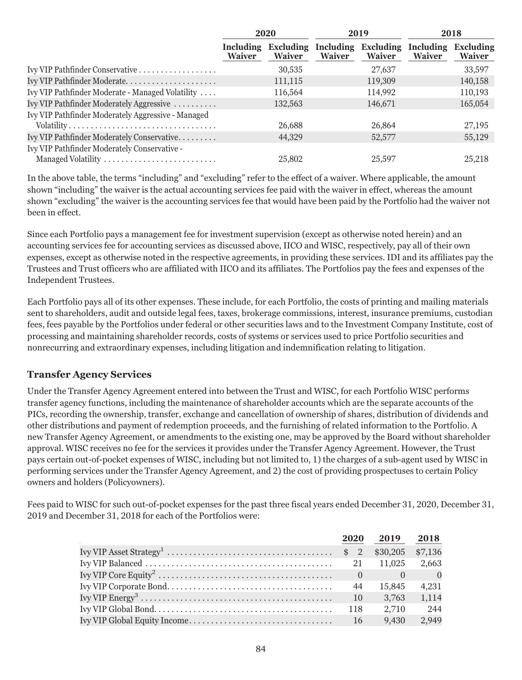|                                                    | <b>2020</b>                |                            | 2019          |                                      | 2018                       |                                   |
|----------------------------------------------------|----------------------------|----------------------------|---------------|--------------------------------------|----------------------------|-----------------------------------|
|                                                    | Including<br><b>Waiver</b> | Excluding<br><b>Waiver</b> | <b>Waiver</b> | Including Excluding<br><b>Waiver</b> | Including<br><b>Waiver</b> | <b>Excluding</b><br><b>Waiver</b> |
|                                                    |                            | 30,535                     |               | 27,637                               |                            | 33,597                            |
|                                                    |                            | 111,115                    |               | 119,309                              |                            | 140,158                           |
| Ivy VIP Pathfinder Moderate - Managed Volatility   |                            | 116,564                    |               | 114,992                              |                            | 110,193                           |
| Ivy VIP Pathfinder Moderately Aggressive           |                            | 132,563                    |               | 146,671                              |                            | 165,054                           |
| Ivy VIP Pathfinder Moderately Aggressive - Managed |                            |                            |               |                                      |                            |                                   |
|                                                    |                            | 26,688                     |               | 26,864                               |                            | 27,195                            |
| Ivy VIP Pathfinder Moderately Conservative         |                            | 44,329                     |               | 52,577                               |                            | 55,129                            |
| Ivy VIP Pathfinder Moderately Conservative -       |                            |                            |               |                                      |                            |                                   |
| Managed Volatility                                 |                            | 25,802                     |               | 25.597                               |                            | 25,218                            |

In the above table, the terms "including" and "excluding" refer to the effect of a waiver. Where applicable, the amount shown "including" the waiver is the actual accounting services fee paid with the waiver in effect, whereas the amount shown "excluding" the waiver is the accounting services fee that would have been paid by the Portfolio had the waiver not been in effect.

Since each Portfolio pays a management fee for investment supervision (except as otherwise noted herein) and an accounting services fee for accounting services as discussed above, IICO and WISC, respectively, pay all of their own expenses, except as otherwise noted in the respective agreements, in providing these services. IDI and its affiliates pay the Trustees and Trust officers who are affiliated with IICO and its affiliates. The Portfolios pay the fees and expenses of the Independent Trustees.

Each Portfolio pays all of its other expenses. These include, for each Portfolio, the costs of printing and mailing materials sent to shareholders, audit and outside legal fees, taxes, brokerage commissions, interest, insurance premiums, custodian fees, fees payable by the Portfolios under federal or other securities laws and to the Investment Company Institute, cost of processing and maintaining shareholder records, costs of systems or services used to price Portfolio securities and nonrecurring and extraordinary expenses, including litigation and indemnification relating to litigation.

### **Transfer Agency Services**

Under the Transfer Agency Agreement entered into between the Trust and WISC, for each Portfolio WISC performs transfer agency functions, including the maintenance of shareholder accounts which are the separate accounts of the PICs, recording the ownership, transfer, exchange and cancellation of ownership of shares, distribution of dividends and other distributions and payment of redemption proceeds, and the furnishing of related information to the Portfolio. A new Transfer Agency Agreement, or amendments to the existing one, may be approved by the Board without shareholder approval. WISC receives no fee for the services it provides under the Transfer Agency Agreement. However, the Trust pays certain out-of-pocket expenses of WISC, including but not limited to, 1) the charges of a sub-agent used by WISC in performing services under the Transfer Agency Agreement, and 2) the cost of providing prospectuses to certain Policy owners and holders (Policyowners).

Fees paid to WISC for such out-of-pocket expenses for the past three fiscal years ended December 31, 2020, December 31, 2019 and December 31, 2018 for each of the Portfolios were:

| 2020             | 2019 2018 |                |
|------------------|-----------|----------------|
|                  | \$30,205  | \$7,136        |
| -21              | 11.025    | 2,663          |
| $\left( \right)$ |           | $\overline{0}$ |
| 44               | 15,845    | 4,231          |
| <sup>10</sup>    | 3.763     | 1,114          |
| -118             | 2.710     | 244            |
|                  | 9.430     | 2.949          |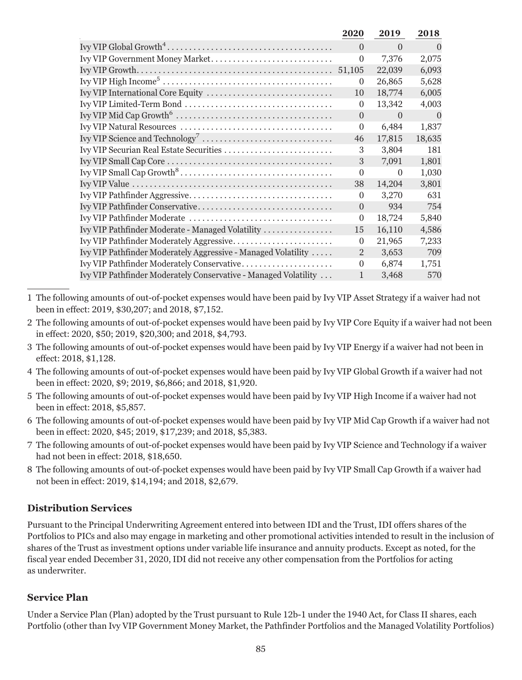|                                                                 | 2020           | 2019     | 2018     |
|-----------------------------------------------------------------|----------------|----------|----------|
|                                                                 | $\Omega$       | $\Omega$ | $\Omega$ |
| Ivy VIP Government Money Market                                 | $\theta$       | 7,376    | 2,075    |
|                                                                 | 51,105         | 22,039   | 6,093    |
|                                                                 | 0              | 26,865   | 5,628    |
| Ivy VIP International Core Equity                               | 10             | 18,774   | 6,005    |
|                                                                 | $\overline{0}$ | 13,342   | 4,003    |
|                                                                 | $\Omega$       | $\Omega$ | $\Omega$ |
|                                                                 | $\theta$       | 6,484    | 1,837    |
|                                                                 | 46             | 17,815   | 18,635   |
| Ivy VIP Securian Real Estate Securities                         | 3              | 3,804    | 181      |
|                                                                 | 3              | 7,091    | 1,801    |
|                                                                 | $\Omega$       | $\Omega$ | 1,030    |
|                                                                 | 38             | 14,204   | 3,801    |
|                                                                 | $\Omega$       | 3,270    | 631      |
| Ivy VIP Pathfinder Conservative                                 | $\Omega$       | 934      | 754      |
|                                                                 | $\theta$       | 18,724   | 5,840    |
| Ivy VIP Pathfinder Moderate - Managed Volatility                | 15             | 16,110   | 4,586    |
| Ivy VIP Pathfinder Moderately Aggressive                        | $\theta$       | 21,965   | 7,233    |
| Ivy VIP Pathfinder Moderately Aggressive - Managed Volatility   | $\overline{2}$ | 3,653    | 709      |
| Ivy VIP Pathfinder Moderately Conservative                      | $\theta$       | 6,874    | 1,751    |
| Ivy VIP Pathfinder Moderately Conservative - Managed Volatility |                | 3,468    | 570      |

1 The following amounts of out-of-pocket expenses would have been paid by Ivy VIP Asset Strategy if a waiver had not been in effect: 2019, \$30,207; and 2018, \$7,152.

- 2 The following amounts of out-of-pocket expenses would have been paid by Ivy VIP Core Equity if a waiver had not been in effect: 2020, \$50; 2019, \$20,300; and 2018, \$4,793.
- 3 The following amounts of out-of-pocket expenses would have been paid by Ivy VIP Energy if a waiver had not been in effect: 2018, \$1,128.
- 4 The following amounts of out-of-pocket expenses would have been paid by Ivy VIP Global Growth if a waiver had not been in effect: 2020, \$9; 2019, \$6,866; and 2018, \$1,920.
- 5 The following amounts of out-of-pocket expenses would have been paid by Ivy VIP High Income if a waiver had not been in effect: 2018, \$5,857.
- 6 The following amounts of out-of-pocket expenses would have been paid by Ivy VIP Mid Cap Growth if a waiver had not been in effect: 2020, \$45; 2019, \$17,239; and 2018, \$5,383.
- 7 The following amounts of out-of-pocket expenses would have been paid by Ivy VIP Science and Technology if a waiver had not been in effect: 2018, \$18,650.
- 8 The following amounts of out-of-pocket expenses would have been paid by Ivy VIP Small Cap Growth if a waiver had not been in effect: 2019, \$14,194; and 2018, \$2,679.

### **Distribution Services**

Pursuant to the Principal Underwriting Agreement entered into between IDI and the Trust, IDI offers shares of the Portfolios to PICs and also may engage in marketing and other promotional activities intended to result in the inclusion of shares of the Trust as investment options under variable life insurance and annuity products. Except as noted, for the fiscal year ended December 31, 2020, IDI did not receive any other compensation from the Portfolios for acting as underwriter.

### **Service Plan**

Under a Service Plan (Plan) adopted by the Trust pursuant to Rule 12b-1 under the 1940 Act, for Class II shares, each Portfolio (other than Ivy VIP Government Money Market, the Pathfinder Portfolios and the Managed Volatility Portfolios)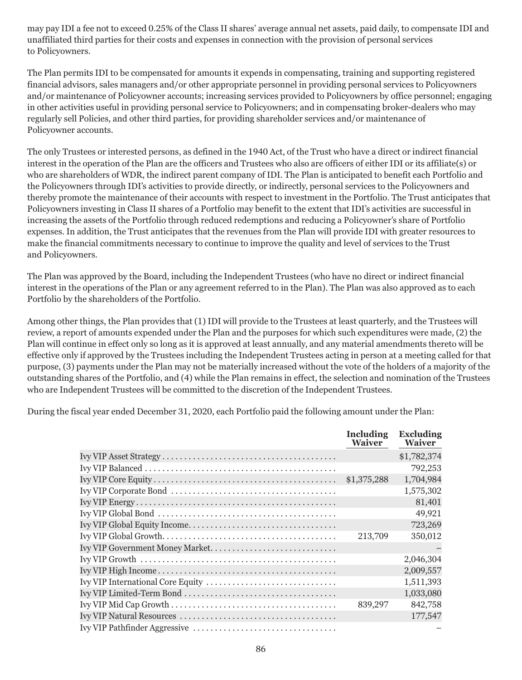may pay IDI a fee not to exceed 0.25% of the Class II shares' average annual net assets, paid daily, to compensate IDI and unaffiliated third parties for their costs and expenses in connection with the provision of personal services to Policyowners.

The Plan permits IDI to be compensated for amounts it expends in compensating, training and supporting registered financial advisors, sales managers and/or other appropriate personnel in providing personal services to Policyowners and/or maintenance of Policyowner accounts; increasing services provided to Policyowners by office personnel; engaging in other activities useful in providing personal service to Policyowners; and in compensating broker-dealers who may regularly sell Policies, and other third parties, for providing shareholder services and/or maintenance of Policyowner accounts.

The only Trustees or interested persons, as defined in the 1940 Act, of the Trust who have a direct or indirect financial interest in the operation of the Plan are the officers and Trustees who also are officers of either IDI or its affiliate(s) or who are shareholders of WDR, the indirect parent company of IDI. The Plan is anticipated to benefit each Portfolio and the Policyowners through IDI's activities to provide directly, or indirectly, personal services to the Policyowners and thereby promote the maintenance of their accounts with respect to investment in the Portfolio. The Trust anticipates that Policyowners investing in Class II shares of a Portfolio may benefit to the extent that IDI's activities are successful in increasing the assets of the Portfolio through reduced redemptions and reducing a Policyowner's share of Portfolio expenses. In addition, the Trust anticipates that the revenues from the Plan will provide IDI with greater resources to make the financial commitments necessary to continue to improve the quality and level of services to the Trust and Policyowners.

The Plan was approved by the Board, including the Independent Trustees (who have no direct or indirect financial interest in the operations of the Plan or any agreement referred to in the Plan). The Plan was also approved as to each Portfolio by the shareholders of the Portfolio.

Among other things, the Plan provides that (1) IDI will provide to the Trustees at least quarterly, and the Trustees will review, a report of amounts expended under the Plan and the purposes for which such expenditures were made, (2) the Plan will continue in effect only so long as it is approved at least annually, and any material amendments thereto will be effective only if approved by the Trustees including the Independent Trustees acting in person at a meeting called for that purpose, (3) payments under the Plan may not be materially increased without the vote of the holders of a majority of the outstanding shares of the Portfolio, and (4) while the Plan remains in effect, the selection and nomination of the Trustees who are Independent Trustees will be committed to the discretion of the Independent Trustees.

During the fiscal year ended December 31, 2020, each Portfolio paid the following amount under the Plan:

|                                 | <b>Including</b><br><b>Waiver</b> | Excluding<br><b>Waiver</b> |
|---------------------------------|-----------------------------------|----------------------------|
|                                 |                                   | \$1,782,374                |
|                                 |                                   | 792,253                    |
|                                 | \$1,375,288                       | 1,704,984                  |
|                                 |                                   | 1,575,302                  |
|                                 |                                   | 81,401                     |
|                                 |                                   | 49,921                     |
|                                 |                                   | 723,269                    |
|                                 | 213,709                           | 350,012                    |
| Ivy VIP Government Money Market |                                   |                            |
|                                 |                                   | 2,046,304                  |
|                                 |                                   | 2,009,557                  |
|                                 |                                   | 1,511,393                  |
|                                 |                                   | 1,033,080                  |
|                                 | 839,297                           | 842,758                    |
|                                 |                                   | 177,547                    |
|                                 |                                   |                            |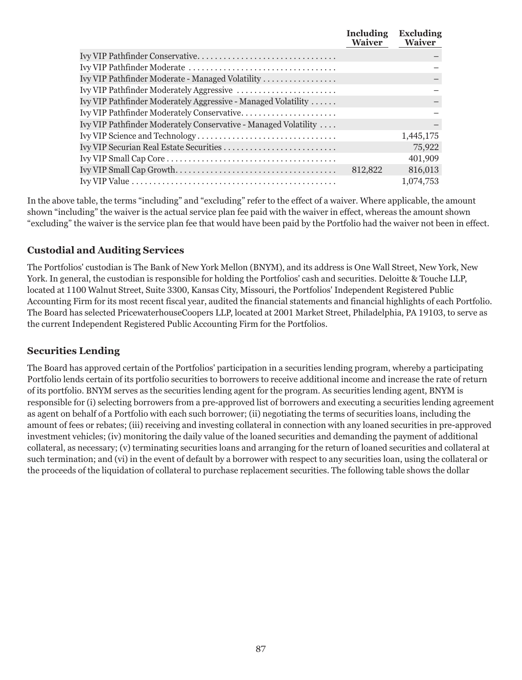|                                                                 | <b>Including</b><br><b>Waiver</b> | Excluding<br><b>Waiver</b> |
|-----------------------------------------------------------------|-----------------------------------|----------------------------|
|                                                                 |                                   |                            |
|                                                                 |                                   |                            |
| Ivy VIP Pathfinder Moderate - Managed Volatility                |                                   |                            |
| Ivy VIP Pathfinder Moderately Aggressive                        |                                   |                            |
| Ivy VIP Pathfinder Moderately Aggressive - Managed Volatility   |                                   |                            |
| Ivy VIP Pathfinder Moderately Conservative                      |                                   |                            |
| Ivy VIP Pathfinder Moderately Conservative - Managed Volatility |                                   |                            |
|                                                                 |                                   | 1,445,175                  |
| Ivy VIP Securian Real Estate Securities                         |                                   | 75,922                     |
|                                                                 |                                   | 401,909                    |
|                                                                 | 812,822                           | 816,013                    |
|                                                                 |                                   | 1,074,753                  |

In the above table, the terms "including" and "excluding" refer to the effect of a waiver. Where applicable, the amount shown "including" the waiver is the actual service plan fee paid with the waiver in effect, whereas the amount shown "excluding" the waiver is the service plan fee that would have been paid by the Portfolio had the waiver not been in effect.

## **Custodial and Auditing Services**

The Portfolios' custodian is The Bank of New York Mellon (BNYM), and its address is One Wall Street, New York, New York. In general, the custodian is responsible for holding the Portfolios' cash and securities. Deloitte & Touche LLP, located at 1100 Walnut Street, Suite 3300, Kansas City, Missouri, the Portfolios' Independent Registered Public Accounting Firm for its most recent fiscal year, audited the financial statements and financial highlights of each Portfolio. The Board has selected PricewaterhouseCoopers LLP, located at 2001 Market Street, Philadelphia, PA 19103, to serve as the current Independent Registered Public Accounting Firm for the Portfolios.

### **Securities Lending**

The Board has approved certain of the Portfolios' participation in a securities lending program, whereby a participating Portfolio lends certain of its portfolio securities to borrowers to receive additional income and increase the rate of return of its portfolio. BNYM serves as the securities lending agent for the program. As securities lending agent, BNYM is responsible for (i) selecting borrowers from a pre-approved list of borrowers and executing a securities lending agreement as agent on behalf of a Portfolio with each such borrower; (ii) negotiating the terms of securities loans, including the amount of fees or rebates; (iii) receiving and investing collateral in connection with any loaned securities in pre-approved investment vehicles; (iv) monitoring the daily value of the loaned securities and demanding the payment of additional collateral, as necessary; (v) terminating securities loans and arranging for the return of loaned securities and collateral at such termination; and (vi) in the event of default by a borrower with respect to any securities loan, using the collateral or the proceeds of the liquidation of collateral to purchase replacement securities. The following table shows the dollar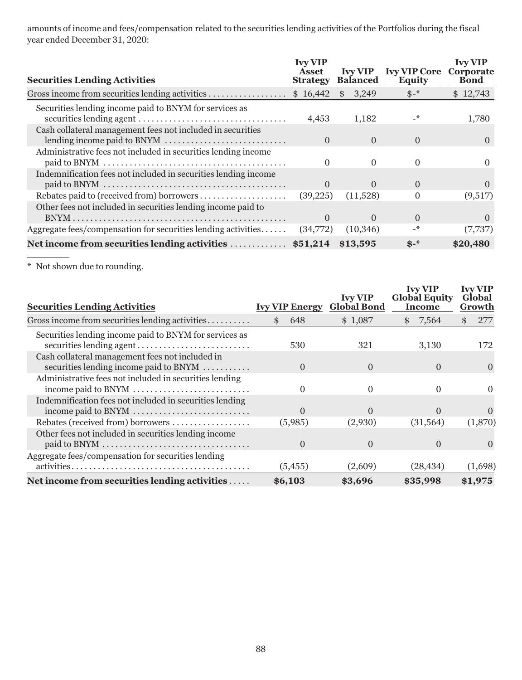amounts of income and fees/compensation related to the securities lending activities of the Portfolios during the fiscal year ended December 31, 2020:

| <b>Securities Lending Activities</b>                           | <b>Ivy VIP</b><br><b>Asset</b><br><b>Strategy</b> | <b>Ivy VIP</b><br><b>Balanced</b> | <b>Ivy VIP Core</b><br><b>Equity</b> | <b>Ivy VIP</b><br>Corporate<br><b>Bond</b> |
|----------------------------------------------------------------|---------------------------------------------------|-----------------------------------|--------------------------------------|--------------------------------------------|
| Gross income from securities lending activities                | \$16,442                                          | 3,249<br>$\mathbf{\$}$            | $$ -^*$                              | \$12,743                                   |
| Securities lending income paid to BNYM for services as         | 4,453                                             | 1,182                             | _*                                   | 1,780                                      |
| Cash collateral management fees not included in securities     | $\Omega$                                          | $\Omega$                          | $\Omega$                             | $\Omega$                                   |
| Administrative fees not included in securities lending income  |                                                   | $\Omega$                          | $\Omega$                             | $\Omega$                                   |
| Indemnification fees not included in securities lending income | $\Omega$                                          | $\Omega$                          | $\Omega$                             | $\Omega$                                   |
| Rebates paid to (received from) borrowers                      | (39,225)                                          | (11,528)                          | $\Omega$                             | (9,517)                                    |
| Other fees not included in securities lending income paid to   | $\Omega$                                          | $\Omega$                          | $\Omega$                             |                                            |
| Aggregate fees/compensation for securities lending activities  | (34,772)                                          | (10, 346)                         | $-$ *                                | (7,737)                                    |
|                                                                |                                                   | \$13,595                          | $$ -^*$                              | \$20,480                                   |

\* Not shown due to rounding.

| <b>Securities Lending Activities</b>                                                      | <b>Ivy VIP Energy</b> | <b>Ivy VIP</b><br><b>Global Bond</b> | <b>Ivy VIP</b><br><b>Global Equity</b><br><b>Income</b> | <b>Ivy VIP</b><br>Global<br>Growth |
|-------------------------------------------------------------------------------------------|-----------------------|--------------------------------------|---------------------------------------------------------|------------------------------------|
| Gross income from securities lending activities                                           | 648<br>$\mathbb{S}$   | \$1,087                              | 7,564<br>$\mathbf{\$}$                                  | 277<br>\$                          |
| Securities lending income paid to BNYM for services as                                    | 530                   | 321                                  | 3,130                                                   | 172                                |
| Cash collateral management fees not included in<br>securities lending income paid to BNYM | $\Omega$              | $\Omega$                             | $\Omega$                                                | $\Omega$                           |
| Administrative fees not included in securities lending<br>income paid to BNYM             | O                     | $\Omega$                             | $\Omega$                                                | $\Omega$                           |
| Indemnification fees not included in securities lending                                   | $\Omega$              | $\Omega$                             | $\Omega$                                                |                                    |
| Rebates (received from) borrowers                                                         | (5,985)               | (2,930)                              | (31, 564)                                               | (1,870)                            |
| Other fees not included in securities lending income                                      | $\Omega$              | $\Omega$                             | $\Omega$                                                | $\Omega$                           |
| Aggregate fees/compensation for securities lending                                        | (5, 455)              | (2,609)                              | (28, 434)                                               | (1,698)                            |
| Net income from securities lending activities                                             | \$6,103               | \$3,696                              | \$35,998                                                | \$1,975                            |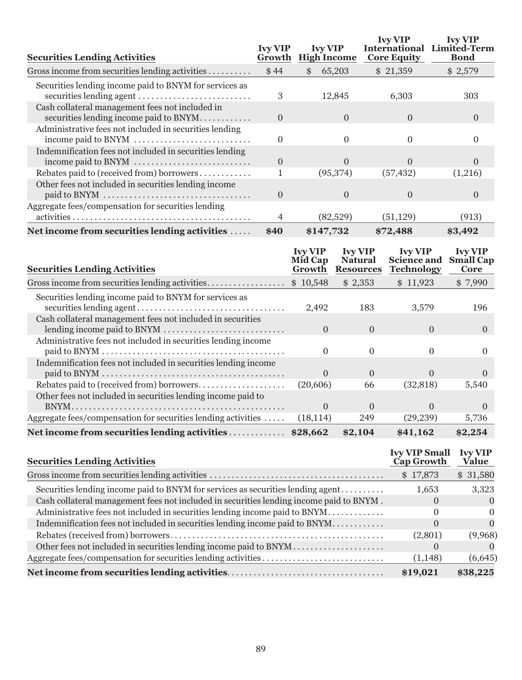| <b>Securities Lending Activities</b>                                                                      | <b>Ivy VIP</b><br>Growth | <b>Ivy VIP</b><br><b>High Income</b> |                                                      |                  | <b>Ivy VIP</b><br><b>International Limited-Term</b><br><b>Core Equity</b> | <b>Ivy VIP</b><br><b>Bond</b> |
|-----------------------------------------------------------------------------------------------------------|--------------------------|--------------------------------------|------------------------------------------------------|------------------|---------------------------------------------------------------------------|-------------------------------|
| Gross income from securities lending activities                                                           | \$44                     | \$                                   | 65,203                                               |                  | \$21,359                                                                  | \$2,579                       |
| Securities lending income paid to BNYM for services as<br>securities lending agent                        | 3                        |                                      | 12,845                                               |                  | 6,303                                                                     | 303                           |
| Cash collateral management fees not included in<br>securities lending income paid to BNYM                 | $\overline{0}$           |                                      | $\mathbf{0}$                                         |                  | $\overline{0}$                                                            | $\mathbf{0}$                  |
| Administrative fees not included in securities lending                                                    | $\mathbf{0}$             |                                      | $\mathbf{0}$                                         |                  | $\overline{0}$                                                            | $\mathbf{0}$                  |
| Indemnification fees not included in securities lending                                                   | $\mathbf{0}$             |                                      | $\overline{0}$                                       |                  | $\Omega$                                                                  | $\mathbf{0}$                  |
| Rebates paid to (received from) borrowers<br>Other fees not included in securities lending income         | $\mathbf{1}$             |                                      | (95, 374)                                            |                  | (57, 432)                                                                 | (1,216)                       |
| Aggregate fees/compensation for securities lending                                                        | $\mathbf{0}$<br>4        |                                      | $\mathbf{0}$<br>(82, 529)                            |                  | $\overline{0}$<br>(51, 129)                                               | $\mathbf{0}$<br>(913)         |
| Net income from securities lending activities                                                             | \$40                     | \$147,732                            |                                                      |                  | \$72,488                                                                  | \$3,492                       |
| <b>Securities Lending Activities</b>                                                                      |                          | <b>Ivy VIP</b><br>Mid Cap<br>Growth  | <b>Ivy VIP</b><br><b>Natural</b><br><b>Resources</b> |                  | <b>Ivy VIP</b><br><b>Science and Small Cap</b><br><b>Technology</b>       | <b>Ivy VIP</b><br>Core        |
|                                                                                                           |                          |                                      | \$2,353                                              |                  | \$11,923                                                                  | \$7,990                       |
| Securities lending income paid to BNYM for services as                                                    |                          | 2,492                                |                                                      | 183              | 3,579                                                                     | 196                           |
| Cash collateral management fees not included in securities<br>lending income paid to BNYM                 |                          | $\overline{0}$                       |                                                      | $\mathbf{0}$     | $\mathbf{0}$                                                              | $\mathbf{0}$                  |
| Administrative fees not included in securities lending income                                             |                          | $\overline{0}$                       |                                                      | $\mathbf{0}$     | $\mathbf{0}$                                                              | $\Omega$                      |
| Indemnification fees not included in securities lending income                                            |                          | $\overline{0}$                       |                                                      | $\boldsymbol{0}$ | $\boldsymbol{0}$                                                          | $\overline{0}$                |
| Rebates paid to (received from) borrowers<br>Other fees not included in securities lending income paid to |                          | (20,606)                             |                                                      | 66               | (32, 818)                                                                 | 5,540                         |
|                                                                                                           |                          | $\overline{0}$                       |                                                      | $\mathbf{0}$     | $\boldsymbol{0}$                                                          | $\Omega$                      |
| Aggregate fees/compensation for securities lending activities                                             |                          | (18, 114)                            |                                                      | 249              | (29, 239)                                                                 | 5,736                         |
| Net income from securities lending activities                                                             |                          | \$28,662                             | \$2,104                                              |                  | \$41,162                                                                  | \$2,254                       |

| <b>Securities Lending Activities</b>                                                    | <b>Ivy VIP Small</b><br>Cap Growth | <b>Ivy VIP</b><br><b>Value</b> |
|-----------------------------------------------------------------------------------------|------------------------------------|--------------------------------|
|                                                                                         | \$17,873                           | \$ 31,580                      |
| Securities lending income paid to BNYM for services as securities lending agent         | 1,653                              | 3,323                          |
| Cash collateral management fees not included in securities lending income paid to BNYM. | $\Omega$                           | $\Omega$                       |
| Administrative fees not included in securities lending income paid to BNYM              |                                    | $\Omega$                       |
| Indemnification fees not included in securities lending income paid to BNYM             | $\Omega$                           | $\Omega$                       |
|                                                                                         | (2,801)                            | (9,968)                        |
| Other fees not included in securities lending income paid to BNYM                       | $\mathbf{O}$                       | $\Omega$                       |
|                                                                                         | (1,148)                            | (6,645)                        |
|                                                                                         | \$19,021                           | \$38,225                       |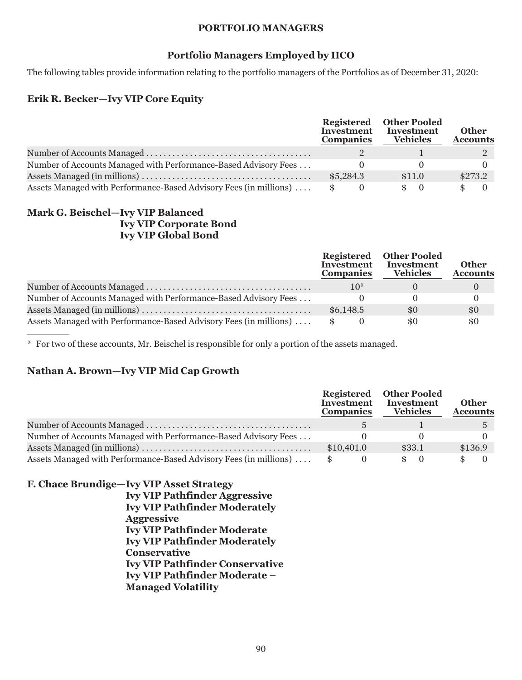#### **PORTFOLIO MANAGERS**

#### **Portfolio Managers Employed by IICO**

The following tables provide information relating to the portfolio managers of the Portfolios as of December 31, 2020:

### **Erik R. Becker—Ivy VIP Core Equity**

|                                                                   | Investment<br><b>Companies</b> | Registered Other Pooled<br>Investment<br><b>Vehicles</b> | <b>Other</b><br><b>Accounts</b> |
|-------------------------------------------------------------------|--------------------------------|----------------------------------------------------------|---------------------------------|
|                                                                   |                                |                                                          |                                 |
| Number of Accounts Managed with Performance-Based Advisory Fees   |                                |                                                          |                                 |
|                                                                   | \$5,284.3                      | \$11.0                                                   | \$273.2                         |
| Assets Managed with Performance-Based Advisory Fees (in millions) |                                | $\left( \right)$<br>$\mathcal{S}$                        |                                 |

#### **Mark G. Beischel—Ivy VIP Balanced Ivy VIP Corporate Bond Ivy VIP Global Bond**

|                                                                   | Investment<br><b>Companies</b> | <b>Registered</b> Other Pooled<br>Investment<br><b>Vehicles</b> | <b>Other</b><br><b>Accounts</b> |
|-------------------------------------------------------------------|--------------------------------|-----------------------------------------------------------------|---------------------------------|
|                                                                   | $10*$                          |                                                                 |                                 |
| Number of Accounts Managed with Performance-Based Advisory Fees   |                                |                                                                 |                                 |
|                                                                   | \$6,148.5                      | \$0                                                             | \$0                             |
| Assets Managed with Performance-Based Advisory Fees (in millions) |                                | \$0                                                             | \$0                             |

\* For two of these accounts, Mr. Beischel is responsible for only a portion of the assets managed.

### **Nathan A. Brown—Ivy VIP Mid Cap Growth**

|                                                                   | Investment<br><b>Companies</b> | <b>Registered</b> Other Pooled<br>Investment<br><b>Vehicles</b> | <b>Other</b><br><b>Accounts</b> |
|-------------------------------------------------------------------|--------------------------------|-----------------------------------------------------------------|---------------------------------|
|                                                                   |                                |                                                                 |                                 |
| Number of Accounts Managed with Performance-Based Advisory Fees   |                                |                                                                 |                                 |
|                                                                   | \$10,401.0                     | \$33.1                                                          | \$136.9                         |
| Assets Managed with Performance-Based Advisory Fees (in millions) |                                | - 0                                                             |                                 |

#### **F. Chace Brundige—Ivy VIP Asset Strategy**

**Ivy VIP Pathfinder Aggressive Ivy VIP Pathfinder Moderately Aggressive Ivy VIP Pathfinder Moderate Ivy VIP Pathfinder Moderately Conservative Ivy VIP Pathfinder Conservative Ivy VIP Pathfinder Moderate – Managed Volatility**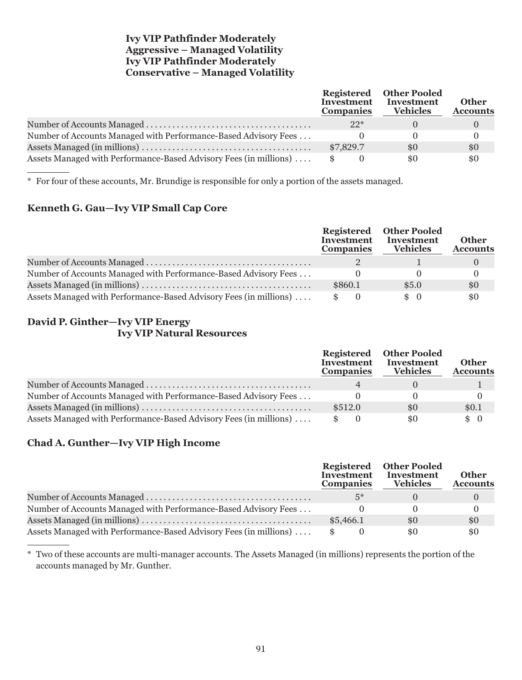#### **Ivy VIP Pathfinder Moderately Aggressive – Managed Volatility Ivy VIP Pathfinder Moderately Conservative – Managed Volatility**

|                                                                   | Investment<br><b>Companies</b> | <b>Registered</b> Other Pooled<br>Investment<br><b>Vehicles</b> | <b>Other</b><br><b>Accounts</b> |
|-------------------------------------------------------------------|--------------------------------|-----------------------------------------------------------------|---------------------------------|
|                                                                   | $22*$                          |                                                                 |                                 |
| Number of Accounts Managed with Performance-Based Advisory Fees   |                                |                                                                 |                                 |
|                                                                   | \$7,829.7                      | \$0                                                             | \$0                             |
| Assets Managed with Performance-Based Advisory Fees (in millions) |                                | \$0                                                             | \$0                             |

\* For four of these accounts, Mr. Brundige is responsible for only a portion of the assets managed.

## **Kenneth G. Gau—Ivy VIP Small Cap Core**

|                                                                   | Investment<br><b>Companies</b> | Registered Other Pooled<br>Investment<br><b>Vehicles</b> | <b>Other</b><br><b>Accounts</b> |
|-------------------------------------------------------------------|--------------------------------|----------------------------------------------------------|---------------------------------|
|                                                                   |                                |                                                          |                                 |
| Number of Accounts Managed with Performance-Based Advisory Fees   |                                |                                                          |                                 |
|                                                                   | \$860.1                        | \$5.0                                                    | \$0                             |
| Assets Managed with Performance-Based Advisory Fees (in millions) |                                | $\Omega$ $\Omega$                                        | \$0                             |

### **David P. Ginther—Ivy VIP Energy Ivy VIP Natural Resources**

|                                                                   | Investment<br><b>Companies</b> | Registered Other Pooled<br>Investment<br><b>Vehicles</b> | <b>Other</b><br><b>Accounts</b> |
|-------------------------------------------------------------------|--------------------------------|----------------------------------------------------------|---------------------------------|
|                                                                   |                                |                                                          |                                 |
| Number of Accounts Managed with Performance-Based Advisory Fees   |                                |                                                          |                                 |
|                                                                   | \$512.0                        | \$0                                                      | \$0.1                           |
| Assets Managed with Performance-Based Advisory Fees (in millions) |                                | \$0                                                      | $\hat{s}$ 0                     |

### **Chad A. Gunther—Ivy VIP High Income**

|                                                                   | Investment<br><b>Companies</b> | <b>Registered</b> Other Pooled<br>Investment<br><b>Vehicles</b> | <b>Other</b><br><b>Accounts</b> |
|-------------------------------------------------------------------|--------------------------------|-----------------------------------------------------------------|---------------------------------|
|                                                                   | $.5*$                          |                                                                 |                                 |
| Number of Accounts Managed with Performance-Based Advisory Fees   |                                |                                                                 |                                 |
|                                                                   | \$5,466.1                      | \$0                                                             | \$0                             |
| Assets Managed with Performance-Based Advisory Fees (in millions) |                                | \$0                                                             | \$0                             |

\* Two of these accounts are multi-manager accounts. The Assets Managed (in millions) represents the portion of the accounts managed by Mr. Gunther.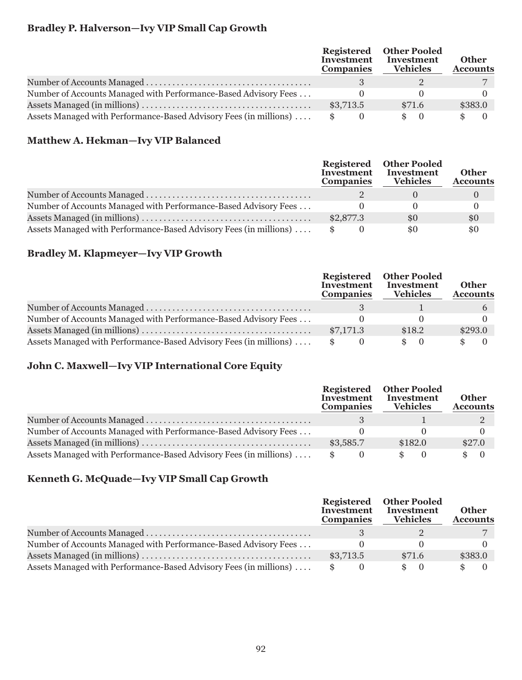## **Bradley P. Halverson—Ivy VIP Small Cap Growth**

|                                                                   | <b>Investment</b><br><b>Companies</b> | <b>Registered</b> Other Pooled<br>Investment<br><b>Vehicles</b> | <b>Other</b><br><b>Accounts</b> |
|-------------------------------------------------------------------|---------------------------------------|-----------------------------------------------------------------|---------------------------------|
|                                                                   |                                       |                                                                 |                                 |
| Number of Accounts Managed with Performance-Based Advisory Fees   |                                       |                                                                 |                                 |
|                                                                   | \$3,713.5                             | \$71.6                                                          | \$383.0                         |
| Assets Managed with Performance-Based Advisory Fees (in millions) |                                       |                                                                 |                                 |

# **Matthew A. Hekman—Ivy VIP Balanced**

|                                                                   | Investment<br><b>Companies</b> | <b>Registered</b> Other Pooled<br>Investment<br><b>Vehicles</b> | <b>Other</b><br><b>Accounts</b> |
|-------------------------------------------------------------------|--------------------------------|-----------------------------------------------------------------|---------------------------------|
|                                                                   |                                |                                                                 |                                 |
| Number of Accounts Managed with Performance-Based Advisory Fees   |                                |                                                                 |                                 |
|                                                                   | \$2,877.3                      | \$0                                                             | \$0                             |
| Assets Managed with Performance-Based Advisory Fees (in millions) |                                | \$0                                                             | \$0                             |

## **Bradley M. Klapmeyer—Ivy VIP Growth**

|                                                                   | Investment<br><b>Companies</b> | Registered Other Pooled<br>Investment<br><b>Vehicles</b> | <b>Other</b><br><b>Accounts</b> |
|-------------------------------------------------------------------|--------------------------------|----------------------------------------------------------|---------------------------------|
|                                                                   |                                |                                                          |                                 |
| Number of Accounts Managed with Performance-Based Advisory Fees   |                                |                                                          |                                 |
|                                                                   | \$7,171.3                      | \$18.2                                                   | \$293.0                         |
| Assets Managed with Performance-Based Advisory Fees (in millions) |                                |                                                          |                                 |

# **John C. Maxwell—Ivy VIP International Core Equity**

|                                                                   | Investment<br><b>Companies</b> | <b>Registered</b> Other Pooled<br>Investment<br><b>Vehicles</b> | <b>Other</b><br><b>Accounts</b>                  |
|-------------------------------------------------------------------|--------------------------------|-----------------------------------------------------------------|--------------------------------------------------|
|                                                                   |                                |                                                                 |                                                  |
| Number of Accounts Managed with Performance-Based Advisory Fees   |                                |                                                                 |                                                  |
|                                                                   | \$3,585.7                      | \$182.0                                                         | \$27.0                                           |
| Assets Managed with Performance-Based Advisory Fees (in millions) |                                | 0                                                               | $\textcolor{red}{\text{\$}}\ \textcolor{red}{0}$ |

### **Kenneth G. McQuade—Ivy VIP Small Cap Growth**

|                                                                   | Investment<br><b>Companies</b> | <b>Registered</b> Other Pooled<br>Investment<br><b>Vehicles</b> | <b>Other</b><br><b>Accounts</b> |
|-------------------------------------------------------------------|--------------------------------|-----------------------------------------------------------------|---------------------------------|
|                                                                   |                                |                                                                 |                                 |
| Number of Accounts Managed with Performance-Based Advisory Fees   |                                |                                                                 |                                 |
|                                                                   | \$3,713.5                      | \$71.6                                                          | \$383.0                         |
| Assets Managed with Performance-Based Advisory Fees (in millions) |                                | $\mathcal{S}$<br>$\bigcirc$                                     |                                 |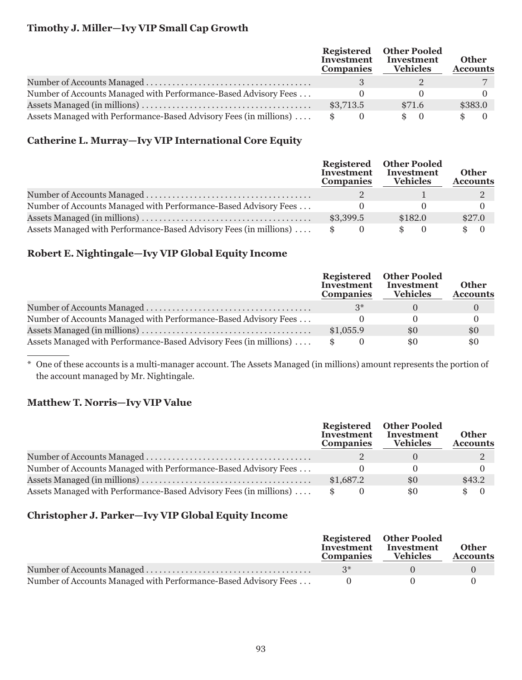## **Timothy J. Miller—Ivy VIP Small Cap Growth**

|                                                                   | Investment<br><b>Companies</b> | <b>Registered</b> Other Pooled<br>Investment<br><b>Vehicles</b> | <b>Other</b><br><b>Accounts</b> |
|-------------------------------------------------------------------|--------------------------------|-----------------------------------------------------------------|---------------------------------|
|                                                                   |                                |                                                                 |                                 |
| Number of Accounts Managed with Performance-Based Advisory Fees   |                                |                                                                 |                                 |
|                                                                   | \$3,713.5                      | \$71.6                                                          | \$383.0                         |
| Assets Managed with Performance-Based Advisory Fees (in millions) |                                | $\mathcal{S}$                                                   |                                 |

## **Catherine L. Murray—Ivy VIP International Core Equity**

|                                                                   | Investment<br><b>Companies</b> | <b>Registered</b> Other Pooled<br>Investment<br><b>Vehicles</b> | <b>Other</b><br><b>Accounts</b> |
|-------------------------------------------------------------------|--------------------------------|-----------------------------------------------------------------|---------------------------------|
|                                                                   |                                |                                                                 |                                 |
| Number of Accounts Managed with Performance-Based Advisory Fees   |                                |                                                                 |                                 |
|                                                                   | \$3,399.5                      | \$182.0                                                         | \$27.0                          |
| Assets Managed with Performance-Based Advisory Fees (in millions) |                                | $\theta$                                                        |                                 |

## **Robert E. Nightingale—Ivy VIP Global Equity Income**

|                                                                   | <b>Investment</b><br><b>Companies</b> | Registered Other Pooled<br>Investment<br><b>Vehicles</b> | <b>Other</b><br><b>Accounts</b> |
|-------------------------------------------------------------------|---------------------------------------|----------------------------------------------------------|---------------------------------|
|                                                                   |                                       |                                                          |                                 |
| Number of Accounts Managed with Performance-Based Advisory Fees   |                                       |                                                          |                                 |
|                                                                   | \$1,055.9                             | \$0                                                      | \$0                             |
| Assets Managed with Performance-Based Advisory Fees (in millions) |                                       | \$0                                                      | \$0                             |

\* One of these accounts is a multi-manager account. The Assets Managed (in millions) amount represents the portion of the account managed by Mr. Nightingale.

### **Matthew T. Norris—Ivy VIP Value**

|                                                                   | Investment<br><b>Companies</b> | <b>Registered</b> Other Pooled<br>Investment<br><b>Vehicles</b> | <b>Other</b><br><b>Accounts</b> |
|-------------------------------------------------------------------|--------------------------------|-----------------------------------------------------------------|---------------------------------|
|                                                                   |                                |                                                                 |                                 |
| Number of Accounts Managed with Performance-Based Advisory Fees   |                                |                                                                 |                                 |
|                                                                   | \$1,687.2                      | \$0                                                             | \$43.2                          |
| Assets Managed with Performance-Based Advisory Fees (in millions) |                                | \$0                                                             | $\theta$                        |

### **Christopher J. Parker—Ivy VIP Global Equity Income**

|                                                                 | <b>Companies</b> | <b>Registered</b> Other Pooled<br>Investment Investment<br><b>Vehicles</b> | <b>Other</b><br><b>Accounts</b> |
|-----------------------------------------------------------------|------------------|----------------------------------------------------------------------------|---------------------------------|
|                                                                 | $-3*$            |                                                                            |                                 |
| Number of Accounts Managed with Performance-Based Advisory Fees |                  |                                                                            |                                 |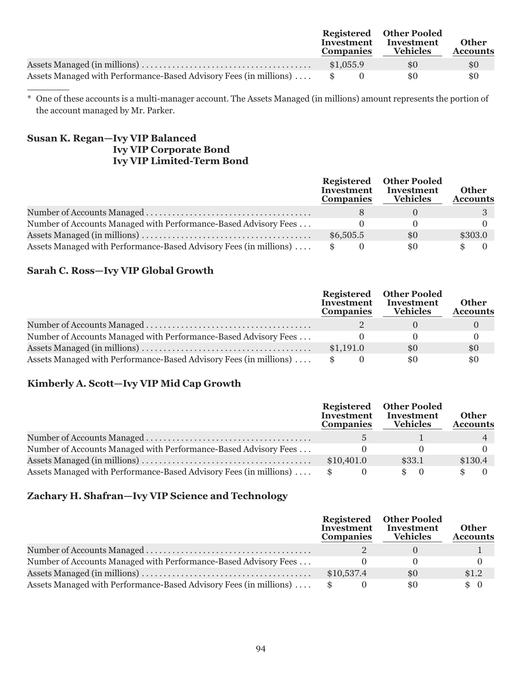|                                                                   | <b>Companies</b> | Registered Other Pooled<br>Investment Investment<br><b>Vehicles</b> | <b>Other</b><br><b>Accounts</b> |
|-------------------------------------------------------------------|------------------|---------------------------------------------------------------------|---------------------------------|
|                                                                   | \$1.055.9        | \$0                                                                 | $\$0$                           |
| Assets Managed with Performance-Based Advisory Fees (in millions) |                  | \$0                                                                 | \$0                             |

\* One of these accounts is a multi-manager account. The Assets Managed (in millions) amount represents the portion of the account managed by Mr. Parker.

#### **Susan K. Regan—Ivy VIP Balanced Ivy VIP Corporate Bond Ivy VIP Limited-Term Bond**

|                                                                   | Investment<br><b>Companies</b> | <b>Registered</b> Other Pooled<br>Investment<br><b>Vehicles</b> | <b>Other</b><br><b>Accounts</b> |
|-------------------------------------------------------------------|--------------------------------|-----------------------------------------------------------------|---------------------------------|
|                                                                   |                                |                                                                 |                                 |
| Number of Accounts Managed with Performance-Based Advisory Fees   |                                |                                                                 |                                 |
|                                                                   | \$6,505.5                      | \$0                                                             | \$303.0                         |
| Assets Managed with Performance-Based Advisory Fees (in millions) |                                | \$0                                                             |                                 |

#### **Sarah C. Ross—Ivy VIP Global Growth**

|                                                                   | Investment<br><b>Companies</b> | <b>Registered</b> Other Pooled<br>Investment<br><b>Vehicles</b> | <b>Other</b><br><b>Accounts</b> |
|-------------------------------------------------------------------|--------------------------------|-----------------------------------------------------------------|---------------------------------|
|                                                                   |                                |                                                                 |                                 |
| Number of Accounts Managed with Performance-Based Advisory Fees   |                                |                                                                 |                                 |
|                                                                   | \$1,191.0                      | \$0                                                             | \$0                             |
| Assets Managed with Performance-Based Advisory Fees (in millions) |                                | \$0                                                             | \$0                             |

### **Kimberly A. Scott—Ivy VIP Mid Cap Growth**

|                                                                   | Investment<br><b>Companies</b> | <b>Registered</b> Other Pooled<br>Investment<br><b>Vehicles</b> | <b>Other</b><br><b>Accounts</b> |
|-------------------------------------------------------------------|--------------------------------|-----------------------------------------------------------------|---------------------------------|
|                                                                   |                                |                                                                 |                                 |
| Number of Accounts Managed with Performance-Based Advisory Fees   |                                |                                                                 |                                 |
|                                                                   | \$10,401.0                     | \$33.1                                                          | \$130.4                         |
| Assets Managed with Performance-Based Advisory Fees (in millions) |                                | \$.                                                             |                                 |

### **Zachary H. Shafran—Ivy VIP Science and Technology**

|                                                                   | Investment<br><b>Companies</b> | Registered Other Pooled<br>Investment<br><b>Vehicles</b> | <b>Other</b><br><b>Accounts</b> |
|-------------------------------------------------------------------|--------------------------------|----------------------------------------------------------|---------------------------------|
|                                                                   |                                |                                                          |                                 |
| Number of Accounts Managed with Performance-Based Advisory Fees   |                                |                                                          |                                 |
|                                                                   | \$10,537.4                     | \$0                                                      | \$1.2                           |
| Assets Managed with Performance-Based Advisory Fees (in millions) |                                | \$0                                                      | $\textbf{\$} \quad \textbf{0}$  |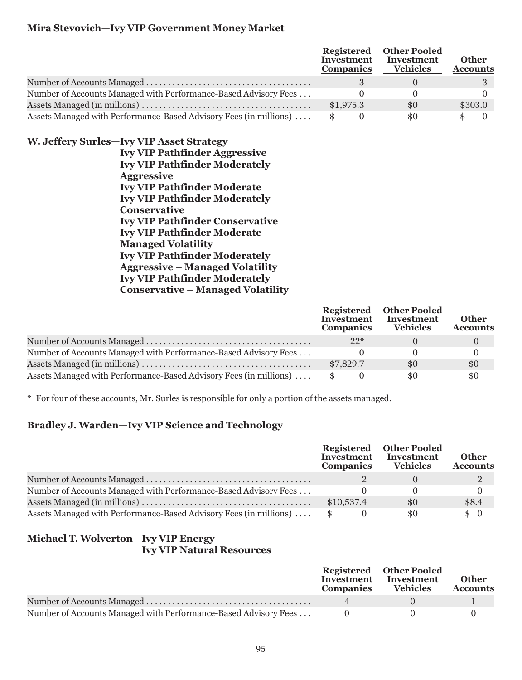## **Mira Stevovich—Ivy VIP Government Money Market**

|                                                                                                                                                                                                                                                                                                                                                                                                                                                                                                                                  | Registered<br>Investment<br><b>Companies</b> | <b>Other Pooled</b><br>Investment<br><b>Vehicles</b> | <b>Other</b><br><b>Accounts</b> |
|----------------------------------------------------------------------------------------------------------------------------------------------------------------------------------------------------------------------------------------------------------------------------------------------------------------------------------------------------------------------------------------------------------------------------------------------------------------------------------------------------------------------------------|----------------------------------------------|------------------------------------------------------|---------------------------------|
|                                                                                                                                                                                                                                                                                                                                                                                                                                                                                                                                  | 3                                            | $\Omega$                                             | 3                               |
| Number of Accounts Managed with Performance-Based Advisory Fees                                                                                                                                                                                                                                                                                                                                                                                                                                                                  | $\Omega$                                     | $\Omega$                                             | $\Omega$                        |
|                                                                                                                                                                                                                                                                                                                                                                                                                                                                                                                                  | \$1,975.3                                    | \$0                                                  | \$303.0                         |
| Assets Managed with Performance-Based Advisory Fees (in millions)                                                                                                                                                                                                                                                                                                                                                                                                                                                                | $\Omega$<br>\$                               | \$0                                                  | \$<br>$\theta$                  |
| W. Jeffery Surles—Ivy VIP Asset Strategy<br><b>Ivy VIP Pathfinder Aggressive</b><br><b>Ivy VIP Pathfinder Moderately</b><br><b>Aggressive</b><br><b>Ivy VIP Pathfinder Moderate</b><br><b>Ivy VIP Pathfinder Moderately</b><br><b>Conservative</b><br><b>Ivy VIP Pathfinder Conservative</b><br>Ivy VIP Pathfinder Moderate -<br><b>Managed Volatility</b><br><b>Ivy VIP Pathfinder Moderately</b><br><b>Aggressive – Managed Volatility</b><br><b>Ivy VIP Pathfinder Moderately</b><br><b>Conservative – Managed Volatility</b> |                                              |                                                      |                                 |

|                                                                   | Investment<br><b>Companies</b> | <b>Registered</b> Other Pooled<br>Investment<br><b>Vehicles</b> | <b>Other</b><br><b>Accounts</b> |
|-------------------------------------------------------------------|--------------------------------|-----------------------------------------------------------------|---------------------------------|
|                                                                   | $22*$                          |                                                                 |                                 |
| Number of Accounts Managed with Performance-Based Advisory Fees   |                                |                                                                 |                                 |
|                                                                   | \$7,829.7                      | \$0                                                             | \$0                             |
| Assets Managed with Performance-Based Advisory Fees (in millions) |                                | \$0                                                             | \$0                             |

\* For four of these accounts, Mr. Surles is responsible for only a portion of the assets managed.

## **Bradley J. Warden—Ivy VIP Science and Technology**

|                                                                   | Investment<br><b>Companies</b> | <b>Registered</b> Other Pooled<br>Investment<br><b>Vehicles</b> | <b>Other</b><br><b>Accounts</b> |
|-------------------------------------------------------------------|--------------------------------|-----------------------------------------------------------------|---------------------------------|
|                                                                   |                                |                                                                 |                                 |
| Number of Accounts Managed with Performance-Based Advisory Fees   |                                |                                                                 |                                 |
|                                                                   | \$10,537.4                     | \$0                                                             | \$8.4                           |
| Assets Managed with Performance-Based Advisory Fees (in millions) |                                | \$0                                                             | $\frac{1}{3}$ 0                 |

## **Michael T. Wolverton—Ivy VIP Energy Ivy VIP Natural Resources**

|                                                                 | <b>Companies</b> | <b>Registered</b> Other Pooled<br>Investment Investment<br><b>Vehicles</b> | <b>Other</b><br><b>Accounts</b> |
|-----------------------------------------------------------------|------------------|----------------------------------------------------------------------------|---------------------------------|
|                                                                 |                  |                                                                            |                                 |
| Number of Accounts Managed with Performance-Based Advisory Fees |                  |                                                                            |                                 |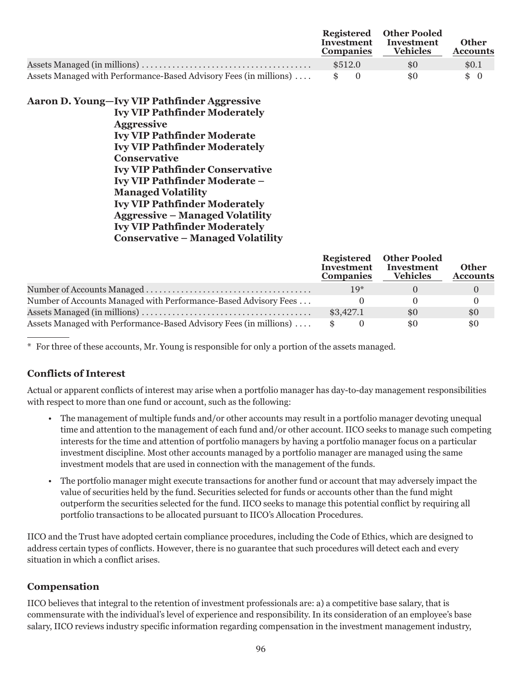|                                                                                                                                                                                                                                                                                                                                                                                                                                                                                              |         | Registered<br>Investment<br><b>Companies</b> | <b>Other Pooled</b><br>Investment<br><b>Vehicles</b> | <b>Other</b><br><b>Accounts</b> |
|----------------------------------------------------------------------------------------------------------------------------------------------------------------------------------------------------------------------------------------------------------------------------------------------------------------------------------------------------------------------------------------------------------------------------------------------------------------------------------------------|---------|----------------------------------------------|------------------------------------------------------|---------------------------------|
|                                                                                                                                                                                                                                                                                                                                                                                                                                                                                              | \$512.0 |                                              | \$0                                                  | \$0.1                           |
| Assets Managed with Performance-Based Advisory Fees (in millions)                                                                                                                                                                                                                                                                                                                                                                                                                            | \$      | $\overline{0}$                               | \$0                                                  | $\$\ 0$                         |
| Aaron D. Young-Ivy VIP Pathfinder Aggressive<br><b>Ivy VIP Pathfinder Moderately</b><br><b>Aggressive</b><br><b>Ivy VIP Pathfinder Moderate</b><br><b>Ivy VIP Pathfinder Moderately</b><br><b>Conservative</b><br><b>Ivy VIP Pathfinder Conservative</b><br>Ivy VIP Pathfinder Moderate -<br><b>Managed Volatility</b><br><b>Ivy VIP Pathfinder Moderately</b><br><b>Aggressive – Managed Volatility</b><br><b>Ivy VIP Pathfinder Moderately</b><br><b>Conservative – Managed Volatility</b> |         |                                              |                                                      |                                 |

|                                                                   | Investment<br><b>Companies</b> | Registered Other Pooled<br>Investment<br><b>Vehicles</b> | <b>Other</b><br><b>Accounts</b> |
|-------------------------------------------------------------------|--------------------------------|----------------------------------------------------------|---------------------------------|
|                                                                   | $19*$                          |                                                          |                                 |
| Number of Accounts Managed with Performance-Based Advisory Fees   |                                |                                                          |                                 |
|                                                                   | \$3,427.1                      | \$0                                                      | \$0                             |
| Assets Managed with Performance-Based Advisory Fees (in millions) |                                | \$0                                                      | \$0                             |

\* For three of these accounts, Mr. Young is responsible for only a portion of the assets managed.

### **Conflicts of Interest**

Actual or apparent conflicts of interest may arise when a portfolio manager has day-to-day management responsibilities with respect to more than one fund or account, such as the following:

- The management of multiple funds and/or other accounts may result in a portfolio manager devoting unequal time and attention to the management of each fund and/or other account. IICO seeks to manage such competing interests for the time and attention of portfolio managers by having a portfolio manager focus on a particular investment discipline. Most other accounts managed by a portfolio manager are managed using the same investment models that are used in connection with the management of the funds.
- The portfolio manager might execute transactions for another fund or account that may adversely impact the value of securities held by the fund. Securities selected for funds or accounts other than the fund might outperform the securities selected for the fund. IICO seeks to manage this potential conflict by requiring all portfolio transactions to be allocated pursuant to IICO's Allocation Procedures.

IICO and the Trust have adopted certain compliance procedures, including the Code of Ethics, which are designed to address certain types of conflicts. However, there is no guarantee that such procedures will detect each and every situation in which a conflict arises.

#### **Compensation**

IICO believes that integral to the retention of investment professionals are: a) a competitive base salary, that is commensurate with the individual's level of experience and responsibility. In its consideration of an employee's base salary, IICO reviews industry specific information regarding compensation in the investment management industry,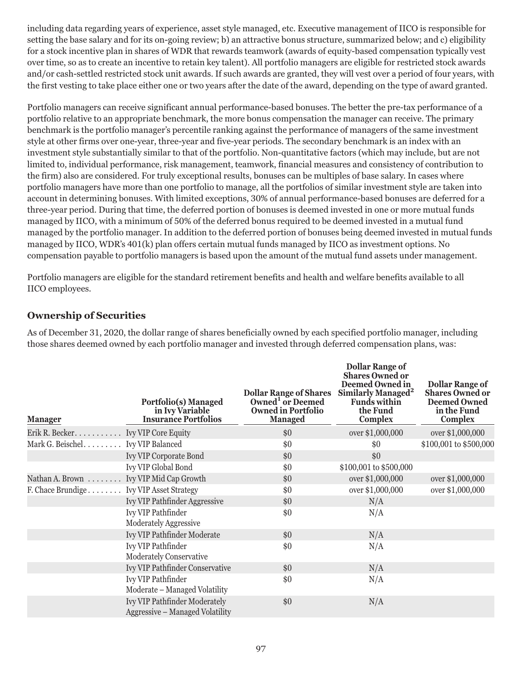including data regarding years of experience, asset style managed, etc. Executive management of IICO is responsible for setting the base salary and for its on-going review; b) an attractive bonus structure, summarized below; and c) eligibility for a stock incentive plan in shares of WDR that rewards teamwork (awards of equity-based compensation typically vest over time, so as to create an incentive to retain key talent). All portfolio managers are eligible for restricted stock awards and/or cash-settled restricted stock unit awards. If such awards are granted, they will vest over a period of four years, with the first vesting to take place either one or two years after the date of the award, depending on the type of award granted.

Portfolio managers can receive significant annual performance-based bonuses. The better the pre-tax performance of a portfolio relative to an appropriate benchmark, the more bonus compensation the manager can receive. The primary benchmark is the portfolio manager's percentile ranking against the performance of managers of the same investment style at other firms over one-year, three-year and five-year periods. The secondary benchmark is an index with an investment style substantially similar to that of the portfolio. Non-quantitative factors (which may include, but are not limited to, individual performance, risk management, teamwork, financial measures and consistency of contribution to the firm) also are considered. For truly exceptional results, bonuses can be multiples of base salary. In cases where portfolio managers have more than one portfolio to manage, all the portfolios of similar investment style are taken into account in determining bonuses. With limited exceptions, 30% of annual performance-based bonuses are deferred for a three-year period. During that time, the deferred portion of bonuses is deemed invested in one or more mutual funds managed by IICO, with a minimum of 50% of the deferred bonus required to be deemed invested in a mutual fund managed by the portfolio manager. In addition to the deferred portion of bonuses being deemed invested in mutual funds managed by IICO, WDR's 401(k) plan offers certain mutual funds managed by IICO as investment options. No compensation payable to portfolio managers is based upon the amount of the mutual fund assets under management.

Portfolio managers are eligible for the standard retirement benefits and health and welfare benefits available to all IICO employees.

## **Ownership of Securities**

As of December 31, 2020, the dollar range of shares beneficially owned by each specified portfolio manager, including those shares deemed owned by each portfolio manager and invested through deferred compensation plans, was:

| <b>Manager</b>                           | <b>Portfolio(s)</b> Managed<br>in Ivy Variable<br><b>Insurance Portfolios</b> | <b>Dollar Range of Shares</b><br>Owned <sup>1</sup> or Deemed<br><b>Owned in Portfolio</b><br><b>Managed</b> | <b>Dollar Range of</b><br><b>Shares Owned or</b><br><b>Deemed Owned in</b><br>Similarly Managed <sup>2</sup><br><b>Funds</b> within<br>the Fund<br>Complex | <b>Dollar Range of</b><br><b>Shares Owned or</b><br><b>Deemed Owned</b><br>in the Fund<br>Complex |
|------------------------------------------|-------------------------------------------------------------------------------|--------------------------------------------------------------------------------------------------------------|------------------------------------------------------------------------------------------------------------------------------------------------------------|---------------------------------------------------------------------------------------------------|
| Erik R. Becker. Ivy VIP Core Equity      |                                                                               | \$0                                                                                                          | over \$1,000,000                                                                                                                                           | over \$1,000,000                                                                                  |
| Mark G. Beischel.                        | <b>Ivy VIP Balanced</b>                                                       | \$0                                                                                                          | \$0                                                                                                                                                        | \$100,001 to \$500,000                                                                            |
|                                          | <b>Ivy VIP Corporate Bond</b>                                                 | \$0                                                                                                          | \$0                                                                                                                                                        |                                                                                                   |
|                                          | Ivy VIP Global Bond                                                           | \$0                                                                                                          | \$100,001 to \$500,000                                                                                                                                     |                                                                                                   |
| Nathan A. Brown Ivy VIP Mid Cap Growth   |                                                                               | \$0                                                                                                          | over \$1,000,000                                                                                                                                           | over \$1,000,000                                                                                  |
| F. Chace Brundige Ivy VIP Asset Strategy |                                                                               | \$0                                                                                                          | over \$1,000,000                                                                                                                                           | over \$1,000,000                                                                                  |
|                                          | <b>Ivy VIP Pathfinder Aggressive</b>                                          | \$0                                                                                                          | N/A                                                                                                                                                        |                                                                                                   |
|                                          | Ivy VIP Pathfinder<br>Moderately Aggressive                                   | \$0                                                                                                          | N/A                                                                                                                                                        |                                                                                                   |
|                                          | Ivy VIP Pathfinder Moderate                                                   | \$0                                                                                                          | N/A                                                                                                                                                        |                                                                                                   |
|                                          | Ivy VIP Pathfinder<br>Moderately Conservative                                 | \$0                                                                                                          | N/A                                                                                                                                                        |                                                                                                   |
|                                          | Ivy VIP Pathfinder Conservative                                               | \$0                                                                                                          | N/A                                                                                                                                                        |                                                                                                   |
|                                          | Ivy VIP Pathfinder<br>Moderate - Managed Volatility                           | \$0                                                                                                          | N/A                                                                                                                                                        |                                                                                                   |
|                                          | Ivy VIP Pathfinder Moderately<br>Aggressive - Managed Volatility              | \$0                                                                                                          | N/A                                                                                                                                                        |                                                                                                   |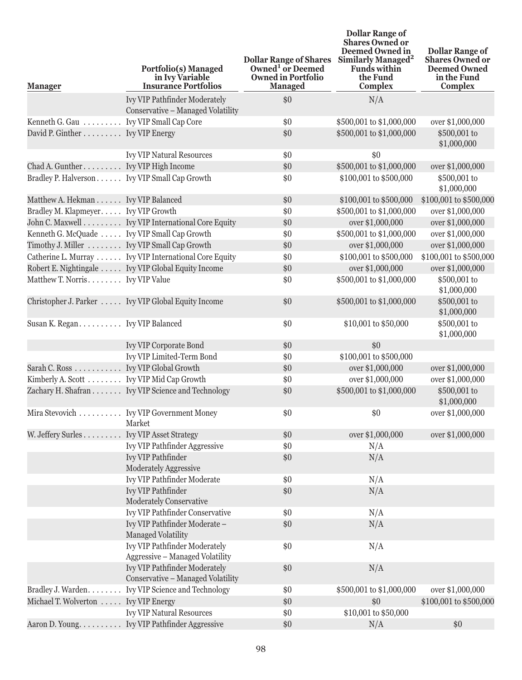| <b>Manager</b>                                | <b>Portfolio(s)</b> Managed<br>in Ivy Variable<br><b>Insurance Portfolios</b> | <b>Dollar Range of Shares</b><br>Owned <sup>1</sup> or Deemed<br><b>Owned in Portfolio</b><br><b>Managed</b> | <b>Dollar Range of</b><br><b>Shares Owned or</b><br><b>Deemed Owned in</b><br><b>Similarly Managed<sup>2</sup></b><br>Funds within<br>the Fund<br>Complex | <b>Dollar Range of</b><br><b>Shares Owned or</b><br><b>Deemed Owned</b><br>in the Fund<br>Complex |
|-----------------------------------------------|-------------------------------------------------------------------------------|--------------------------------------------------------------------------------------------------------------|-----------------------------------------------------------------------------------------------------------------------------------------------------------|---------------------------------------------------------------------------------------------------|
|                                               | Ivy VIP Pathfinder Moderately<br>Conservative - Managed Volatility            | \$0                                                                                                          | N/A                                                                                                                                                       |                                                                                                   |
| Kenneth G. Gau Ivy VIP Small Cap Core         |                                                                               | \$0                                                                                                          | \$500,001 to \$1,000,000                                                                                                                                  | over \$1,000,000                                                                                  |
| David P. Ginther Ivy VIP Energy               |                                                                               | \$0                                                                                                          | \$500,001 to \$1,000,000                                                                                                                                  | \$500,001 to<br>\$1,000,000                                                                       |
|                                               | <b>Ivy VIP Natural Resources</b>                                              | \$0                                                                                                          | \$0                                                                                                                                                       |                                                                                                   |
| Chad A. Gunther Ivy VIP High Income           |                                                                               | \$0                                                                                                          | \$500,001 to \$1,000,000                                                                                                                                  | over \$1,000,000                                                                                  |
| Bradley P. Halverson Ivy VIP Small Cap Growth |                                                                               | \$0                                                                                                          | \$100,001 to \$500,000                                                                                                                                    | \$500,001 to<br>\$1,000,000                                                                       |
| Matthew A. Hekman Ivy VIP Balanced            |                                                                               | \$0                                                                                                          | \$100,001 to \$500,000                                                                                                                                    | \$100,001 to \$500,000                                                                            |
| Bradley M. Klapmeyer. Ivy VIP Growth          |                                                                               | \$0                                                                                                          | \$500,001 to \$1,000,000                                                                                                                                  | over \$1,000,000                                                                                  |
|                                               | John C. Maxwell Ivy VIP International Core Equity                             | \$0                                                                                                          | over \$1,000,000                                                                                                                                          | over \$1,000,000                                                                                  |
| Kenneth G. McQuade Ivy VIP Small Cap Growth   |                                                                               | \$0                                                                                                          | \$500,001 to \$1,000,000                                                                                                                                  | over \$1,000,000                                                                                  |
| Timothy J. Miller Ivy VIP Small Cap Growth    |                                                                               | \$0                                                                                                          | over \$1,000,000                                                                                                                                          | over \$1,000,000                                                                                  |
|                                               | Catherine L. Murray Ivy VIP International Core Equity                         | \$0                                                                                                          | \$100,001 to \$500,000                                                                                                                                    | \$100,001 to \$500,000                                                                            |
|                                               | Robert E. Nightingale Ivy VIP Global Equity Income                            | \$0                                                                                                          | over \$1,000,000                                                                                                                                          | over \$1,000,000                                                                                  |
| Matthew T. Norris Ivy VIP Value               |                                                                               | \$0                                                                                                          | \$500,001 to \$1,000,000                                                                                                                                  | \$500,001 to<br>\$1,000,000                                                                       |
|                                               | Christopher J. Parker Ivy VIP Global Equity Income                            | \$0                                                                                                          | \$500,001 to \$1,000,000                                                                                                                                  | \$500,001 to<br>\$1,000,000                                                                       |
| Susan K. Regan Ivy VIP Balanced               |                                                                               | \$0                                                                                                          | \$10,001 to \$50,000                                                                                                                                      | \$500,001 to<br>\$1,000,000                                                                       |
|                                               | <b>Ivy VIP Corporate Bond</b>                                                 | \$0                                                                                                          | \$0                                                                                                                                                       |                                                                                                   |
|                                               | Ivy VIP Limited-Term Bond                                                     | \$0                                                                                                          | \$100,001 to \$500,000                                                                                                                                    |                                                                                                   |
| Sarah C. Ross Ivy VIP Global Growth           |                                                                               | \$0                                                                                                          | over \$1,000,000                                                                                                                                          | over \$1,000,000                                                                                  |
| Kimberly A. Scott Ivy VIP Mid Cap Growth      |                                                                               | \$0                                                                                                          | over \$1,000,000                                                                                                                                          | over \$1,000,000                                                                                  |
|                                               | Zachary H. Shafran Ivy VIP Science and Technology                             | \$0                                                                                                          | \$500,001 to \$1,000,000                                                                                                                                  | \$500,001 to<br>\$1,000,000                                                                       |
| Mira Stevovich Ivy VIP Government Money       | Market                                                                        | \$0                                                                                                          | \$0                                                                                                                                                       | over \$1,000,000                                                                                  |
| W. Jeffery Surles                             | <b>Ivy VIP Asset Strategy</b>                                                 | \$0                                                                                                          | over \$1,000,000                                                                                                                                          | over \$1,000,000                                                                                  |
|                                               | Ivy VIP Pathfinder Aggressive                                                 | \$0                                                                                                          | N/A                                                                                                                                                       |                                                                                                   |
|                                               | Ivy VIP Pathfinder<br>Moderately Aggressive                                   | \$0                                                                                                          | N/A                                                                                                                                                       |                                                                                                   |
|                                               | Ivy VIP Pathfinder Moderate                                                   | \$0                                                                                                          | N/A                                                                                                                                                       |                                                                                                   |
|                                               | Ivy VIP Pathfinder<br>Moderately Conservative                                 | \$0                                                                                                          | N/A                                                                                                                                                       |                                                                                                   |
|                                               | Ivy VIP Pathfinder Conservative                                               | \$0                                                                                                          | N/A                                                                                                                                                       |                                                                                                   |
|                                               | Ivy VIP Pathfinder Moderate -<br>Managed Volatility                           | \$0                                                                                                          | N/A                                                                                                                                                       |                                                                                                   |
|                                               | Ivy VIP Pathfinder Moderately<br>Aggressive - Managed Volatility              | \$0                                                                                                          | N/A                                                                                                                                                       |                                                                                                   |
|                                               | Ivy VIP Pathfinder Moderately<br>Conservative - Managed Volatility            | \$0                                                                                                          | N/A                                                                                                                                                       |                                                                                                   |
|                                               | Bradley J. Warden. Ivy VIP Science and Technology                             | \$0                                                                                                          | \$500,001 to \$1,000,000                                                                                                                                  | over \$1,000,000                                                                                  |
| Michael T. Wolverton Ivy VIP Energy           |                                                                               | \$0                                                                                                          | \$0                                                                                                                                                       | \$100,001 to \$500,000                                                                            |
|                                               | <b>Ivy VIP Natural Resources</b>                                              | \$0                                                                                                          | \$10,001 to \$50,000                                                                                                                                      |                                                                                                   |
|                                               | Aaron D. Young. Ivy VIP Pathfinder Aggressive                                 | \$0                                                                                                          | N/A                                                                                                                                                       | \$0                                                                                               |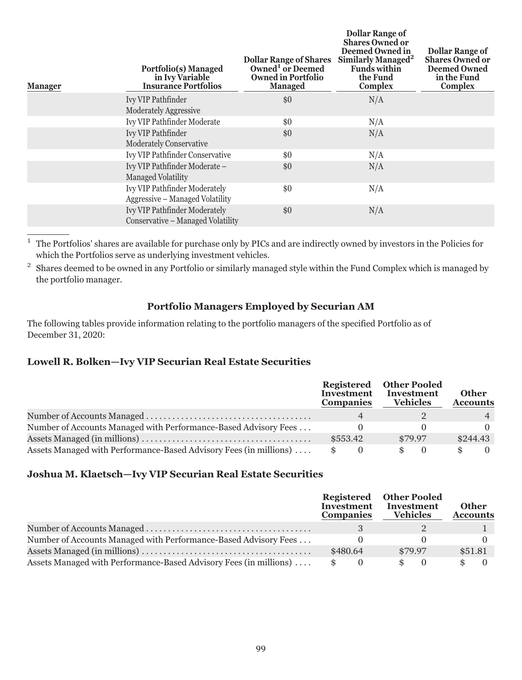| <b>Manager</b> | <b>Portfolio(s)</b> Managed<br>in Ivy Variable<br><b>Insurance Portfolios</b> | <b>Dollar Range of Shares</b><br>Owned <sup>1</sup> or Deemed<br><b>Owned in Portfolio</b><br><b>Managed</b> | <b>Dollar Range of</b><br><b>Shares Owned or</b><br>Deemed Owned in<br>Similarly Managed <sup>2</sup><br>Funds within<br>the Fund<br>Complex | <b>Dollar Range of</b><br><b>Shares Owned or</b><br><b>Deemed Owned</b><br>in the Fund<br>Complex |
|----------------|-------------------------------------------------------------------------------|--------------------------------------------------------------------------------------------------------------|----------------------------------------------------------------------------------------------------------------------------------------------|---------------------------------------------------------------------------------------------------|
|                | Ivy VIP Pathfinder<br><b>Moderately Aggressive</b>                            | \$0                                                                                                          | N/A                                                                                                                                          |                                                                                                   |
|                | Ivy VIP Pathfinder Moderate                                                   | \$0                                                                                                          | N/A                                                                                                                                          |                                                                                                   |
|                | Ivy VIP Pathfinder<br>Moderately Conservative                                 | \$0                                                                                                          | N/A                                                                                                                                          |                                                                                                   |
|                | Ivy VIP Pathfinder Conservative                                               | \$0                                                                                                          | N/A                                                                                                                                          |                                                                                                   |
|                | Ivy VIP Pathfinder Moderate -<br><b>Managed Volatility</b>                    | \$0                                                                                                          | N/A                                                                                                                                          |                                                                                                   |
|                | Ivy VIP Pathfinder Moderately<br>Aggressive – Managed Volatility              | \$0                                                                                                          | N/A                                                                                                                                          |                                                                                                   |
|                | Ivy VIP Pathfinder Moderately<br>Conservative – Managed Volatility            | \$0                                                                                                          | N/A                                                                                                                                          |                                                                                                   |

 $1$  The Portfolios' shares are available for purchase only by PICs and are indirectly owned by investors in the Policies for which the Portfolios serve as underlying investment vehicles.

<sup>2</sup> Shares deemed to be owned in any Portfolio or similarly managed style within the Fund Complex which is managed by the portfolio manager.

## **Portfolio Managers Employed by Securian AM**

The following tables provide information relating to the portfolio managers of the specified Portfolio as of December 31, 2020:

### **Lowell R. Bolken—Ivy VIP Securian Real Estate Securities**

|                                                                   | Investment<br><b>Companies</b> | <b>Registered</b> Other Pooled<br>Investment<br><b>Vehicles</b> | <b>Other</b><br><b>Accounts</b> |
|-------------------------------------------------------------------|--------------------------------|-----------------------------------------------------------------|---------------------------------|
|                                                                   |                                |                                                                 |                                 |
| Number of Accounts Managed with Performance-Based Advisory Fees   |                                |                                                                 |                                 |
|                                                                   | \$553.42                       | \$79.97                                                         | \$244.43                        |
| Assets Managed with Performance-Based Advisory Fees (in millions) |                                | 0                                                               |                                 |

#### **Joshua M. Klaetsch—Ivy VIP Securian Real Estate Securities**

|                                                                   | Investment<br><b>Companies</b> | <b>Registered</b> Other Pooled<br>Investment<br><b>Vehicles</b> | <b>Other</b><br><b>Accounts</b> |
|-------------------------------------------------------------------|--------------------------------|-----------------------------------------------------------------|---------------------------------|
|                                                                   |                                |                                                                 |                                 |
| Number of Accounts Managed with Performance-Based Advisory Fees   |                                |                                                                 |                                 |
|                                                                   | \$480.64                       | \$79.97                                                         | \$51.81                         |
| Assets Managed with Performance-Based Advisory Fees (in millions) |                                | -0                                                              |                                 |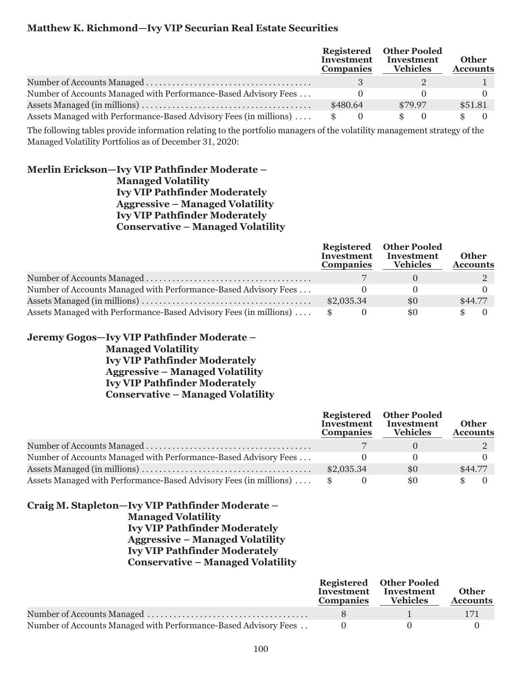### **Matthew K. Richmond—Ivy VIP Securian Real Estate Securities**

|                                                                   | Investment<br><b>Companies</b> | <b>Registered</b> Other Pooled<br>Investment<br><b>Vehicles</b> | <b>Other</b><br><b>Accounts</b> |
|-------------------------------------------------------------------|--------------------------------|-----------------------------------------------------------------|---------------------------------|
|                                                                   |                                |                                                                 |                                 |
| Number of Accounts Managed with Performance-Based Advisory Fees   |                                |                                                                 |                                 |
|                                                                   | \$480.64                       | \$79.97                                                         | \$51.81                         |
| Assets Managed with Performance-Based Advisory Fees (in millions) |                                |                                                                 |                                 |

The following tables provide information relating to the portfolio managers of the volatility management strategy of the Managed Volatility Portfolios as of December 31, 2020:

#### **Merlin Erickson—Ivy VIP Pathfinder Moderate – Managed Volatility Ivy VIP Pathfinder Moderately Aggressive – Managed Volatility Ivy VIP Pathfinder Moderately Conservative – Managed Volatility**

|                                                                   | Investment<br><b>Companies</b> | Registered Other Pooled<br>Investment<br><b>Vehicles</b> | <b>Other</b><br><b>Accounts</b> |
|-------------------------------------------------------------------|--------------------------------|----------------------------------------------------------|---------------------------------|
|                                                                   |                                |                                                          |                                 |
| Number of Accounts Managed with Performance-Based Advisory Fees   |                                |                                                          |                                 |
|                                                                   | \$2,035.34                     | \$0                                                      | \$44.77                         |
| Assets Managed with Performance-Based Advisory Fees (in millions) |                                | \$0                                                      |                                 |

#### **Jeremy Gogos—Ivy VIP Pathfinder Moderate –**

**Managed Volatility Ivy VIP Pathfinder Moderately Aggressive – Managed Volatility Ivy VIP Pathfinder Moderately Conservative – Managed Volatility**

|                                                                   | Investment<br><b>Companies</b> | <b>Registered</b> Other Pooled<br>Investment<br><b>Vehicles</b> | <b>Other</b><br><b>Accounts</b> |
|-------------------------------------------------------------------|--------------------------------|-----------------------------------------------------------------|---------------------------------|
|                                                                   |                                |                                                                 |                                 |
| Number of Accounts Managed with Performance-Based Advisory Fees   |                                |                                                                 |                                 |
|                                                                   | \$2,035.34                     | \$0                                                             | \$44.77                         |
| Assets Managed with Performance-Based Advisory Fees (in millions) |                                | \$0                                                             |                                 |

### **Craig M. Stapleton—Ivy VIP Pathfinder Moderate –**

#### **Managed Volatility Ivy VIP Pathfinder Moderately Aggressive – Managed Volatility Ivy VIP Pathfinder Moderately Conservative – Managed Volatility**

|                                                                 | Investment<br><b>Companies</b> | Registered Other Pooled<br>Investment<br><b>Vehicles</b> | Other<br><b>Accounts</b> |
|-----------------------------------------------------------------|--------------------------------|----------------------------------------------------------|--------------------------|
|                                                                 |                                |                                                          | 171                      |
| Number of Accounts Managed with Performance-Based Advisory Fees |                                |                                                          |                          |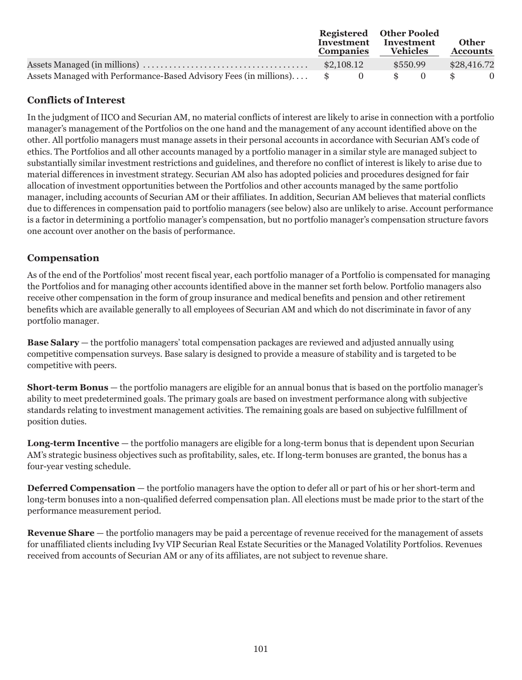|                                                                   | <b>Companies</b>          | <b>Registered</b> Other Pooled<br>Investment Investment<br><b>Vehicles</b> | <b>Other</b><br><b>Accounts</b> |
|-------------------------------------------------------------------|---------------------------|----------------------------------------------------------------------------|---------------------------------|
|                                                                   | \$2,108.12                | \$550.99                                                                   | \$28,416.72                     |
| Assets Managed with Performance-Based Advisory Fees (in millions) | $\mathcal{S}$<br>$\theta$ |                                                                            | - \$                            |

# **Conflicts of Interest**

In the judgment of IICO and Securian AM, no material conflicts of interest are likely to arise in connection with a portfolio manager's management of the Portfolios on the one hand and the management of any account identified above on the other. All portfolio managers must manage assets in their personal accounts in accordance with Securian AM's code of ethics. The Portfolios and all other accounts managed by a portfolio manager in a similar style are managed subject to substantially similar investment restrictions and guidelines, and therefore no conflict of interest is likely to arise due to material differences in investment strategy. Securian AM also has adopted policies and procedures designed for fair allocation of investment opportunities between the Portfolios and other accounts managed by the same portfolio manager, including accounts of Securian AM or their affiliates. In addition, Securian AM believes that material conflicts due to differences in compensation paid to portfolio managers (see below) also are unlikely to arise. Account performance is a factor in determining a portfolio manager's compensation, but no portfolio manager's compensation structure favors one account over another on the basis of performance.

## **Compensation**

As of the end of the Portfolios' most recent fiscal year, each portfolio manager of a Portfolio is compensated for managing the Portfolios and for managing other accounts identified above in the manner set forth below. Portfolio managers also receive other compensation in the form of group insurance and medical benefits and pension and other retirement benefits which are available generally to all employees of Securian AM and which do not discriminate in favor of any portfolio manager.

**Base Salary** — the portfolio managers' total compensation packages are reviewed and adjusted annually using competitive compensation surveys. Base salary is designed to provide a measure of stability and is targeted to be competitive with peers.

**Short-term Bonus** — the portfolio managers are eligible for an annual bonus that is based on the portfolio manager's ability to meet predetermined goals. The primary goals are based on investment performance along with subjective standards relating to investment management activities. The remaining goals are based on subjective fulfillment of position duties.

**Long-term Incentive** — the portfolio managers are eligible for a long-term bonus that is dependent upon Securian AM's strategic business objectives such as profitability, sales, etc. If long-term bonuses are granted, the bonus has a four-year vesting schedule.

**Deferred Compensation** — the portfolio managers have the option to defer all or part of his or her short-term and long-term bonuses into a non-qualified deferred compensation plan. All elections must be made prior to the start of the performance measurement period.

**Revenue Share** — the portfolio managers may be paid a percentage of revenue received for the management of assets for unaffiliated clients including Ivy VIP Securian Real Estate Securities or the Managed Volatility Portfolios. Revenues received from accounts of Securian AM or any of its affiliates, are not subject to revenue share.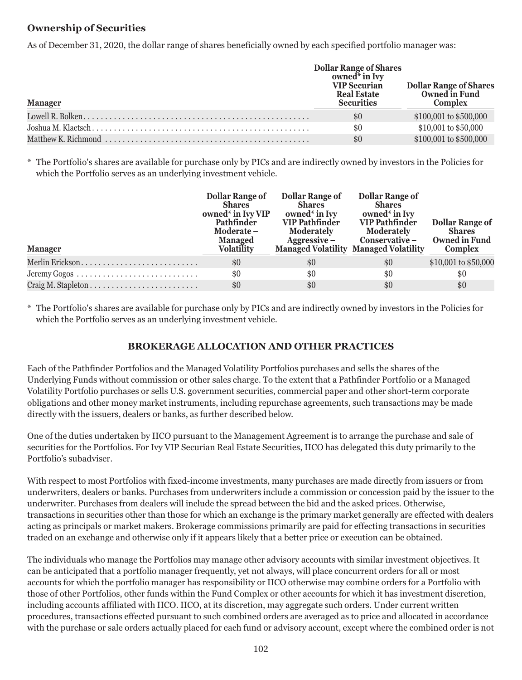# **Ownership of Securities**

As of December 31, 2020, the dollar range of shares beneficially owned by each specified portfolio manager was:

| <b>Manager</b>      | <b>Dollar Range of Shares</b><br>owned <sup>*</sup> in Ivy<br><b>VIP Securian</b><br><b>Real Estate</b><br><b>Securities</b> | <b>Dollar Range of Shares</b><br>Owned in Fund<br>Complex |
|---------------------|------------------------------------------------------------------------------------------------------------------------------|-----------------------------------------------------------|
|                     | \$0                                                                                                                          | \$100,001 to \$500,000                                    |
|                     | \$0                                                                                                                          | \$10,001 to \$50,000                                      |
| Matthew K. Richmond | \$0                                                                                                                          | \$100,001 to \$500,000                                    |

\* The Portfolio's shares are available for purchase only by PICs and are indirectly owned by investors in the Policies for which the Portfolio serves as an underlying investment vehicle.

| <b>Manager</b>                                                                    | <b>Dollar Range of</b><br><b>Shares</b><br>owned* in Ivy VIP<br>Pathfinder<br>Moderate-<br><b>Managed</b><br><b>Volatility</b> | <b>Dollar Range of</b><br><b>Shares</b><br>owned* in Ivy<br><b>VIP Pathfinder</b><br><b>Moderately</b><br>Aggressive – | <b>Dollar Range of</b><br><b>Shares</b><br>owned* in Ivy<br><b>VIP Pathfinder</b><br><b>Moderately</b><br>Conservative –<br><b>Managed Volatility Managed Volatility</b> | <b>Dollar Range of</b><br><b>Shares</b><br><b>Owned in Fund</b><br>Complex |
|-----------------------------------------------------------------------------------|--------------------------------------------------------------------------------------------------------------------------------|------------------------------------------------------------------------------------------------------------------------|--------------------------------------------------------------------------------------------------------------------------------------------------------------------------|----------------------------------------------------------------------------|
|                                                                                   | \$0                                                                                                                            | \$0                                                                                                                    | \$0                                                                                                                                                                      | \$10,001 to \$50,000                                                       |
| $J$ eremy Gogos $\dots \dots \dots \dots \dots \dots \dots \dots \dots$           | \$0                                                                                                                            | \$0                                                                                                                    | \$0                                                                                                                                                                      | \$0                                                                        |
| $\text{Craig M. Stapleton} \dots \dots \dots \dots \dots \dots \dots \dots \dots$ | \$0                                                                                                                            | \$0                                                                                                                    | \$0                                                                                                                                                                      | \$0                                                                        |

\* The Portfolio's shares are available for purchase only by PICs and are indirectly owned by investors in the Policies for which the Portfolio serves as an underlying investment vehicle.

### **BROKERAGE ALLOCATION AND OTHER PRACTICES**

Each of the Pathfinder Portfolios and the Managed Volatility Portfolios purchases and sells the shares of the Underlying Funds without commission or other sales charge. To the extent that a Pathfinder Portfolio or a Managed Volatility Portfolio purchases or sells U.S. government securities, commercial paper and other short-term corporate obligations and other money market instruments, including repurchase agreements, such transactions may be made directly with the issuers, dealers or banks, as further described below.

One of the duties undertaken by IICO pursuant to the Management Agreement is to arrange the purchase and sale of securities for the Portfolios. For Ivy VIP Securian Real Estate Securities, IICO has delegated this duty primarily to the Portfolio's subadviser.

With respect to most Portfolios with fixed-income investments, many purchases are made directly from issuers or from underwriters, dealers or banks. Purchases from underwriters include a commission or concession paid by the issuer to the underwriter. Purchases from dealers will include the spread between the bid and the asked prices. Otherwise, transactions in securities other than those for which an exchange is the primary market generally are effected with dealers acting as principals or market makers. Brokerage commissions primarily are paid for effecting transactions in securities traded on an exchange and otherwise only if it appears likely that a better price or execution can be obtained.

The individuals who manage the Portfolios may manage other advisory accounts with similar investment objectives. It can be anticipated that a portfolio manager frequently, yet not always, will place concurrent orders for all or most accounts for which the portfolio manager has responsibility or IICO otherwise may combine orders for a Portfolio with those of other Portfolios, other funds within the Fund Complex or other accounts for which it has investment discretion, including accounts affiliated with IICO. IICO, at its discretion, may aggregate such orders. Under current written procedures, transactions effected pursuant to such combined orders are averaged as to price and allocated in accordance with the purchase or sale orders actually placed for each fund or advisory account, except where the combined order is not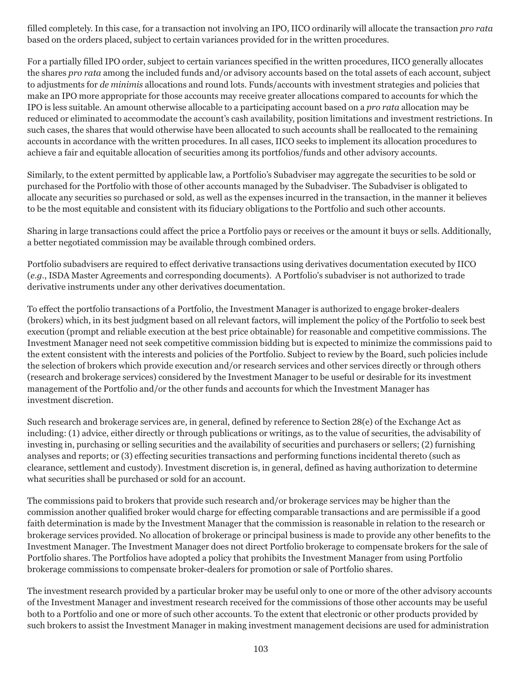filled completely. In this case, for a transaction not involving an IPO, IICO ordinarily will allocate the transaction *pro rata* based on the orders placed, subject to certain variances provided for in the written procedures.

For a partially filled IPO order, subject to certain variances specified in the written procedures, IICO generally allocates the shares *pro rata* among the included funds and/or advisory accounts based on the total assets of each account, subject to adjustments for *de minimis* allocations and round lots. Funds/accounts with investment strategies and policies that make an IPO more appropriate for those accounts may receive greater allocations compared to accounts for which the IPO is less suitable. An amount otherwise allocable to a participating account based on a *pro rata* allocation may be reduced or eliminated to accommodate the account's cash availability, position limitations and investment restrictions. In such cases, the shares that would otherwise have been allocated to such accounts shall be reallocated to the remaining accounts in accordance with the written procedures. In all cases, IICO seeks to implement its allocation procedures to achieve a fair and equitable allocation of securities among its portfolios/funds and other advisory accounts.

Similarly, to the extent permitted by applicable law, a Portfolio's Subadviser may aggregate the securities to be sold or purchased for the Portfolio with those of other accounts managed by the Subadviser. The Subadviser is obligated to allocate any securities so purchased or sold, as well as the expenses incurred in the transaction, in the manner it believes to be the most equitable and consistent with its fiduciary obligations to the Portfolio and such other accounts.

Sharing in large transactions could affect the price a Portfolio pays or receives or the amount it buys or sells. Additionally, a better negotiated commission may be available through combined orders.

Portfolio subadvisers are required to effect derivative transactions using derivatives documentation executed by IICO (*e.g.*, ISDA Master Agreements and corresponding documents). A Portfolio's subadviser is not authorized to trade derivative instruments under any other derivatives documentation.

To effect the portfolio transactions of a Portfolio, the Investment Manager is authorized to engage broker-dealers (brokers) which, in its best judgment based on all relevant factors, will implement the policy of the Portfolio to seek best execution (prompt and reliable execution at the best price obtainable) for reasonable and competitive commissions. The Investment Manager need not seek competitive commission bidding but is expected to minimize the commissions paid to the extent consistent with the interests and policies of the Portfolio. Subject to review by the Board, such policies include the selection of brokers which provide execution and/or research services and other services directly or through others (research and brokerage services) considered by the Investment Manager to be useful or desirable for its investment management of the Portfolio and/or the other funds and accounts for which the Investment Manager has investment discretion.

Such research and brokerage services are, in general, defined by reference to Section 28(e) of the Exchange Act as including: (1) advice, either directly or through publications or writings, as to the value of securities, the advisability of investing in, purchasing or selling securities and the availability of securities and purchasers or sellers; (2) furnishing analyses and reports; or (3) effecting securities transactions and performing functions incidental thereto (such as clearance, settlement and custody). Investment discretion is, in general, defined as having authorization to determine what securities shall be purchased or sold for an account.

The commissions paid to brokers that provide such research and/or brokerage services may be higher than the commission another qualified broker would charge for effecting comparable transactions and are permissible if a good faith determination is made by the Investment Manager that the commission is reasonable in relation to the research or brokerage services provided. No allocation of brokerage or principal business is made to provide any other benefits to the Investment Manager. The Investment Manager does not direct Portfolio brokerage to compensate brokers for the sale of Portfolio shares. The Portfolios have adopted a policy that prohibits the Investment Manager from using Portfolio brokerage commissions to compensate broker-dealers for promotion or sale of Portfolio shares.

The investment research provided by a particular broker may be useful only to one or more of the other advisory accounts of the Investment Manager and investment research received for the commissions of those other accounts may be useful both to a Portfolio and one or more of such other accounts. To the extent that electronic or other products provided by such brokers to assist the Investment Manager in making investment management decisions are used for administration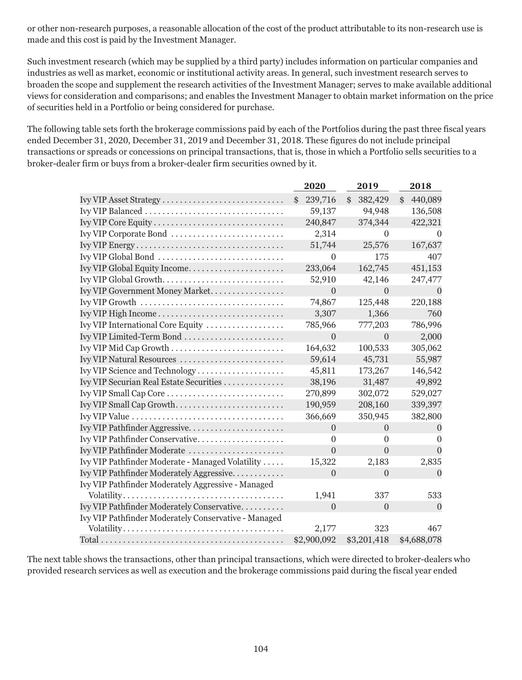or other non-research purposes, a reasonable allocation of the cost of the product attributable to its non-research use is made and this cost is paid by the Investment Manager.

Such investment research (which may be supplied by a third party) includes information on particular companies and industries as well as market, economic or institutional activity areas. In general, such investment research serves to broaden the scope and supplement the research activities of the Investment Manager; serves to make available additional views for consideration and comparisons; and enables the Investment Manager to obtain market information on the price of securities held in a Portfolio or being considered for purchase.

The following table sets forth the brokerage commissions paid by each of the Portfolios during the past three fiscal years ended December 31, 2020, December 31, 2019 and December 31, 2018. These figures do not include principal transactions or spreads or concessions on principal transactions, that is, those in which a Portfolio sells securities to a broker-dealer firm or buys from a broker-dealer firm securities owned by it.

|                                                      | 2020             | 2019           | 2018          |
|------------------------------------------------------|------------------|----------------|---------------|
|                                                      | \$<br>239,716    | 382,429<br>\$  | 440,089<br>\$ |
| Ivy VIP Balanced                                     | 59,137           | 94,948         | 136,508       |
|                                                      | 240,847          | 374,344        | 422,321       |
| Ivy VIP Corporate Bond                               | 2,314            | $\overline{0}$ | $\Omega$      |
| Ivy VIP Energy                                       | 51,744           | 25,576         | 167,637       |
| Ivy VIP Global Bond                                  | $\theta$         | 175            | 407           |
| Ivy VIP Global Equity Income                         | 233,064          | 162,745        | 451,153       |
|                                                      | 52,910           | 42,146         | 247,477       |
| Ivy VIP Government Money Market                      | $\boldsymbol{0}$ | $\mathbf{0}$   | $\Omega$      |
| Ivy VIP Growth                                       | 74,867           | 125,448        | 220,188       |
| Ivy VIP High Income                                  | 3,307            | 1,366          | 760           |
| Ivy VIP International Core Equity                    | 785,966          | 777,203        | 786,996       |
| Ivy VIP Limited-Term Bond                            | $\boldsymbol{0}$ | $\Omega$       | 2,000         |
| Ivy VIP Mid Cap Growth                               | 164,632          | 100,533        | 305,062       |
| Ivy VIP Natural Resources                            | 59,614           | 45,731         | 55,987        |
| Ivy VIP Science and Technology                       | 45,811           | 173,267        | 146,542       |
| Ivy VIP Securian Real Estate Securities              | 38,196           | 31,487         | 49,892        |
| Ivy VIP Small Cap Core                               | 270,899          | 302,072        | 529,027       |
| Ivy VIP Small Cap Growth                             | 190,959          | 208,160        | 339,397       |
|                                                      | 366,669          | 350,945        | 382,800       |
| Ivy VIP Pathfinder Aggressive                        | $\theta$         | $\overline{0}$ | $\Omega$      |
| Ivy VIP Pathfinder Conservative                      | $\boldsymbol{0}$ | $\theta$       | $\Omega$      |
| Ivy VIP Pathfinder Moderate                          | $\boldsymbol{0}$ | $\theta$       | $\Omega$      |
| Ivy VIP Pathfinder Moderate - Managed Volatility     | 15,322           | 2,183          | 2,835         |
| Ivy VIP Pathfinder Moderately Aggressive             | $\theta$         | $\theta$       | $\theta$      |
| Ivy VIP Pathfinder Moderately Aggressive - Managed   |                  |                |               |
|                                                      | 1,941            | 337            | 533           |
| Ivy VIP Pathfinder Moderately Conservative           | $\theta$         | $\theta$       | $\Omega$      |
| Ivy VIP Pathfinder Moderately Conservative - Managed |                  |                |               |
|                                                      | 2,177            | 323            | 467           |
|                                                      | \$2,900,092      | \$3,201,418    | \$4,688,078   |

The next table shows the transactions, other than principal transactions, which were directed to broker-dealers who provided research services as well as execution and the brokerage commissions paid during the fiscal year ended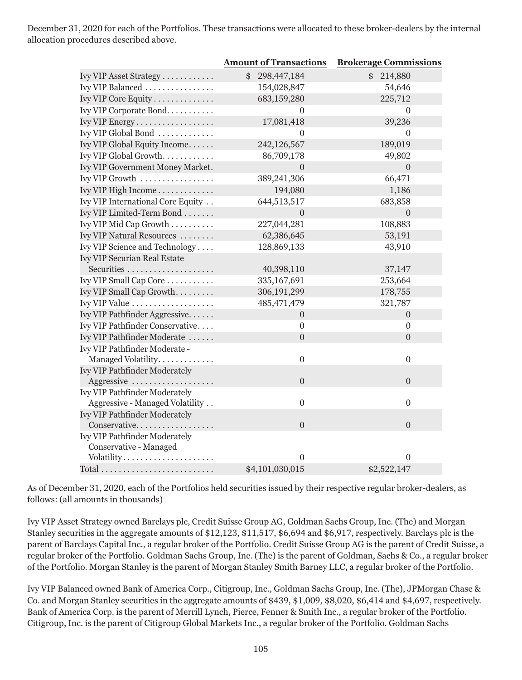December 31, 2020 for each of the Portfolios. These transactions were allocated to these broker-dealers by the internal allocation procedures described above.

|                                                         | <b>Amount of Transactions</b>      | <b>Brokerage Commissions</b> |
|---------------------------------------------------------|------------------------------------|------------------------------|
| Ivy VIP Asset Strategy                                  | 298,447,184<br>$\hat{\mathcal{S}}$ | \$214,880                    |
| Ivy VIP Balanced                                        | 154,028,847                        | 54,646                       |
| Ivy VIP Core Equity                                     | 683,159,280                        | 225,712                      |
| Ivy VIP Corporate Bond.                                 | 0                                  | $\Omega$                     |
| Ivy VIP Energy                                          | 17,081,418                         | 39,236                       |
| Ivy VIP Global Bond                                     | $\boldsymbol{0}$                   | $\theta$                     |
| Ivy VIP Global Equity Income                            | 242,126,567                        | 189,019                      |
| Ivy VIP Global Growth                                   | 86,709,178                         | 49,802                       |
| Ivy VIP Government Money Market.                        | $\boldsymbol{0}$                   | $\boldsymbol{0}$             |
| Ivy VIP Growth                                          | 389,241,306                        | 66,471                       |
| Ivy VIP High Income                                     | 194,080                            | 1,186                        |
| Ivy VIP International Core Equity                       | 644,513,517                        | 683,858                      |
| Ivy VIP Limited-Term Bond                               | $\boldsymbol{0}$                   | $\boldsymbol{0}$             |
| Ivy VIP Mid Cap Growth                                  | 227,044,281                        | 108,883                      |
| Ivy VIP Natural Resources                               | 62,386,645                         | 53,191                       |
| Ivy VIP Science and Technology                          | 128,869,133                        | 43,910                       |
| <b>Ivy VIP Securian Real Estate</b>                     |                                    |                              |
| Securities                                              | 40,398,110                         | 37,147                       |
| Ivy VIP Small Cap Core                                  | 335,167,691                        | 253,664                      |
| Ivy VIP Small Cap Growth                                | 306,191,299                        | 178,755                      |
| Ivy VIP Value                                           | 485, 471, 479                      | 321,787                      |
| Ivy VIP Pathfinder Aggressive                           | $\Omega$                           | $\mathbf{0}$                 |
| Ivy VIP Pathfinder Conservative                         | $\boldsymbol{0}$                   | $\overline{0}$               |
| Ivy VIP Pathfinder Moderate                             | $\overline{0}$                     | $\Omega$                     |
| Ivy VIP Pathfinder Moderate -                           |                                    |                              |
| Managed Volatility.                                     | $\boldsymbol{0}$                   | $\boldsymbol{0}$             |
| Ivy VIP Pathfinder Moderately                           |                                    |                              |
| Aggressive                                              | $\boldsymbol{0}$                   | $\mathbf{0}$                 |
| Ivy VIP Pathfinder Moderately                           |                                    |                              |
| Aggressive - Managed Volatility                         | $\boldsymbol{0}$                   | $\overline{0}$               |
| <b>Ivy VIP Pathfinder Moderately</b>                    |                                    |                              |
| Conservative                                            | $\overline{0}$                     | $\overline{0}$               |
| Ivy VIP Pathfinder Moderately                           |                                    |                              |
| Conservative - Managed                                  |                                    |                              |
| Volatility                                              | $\theta$                           | $\boldsymbol{0}$             |
| $Total \dots \dots \dots \dots \dots \dots \dots \dots$ | \$4,101,030,015                    | \$2,522,147                  |

As of December 31, 2020, each of the Portfolios held securities issued by their respective regular broker-dealers, as follows: (all amounts in thousands)

Ivy VIP Asset Strategy owned Barclays plc, Credit Suisse Group AG, Goldman Sachs Group, Inc. (The) and Morgan Stanley securities in the aggregate amounts of \$12,123, \$11,517, \$6,694 and \$6,917, respectively. Barclays plc is the parent of Barclays Capital Inc., a regular broker of the Portfolio. Credit Suisse Group AG is the parent of Credit Suisse, a regular broker of the Portfolio. Goldman Sachs Group, Inc. (The) is the parent of Goldman, Sachs & Co., a regular broker of the Portfolio. Morgan Stanley is the parent of Morgan Stanley Smith Barney LLC, a regular broker of the Portfolio.

Ivy VIP Balanced owned Bank of America Corp., Citigroup, Inc., Goldman Sachs Group, Inc. (The), JPMorgan Chase & Co. and Morgan Stanley securities in the aggregate amounts of \$439, \$1,009, \$8,020, \$6,414 and \$4,697, respectively. Bank of America Corp. is the parent of Merrill Lynch, Pierce, Fenner & Smith Inc., a regular broker of the Portfolio. Citigroup, Inc. is the parent of Citigroup Global Markets Inc., a regular broker of the Portfolio. Goldman Sachs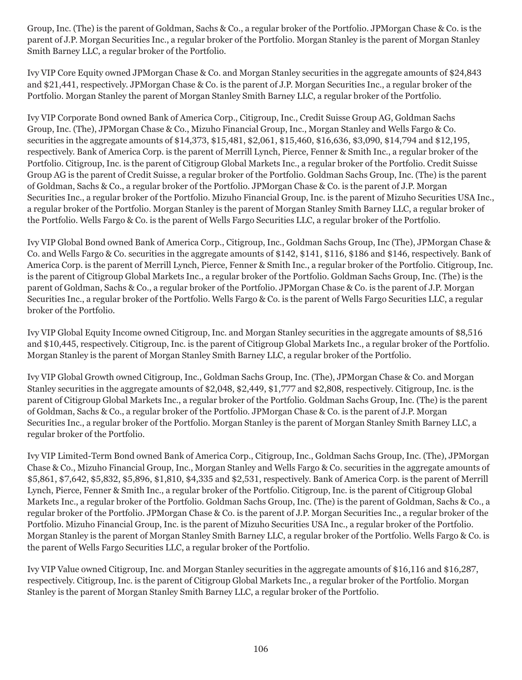Group, Inc. (The) is the parent of Goldman, Sachs & Co., a regular broker of the Portfolio. JPMorgan Chase & Co. is the parent of J.P. Morgan Securities Inc., a regular broker of the Portfolio. Morgan Stanley is the parent of Morgan Stanley Smith Barney LLC, a regular broker of the Portfolio.

Ivy VIP Core Equity owned JPMorgan Chase & Co. and Morgan Stanley securities in the aggregate amounts of \$24,843 and \$21,441, respectively. JPMorgan Chase & Co. is the parent of J.P. Morgan Securities Inc., a regular broker of the Portfolio. Morgan Stanley the parent of Morgan Stanley Smith Barney LLC, a regular broker of the Portfolio.

Ivy VIP Corporate Bond owned Bank of America Corp., Citigroup, Inc., Credit Suisse Group AG, Goldman Sachs Group, Inc. (The), JPMorgan Chase & Co., Mizuho Financial Group, Inc., Morgan Stanley and Wells Fargo & Co. securities in the aggregate amounts of \$14,373, \$15,481, \$2,061, \$15,460, \$16,636, \$3,090, \$14,794 and \$12,195, respectively. Bank of America Corp. is the parent of Merrill Lynch, Pierce, Fenner & Smith Inc., a regular broker of the Portfolio. Citigroup, Inc. is the parent of Citigroup Global Markets Inc., a regular broker of the Portfolio. Credit Suisse Group AG is the parent of Credit Suisse, a regular broker of the Portfolio. Goldman Sachs Group, Inc. (The) is the parent of Goldman, Sachs & Co., a regular broker of the Portfolio. JPMorgan Chase & Co. is the parent of J.P. Morgan Securities Inc., a regular broker of the Portfolio. Mizuho Financial Group, Inc. is the parent of Mizuho Securities USA Inc., a regular broker of the Portfolio. Morgan Stanley is the parent of Morgan Stanley Smith Barney LLC, a regular broker of the Portfolio. Wells Fargo & Co. is the parent of Wells Fargo Securities LLC, a regular broker of the Portfolio.

Ivy VIP Global Bond owned Bank of America Corp., Citigroup, Inc., Goldman Sachs Group, Inc (The), JPMorgan Chase & Co. and Wells Fargo & Co. securities in the aggregate amounts of \$142, \$141, \$116, \$186 and \$146, respectively. Bank of America Corp. is the parent of Merrill Lynch, Pierce, Fenner & Smith Inc., a regular broker of the Portfolio. Citigroup, Inc. is the parent of Citigroup Global Markets Inc., a regular broker of the Portfolio. Goldman Sachs Group, Inc. (The) is the parent of Goldman, Sachs & Co., a regular broker of the Portfolio. JPMorgan Chase & Co. is the parent of J.P. Morgan Securities Inc., a regular broker of the Portfolio. Wells Fargo & Co. is the parent of Wells Fargo Securities LLC, a regular broker of the Portfolio.

Ivy VIP Global Equity Income owned Citigroup, Inc. and Morgan Stanley securities in the aggregate amounts of \$8,516 and \$10,445, respectively. Citigroup, Inc. is the parent of Citigroup Global Markets Inc., a regular broker of the Portfolio. Morgan Stanley is the parent of Morgan Stanley Smith Barney LLC, a regular broker of the Portfolio.

Ivy VIP Global Growth owned Citigroup, Inc., Goldman Sachs Group, Inc. (The), JPMorgan Chase & Co. and Morgan Stanley securities in the aggregate amounts of \$2,048, \$2,449, \$1,777 and \$2,808, respectively. Citigroup, Inc. is the parent of Citigroup Global Markets Inc., a regular broker of the Portfolio. Goldman Sachs Group, Inc. (The) is the parent of Goldman, Sachs & Co., a regular broker of the Portfolio. JPMorgan Chase & Co. is the parent of J.P. Morgan Securities Inc., a regular broker of the Portfolio. Morgan Stanley is the parent of Morgan Stanley Smith Barney LLC, a regular broker of the Portfolio.

Ivy VIP Limited-Term Bond owned Bank of America Corp., Citigroup, Inc., Goldman Sachs Group, Inc. (The), JPMorgan Chase & Co., Mizuho Financial Group, Inc., Morgan Stanley and Wells Fargo & Co. securities in the aggregate amounts of \$5,861, \$7,642, \$5,832, \$5,896, \$1,810, \$4,335 and \$2,531, respectively. Bank of America Corp. is the parent of Merrill Lynch, Pierce, Fenner & Smith Inc., a regular broker of the Portfolio. Citigroup, Inc. is the parent of Citigroup Global Markets Inc., a regular broker of the Portfolio. Goldman Sachs Group, Inc. (The) is the parent of Goldman, Sachs & Co., a regular broker of the Portfolio. JPMorgan Chase & Co. is the parent of J.P. Morgan Securities Inc., a regular broker of the Portfolio. Mizuho Financial Group, Inc. is the parent of Mizuho Securities USA Inc., a regular broker of the Portfolio. Morgan Stanley is the parent of Morgan Stanley Smith Barney LLC, a regular broker of the Portfolio. Wells Fargo & Co. is the parent of Wells Fargo Securities LLC, a regular broker of the Portfolio.

Ivy VIP Value owned Citigroup, Inc. and Morgan Stanley securities in the aggregate amounts of \$16,116 and \$16,287, respectively. Citigroup, Inc. is the parent of Citigroup Global Markets Inc., a regular broker of the Portfolio. Morgan Stanley is the parent of Morgan Stanley Smith Barney LLC, a regular broker of the Portfolio.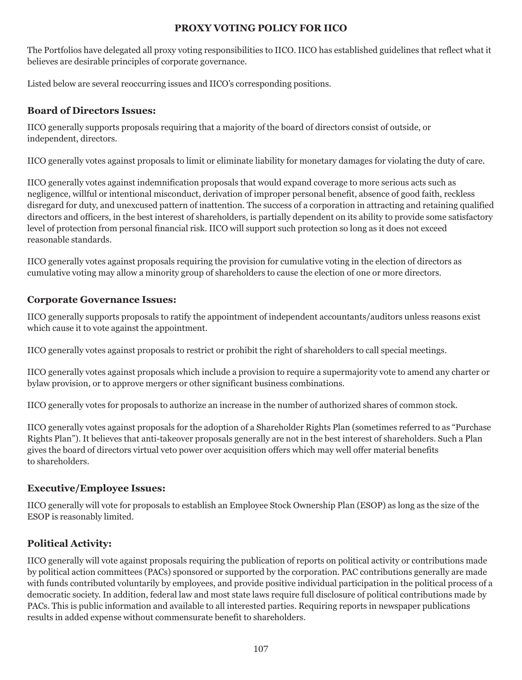### **PROXY VOTING POLICY FOR IICO**

The Portfolios have delegated all proxy voting responsibilities to IICO. IICO has established guidelines that reflect what it believes are desirable principles of corporate governance.

Listed below are several reoccurring issues and IICO's corresponding positions.

## **Board of Directors Issues:**

IICO generally supports proposals requiring that a majority of the board of directors consist of outside, or independent, directors.

IICO generally votes against proposals to limit or eliminate liability for monetary damages for violating the duty of care.

IICO generally votes against indemnification proposals that would expand coverage to more serious acts such as negligence, willful or intentional misconduct, derivation of improper personal benefit, absence of good faith, reckless disregard for duty, and unexcused pattern of inattention. The success of a corporation in attracting and retaining qualified directors and officers, in the best interest of shareholders, is partially dependent on its ability to provide some satisfactory level of protection from personal financial risk. IICO will support such protection so long as it does not exceed reasonable standards.

IICO generally votes against proposals requiring the provision for cumulative voting in the election of directors as cumulative voting may allow a minority group of shareholders to cause the election of one or more directors.

### **Corporate Governance Issues:**

IICO generally supports proposals to ratify the appointment of independent accountants/auditors unless reasons exist which cause it to vote against the appointment.

IICO generally votes against proposals to restrict or prohibit the right of shareholders to call special meetings.

IICO generally votes against proposals which include a provision to require a supermajority vote to amend any charter or bylaw provision, or to approve mergers or other significant business combinations.

IICO generally votes for proposals to authorize an increase in the number of authorized shares of common stock.

IICO generally votes against proposals for the adoption of a Shareholder Rights Plan (sometimes referred to as "Purchase Rights Plan"). It believes that anti-takeover proposals generally are not in the best interest of shareholders. Such a Plan gives the board of directors virtual veto power over acquisition offers which may well offer material benefits to shareholders.

### **Executive/Employee Issues:**

IICO generally will vote for proposals to establish an Employee Stock Ownership Plan (ESOP) as long as the size of the ESOP is reasonably limited.

## **Political Activity:**

IICO generally will vote against proposals requiring the publication of reports on political activity or contributions made by political action committees (PACs) sponsored or supported by the corporation. PAC contributions generally are made with funds contributed voluntarily by employees, and provide positive individual participation in the political process of a democratic society. In addition, federal law and most state laws require full disclosure of political contributions made by PACs. This is public information and available to all interested parties. Requiring reports in newspaper publications results in added expense without commensurate benefit to shareholders.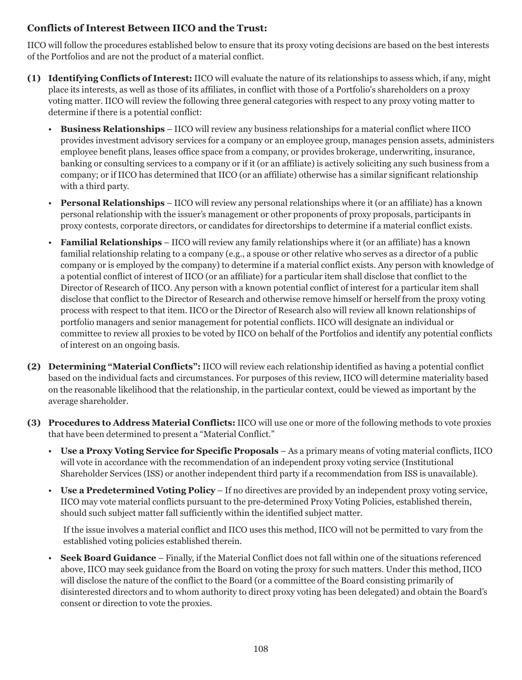# **Conflicts of Interest Between IICO and the Trust:**

IICO will follow the procedures established below to ensure that its proxy voting decisions are based on the best interests of the Portfolios and are not the product of a material conflict.

- **(1) Identifying Conflicts of Interest:** IICO will evaluate the nature of its relationships to assess which, if any, might place its interests, as well as those of its affiliates, in conflict with those of a Portfolio's shareholders on a proxy voting matter. IICO will review the following three general categories with respect to any proxy voting matter to determine if there is a potential conflict:
	- **Business Relationships** IICO will review any business relationships for a material conflict where IICO provides investment advisory services for a company or an employee group, manages pension assets, administers employee benefit plans, leases office space from a company, or provides brokerage, underwriting, insurance, banking or consulting services to a company or if it (or an affiliate) is actively soliciting any such business from a company; or if IICO has determined that IICO (or an affiliate) otherwise has a similar significant relationship with a third party.
	- **Personal Relationships** IICO will review any personal relationships where it (or an affiliate) has a known personal relationship with the issuer's management or other proponents of proxy proposals, participants in proxy contests, corporate directors, or candidates for directorships to determine if a material conflict exists.
	- **Familial Relationships** IICO will review any family relationships where it (or an affiliate) has a known familial relationship relating to a company (e.g., a spouse or other relative who serves as a director of a public company or is employed by the company) to determine if a material conflict exists. Any person with knowledge of a potential conflict of interest of IICO (or an affiliate) for a particular item shall disclose that conflict to the Director of Research of IICO. Any person with a known potential conflict of interest for a particular item shall disclose that conflict to the Director of Research and otherwise remove himself or herself from the proxy voting process with respect to that item. IICO or the Director of Research also will review all known relationships of portfolio managers and senior management for potential conflicts. IICO will designate an individual or committee to review all proxies to be voted by IICO on behalf of the Portfolios and identify any potential conflicts of interest on an ongoing basis.
- **(2) Determining "Material Conflicts":** IICO will review each relationship identified as having a potential conflict based on the individual facts and circumstances. For purposes of this review, IICO will determine materiality based on the reasonable likelihood that the relationship, in the particular context, could be viewed as important by the average shareholder.
- **(3) Procedures to Address Material Conflicts:** IICO will use one or more of the following methods to vote proxies that have been determined to present a "Material Conflict."
	- **Use a Proxy Voting Service for Specific Proposals** As a primary means of voting material conflicts, IICO will vote in accordance with the recommendation of an independent proxy voting service (Institutional Shareholder Services (ISS) or another independent third party if a recommendation from ISS is unavailable).
	- **Use a Predetermined Voting Policy** If no directives are provided by an independent proxy voting service, IICO may vote material conflicts pursuant to the pre-determined Proxy Voting Policies, established therein, should such subject matter fall sufficiently within the identified subject matter.

If the issue involves a material conflict and IICO uses this method, IICO will not be permitted to vary from the established voting policies established therein.

• **Seek Board Guidance** – Finally, if the Material Conflict does not fall within one of the situations referenced above, IICO may seek guidance from the Board on voting the proxy for such matters. Under this method, IICO will disclose the nature of the conflict to the Board (or a committee of the Board consisting primarily of disinterested directors and to whom authority to direct proxy voting has been delegated) and obtain the Board's consent or direction to vote the proxies.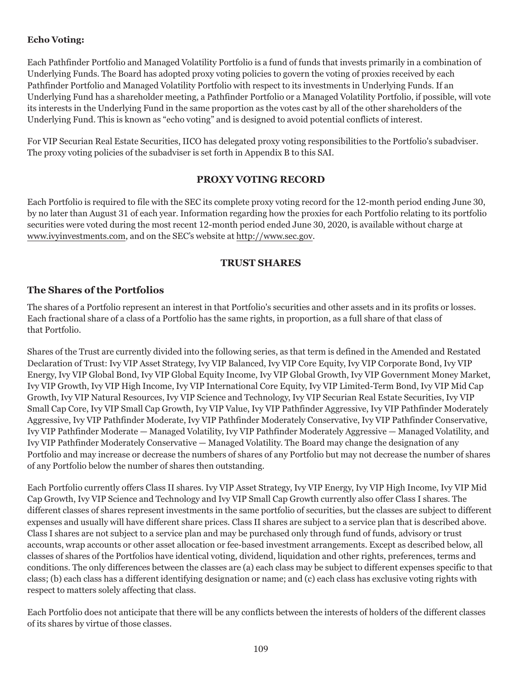### **Echo Voting:**

Each Pathfinder Portfolio and Managed Volatility Portfolio is a fund of funds that invests primarily in a combination of Underlying Funds. The Board has adopted proxy voting policies to govern the voting of proxies received by each Pathfinder Portfolio and Managed Volatility Portfolio with respect to its investments in Underlying Funds. If an Underlying Fund has a shareholder meeting, a Pathfinder Portfolio or a Managed Volatility Portfolio, if possible, will vote its interests in the Underlying Fund in the same proportion as the votes cast by all of the other shareholders of the Underlying Fund. This is known as "echo voting" and is designed to avoid potential conflicts of interest.

For VIP Securian Real Estate Securities, IICO has delegated proxy voting responsibilities to the Portfolio's subadviser. The proxy voting policies of the subadviser is set forth in Appendix B to this SAI.

### **PROXY VOTING RECORD**

Each Portfolio is required to file with the SEC its complete proxy voting record for the 12-month period ending June 30, by no later than August 31 of each year. Information regarding how the proxies for each Portfolio relating to its portfolio securities were voted during the most recent 12-month period ended June 30, 2020, is available without charge at www.ivyinvestments.com, and on the SEC's website at [http://www.sec.gov.](http://www.sec.gov/)

### **TRUST SHARES**

### **The Shares of the Portfolios**

The shares of a Portfolio represent an interest in that Portfolio's securities and other assets and in its profits or losses. Each fractional share of a class of a Portfolio has the same rights, in proportion, as a full share of that class of that Portfolio.

Shares of the Trust are currently divided into the following series, as that term is defined in the Amended and Restated Declaration of Trust: Ivy VIP Asset Strategy, Ivy VIP Balanced, Ivy VIP Core Equity, Ivy VIP Corporate Bond, Ivy VIP Energy, Ivy VIP Global Bond, Ivy VIP Global Equity Income, Ivy VIP Global Growth, Ivy VIP Government Money Market, Ivy VIP Growth, Ivy VIP High Income, Ivy VIP International Core Equity, Ivy VIP Limited-Term Bond, Ivy VIP Mid Cap Growth, Ivy VIP Natural Resources, Ivy VIP Science and Technology, Ivy VIP Securian Real Estate Securities, Ivy VIP Small Cap Core, Ivy VIP Small Cap Growth, Ivy VIP Value, Ivy VIP Pathfinder Aggressive, Ivy VIP Pathfinder Moderately Aggressive, Ivy VIP Pathfinder Moderate, Ivy VIP Pathfinder Moderately Conservative, Ivy VIP Pathfinder Conservative, Ivy VIP Pathfinder Moderate — Managed Volatility, Ivy VIP Pathfinder Moderately Aggressive — Managed Volatility, and Ivy VIP Pathfinder Moderately Conservative — Managed Volatility. The Board may change the designation of any Portfolio and may increase or decrease the numbers of shares of any Portfolio but may not decrease the number of shares of any Portfolio below the number of shares then outstanding.

Each Portfolio currently offers Class II shares. Ivy VIP Asset Strategy, Ivy VIP Energy, Ivy VIP High Income, Ivy VIP Mid Cap Growth, Ivy VIP Science and Technology and Ivy VIP Small Cap Growth currently also offer Class I shares. The different classes of shares represent investments in the same portfolio of securities, but the classes are subject to different expenses and usually will have different share prices. Class II shares are subject to a service plan that is described above. Class I shares are not subject to a service plan and may be purchased only through fund of funds, advisory or trust accounts, wrap accounts or other asset allocation or fee-based investment arrangements. Except as described below, all classes of shares of the Portfolios have identical voting, dividend, liquidation and other rights, preferences, terms and conditions. The only differences between the classes are (a) each class may be subject to different expenses specific to that class; (b) each class has a different identifying designation or name; and (c) each class has exclusive voting rights with respect to matters solely affecting that class.

Each Portfolio does not anticipate that there will be any conflicts between the interests of holders of the different classes of its shares by virtue of those classes.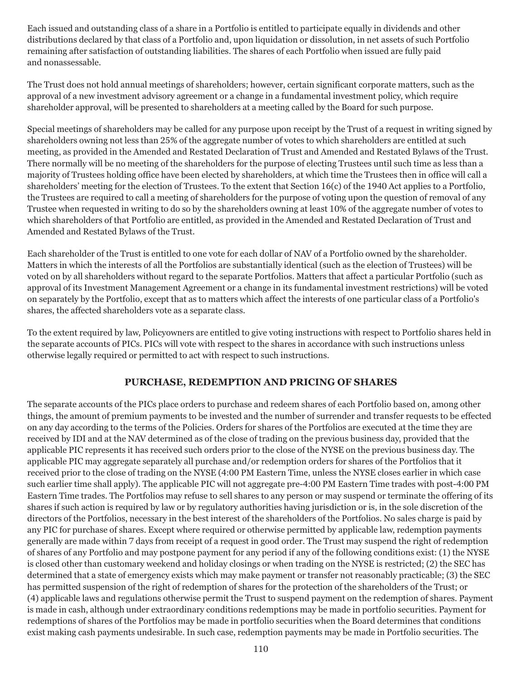Each issued and outstanding class of a share in a Portfolio is entitled to participate equally in dividends and other distributions declared by that class of a Portfolio and, upon liquidation or dissolution, in net assets of such Portfolio remaining after satisfaction of outstanding liabilities. The shares of each Portfolio when issued are fully paid and nonassessable.

The Trust does not hold annual meetings of shareholders; however, certain significant corporate matters, such as the approval of a new investment advisory agreement or a change in a fundamental investment policy, which require shareholder approval, will be presented to shareholders at a meeting called by the Board for such purpose.

Special meetings of shareholders may be called for any purpose upon receipt by the Trust of a request in writing signed by shareholders owning not less than 25% of the aggregate number of votes to which shareholders are entitled at such meeting, as provided in the Amended and Restated Declaration of Trust and Amended and Restated Bylaws of the Trust. There normally will be no meeting of the shareholders for the purpose of electing Trustees until such time as less than a majority of Trustees holding office have been elected by shareholders, at which time the Trustees then in office will call a shareholders' meeting for the election of Trustees. To the extent that Section 16(c) of the 1940 Act applies to a Portfolio, the Trustees are required to call a meeting of shareholders for the purpose of voting upon the question of removal of any Trustee when requested in writing to do so by the shareholders owning at least 10% of the aggregate number of votes to which shareholders of that Portfolio are entitled, as provided in the Amended and Restated Declaration of Trust and Amended and Restated Bylaws of the Trust.

Each shareholder of the Trust is entitled to one vote for each dollar of NAV of a Portfolio owned by the shareholder. Matters in which the interests of all the Portfolios are substantially identical (such as the election of Trustees) will be voted on by all shareholders without regard to the separate Portfolios. Matters that affect a particular Portfolio (such as approval of its Investment Management Agreement or a change in its fundamental investment restrictions) will be voted on separately by the Portfolio, except that as to matters which affect the interests of one particular class of a Portfolio's shares, the affected shareholders vote as a separate class.

To the extent required by law, Policyowners are entitled to give voting instructions with respect to Portfolio shares held in the separate accounts of PICs. PICs will vote with respect to the shares in accordance with such instructions unless otherwise legally required or permitted to act with respect to such instructions.

### **PURCHASE, REDEMPTION AND PRICING OF SHARES**

The separate accounts of the PICs place orders to purchase and redeem shares of each Portfolio based on, among other things, the amount of premium payments to be invested and the number of surrender and transfer requests to be effected on any day according to the terms of the Policies. Orders for shares of the Portfolios are executed at the time they are received by IDI and at the NAV determined as of the close of trading on the previous business day, provided that the applicable PIC represents it has received such orders prior to the close of the NYSE on the previous business day. The applicable PIC may aggregate separately all purchase and/or redemption orders for shares of the Portfolios that it received prior to the close of trading on the NYSE (4:00 PM Eastern Time, unless the NYSE closes earlier in which case such earlier time shall apply). The applicable PIC will not aggregate pre-4:00 PM Eastern Time trades with post-4:00 PM Eastern Time trades. The Portfolios may refuse to sell shares to any person or may suspend or terminate the offering of its shares if such action is required by law or by regulatory authorities having jurisdiction or is, in the sole discretion of the directors of the Portfolios, necessary in the best interest of the shareholders of the Portfolios. No sales charge is paid by any PIC for purchase of shares. Except where required or otherwise permitted by applicable law, redemption payments generally are made within 7 days from receipt of a request in good order. The Trust may suspend the right of redemption of shares of any Portfolio and may postpone payment for any period if any of the following conditions exist: (1) the NYSE is closed other than customary weekend and holiday closings or when trading on the NYSE is restricted; (2) the SEC has determined that a state of emergency exists which may make payment or transfer not reasonably practicable; (3) the SEC has permitted suspension of the right of redemption of shares for the protection of the shareholders of the Trust; or (4) applicable laws and regulations otherwise permit the Trust to suspend payment on the redemption of shares. Payment is made in cash, although under extraordinary conditions redemptions may be made in portfolio securities. Payment for redemptions of shares of the Portfolios may be made in portfolio securities when the Board determines that conditions exist making cash payments undesirable. In such case, redemption payments may be made in Portfolio securities. The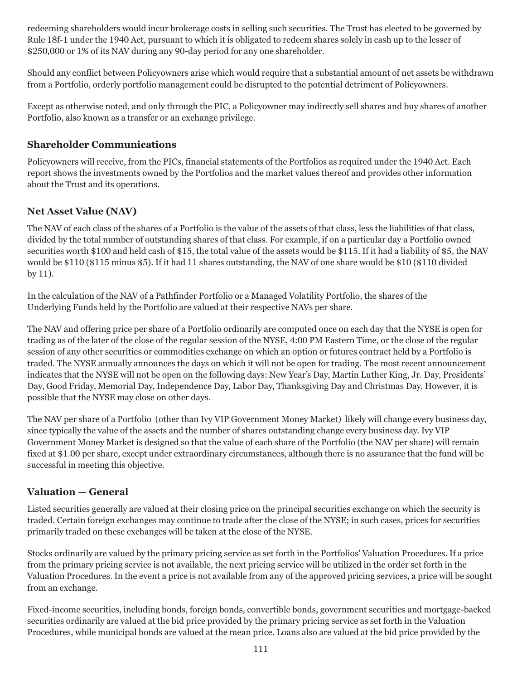redeeming shareholders would incur brokerage costs in selling such securities. The Trust has elected to be governed by Rule 18f-1 under the 1940 Act, pursuant to which it is obligated to redeem shares solely in cash up to the lesser of \$250,000 or 1% of its NAV during any 90-day period for any one shareholder.

Should any conflict between Policyowners arise which would require that a substantial amount of net assets be withdrawn from a Portfolio, orderly portfolio management could be disrupted to the potential detriment of Policyowners.

Except as otherwise noted, and only through the PIC, a Policyowner may indirectly sell shares and buy shares of another Portfolio, also known as a transfer or an exchange privilege.

## **Shareholder Communications**

Policyowners will receive, from the PICs, financial statements of the Portfolios as required under the 1940 Act. Each report shows the investments owned by the Portfolios and the market values thereof and provides other information about the Trust and its operations.

# **Net Asset Value (NAV)**

The NAV of each class of the shares of a Portfolio is the value of the assets of that class, less the liabilities of that class, divided by the total number of outstanding shares of that class. For example, if on a particular day a Portfolio owned securities worth \$100 and held cash of \$15, the total value of the assets would be \$115. If it had a liability of \$5, the NAV would be \$110 (\$115 minus \$5). If it had 11 shares outstanding, the NAV of one share would be \$10 (\$110 divided by 11).

In the calculation of the NAV of a Pathfinder Portfolio or a Managed Volatility Portfolio, the shares of the Underlying Funds held by the Portfolio are valued at their respective NAVs per share.

The NAV and offering price per share of a Portfolio ordinarily are computed once on each day that the NYSE is open for trading as of the later of the close of the regular session of the NYSE, 4:00 PM Eastern Time, or the close of the regular session of any other securities or commodities exchange on which an option or futures contract held by a Portfolio is traded. The NYSE annually announces the days on which it will not be open for trading. The most recent announcement indicates that the NYSE will not be open on the following days: New Year's Day, Martin Luther King, Jr. Day, Presidents' Day, Good Friday, Memorial Day, Independence Day, Labor Day, Thanksgiving Day and Christmas Day. However, it is possible that the NYSE may close on other days.

The NAV per share of a Portfolio (other than Ivy VIP Government Money Market) likely will change every business day, since typically the value of the assets and the number of shares outstanding change every business day. Ivy VIP Government Money Market is designed so that the value of each share of the Portfolio (the NAV per share) will remain fixed at \$1.00 per share, except under extraordinary circumstances, although there is no assurance that the fund will be successful in meeting this objective.

### **Valuation — General**

Listed securities generally are valued at their closing price on the principal securities exchange on which the security is traded. Certain foreign exchanges may continue to trade after the close of the NYSE; in such cases, prices for securities primarily traded on these exchanges will be taken at the close of the NYSE.

Stocks ordinarily are valued by the primary pricing service as set forth in the Portfolios' Valuation Procedures. If a price from the primary pricing service is not available, the next pricing service will be utilized in the order set forth in the Valuation Procedures. In the event a price is not available from any of the approved pricing services, a price will be sought from an exchange.

Fixed-income securities, including bonds, foreign bonds, convertible bonds, government securities and mortgage-backed securities ordinarily are valued at the bid price provided by the primary pricing service as set forth in the Valuation Procedures, while municipal bonds are valued at the mean price. Loans also are valued at the bid price provided by the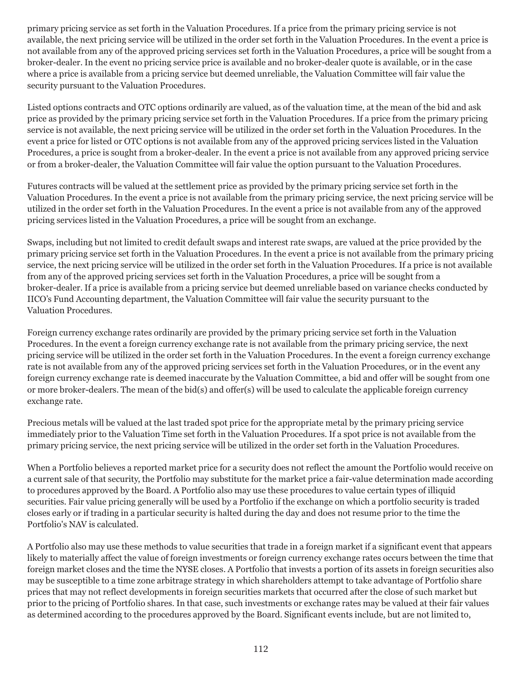primary pricing service as set forth in the Valuation Procedures. If a price from the primary pricing service is not available, the next pricing service will be utilized in the order set forth in the Valuation Procedures. In the event a price is not available from any of the approved pricing services set forth in the Valuation Procedures, a price will be sought from a broker-dealer. In the event no pricing service price is available and no broker-dealer quote is available, or in the case where a price is available from a pricing service but deemed unreliable, the Valuation Committee will fair value the security pursuant to the Valuation Procedures.

Listed options contracts and OTC options ordinarily are valued, as of the valuation time, at the mean of the bid and ask price as provided by the primary pricing service set forth in the Valuation Procedures. If a price from the primary pricing service is not available, the next pricing service will be utilized in the order set forth in the Valuation Procedures. In the event a price for listed or OTC options is not available from any of the approved pricing services listed in the Valuation Procedures, a price is sought from a broker-dealer. In the event a price is not available from any approved pricing service or from a broker-dealer, the Valuation Committee will fair value the option pursuant to the Valuation Procedures.

Futures contracts will be valued at the settlement price as provided by the primary pricing service set forth in the Valuation Procedures. In the event a price is not available from the primary pricing service, the next pricing service will be utilized in the order set forth in the Valuation Procedures. In the event a price is not available from any of the approved pricing services listed in the Valuation Procedures, a price will be sought from an exchange.

Swaps, including but not limited to credit default swaps and interest rate swaps, are valued at the price provided by the primary pricing service set forth in the Valuation Procedures. In the event a price is not available from the primary pricing service, the next pricing service will be utilized in the order set forth in the Valuation Procedures. If a price is not available from any of the approved pricing services set forth in the Valuation Procedures, a price will be sought from a broker-dealer. If a price is available from a pricing service but deemed unreliable based on variance checks conducted by IICO's Fund Accounting department, the Valuation Committee will fair value the security pursuant to the Valuation Procedures.

Foreign currency exchange rates ordinarily are provided by the primary pricing service set forth in the Valuation Procedures. In the event a foreign currency exchange rate is not available from the primary pricing service, the next pricing service will be utilized in the order set forth in the Valuation Procedures. In the event a foreign currency exchange rate is not available from any of the approved pricing services set forth in the Valuation Procedures, or in the event any foreign currency exchange rate is deemed inaccurate by the Valuation Committee, a bid and offer will be sought from one or more broker-dealers. The mean of the bid(s) and offer(s) will be used to calculate the applicable foreign currency exchange rate.

Precious metals will be valued at the last traded spot price for the appropriate metal by the primary pricing service immediately prior to the Valuation Time set forth in the Valuation Procedures. If a spot price is not available from the primary pricing service, the next pricing service will be utilized in the order set forth in the Valuation Procedures.

When a Portfolio believes a reported market price for a security does not reflect the amount the Portfolio would receive on a current sale of that security, the Portfolio may substitute for the market price a fair-value determination made according to procedures approved by the Board. A Portfolio also may use these procedures to value certain types of illiquid securities. Fair value pricing generally will be used by a Portfolio if the exchange on which a portfolio security is traded closes early or if trading in a particular security is halted during the day and does not resume prior to the time the Portfolio's NAV is calculated.

A Portfolio also may use these methods to value securities that trade in a foreign market if a significant event that appears likely to materially affect the value of foreign investments or foreign currency exchange rates occurs between the time that foreign market closes and the time the NYSE closes. A Portfolio that invests a portion of its assets in foreign securities also may be susceptible to a time zone arbitrage strategy in which shareholders attempt to take advantage of Portfolio share prices that may not reflect developments in foreign securities markets that occurred after the close of such market but prior to the pricing of Portfolio shares. In that case, such investments or exchange rates may be valued at their fair values as determined according to the procedures approved by the Board. Significant events include, but are not limited to,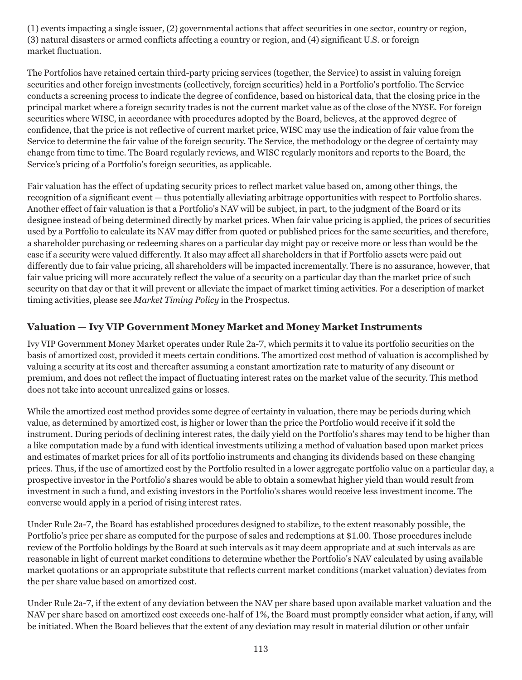(1) events impacting a single issuer, (2) governmental actions that affect securities in one sector, country or region, (3) natural disasters or armed conflicts affecting a country or region, and (4) significant U.S. or foreign market fluctuation.

The Portfolios have retained certain third-party pricing services (together, the Service) to assist in valuing foreign securities and other foreign investments (collectively, foreign securities) held in a Portfolio's portfolio. The Service conducts a screening process to indicate the degree of confidence, based on historical data, that the closing price in the principal market where a foreign security trades is not the current market value as of the close of the NYSE. For foreign securities where WISC, in accordance with procedures adopted by the Board, believes, at the approved degree of confidence, that the price is not reflective of current market price, WISC may use the indication of fair value from the Service to determine the fair value of the foreign security. The Service, the methodology or the degree of certainty may change from time to time. The Board regularly reviews, and WISC regularly monitors and reports to the Board, the Service's pricing of a Portfolio's foreign securities, as applicable.

Fair valuation has the effect of updating security prices to reflect market value based on, among other things, the recognition of a significant event — thus potentially alleviating arbitrage opportunities with respect to Portfolio shares. Another effect of fair valuation is that a Portfolio's NAV will be subject, in part, to the judgment of the Board or its designee instead of being determined directly by market prices. When fair value pricing is applied, the prices of securities used by a Portfolio to calculate its NAV may differ from quoted or published prices for the same securities, and therefore, a shareholder purchasing or redeeming shares on a particular day might pay or receive more or less than would be the case if a security were valued differently. It also may affect all shareholders in that if Portfolio assets were paid out differently due to fair value pricing, all shareholders will be impacted incrementally. There is no assurance, however, that fair value pricing will more accurately reflect the value of a security on a particular day than the market price of such security on that day or that it will prevent or alleviate the impact of market timing activities. For a description of market timing activities, please see *Market Timing Policy* in the Prospectus.

# **Valuation — Ivy VIP Government Money Market and Money Market Instruments**

Ivy VIP Government Money Market operates under Rule 2a-7, which permits it to value its portfolio securities on the basis of amortized cost, provided it meets certain conditions. The amortized cost method of valuation is accomplished by valuing a security at its cost and thereafter assuming a constant amortization rate to maturity of any discount or premium, and does not reflect the impact of fluctuating interest rates on the market value of the security. This method does not take into account unrealized gains or losses.

While the amortized cost method provides some degree of certainty in valuation, there may be periods during which value, as determined by amortized cost, is higher or lower than the price the Portfolio would receive if it sold the instrument. During periods of declining interest rates, the daily yield on the Portfolio's shares may tend to be higher than a like computation made by a fund with identical investments utilizing a method of valuation based upon market prices and estimates of market prices for all of its portfolio instruments and changing its dividends based on these changing prices. Thus, if the use of amortized cost by the Portfolio resulted in a lower aggregate portfolio value on a particular day, a prospective investor in the Portfolio's shares would be able to obtain a somewhat higher yield than would result from investment in such a fund, and existing investors in the Portfolio's shares would receive less investment income. The converse would apply in a period of rising interest rates.

Under Rule 2a-7, the Board has established procedures designed to stabilize, to the extent reasonably possible, the Portfolio's price per share as computed for the purpose of sales and redemptions at \$1.00. Those procedures include review of the Portfolio holdings by the Board at such intervals as it may deem appropriate and at such intervals as are reasonable in light of current market conditions to determine whether the Portfolio's NAV calculated by using available market quotations or an appropriate substitute that reflects current market conditions (market valuation) deviates from the per share value based on amortized cost.

Under Rule 2a-7, if the extent of any deviation between the NAV per share based upon available market valuation and the NAV per share based on amortized cost exceeds one-half of 1%, the Board must promptly consider what action, if any, will be initiated. When the Board believes that the extent of any deviation may result in material dilution or other unfair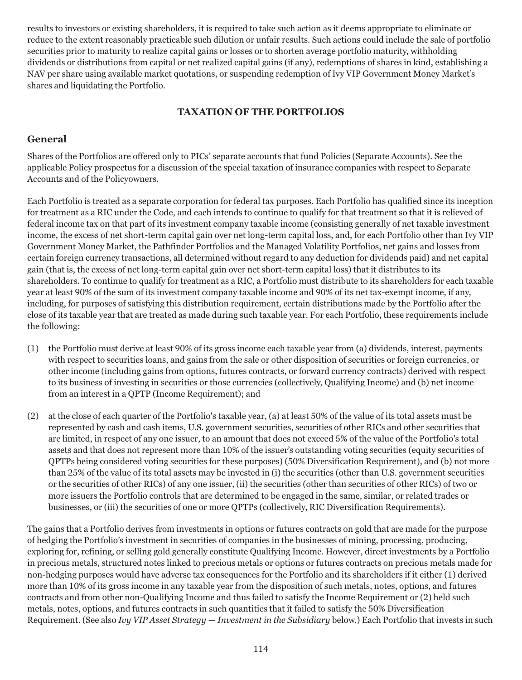results to investors or existing shareholders, it is required to take such action as it deems appropriate to eliminate or reduce to the extent reasonably practicable such dilution or unfair results. Such actions could include the sale of portfolio securities prior to maturity to realize capital gains or losses or to shorten average portfolio maturity, withholding dividends or distributions from capital or net realized capital gains (if any), redemptions of shares in kind, establishing a NAV per share using available market quotations, or suspending redemption of Ivy VIP Government Money Market's shares and liquidating the Portfolio.

## **TAXATION OF THE PORTFOLIOS**

## **General**

Shares of the Portfolios are offered only to PICs' separate accounts that fund Policies (Separate Accounts). See the applicable Policy prospectus for a discussion of the special taxation of insurance companies with respect to Separate Accounts and of the Policyowners.

Each Portfolio is treated as a separate corporation for federal tax purposes. Each Portfolio has qualified since its inception for treatment as a RIC under the Code, and each intends to continue to qualify for that treatment so that it is relieved of federal income tax on that part of its investment company taxable income (consisting generally of net taxable investment income, the excess of net short-term capital gain over net long-term capital loss, and, for each Portfolio other than Ivy VIP Government Money Market, the Pathfinder Portfolios and the Managed Volatility Portfolios, net gains and losses from certain foreign currency transactions, all determined without regard to any deduction for dividends paid) and net capital gain (that is, the excess of net long-term capital gain over net short-term capital loss) that it distributes to its shareholders. To continue to qualify for treatment as a RIC, a Portfolio must distribute to its shareholders for each taxable year at least 90% of the sum of its investment company taxable income and 90% of its net tax-exempt income, if any, including, for purposes of satisfying this distribution requirement, certain distributions made by the Portfolio after the close of its taxable year that are treated as made during such taxable year. For each Portfolio, these requirements include the following:

- (1) the Portfolio must derive at least 90% of its gross income each taxable year from (a) dividends, interest, payments with respect to securities loans, and gains from the sale or other disposition of securities or foreign currencies, or other income (including gains from options, futures contracts, or forward currency contracts) derived with respect to its business of investing in securities or those currencies (collectively, Qualifying Income) and (b) net income from an interest in a QPTP (Income Requirement); and
- (2) at the close of each quarter of the Portfolio's taxable year, (a) at least 50% of the value of its total assets must be represented by cash and cash items, U.S. government securities, securities of other RICs and other securities that are limited, in respect of any one issuer, to an amount that does not exceed 5% of the value of the Portfolio's total assets and that does not represent more than 10% of the issuer's outstanding voting securities (equity securities of QPTPs being considered voting securities for these purposes) (50% Diversification Requirement), and (b) not more than 25% of the value of its total assets may be invested in (i) the securities (other than U.S. government securities or the securities of other RICs) of any one issuer, (ii) the securities (other than securities of other RICs) of two or more issuers the Portfolio controls that are determined to be engaged in the same, similar, or related trades or businesses, or (iii) the securities of one or more QPTPs (collectively, RIC Diversification Requirements).

The gains that a Portfolio derives from investments in options or futures contracts on gold that are made for the purpose of hedging the Portfolio's investment in securities of companies in the businesses of mining, processing, producing, exploring for, refining, or selling gold generally constitute Qualifying Income. However, direct investments by a Portfolio in precious metals, structured notes linked to precious metals or options or futures contracts on precious metals made for non-hedging purposes would have adverse tax consequences for the Portfolio and its shareholders if it either (1) derived more than 10% of its gross income in any taxable year from the disposition of such metals, notes, options, and futures contracts and from other non-Qualifying Income and thus failed to satisfy the Income Requirement or (2) held such metals, notes, options, and futures contracts in such quantities that it failed to satisfy the 50% Diversification Requirement. (See also *Ivy VIP Asset Strategy — Investment in the Subsidiary* below.) Each Portfolio that invests in such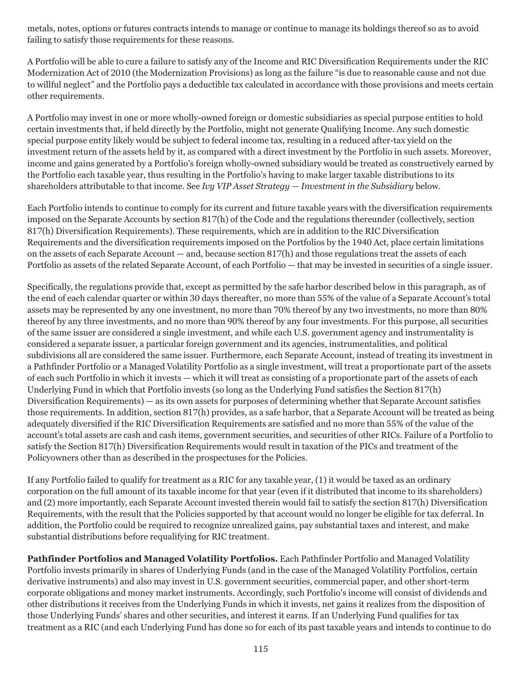metals, notes, options or futures contracts intends to manage or continue to manage its holdings thereof so as to avoid failing to satisfy those requirements for these reasons.

A Portfolio will be able to cure a failure to satisfy any of the Income and RIC Diversification Requirements under the RIC Modernization Act of 2010 (the Modernization Provisions) as long as the failure "is due to reasonable cause and not due to willful neglect" and the Portfolio pays a deductible tax calculated in accordance with those provisions and meets certain other requirements.

A Portfolio may invest in one or more wholly-owned foreign or domestic subsidiaries as special purpose entities to hold certain investments that, if held directly by the Portfolio, might not generate Qualifying Income. Any such domestic special purpose entity likely would be subject to federal income tax, resulting in a reduced after-tax yield on the investment return of the assets held by it, as compared with a direct investment by the Portfolio in such assets. Moreover, income and gains generated by a Portfolio's foreign wholly-owned subsidiary would be treated as constructively earned by the Portfolio each taxable year, thus resulting in the Portfolio's having to make larger taxable distributions to its shareholders attributable to that income. See *Ivy VIP Asset Strategy — Investment in the Subsidiary* below.

Each Portfolio intends to continue to comply for its current and future taxable years with the diversification requirements imposed on the Separate Accounts by section 817(h) of the Code and the regulations thereunder (collectively, section 817(h) Diversification Requirements). These requirements, which are in addition to the RIC Diversification Requirements and the diversification requirements imposed on the Portfolios by the 1940 Act, place certain limitations on the assets of each Separate Account — and, because section 817(h) and those regulations treat the assets of each Portfolio as assets of the related Separate Account, of each Portfolio — that may be invested in securities of a single issuer.

Specifically, the regulations provide that, except as permitted by the safe harbor described below in this paragraph, as of the end of each calendar quarter or within 30 days thereafter, no more than 55% of the value of a Separate Account's total assets may be represented by any one investment, no more than 70% thereof by any two investments, no more than 80% thereof by any three investments, and no more than 90% thereof by any four investments. For this purpose, all securities of the same issuer are considered a single investment, and while each U.S. government agency and instrumentality is considered a separate issuer, a particular foreign government and its agencies, instrumentalities, and political subdivisions all are considered the same issuer. Furthermore, each Separate Account, instead of treating its investment in a Pathfinder Portfolio or a Managed Volatility Portfolio as a single investment, will treat a proportionate part of the assets of each such Portfolio in which it invests — which it will treat as consisting of a proportionate part of the assets of each Underlying Fund in which that Portfolio invests (so long as the Underlying Fund satisfies the Section 817(h) Diversification Requirements) — as its own assets for purposes of determining whether that Separate Account satisfies those requirements. In addition, section 817(h) provides, as a safe harbor, that a Separate Account will be treated as being adequately diversified if the RIC Diversification Requirements are satisfied and no more than 55% of the value of the account's total assets are cash and cash items, government securities, and securities of other RICs. Failure of a Portfolio to satisfy the Section 817(h) Diversification Requirements would result in taxation of the PICs and treatment of the Policyowners other than as described in the prospectuses for the Policies.

If any Portfolio failed to qualify for treatment as a RIC for any taxable year, (1) it would be taxed as an ordinary corporation on the full amount of its taxable income for that year (even if it distributed that income to its shareholders) and (2) more importantly, each Separate Account invested therein would fail to satisfy the section 817(h) Diversification Requirements, with the result that the Policies supported by that account would no longer be eligible for tax deferral. In addition, the Portfolio could be required to recognize unrealized gains, pay substantial taxes and interest, and make substantial distributions before requalifying for RIC treatment.

**Pathfinder Portfolios and Managed Volatility Portfolios.** Each Pathfinder Portfolio and Managed Volatility Portfolio invests primarily in shares of Underlying Funds (and in the case of the Managed Volatility Portfolios, certain derivative instruments) and also may invest in U.S. government securities, commercial paper, and other short-term corporate obligations and money market instruments. Accordingly, such Portfolio's income will consist of dividends and other distributions it receives from the Underlying Funds in which it invests, net gains it realizes from the disposition of those Underlying Funds' shares and other securities, and interest it earns. If an Underlying Fund qualifies for tax treatment as a RIC (and each Underlying Fund has done so for each of its past taxable years and intends to continue to do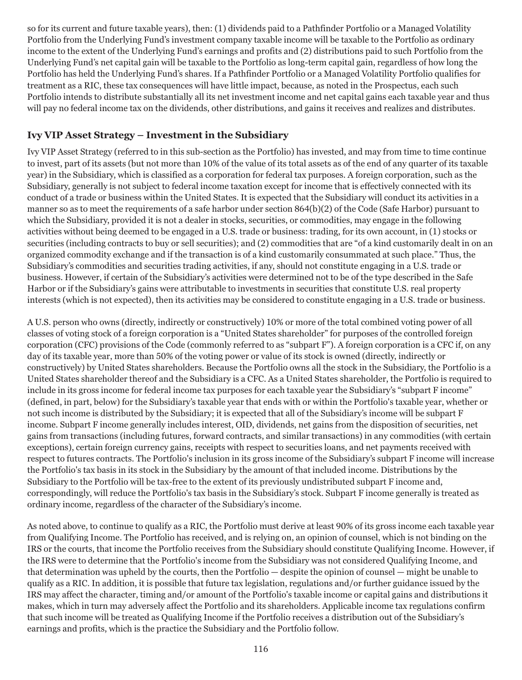so for its current and future taxable years), then: (1) dividends paid to a Pathfinder Portfolio or a Managed Volatility Portfolio from the Underlying Fund's investment company taxable income will be taxable to the Portfolio as ordinary income to the extent of the Underlying Fund's earnings and profits and (2) distributions paid to such Portfolio from the Underlying Fund's net capital gain will be taxable to the Portfolio as long-term capital gain, regardless of how long the Portfolio has held the Underlying Fund's shares. If a Pathfinder Portfolio or a Managed Volatility Portfolio qualifies for treatment as a RIC, these tax consequences will have little impact, because, as noted in the Prospectus, each such Portfolio intends to distribute substantially all its net investment income and net capital gains each taxable year and thus will pay no federal income tax on the dividends, other distributions, and gains it receives and realizes and distributes.

## **Ivy VIP Asset Strategy – Investment in the Subsidiary**

Ivy VIP Asset Strategy (referred to in this sub-section as the Portfolio) has invested, and may from time to time continue to invest, part of its assets (but not more than 10% of the value of its total assets as of the end of any quarter of its taxable year) in the Subsidiary, which is classified as a corporation for federal tax purposes. A foreign corporation, such as the Subsidiary, generally is not subject to federal income taxation except for income that is effectively connected with its conduct of a trade or business within the United States. It is expected that the Subsidiary will conduct its activities in a manner so as to meet the requirements of a safe harbor under section 864(b)(2) of the Code (Safe Harbor) pursuant to which the Subsidiary, provided it is not a dealer in stocks, securities, or commodities, may engage in the following activities without being deemed to be engaged in a U.S. trade or business: trading, for its own account, in (1) stocks or securities (including contracts to buy or sell securities); and (2) commodities that are "of a kind customarily dealt in on an organized commodity exchange and if the transaction is of a kind customarily consummated at such place." Thus, the Subsidiary's commodities and securities trading activities, if any, should not constitute engaging in a U.S. trade or business. However, if certain of the Subsidiary's activities were determined not to be of the type described in the Safe Harbor or if the Subsidiary's gains were attributable to investments in securities that constitute U.S. real property interests (which is not expected), then its activities may be considered to constitute engaging in a U.S. trade or business.

A U.S. person who owns (directly, indirectly or constructively) 10% or more of the total combined voting power of all classes of voting stock of a foreign corporation is a "United States shareholder" for purposes of the controlled foreign corporation (CFC) provisions of the Code (commonly referred to as "subpart F"). A foreign corporation is a CFC if, on any day of its taxable year, more than 50% of the voting power or value of its stock is owned (directly, indirectly or constructively) by United States shareholders. Because the Portfolio owns all the stock in the Subsidiary, the Portfolio is a United States shareholder thereof and the Subsidiary is a CFC. As a United States shareholder, the Portfolio is required to include in its gross income for federal income tax purposes for each taxable year the Subsidiary's "subpart F income" (defined, in part, below) for the Subsidiary's taxable year that ends with or within the Portfolio's taxable year, whether or not such income is distributed by the Subsidiary; it is expected that all of the Subsidiary's income will be subpart F income. Subpart F income generally includes interest, OID, dividends, net gains from the disposition of securities, net gains from transactions (including futures, forward contracts, and similar transactions) in any commodities (with certain exceptions), certain foreign currency gains, receipts with respect to securities loans, and net payments received with respect to futures contracts. The Portfolio's inclusion in its gross income of the Subsidiary's subpart F income will increase the Portfolio's tax basis in its stock in the Subsidiary by the amount of that included income. Distributions by the Subsidiary to the Portfolio will be tax-free to the extent of its previously undistributed subpart F income and, correspondingly, will reduce the Portfolio's tax basis in the Subsidiary's stock. Subpart F income generally is treated as ordinary income, regardless of the character of the Subsidiary's income.

As noted above, to continue to qualify as a RIC, the Portfolio must derive at least 90% of its gross income each taxable year from Qualifying Income. The Portfolio has received, and is relying on, an opinion of counsel, which is not binding on the IRS or the courts, that income the Portfolio receives from the Subsidiary should constitute Qualifying Income. However, if the IRS were to determine that the Portfolio's income from the Subsidiary was not considered Qualifying Income, and that determination was upheld by the courts, then the Portfolio — despite the opinion of counsel — might be unable to qualify as a RIC. In addition, it is possible that future tax legislation, regulations and/or further guidance issued by the IRS may affect the character, timing and/or amount of the Portfolio's taxable income or capital gains and distributions it makes, which in turn may adversely affect the Portfolio and its shareholders. Applicable income tax regulations confirm that such income will be treated as Qualifying Income if the Portfolio receives a distribution out of the Subsidiary's earnings and profits, which is the practice the Subsidiary and the Portfolio follow.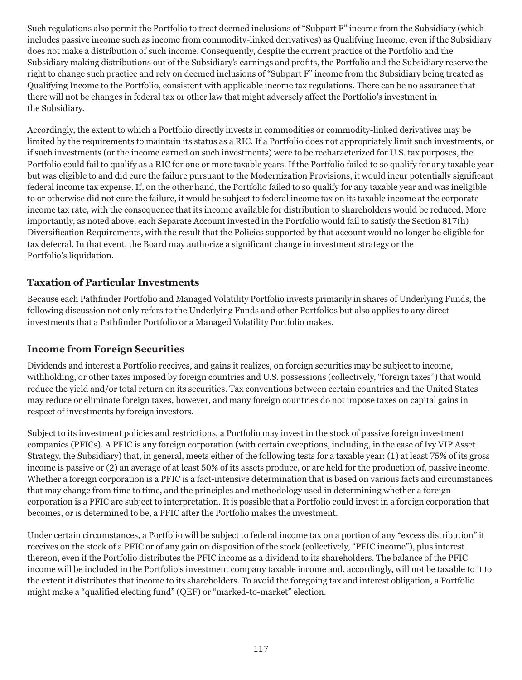Such regulations also permit the Portfolio to treat deemed inclusions of "Subpart F" income from the Subsidiary (which includes passive income such as income from commodity-linked derivatives) as Qualifying Income, even if the Subsidiary does not make a distribution of such income. Consequently, despite the current practice of the Portfolio and the Subsidiary making distributions out of the Subsidiary's earnings and profits, the Portfolio and the Subsidiary reserve the right to change such practice and rely on deemed inclusions of "Subpart F" income from the Subsidiary being treated as Qualifying Income to the Portfolio, consistent with applicable income tax regulations. There can be no assurance that there will not be changes in federal tax or other law that might adversely affect the Portfolio's investment in the Subsidiary.

Accordingly, the extent to which a Portfolio directly invests in commodities or commodity-linked derivatives may be limited by the requirements to maintain its status as a RIC. If a Portfolio does not appropriately limit such investments, or if such investments (or the income earned on such investments) were to be recharacterized for U.S. tax purposes, the Portfolio could fail to qualify as a RIC for one or more taxable years. If the Portfolio failed to so qualify for any taxable year but was eligible to and did cure the failure pursuant to the Modernization Provisions, it would incur potentially significant federal income tax expense. If, on the other hand, the Portfolio failed to so qualify for any taxable year and was ineligible to or otherwise did not cure the failure, it would be subject to federal income tax on its taxable income at the corporate income tax rate, with the consequence that its income available for distribution to shareholders would be reduced. More importantly, as noted above, each Separate Account invested in the Portfolio would fail to satisfy the Section 817(h) Diversification Requirements, with the result that the Policies supported by that account would no longer be eligible for tax deferral. In that event, the Board may authorize a significant change in investment strategy or the Portfolio's liquidation.

## **Taxation of Particular Investments**

Because each Pathfinder Portfolio and Managed Volatility Portfolio invests primarily in shares of Underlying Funds, the following discussion not only refers to the Underlying Funds and other Portfolios but also applies to any direct investments that a Pathfinder Portfolio or a Managed Volatility Portfolio makes.

### **Income from Foreign Securities**

Dividends and interest a Portfolio receives, and gains it realizes, on foreign securities may be subject to income, withholding, or other taxes imposed by foreign countries and U.S. possessions (collectively, "foreign taxes") that would reduce the yield and/or total return on its securities. Tax conventions between certain countries and the United States may reduce or eliminate foreign taxes, however, and many foreign countries do not impose taxes on capital gains in respect of investments by foreign investors.

Subject to its investment policies and restrictions, a Portfolio may invest in the stock of passive foreign investment companies (PFICs). A PFIC is any foreign corporation (with certain exceptions, including, in the case of Ivy VIP Asset Strategy, the Subsidiary) that, in general, meets either of the following tests for a taxable year: (1) at least 75% of its gross income is passive or (2) an average of at least 50% of its assets produce, or are held for the production of, passive income. Whether a foreign corporation is a PFIC is a fact-intensive determination that is based on various facts and circumstances that may change from time to time, and the principles and methodology used in determining whether a foreign corporation is a PFIC are subject to interpretation. It is possible that a Portfolio could invest in a foreign corporation that becomes, or is determined to be, a PFIC after the Portfolio makes the investment.

Under certain circumstances, a Portfolio will be subject to federal income tax on a portion of any "excess distribution" it receives on the stock of a PFIC or of any gain on disposition of the stock (collectively, "PFIC income"), plus interest thereon, even if the Portfolio distributes the PFIC income as a dividend to its shareholders. The balance of the PFIC income will be included in the Portfolio's investment company taxable income and, accordingly, will not be taxable to it to the extent it distributes that income to its shareholders. To avoid the foregoing tax and interest obligation, a Portfolio might make a "qualified electing fund" (QEF) or "marked-to-market" election.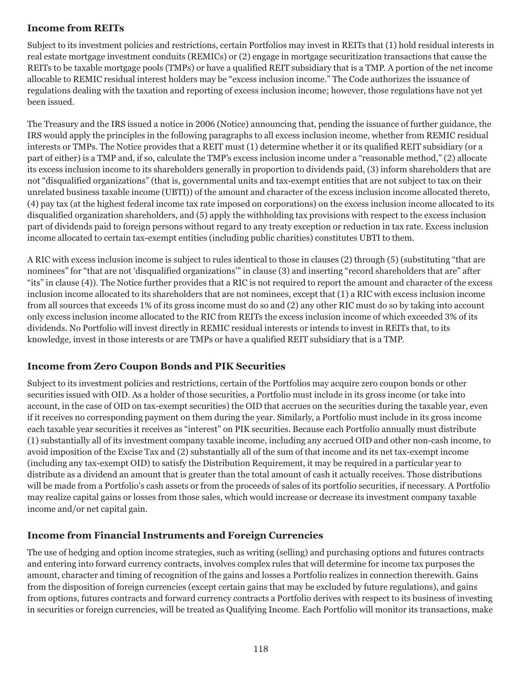# **Income from REITs**

Subject to its investment policies and restrictions, certain Portfolios may invest in REITs that (1) hold residual interests in real estate mortgage investment conduits (REMICs) or (2) engage in mortgage securitization transactions that cause the REITs to be taxable mortgage pools (TMPs) or have a qualified REIT subsidiary that is a TMP. A portion of the net income allocable to REMIC residual interest holders may be "excess inclusion income." The Code authorizes the issuance of regulations dealing with the taxation and reporting of excess inclusion income; however, those regulations have not yet been issued.

The Treasury and the IRS issued a notice in 2006 (Notice) announcing that, pending the issuance of further guidance, the IRS would apply the principles in the following paragraphs to all excess inclusion income, whether from REMIC residual interests or TMPs. The Notice provides that a REIT must (1) determine whether it or its qualified REIT subsidiary (or a part of either) is a TMP and, if so, calculate the TMP's excess inclusion income under a "reasonable method," (2) allocate its excess inclusion income to its shareholders generally in proportion to dividends paid, (3) inform shareholders that are not "disqualified organizations" (that is, governmental units and tax-exempt entities that are not subject to tax on their unrelated business taxable income (UBTI)) of the amount and character of the excess inclusion income allocated thereto, (4) pay tax (at the highest federal income tax rate imposed on corporations) on the excess inclusion income allocated to its disqualified organization shareholders, and (5) apply the withholding tax provisions with respect to the excess inclusion part of dividends paid to foreign persons without regard to any treaty exception or reduction in tax rate. Excess inclusion income allocated to certain tax-exempt entities (including public charities) constitutes UBTI to them.

A RIC with excess inclusion income is subject to rules identical to those in clauses (2) through (5) (substituting "that are nominees" for "that are not 'disqualified organizations'" in clause (3) and inserting "record shareholders that are" after "its" in clause (4)). The Notice further provides that a RIC is not required to report the amount and character of the excess inclusion income allocated to its shareholders that are not nominees, except that (1) a RIC with excess inclusion income from all sources that exceeds 1% of its gross income must do so and (2) any other RIC must do so by taking into account only excess inclusion income allocated to the RIC from REITs the excess inclusion income of which exceeded 3% of its dividends. No Portfolio will invest directly in REMIC residual interests or intends to invest in REITs that, to its knowledge, invest in those interests or are TMPs or have a qualified REIT subsidiary that is a TMP.

# **Income from Zero Coupon Bonds and PIK Securities**

Subject to its investment policies and restrictions, certain of the Portfolios may acquire zero coupon bonds or other securities issued with OID. As a holder of those securities, a Portfolio must include in its gross income (or take into account, in the case of OID on tax-exempt securities) the OID that accrues on the securities during the taxable year, even if it receives no corresponding payment on them during the year. Similarly, a Portfolio must include in its gross income each taxable year securities it receives as "interest" on PIK securities. Because each Portfolio annually must distribute (1) substantially all of its investment company taxable income, including any accrued OID and other non-cash income, to avoid imposition of the Excise Tax and (2) substantially all of the sum of that income and its net tax-exempt income (including any tax-exempt OID) to satisfy the Distribution Requirement, it may be required in a particular year to distribute as a dividend an amount that is greater than the total amount of cash it actually receives. Those distributions will be made from a Portfolio's cash assets or from the proceeds of sales of its portfolio securities, if necessary. A Portfolio may realize capital gains or losses from those sales, which would increase or decrease its investment company taxable income and/or net capital gain.

# **Income from Financial Instruments and Foreign Currencies**

The use of hedging and option income strategies, such as writing (selling) and purchasing options and futures contracts and entering into forward currency contracts, involves complex rules that will determine for income tax purposes the amount, character and timing of recognition of the gains and losses a Portfolio realizes in connection therewith. Gains from the disposition of foreign currencies (except certain gains that may be excluded by future regulations), and gains from options, futures contracts and forward currency contracts a Portfolio derives with respect to its business of investing in securities or foreign currencies, will be treated as Qualifying Income. Each Portfolio will monitor its transactions, make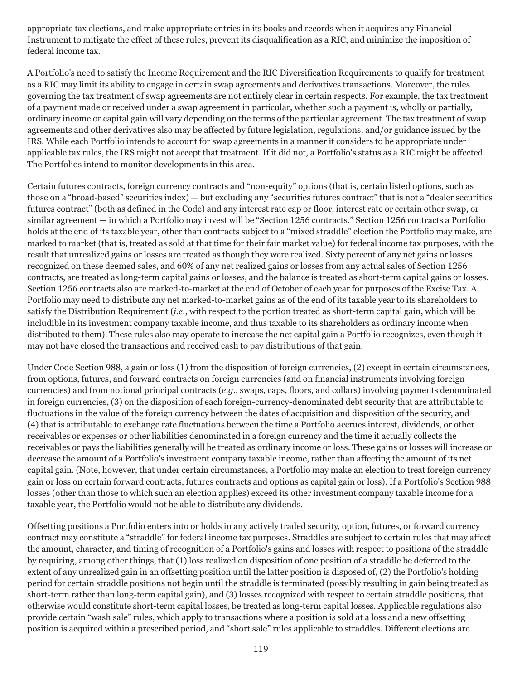appropriate tax elections, and make appropriate entries in its books and records when it acquires any Financial Instrument to mitigate the effect of these rules, prevent its disqualification as a RIC, and minimize the imposition of federal income tax.

A Portfolio's need to satisfy the Income Requirement and the RIC Diversification Requirements to qualify for treatment as a RIC may limit its ability to engage in certain swap agreements and derivatives transactions. Moreover, the rules governing the tax treatment of swap agreements are not entirely clear in certain respects. For example, the tax treatment of a payment made or received under a swap agreement in particular, whether such a payment is, wholly or partially, ordinary income or capital gain will vary depending on the terms of the particular agreement. The tax treatment of swap agreements and other derivatives also may be affected by future legislation, regulations, and/or guidance issued by the IRS. While each Portfolio intends to account for swap agreements in a manner it considers to be appropriate under applicable tax rules, the IRS might not accept that treatment. If it did not, a Portfolio's status as a RIC might be affected. The Portfolios intend to monitor developments in this area.

Certain futures contracts, foreign currency contracts and "non-equity" options (that is, certain listed options, such as those on a "broad-based" securities index) — but excluding any "securities futures contract" that is not a "dealer securities futures contract" (both as defined in the Code) and any interest rate cap or floor, interest rate or certain other swap, or similar agreement — in which a Portfolio may invest will be "Section 1256 contracts." Section 1256 contracts a Portfolio holds at the end of its taxable year, other than contracts subject to a "mixed straddle" election the Portfolio may make, are marked to market (that is, treated as sold at that time for their fair market value) for federal income tax purposes, with the result that unrealized gains or losses are treated as though they were realized. Sixty percent of any net gains or losses recognized on these deemed sales, and 60% of any net realized gains or losses from any actual sales of Section 1256 contracts, are treated as long-term capital gains or losses, and the balance is treated as short-term capital gains or losses. Section 1256 contracts also are marked-to-market at the end of October of each year for purposes of the Excise Tax. A Portfolio may need to distribute any net marked-to-market gains as of the end of its taxable year to its shareholders to satisfy the Distribution Requirement (*i.e.*, with respect to the portion treated as short-term capital gain, which will be includible in its investment company taxable income, and thus taxable to its shareholders as ordinary income when distributed to them). These rules also may operate to increase the net capital gain a Portfolio recognizes, even though it may not have closed the transactions and received cash to pay distributions of that gain.

Under Code Section 988, a gain or loss (1) from the disposition of foreign currencies, (2) except in certain circumstances, from options, futures, and forward contracts on foreign currencies (and on financial instruments involving foreign currencies) and from notional principal contracts (*e.g.*, swaps, caps, floors, and collars) involving payments denominated in foreign currencies, (3) on the disposition of each foreign-currency-denominated debt security that are attributable to fluctuations in the value of the foreign currency between the dates of acquisition and disposition of the security, and (4) that is attributable to exchange rate fluctuations between the time a Portfolio accrues interest, dividends, or other receivables or expenses or other liabilities denominated in a foreign currency and the time it actually collects the receivables or pays the liabilities generally will be treated as ordinary income or loss. These gains or losses will increase or decrease the amount of a Portfolio's investment company taxable income, rather than affecting the amount of its net capital gain. (Note, however, that under certain circumstances, a Portfolio may make an election to treat foreign currency gain or loss on certain forward contracts, futures contracts and options as capital gain or loss). If a Portfolio's Section 988 losses (other than those to which such an election applies) exceed its other investment company taxable income for a taxable year, the Portfolio would not be able to distribute any dividends.

Offsetting positions a Portfolio enters into or holds in any actively traded security, option, futures, or forward currency contract may constitute a "straddle" for federal income tax purposes. Straddles are subject to certain rules that may affect the amount, character, and timing of recognition of a Portfolio's gains and losses with respect to positions of the straddle by requiring, among other things, that (1) loss realized on disposition of one position of a straddle be deferred to the extent of any unrealized gain in an offsetting position until the latter position is disposed of, (2) the Portfolio's holding period for certain straddle positions not begin until the straddle is terminated (possibly resulting in gain being treated as short-term rather than long-term capital gain), and (3) losses recognized with respect to certain straddle positions, that otherwise would constitute short-term capital losses, be treated as long-term capital losses. Applicable regulations also provide certain "wash sale" rules, which apply to transactions where a position is sold at a loss and a new offsetting position is acquired within a prescribed period, and "short sale" rules applicable to straddles. Different elections are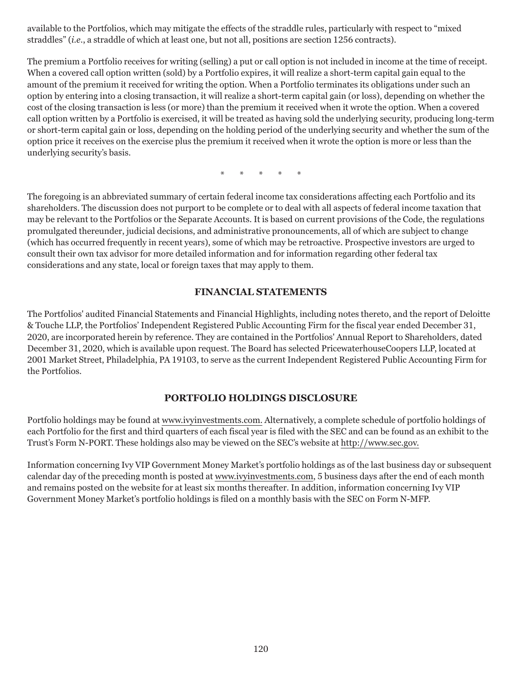available to the Portfolios, which may mitigate the effects of the straddle rules, particularly with respect to "mixed straddles" (*i.e.*, a straddle of which at least one, but not all, positions are section 1256 contracts).

The premium a Portfolio receives for writing (selling) a put or call option is not included in income at the time of receipt. When a covered call option written (sold) by a Portfolio expires, it will realize a short-term capital gain equal to the amount of the premium it received for writing the option. When a Portfolio terminates its obligations under such an option by entering into a closing transaction, it will realize a short-term capital gain (or loss), depending on whether the cost of the closing transaction is less (or more) than the premium it received when it wrote the option. When a covered call option written by a Portfolio is exercised, it will be treated as having sold the underlying security, producing long-term or short-term capital gain or loss, depending on the holding period of the underlying security and whether the sum of the option price it receives on the exercise plus the premium it received when it wrote the option is more or less than the underlying security's basis.

\*\*\*\*\*

The foregoing is an abbreviated summary of certain federal income tax considerations affecting each Portfolio and its shareholders. The discussion does not purport to be complete or to deal with all aspects of federal income taxation that may be relevant to the Portfolios or the Separate Accounts. It is based on current provisions of the Code, the regulations promulgated thereunder, judicial decisions, and administrative pronouncements, all of which are subject to change (which has occurred frequently in recent years), some of which may be retroactive. Prospective investors are urged to consult their own tax advisor for more detailed information and for information regarding other federal tax considerations and any state, local or foreign taxes that may apply to them.

### **FINANCIAL STATEMENTS**

The Portfolios' audited Financial Statements and Financial Highlights, including notes thereto, and the report of Deloitte & Touche LLP, the Portfolios' Independent Registered Public Accounting Firm for the fiscal year ended December 31, 2020, are incorporated herein by reference. They are contained in the Portfolios' Annual Report to Shareholders, dated December 31, 2020, which is available upon request. The Board has selected PricewaterhouseCoopers LLP, located at 2001 Market Street, Philadelphia, PA 19103, to serve as the current Independent Registered Public Accounting Firm for the Portfolios.

### **PORTFOLIO HOLDINGS DISCLOSURE**

Portfolio holdings may be found at www.ivyinvestments.com. Alternatively, a complete schedule of portfolio holdings of each Portfolio for the first and third quarters of each fiscal year is filed with the SEC and can be found as an exhibit to the Trust's Form N-PORT. These holdings also may be viewed on the SEC's website at http://www.sec.gov.

Information concerning Ivy VIP Government Money Market's portfolio holdings as of the last business day or subsequent calendar day of the preceding month is posted at www.ivyinvestments.com, 5 business days after the end of each month and remains posted on the website for at least six months thereafter. In addition, information concerning Ivy VIP Government Money Market's portfolio holdings is filed on a monthly basis with the SEC on Form N-MFP.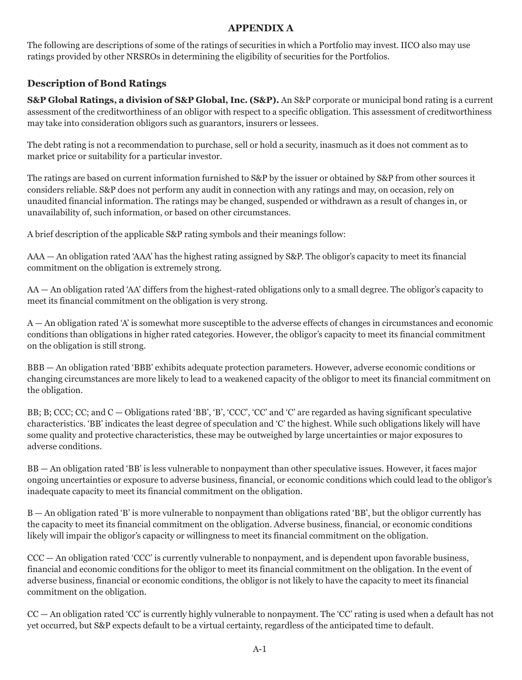## **APPENDIX A**

The following are descriptions of some of the ratings of securities in which a Portfolio may invest. IICO also may use ratings provided by other NRSROs in determining the eligibility of securities for the Portfolios.

# **Description of Bond Ratings**

**S&P Global Ratings, a division of S&P Global, Inc. (S&P).** An S&P corporate or municipal bond rating is a current assessment of the creditworthiness of an obligor with respect to a specific obligation. This assessment of creditworthiness may take into consideration obligors such as guarantors, insurers or lessees.

The debt rating is not a recommendation to purchase, sell or hold a security, inasmuch as it does not comment as to market price or suitability for a particular investor.

The ratings are based on current information furnished to S&P by the issuer or obtained by S&P from other sources it considers reliable. S&P does not perform any audit in connection with any ratings and may, on occasion, rely on unaudited financial information. The ratings may be changed, suspended or withdrawn as a result of changes in, or unavailability of, such information, or based on other circumstances.

A brief description of the applicable S&P rating symbols and their meanings follow:

AAA — An obligation rated 'AAA' has the highest rating assigned by S&P. The obligor's capacity to meet its financial commitment on the obligation is extremely strong.

AA — An obligation rated 'AA' differs from the highest-rated obligations only to a small degree. The obligor's capacity to meet its financial commitment on the obligation is very strong.

A — An obligation rated 'A' is somewhat more susceptible to the adverse effects of changes in circumstances and economic conditions than obligations in higher rated categories. However, the obligor's capacity to meet its financial commitment on the obligation is still strong.

BBB — An obligation rated 'BBB' exhibits adequate protection parameters. However, adverse economic conditions or changing circumstances are more likely to lead to a weakened capacity of the obligor to meet its financial commitment on the obligation.

BB; B; CCC; CC; and C — Obligations rated 'BB', 'B', 'CCC', 'CC' and 'C' are regarded as having significant speculative characteristics. 'BB' indicates the least degree of speculation and 'C' the highest. While such obligations likely will have some quality and protective characteristics, these may be outweighed by large uncertainties or major exposures to adverse conditions.

BB — An obligation rated 'BB' is less vulnerable to nonpayment than other speculative issues. However, it faces major ongoing uncertainties or exposure to adverse business, financial, or economic conditions which could lead to the obligor's inadequate capacity to meet its financial commitment on the obligation.

B — An obligation rated 'B' is more vulnerable to nonpayment than obligations rated 'BB', but the obligor currently has the capacity to meet its financial commitment on the obligation. Adverse business, financial, or economic conditions likely will impair the obligor's capacity or willingness to meet its financial commitment on the obligation.

CCC — An obligation rated 'CCC' is currently vulnerable to nonpayment, and is dependent upon favorable business, financial and economic conditions for the obligor to meet its financial commitment on the obligation. In the event of adverse business, financial or economic conditions, the obligor is not likely to have the capacity to meet its financial commitment on the obligation.

CC — An obligation rated 'CC' is currently highly vulnerable to nonpayment. The 'CC' rating is used when a default has not yet occurred, but S&P expects default to be a virtual certainty, regardless of the anticipated time to default.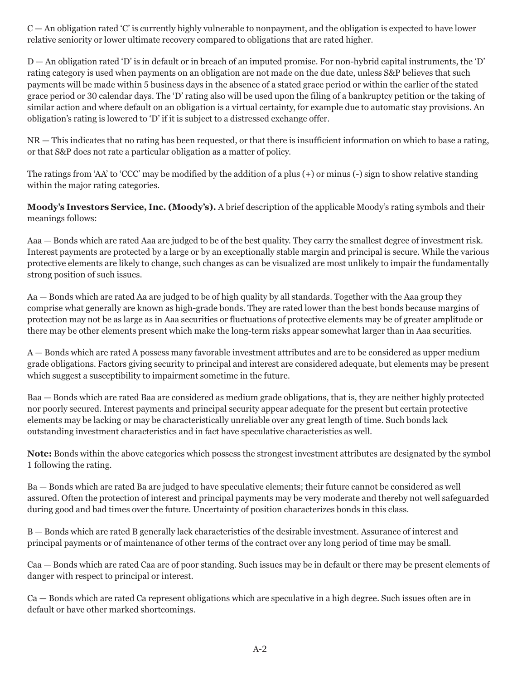$C$  — An obligation rated 'C' is currently highly vulnerable to nonpayment, and the obligation is expected to have lower relative seniority or lower ultimate recovery compared to obligations that are rated higher.

D — An obligation rated 'D' is in default or in breach of an imputed promise. For non-hybrid capital instruments, the 'D' rating category is used when payments on an obligation are not made on the due date, unless S&P believes that such payments will be made within 5 business days in the absence of a stated grace period or within the earlier of the stated grace period or 30 calendar days. The 'D' rating also will be used upon the filing of a bankruptcy petition or the taking of similar action and where default on an obligation is a virtual certainty, for example due to automatic stay provisions. An obligation's rating is lowered to 'D' if it is subject to a distressed exchange offer.

NR — This indicates that no rating has been requested, or that there is insufficient information on which to base a rating, or that S&P does not rate a particular obligation as a matter of policy.

The ratings from 'AA' to 'CCC' may be modified by the addition of a plus (+) or minus (-) sign to show relative standing within the major rating categories.

**Moody's Investors Service, Inc. (Moody's).** A brief description of the applicable Moody's rating symbols and their meanings follows:

Aaa — Bonds which are rated Aaa are judged to be of the best quality. They carry the smallest degree of investment risk. Interest payments are protected by a large or by an exceptionally stable margin and principal is secure. While the various protective elements are likely to change, such changes as can be visualized are most unlikely to impair the fundamentally strong position of such issues.

Aa — Bonds which are rated Aa are judged to be of high quality by all standards. Together with the Aaa group they comprise what generally are known as high-grade bonds. They are rated lower than the best bonds because margins of protection may not be as large as in Aaa securities or fluctuations of protective elements may be of greater amplitude or there may be other elements present which make the long-term risks appear somewhat larger than in Aaa securities.

A — Bonds which are rated A possess many favorable investment attributes and are to be considered as upper medium grade obligations. Factors giving security to principal and interest are considered adequate, but elements may be present which suggest a susceptibility to impairment sometime in the future.

Baa — Bonds which are rated Baa are considered as medium grade obligations, that is, they are neither highly protected nor poorly secured. Interest payments and principal security appear adequate for the present but certain protective elements may be lacking or may be characteristically unreliable over any great length of time. Such bonds lack outstanding investment characteristics and in fact have speculative characteristics as well.

**Note:** Bonds within the above categories which possess the strongest investment attributes are designated by the symbol 1 following the rating.

Ba — Bonds which are rated Ba are judged to have speculative elements; their future cannot be considered as well assured. Often the protection of interest and principal payments may be very moderate and thereby not well safeguarded during good and bad times over the future. Uncertainty of position characterizes bonds in this class.

B — Bonds which are rated B generally lack characteristics of the desirable investment. Assurance of interest and principal payments or of maintenance of other terms of the contract over any long period of time may be small.

Caa — Bonds which are rated Caa are of poor standing. Such issues may be in default or there may be present elements of danger with respect to principal or interest.

Ca — Bonds which are rated Ca represent obligations which are speculative in a high degree. Such issues often are in default or have other marked shortcomings.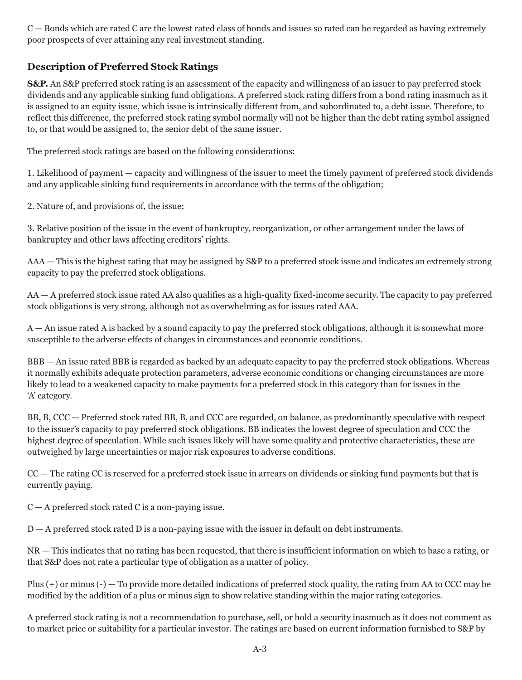C — Bonds which are rated C are the lowest rated class of bonds and issues so rated can be regarded as having extremely poor prospects of ever attaining any real investment standing.

## **Description of Preferred Stock Ratings**

**S&P.** An S&P preferred stock rating is an assessment of the capacity and willingness of an issuer to pay preferred stock dividends and any applicable sinking fund obligations. A preferred stock rating differs from a bond rating inasmuch as it is assigned to an equity issue, which issue is intrinsically different from, and subordinated to, a debt issue. Therefore, to reflect this difference, the preferred stock rating symbol normally will not be higher than the debt rating symbol assigned to, or that would be assigned to, the senior debt of the same issuer.

The preferred stock ratings are based on the following considerations:

1. Likelihood of payment — capacity and willingness of the issuer to meet the timely payment of preferred stock dividends and any applicable sinking fund requirements in accordance with the terms of the obligation;

2. Nature of, and provisions of, the issue;

3. Relative position of the issue in the event of bankruptcy, reorganization, or other arrangement under the laws of bankruptcy and other laws affecting creditors' rights.

AAA — This is the highest rating that may be assigned by S&P to a preferred stock issue and indicates an extremely strong capacity to pay the preferred stock obligations.

AA — A preferred stock issue rated AA also qualifies as a high-quality fixed-income security. The capacity to pay preferred stock obligations is very strong, although not as overwhelming as for issues rated AAA.

 $A - An$  issue rated A is backed by a sound capacity to pay the preferred stock obligations, although it is somewhat more susceptible to the adverse effects of changes in circumstances and economic conditions.

BBB — An issue rated BBB is regarded as backed by an adequate capacity to pay the preferred stock obligations. Whereas it normally exhibits adequate protection parameters, adverse economic conditions or changing circumstances are more likely to lead to a weakened capacity to make payments for a preferred stock in this category than for issues in the 'A' category.

BB, B, CCC — Preferred stock rated BB, B, and CCC are regarded, on balance, as predominantly speculative with respect to the issuer's capacity to pay preferred stock obligations. BB indicates the lowest degree of speculation and CCC the highest degree of speculation. While such issues likely will have some quality and protective characteristics, these are outweighed by large uncertainties or major risk exposures to adverse conditions.

CC — The rating CC is reserved for a preferred stock issue in arrears on dividends or sinking fund payments but that is currently paying.

 $C - A$  preferred stock rated C is a non-paying issue.

D — A preferred stock rated D is a non-paying issue with the issuer in default on debt instruments.

NR — This indicates that no rating has been requested, that there is insufficient information on which to base a rating, or that S&P does not rate a particular type of obligation as a matter of policy.

Plus (+) or minus (-) — To provide more detailed indications of preferred stock quality, the rating from AA to CCC may be modified by the addition of a plus or minus sign to show relative standing within the major rating categories.

A preferred stock rating is not a recommendation to purchase, sell, or hold a security inasmuch as it does not comment as to market price or suitability for a particular investor. The ratings are based on current information furnished to S&P by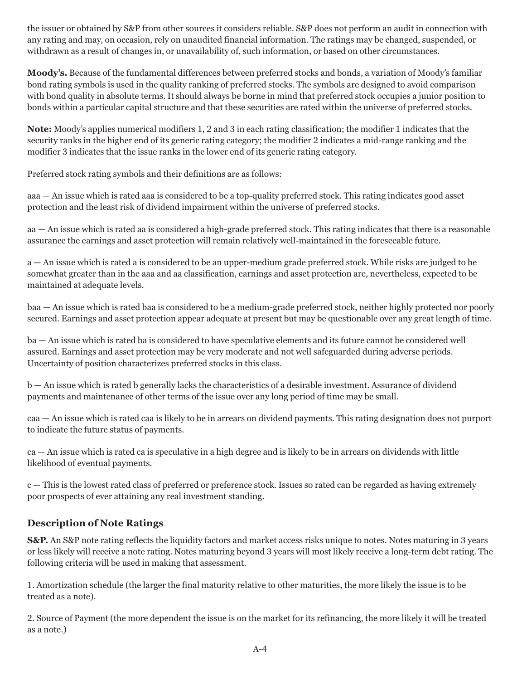the issuer or obtained by S&P from other sources it considers reliable. S&P does not perform an audit in connection with any rating and may, on occasion, rely on unaudited financial information. The ratings may be changed, suspended, or withdrawn as a result of changes in, or unavailability of, such information, or based on other circumstances.

**Moody's.** Because of the fundamental differences between preferred stocks and bonds, a variation of Moody's familiar bond rating symbols is used in the quality ranking of preferred stocks. The symbols are designed to avoid comparison with bond quality in absolute terms. It should always be borne in mind that preferred stock occupies a junior position to bonds within a particular capital structure and that these securities are rated within the universe of preferred stocks.

**Note:** Moody's applies numerical modifiers 1, 2 and 3 in each rating classification; the modifier 1 indicates that the security ranks in the higher end of its generic rating category; the modifier 2 indicates a mid-range ranking and the modifier 3 indicates that the issue ranks in the lower end of its generic rating category.

Preferred stock rating symbols and their definitions are as follows:

aaa — An issue which is rated aaa is considered to be a top-quality preferred stock. This rating indicates good asset protection and the least risk of dividend impairment within the universe of preferred stocks.

aa — An issue which is rated aa is considered a high-grade preferred stock. This rating indicates that there is a reasonable assurance the earnings and asset protection will remain relatively well-maintained in the foreseeable future.

a — An issue which is rated a is considered to be an upper-medium grade preferred stock. While risks are judged to be somewhat greater than in the aaa and aa classification, earnings and asset protection are, nevertheless, expected to be maintained at adequate levels.

baa — An issue which is rated baa is considered to be a medium-grade preferred stock, neither highly protected nor poorly secured. Earnings and asset protection appear adequate at present but may be questionable over any great length of time.

ba — An issue which is rated ba is considered to have speculative elements and its future cannot be considered well assured. Earnings and asset protection may be very moderate and not well safeguarded during adverse periods. Uncertainty of position characterizes preferred stocks in this class.

b — An issue which is rated b generally lacks the characteristics of a desirable investment. Assurance of dividend payments and maintenance of other terms of the issue over any long period of time may be small.

caa — An issue which is rated caa is likely to be in arrears on dividend payments. This rating designation does not purport to indicate the future status of payments.

ca — An issue which is rated ca is speculative in a high degree and is likely to be in arrears on dividends with little likelihood of eventual payments.

c — This is the lowest rated class of preferred or preference stock. Issues so rated can be regarded as having extremely poor prospects of ever attaining any real investment standing.

# **Description of Note Ratings**

**S&P.** An S&P note rating reflects the liquidity factors and market access risks unique to notes. Notes maturing in 3 years or less likely will receive a note rating. Notes maturing beyond 3 years will most likely receive a long-term debt rating. The following criteria will be used in making that assessment.

1. Amortization schedule (the larger the final maturity relative to other maturities, the more likely the issue is to be treated as a note).

2. Source of Payment (the more dependent the issue is on the market for its refinancing, the more likely it will be treated as a note.)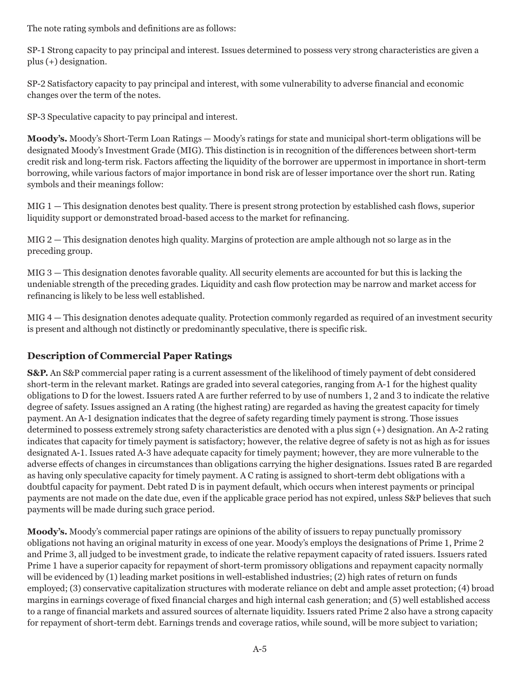The note rating symbols and definitions are as follows:

SP-1 Strong capacity to pay principal and interest. Issues determined to possess very strong characteristics are given a plus (+) designation.

SP-2 Satisfactory capacity to pay principal and interest, with some vulnerability to adverse financial and economic changes over the term of the notes.

SP-3 Speculative capacity to pay principal and interest.

**Moody's.** Moody's Short-Term Loan Ratings — Moody's ratings for state and municipal short-term obligations will be designated Moody's Investment Grade (MIG). This distinction is in recognition of the differences between short-term credit risk and long-term risk. Factors affecting the liquidity of the borrower are uppermost in importance in short-term borrowing, while various factors of major importance in bond risk are of lesser importance over the short run. Rating symbols and their meanings follow:

MIG 1 — This designation denotes best quality. There is present strong protection by established cash flows, superior liquidity support or demonstrated broad-based access to the market for refinancing.

MIG 2 — This designation denotes high quality. Margins of protection are ample although not so large as in the preceding group.

MIG 3 — This designation denotes favorable quality. All security elements are accounted for but this is lacking the undeniable strength of the preceding grades. Liquidity and cash flow protection may be narrow and market access for refinancing is likely to be less well established.

MIG 4 — This designation denotes adequate quality. Protection commonly regarded as required of an investment security is present and although not distinctly or predominantly speculative, there is specific risk.

# **Description of Commercial Paper Ratings**

**S&P.** An S&P commercial paper rating is a current assessment of the likelihood of timely payment of debt considered short-term in the relevant market. Ratings are graded into several categories, ranging from A-1 for the highest quality obligations to D for the lowest. Issuers rated A are further referred to by use of numbers 1, 2 and 3 to indicate the relative degree of safety. Issues assigned an A rating (the highest rating) are regarded as having the greatest capacity for timely payment. An A-1 designation indicates that the degree of safety regarding timely payment is strong. Those issues determined to possess extremely strong safety characteristics are denoted with a plus sign (+) designation. An A-2 rating indicates that capacity for timely payment is satisfactory; however, the relative degree of safety is not as high as for issues designated A-1. Issues rated A-3 have adequate capacity for timely payment; however, they are more vulnerable to the adverse effects of changes in circumstances than obligations carrying the higher designations. Issues rated B are regarded as having only speculative capacity for timely payment. A C rating is assigned to short-term debt obligations with a doubtful capacity for payment. Debt rated D is in payment default, which occurs when interest payments or principal payments are not made on the date due, even if the applicable grace period has not expired, unless S&P believes that such payments will be made during such grace period.

**Moody's.** Moody's commercial paper ratings are opinions of the ability of issuers to repay punctually promissory obligations not having an original maturity in excess of one year. Moody's employs the designations of Prime 1, Prime 2 and Prime 3, all judged to be investment grade, to indicate the relative repayment capacity of rated issuers. Issuers rated Prime 1 have a superior capacity for repayment of short-term promissory obligations and repayment capacity normally will be evidenced by (1) leading market positions in well-established industries; (2) high rates of return on funds employed; (3) conservative capitalization structures with moderate reliance on debt and ample asset protection; (4) broad margins in earnings coverage of fixed financial charges and high internal cash generation; and (5) well established access to a range of financial markets and assured sources of alternate liquidity. Issuers rated Prime 2 also have a strong capacity for repayment of short-term debt. Earnings trends and coverage ratios, while sound, will be more subject to variation;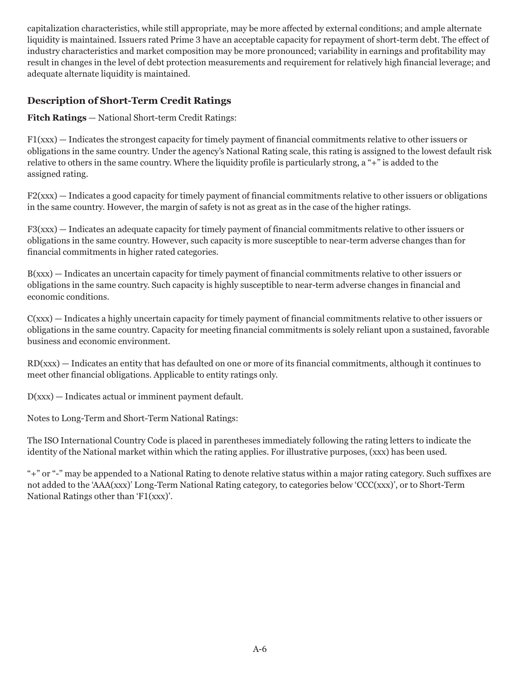capitalization characteristics, while still appropriate, may be more affected by external conditions; and ample alternate liquidity is maintained. Issuers rated Prime 3 have an acceptable capacity for repayment of short-term debt. The effect of industry characteristics and market composition may be more pronounced; variability in earnings and profitability may result in changes in the level of debt protection measurements and requirement for relatively high financial leverage; and adequate alternate liquidity is maintained.

# **Description of Short-Term Credit Ratings**

**Fitch Ratings** — National Short-term Credit Ratings:

 $F1(xxx)$  — Indicates the strongest capacity for timely payment of financial commitments relative to other issuers or obligations in the same country. Under the agency's National Rating scale, this rating is assigned to the lowest default risk relative to others in the same country. Where the liquidity profile is particularly strong, a "+" is added to the assigned rating.

 $F2(xxx)$  — Indicates a good capacity for timely payment of financial commitments relative to other issuers or obligations in the same country. However, the margin of safety is not as great as in the case of the higher ratings.

F3(xxx) — Indicates an adequate capacity for timely payment of financial commitments relative to other issuers or obligations in the same country. However, such capacity is more susceptible to near-term adverse changes than for financial commitments in higher rated categories.

B(xxx) — Indicates an uncertain capacity for timely payment of financial commitments relative to other issuers or obligations in the same country. Such capacity is highly susceptible to near-term adverse changes in financial and economic conditions.

C(xxx) — Indicates a highly uncertain capacity for timely payment of financial commitments relative to other issuers or obligations in the same country. Capacity for meeting financial commitments is solely reliant upon a sustained, favorable business and economic environment.

RD(xxx) — Indicates an entity that has defaulted on one or more of its financial commitments, although it continues to meet other financial obligations. Applicable to entity ratings only.

D(xxx) — Indicates actual or imminent payment default.

Notes to Long-Term and Short-Term National Ratings:

The ISO International Country Code is placed in parentheses immediately following the rating letters to indicate the identity of the National market within which the rating applies. For illustrative purposes, (xxx) has been used.

"+" or "-" may be appended to a National Rating to denote relative status within a major rating category. Such suffixes are not added to the 'AAA(xxx)' Long-Term National Rating category, to categories below 'CCC(xxx)', or to Short-Term National Ratings other than 'F1(xxx)'.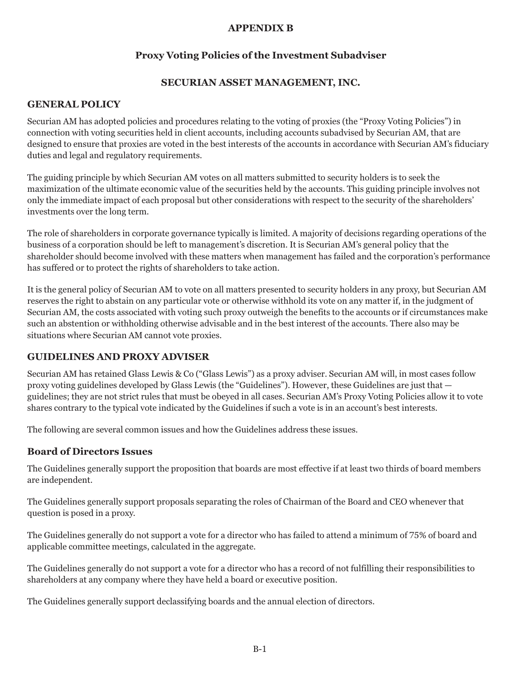## **APPENDIX B**

# **Proxy Voting Policies of the Investment Subadviser**

# **SECURIAN ASSET MANAGEMENT, INC.**

## **GENERAL POLICY**

Securian AM has adopted policies and procedures relating to the voting of proxies (the "Proxy Voting Policies") in connection with voting securities held in client accounts, including accounts subadvised by Securian AM, that are designed to ensure that proxies are voted in the best interests of the accounts in accordance with Securian AM's fiduciary duties and legal and regulatory requirements.

The guiding principle by which Securian AM votes on all matters submitted to security holders is to seek the maximization of the ultimate economic value of the securities held by the accounts. This guiding principle involves not only the immediate impact of each proposal but other considerations with respect to the security of the shareholders' investments over the long term.

The role of shareholders in corporate governance typically is limited. A majority of decisions regarding operations of the business of a corporation should be left to management's discretion. It is Securian AM's general policy that the shareholder should become involved with these matters when management has failed and the corporation's performance has suffered or to protect the rights of shareholders to take action.

It is the general policy of Securian AM to vote on all matters presented to security holders in any proxy, but Securian AM reserves the right to abstain on any particular vote or otherwise withhold its vote on any matter if, in the judgment of Securian AM, the costs associated with voting such proxy outweigh the benefits to the accounts or if circumstances make such an abstention or withholding otherwise advisable and in the best interest of the accounts. There also may be situations where Securian AM cannot vote proxies.

# **GUIDELINES AND PROXY ADVISER**

Securian AM has retained Glass Lewis & Co ("Glass Lewis") as a proxy adviser. Securian AM will, in most cases follow proxy voting guidelines developed by Glass Lewis (the "Guidelines"). However, these Guidelines are just that guidelines; they are not strict rules that must be obeyed in all cases. Securian AM's Proxy Voting Policies allow it to vote shares contrary to the typical vote indicated by the Guidelines if such a vote is in an account's best interests.

The following are several common issues and how the Guidelines address these issues.

# **Board of Directors Issues**

The Guidelines generally support the proposition that boards are most effective if at least two thirds of board members are independent.

The Guidelines generally support proposals separating the roles of Chairman of the Board and CEO whenever that question is posed in a proxy.

The Guidelines generally do not support a vote for a director who has failed to attend a minimum of 75% of board and applicable committee meetings, calculated in the aggregate.

The Guidelines generally do not support a vote for a director who has a record of not fulfilling their responsibilities to shareholders at any company where they have held a board or executive position.

The Guidelines generally support declassifying boards and the annual election of directors.